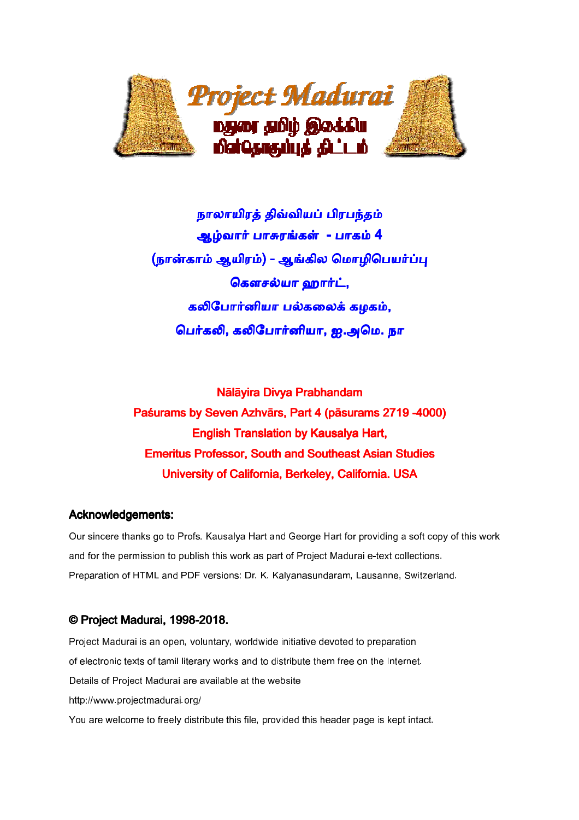

நாலாயிரத் திவ்வியப் பிரபந்தம் ஆழ்வார் பாசுரங்கள் - பாகம் 4 (நான்காம் ஆயிரம்) - ஆங்கில மொழிபெயர்ப்பு கௌசல்யா ஹார்ட், கலிபோர்னியா பல்கலைக் கழகம், பெர்கலி, கலிபோர்னியா, ஐ.அமெ. நா

Nālāvira Divva Prabhandam Paśurams by Seven Azhvārs, Part 4 (pāsurams 2719-4000) **English Translation by Kausalya Hart,** Emeritus Professor, South and Southeast Asian Studies University of California, Berkeley, California. USA

# Acknowledgements:

Our sincere thanks go to Profs. Kausalya Hart and George Hart for providing a soft copy of this work and for the permission to publish this work as part of Project Madurai e-text collections. Preparation of HTML and PDF versions: Dr. K. Kalyanasundaram, Lausanne, Switzerland.

# © Project Madurai, 1998-2018.

Project Madurai is an open, voluntary, worldwide initiative devoted to preparation of electronic texts of tamil literary works and to distribute them free on the Internet. Details of Project Madurai are available at the website http://www.projectmadurai.org/ You are welcome to freely distribute this file, provided this header page is kept intact.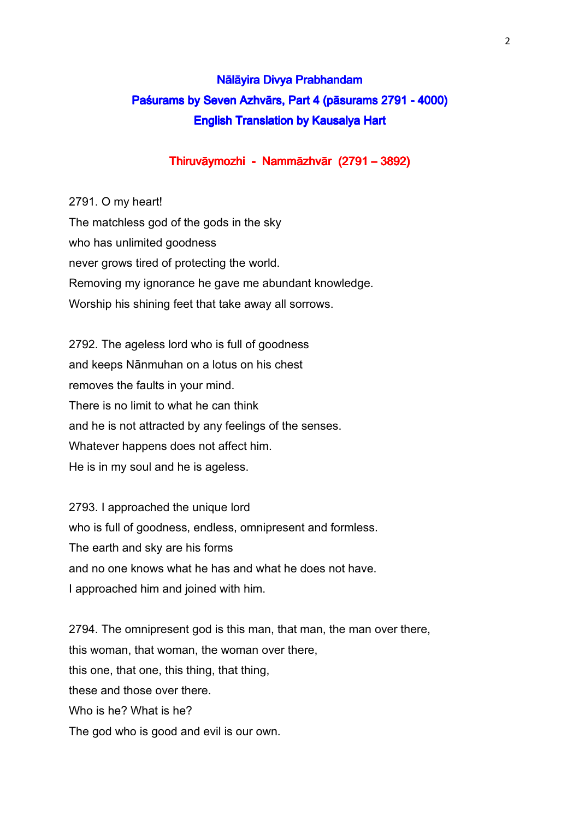# Nālāyira Divya Prabhandam Paśurams by Seven Azhvārs, Part 4 (pāsurams 2791 - 4000) English Translation by Kausalya Hart

# Thiruvāymozhi - Nammāzhvār (2791 – 3892)

2791. O my heart! The matchless god of the gods in the sky who has unlimited goodness never grows tired of protecting the world. Removing my ignorance he gave me abundant knowledge. Worship his shining feet that take away all sorrows.

2792. The ageless lord who is full of goodness and keeps Nānmuhan on a lotus on his chest removes the faults in your mind. There is no limit to what he can think and he is not attracted by any feelings of the senses. Whatever happens does not affect him. He is in my soul and he is ageless.

2793. I approached the unique lord who is full of goodness, endless, omnipresent and formless. The earth and sky are his forms and no one knows what he has and what he does not have. I approached him and joined with him.

2794. The omnipresent god is this man, that man, the man over there, this woman, that woman, the woman over there, this one, that one, this thing, that thing, these and those over there. Who is he? What is he? The god who is good and evil is our own.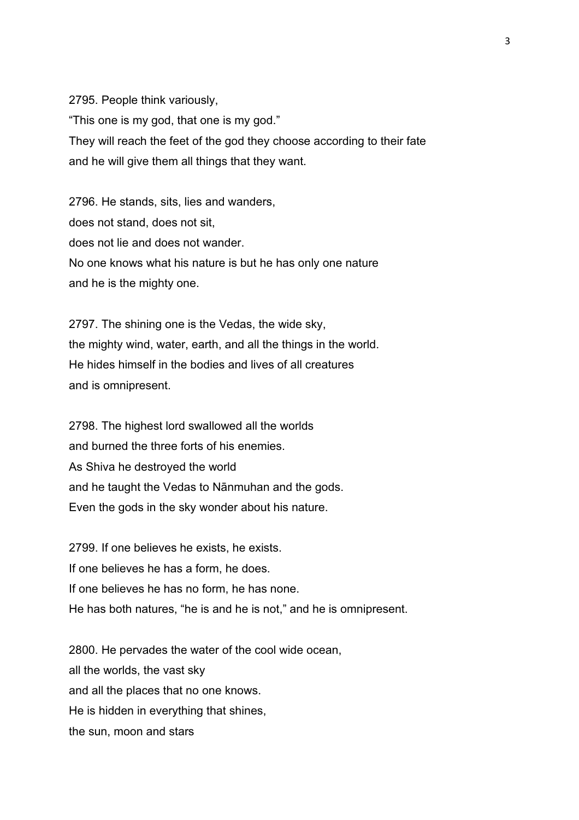2795. People think variously, "This one is my god, that one is my god." They will reach the feet of the god they choose according to their fate and he will give them all things that they want.

2796. He stands, sits, lies and wanders, does not stand, does not sit, does not lie and does not wander. No one knows what his nature is but he has only one nature and he is the mighty one.

2797. The shining one is the Vedas, the wide sky, the mighty wind, water, earth, and all the things in the world. He hides himself in the bodies and lives of all creatures and is omnipresent.

2798. The highest lord swallowed all the worlds and burned the three forts of his enemies. As Shiva he destroyed the world and he taught the Vedas to Nānmuhan and the gods. Even the gods in the sky wonder about his nature.

2799. If one believes he exists, he exists. If one believes he has a form, he does. If one believes he has no form, he has none. He has both natures, "he is and he is not," and he is omnipresent.

2800. He pervades the water of the cool wide ocean, all the worlds, the vast sky and all the places that no one knows. He is hidden in everything that shines, the sun, moon and stars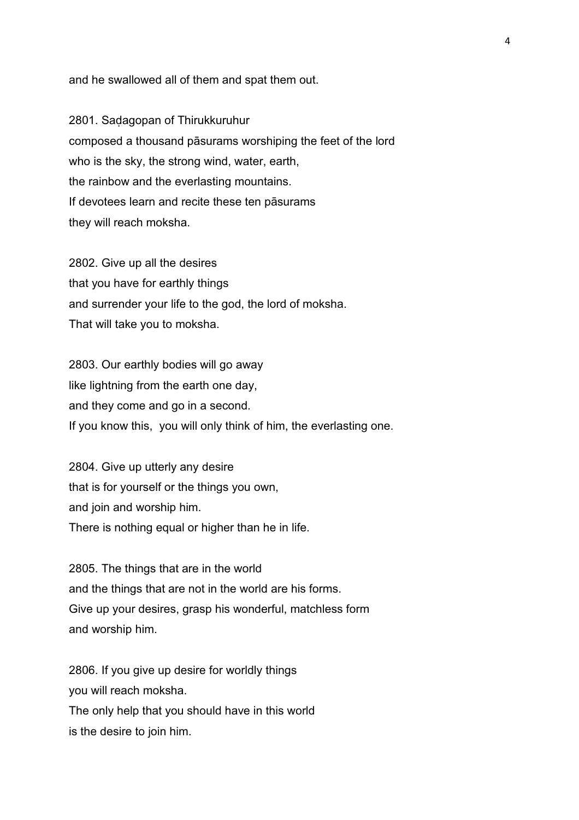and he swallowed all of them and spat them out.

2801. Saḍagopan of Thirukkuruhur composed a thousand pāsurams worshiping the feet of the lord who is the sky, the strong wind, water, earth, the rainbow and the everlasting mountains. If devotees learn and recite these ten pāsurams they will reach moksha.

2802. Give up all the desires that you have for earthly things and surrender your life to the god, the lord of moksha. That will take you to moksha.

2803. Our earthly bodies will go away like lightning from the earth one day, and they come and go in a second. If you know this, you will only think of him, the everlasting one.

2804. Give up utterly any desire that is for yourself or the things you own, and join and worship him. There is nothing equal or higher than he in life.

2805. The things that are in the world and the things that are not in the world are his forms. Give up your desires, grasp his wonderful, matchless form and worship him.

2806. If you give up desire for worldly things you will reach moksha. The only help that you should have in this world is the desire to join him.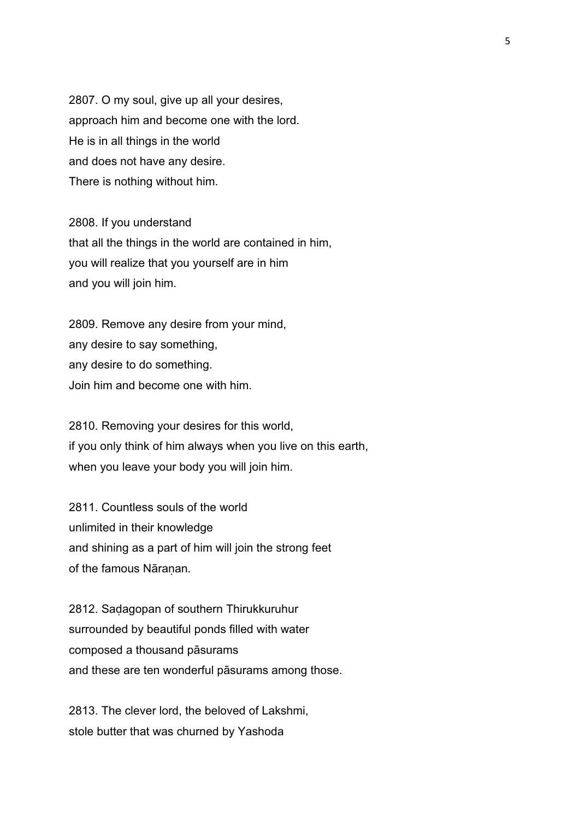2807. O my soul, give up all your desires, approach him and become one with the lord. He is in all things in the world and does not have any desire. There is nothing without him.

2808. If you understand that all the things in the world are contained in him, you will realize that you yourself are in him and you will join him.

2809. Remove any desire from your mind, any desire to say something, any desire to do something. Join him and become one with him.

2810. Removing your desires for this world, if you only think of him always when you live on this earth, when you leave your body you will join him.

2811. Countless souls of the world unlimited in their knowledge and shining as a part of him will join the strong feet of the famous Nāranan.

2812. Saḍagopan of southern Thirukkuruhur surrounded by beautiful ponds filled with water composed a thousand pāsurams and these are ten wonderful pāsurams among those.

2813. The clever lord, the beloved of Lakshmi, stole butter that was churned by Yashoda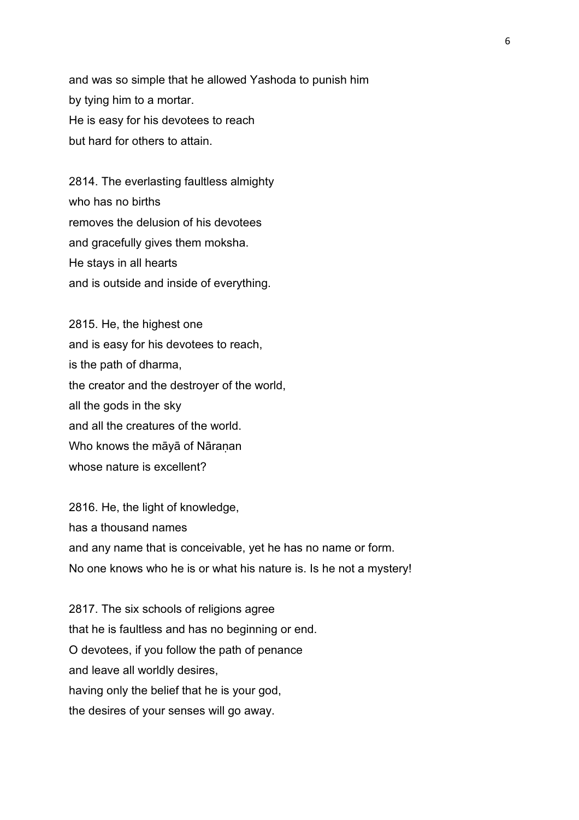and was so simple that he allowed Yashoda to punish him by tying him to a mortar. He is easy for his devotees to reach but hard for others to attain.

2814. The everlasting faultless almighty who has no births removes the delusion of his devotees and gracefully gives them moksha. He stays in all hearts and is outside and inside of everything.

2815. He, the highest one and is easy for his devotees to reach, is the path of dharma, the creator and the destroyer of the world, all the gods in the sky and all the creatures of the world. Who knows the māyā of Nāraṇan whose nature is excellent?

2816. He, the light of knowledge, has a thousand names and any name that is conceivable, yet he has no name or form. No one knows who he is or what his nature is. Is he not a mystery!

2817. The six schools of religions agree that he is faultless and has no beginning or end. O devotees, if you follow the path of penance and leave all worldly desires, having only the belief that he is your god, the desires of your senses will go away.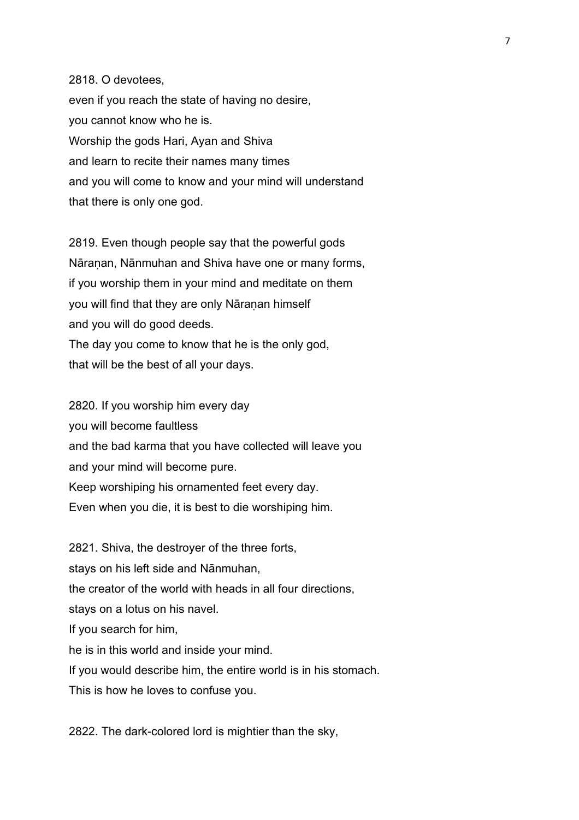2818. O devotees, even if you reach the state of having no desire, you cannot know who he is. Worship the gods Hari, Ayan and Shiva and learn to recite their names many times and you will come to know and your mind will understand that there is only one god.

2819. Even though people say that the powerful gods Nāraṇan, Nānmuhan and Shiva have one or many forms, if you worship them in your mind and meditate on them you will find that they are only Nāranan himself and you will do good deeds. The day you come to know that he is the only god, that will be the best of all your days.

2820. If you worship him every day you will become faultless and the bad karma that you have collected will leave you and your mind will become pure. Keep worshiping his ornamented feet every day. Even when you die, it is best to die worshiping him.

2821. Shiva, the destroyer of the three forts, stays on his left side and Nānmuhan, the creator of the world with heads in all four directions, stays on a lotus on his navel. If you search for him, he is in this world and inside your mind. If you would describe him, the entire world is in his stomach. This is how he loves to confuse you.

2822. The dark-colored lord is mightier than the sky,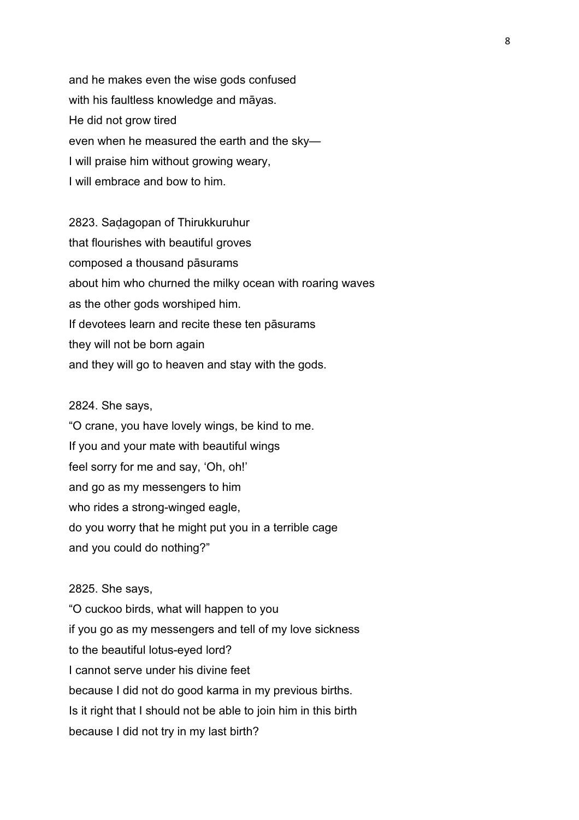and he makes even the wise gods confused with his faultless knowledge and māyas. He did not grow tired even when he measured the earth and the sky— I will praise him without growing weary, I will embrace and bow to him.

2823. Saḍagopan of Thirukkuruhur that flourishes with beautiful groves composed a thousand pāsurams about him who churned the milky ocean with roaring waves as the other gods worshiped him. If devotees learn and recite these ten pāsurams they will not be born again and they will go to heaven and stay with the gods.

#### 2824. She says,

"O crane, you have lovely wings, be kind to me. If you and your mate with beautiful wings feel sorry for me and say, 'Oh, oh!' and go as my messengers to him who rides a strong-winged eagle, do you worry that he might put you in a terrible cage and you could do nothing?"

#### 2825. She says,

"O cuckoo birds, what will happen to you if you go as my messengers and tell of my love sickness to the beautiful lotus-eyed lord? I cannot serve under his divine feet because I did not do good karma in my previous births. Is it right that I should not be able to join him in this birth because I did not try in my last birth?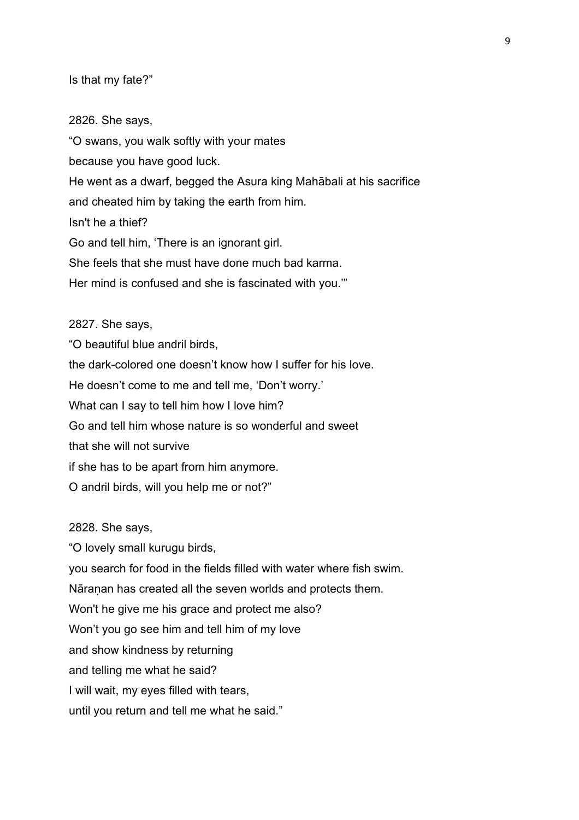Is that my fate?"

2826. She says,

"O swans, you walk softly with your mates because you have good luck. He went as a dwarf, begged the Asura king Mahābali at his sacrifice and cheated him by taking the earth from him. Isn't he a thief? Go and tell him, 'There is an ignorant girl. She feels that she must have done much bad karma. Her mind is confused and she is fascinated with you.'" 2827. She says,

"O beautiful blue andril birds, the dark-colored one doesn't know how I suffer for his love. He doesn't come to me and tell me, 'Don't worry.' What can I say to tell him how I love him? Go and tell him whose nature is so wonderful and sweet that she will not survive if she has to be apart from him anymore. O andril birds, will you help me or not?"

2828. She says,

"O lovely small kurugu birds, you search for food in the fields filled with water where fish swim. Nāranan has created all the seven worlds and protects them. Won't he give me his grace and protect me also? Won't you go see him and tell him of my love and show kindness by returning and telling me what he said? I will wait, my eyes filled with tears, until you return and tell me what he said."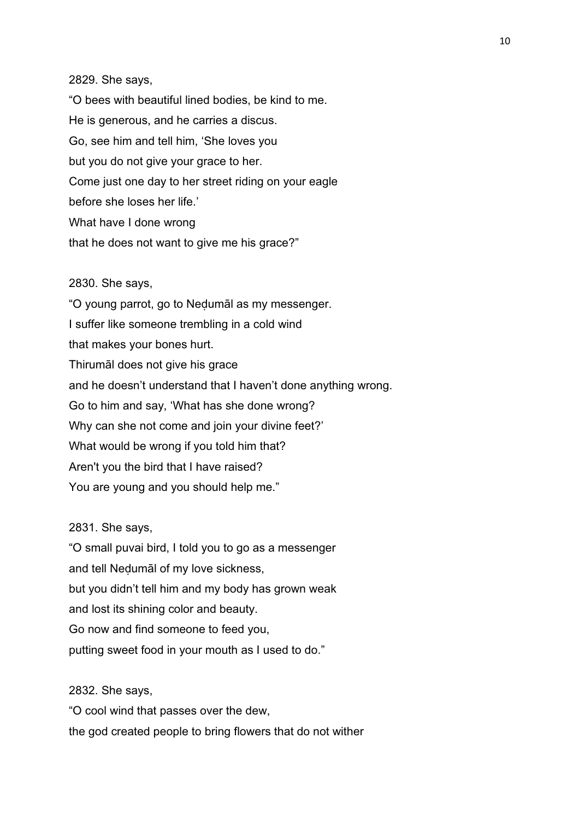#### 2829. She says,

"O bees with beautiful lined bodies, be kind to me. He is generous, and he carries a discus. Go, see him and tell him, 'She loves you but you do not give your grace to her. Come just one day to her street riding on your eagle before she loses her life.' What have I done wrong that he does not want to give me his grace?"

#### 2830. She says,

"O young parrot, go to Neḍumāl as my messenger. I suffer like someone trembling in a cold wind that makes your bones hurt. Thirumāl does not give his grace and he doesn't understand that I haven't done anything wrong. Go to him and say, 'What has she done wrong? Why can she not come and join your divine feet?' What would be wrong if you told him that? Aren't you the bird that I have raised? You are young and you should help me."

# 2831. She says,

"O small puvai bird, I told you to go as a messenger and tell Neḍumāl of my love sickness, but you didn't tell him and my body has grown weak and lost its shining color and beauty. Go now and find someone to feed you, putting sweet food in your mouth as I used to do."

2832. She says,

"O cool wind that passes over the dew, the god created people to bring flowers that do not wither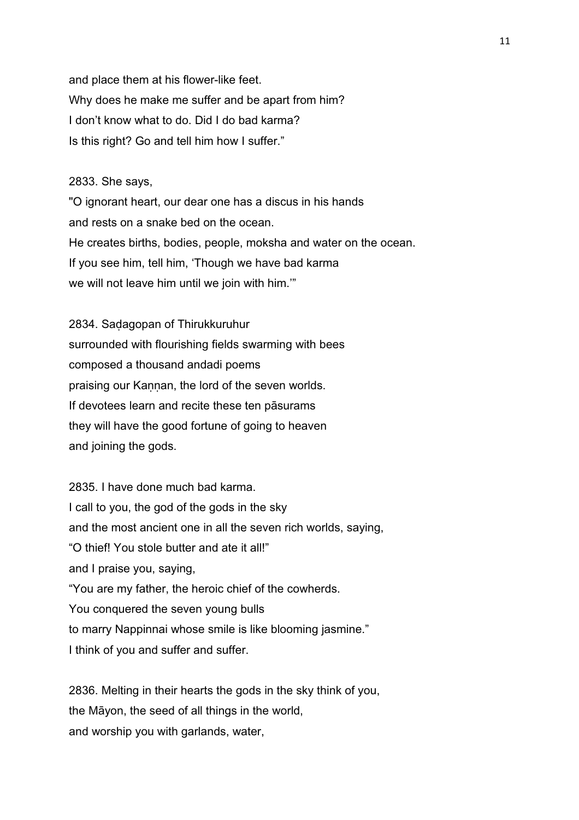and place them at his flower-like feet. Why does he make me suffer and be apart from him? I don't know what to do. Did I do bad karma? Is this right? Go and tell him how I suffer."

# 2833. She says,

"O ignorant heart, our dear one has a discus in his hands and rests on a snake bed on the ocean. He creates births, bodies, people, moksha and water on the ocean. If you see him, tell him, 'Though we have bad karma we will not leave him until we join with him.'"

2834. Saḍagopan of Thirukkuruhur surrounded with flourishing fields swarming with bees composed a thousand andadi poems praising our Kannan, the lord of the seven worlds. If devotees learn and recite these ten pāsurams they will have the good fortune of going to heaven and joining the gods.

2835. I have done much bad karma. I call to you, the god of the gods in the sky and the most ancient one in all the seven rich worlds, saying, "O thief! You stole butter and ate it all!" and I praise you, saying, "You are my father, the heroic chief of the cowherds. You conquered the seven young bulls to marry Nappinnai whose smile is like blooming jasmine." I think of you and suffer and suffer.

2836. Melting in their hearts the gods in the sky think of you, the Māyon, the seed of all things in the world, and worship you with garlands, water,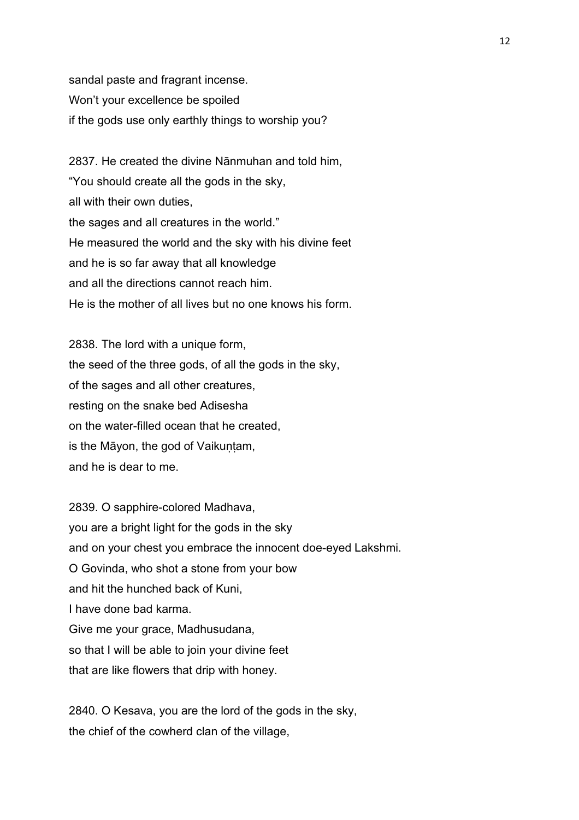sandal paste and fragrant incense. Won't your excellence be spoiled if the gods use only earthly things to worship you?

2837. He created the divine Nānmuhan and told him, "You should create all the gods in the sky, all with their own duties, the sages and all creatures in the world." He measured the world and the sky with his divine feet and he is so far away that all knowledge and all the directions cannot reach him. He is the mother of all lives but no one knows his form.

2838. The lord with a unique form, the seed of the three gods, of all the gods in the sky, of the sages and all other creatures, resting on the snake bed Adisesha on the water-filled ocean that he created, is the Māyon, the god of Vaikuṇṭam, and he is dear to me.

2839. O sapphire-colored Madhava, you are a bright light for the gods in the sky and on your chest you embrace the innocent doe-eyed Lakshmi. O Govinda, who shot a stone from your bow and hit the hunched back of Kuni, I have done bad karma. Give me your grace, Madhusudana, so that I will be able to join your divine feet that are like flowers that drip with honey.

2840. O Kesava, you are the lord of the gods in the sky, the chief of the cowherd clan of the village,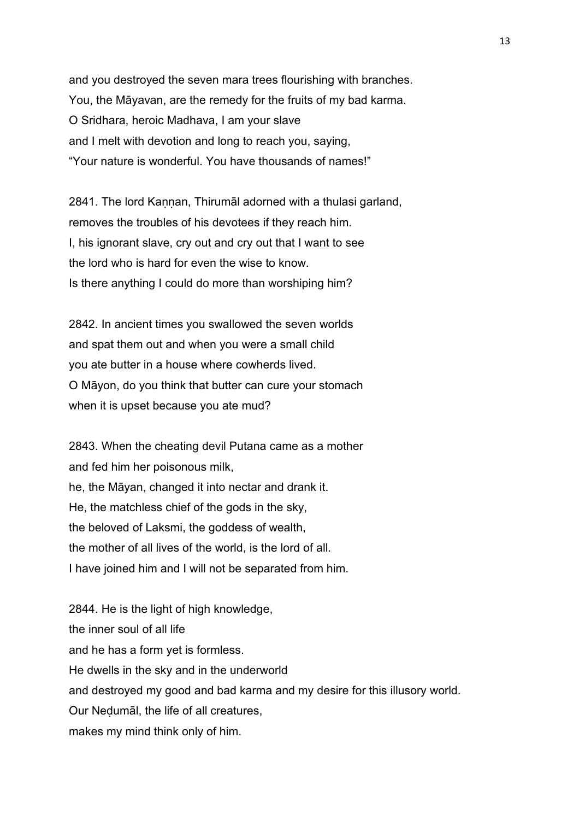and you destroyed the seven mara trees flourishing with branches. You, the Māyavan, are the remedy for the fruits of my bad karma. O Sridhara, heroic Madhava, I am your slave and I melt with devotion and long to reach you, saying, "Your nature is wonderful. You have thousands of names!"

2841. The lord Kaṇṇan, Thirumāl adorned with a thulasi garland, removes the troubles of his devotees if they reach him. I, his ignorant slave, cry out and cry out that I want to see the lord who is hard for even the wise to know. Is there anything I could do more than worshiping him?

2842. In ancient times you swallowed the seven worlds and spat them out and when you were a small child you ate butter in a house where cowherds lived. O Māyon, do you think that butter can cure your stomach when it is upset because you ate mud?

2843. When the cheating devil Putana came as a mother and fed him her poisonous milk, he, the Māyan, changed it into nectar and drank it. He, the matchless chief of the gods in the sky, the beloved of Laksmi, the goddess of wealth, the mother of all lives of the world, is the lord of all. I have joined him and I will not be separated from him.

2844. He is the light of high knowledge, the inner soul of all life and he has a form yet is formless. He dwells in the sky and in the underworld and destroyed my good and bad karma and my desire for this illusory world. Our Neḍumāl, the life of all creatures, makes my mind think only of him.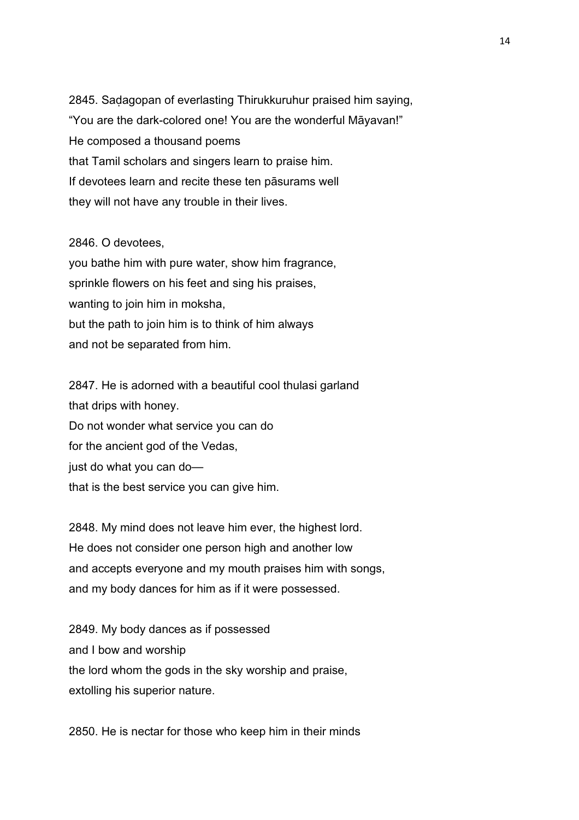2845. Saḍagopan of everlasting Thirukkuruhur praised him saying, "You are the dark-colored one! You are the wonderful Māyavan!" He composed a thousand poems that Tamil scholars and singers learn to praise him. If devotees learn and recite these ten pāsurams well they will not have any trouble in their lives.

#### 2846. O devotees,

you bathe him with pure water, show him fragrance, sprinkle flowers on his feet and sing his praises, wanting to join him in moksha, but the path to join him is to think of him always and not be separated from him.

2847. He is adorned with a beautiful cool thulasi garland that drips with honey. Do not wonder what service you can do for the ancient god of the Vedas, just do what you can do that is the best service you can give him.

2848. My mind does not leave him ever, the highest lord. He does not consider one person high and another low and accepts everyone and my mouth praises him with songs, and my body dances for him as if it were possessed.

2849. My body dances as if possessed and I bow and worship the lord whom the gods in the sky worship and praise, extolling his superior nature.

2850. He is nectar for those who keep him in their minds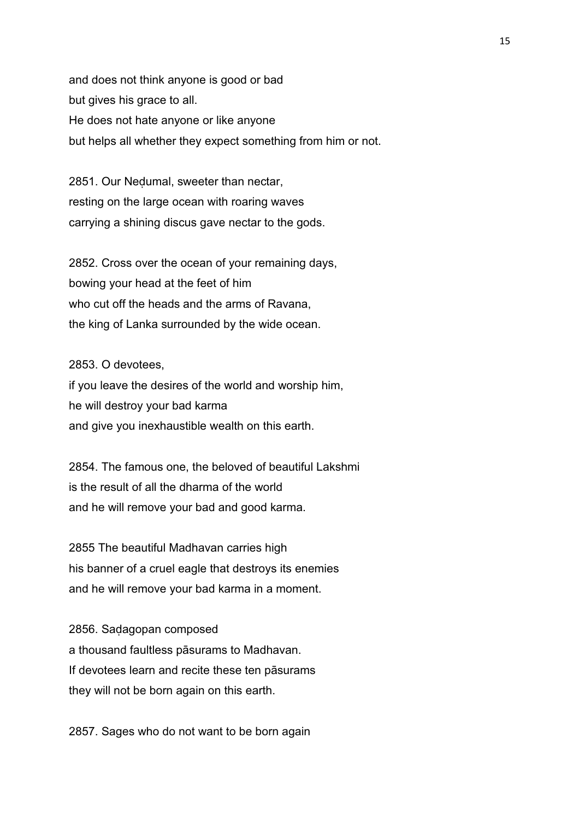and does not think anyone is good or bad but gives his grace to all. He does not hate anyone or like anyone but helps all whether they expect something from him or not.

2851. Our Neḍumal, sweeter than nectar, resting on the large ocean with roaring waves carrying a shining discus gave nectar to the gods.

2852. Cross over the ocean of your remaining days, bowing your head at the feet of him who cut off the heads and the arms of Ravana, the king of Lanka surrounded by the wide ocean.

2853. O devotees,

if you leave the desires of the world and worship him, he will destroy your bad karma and give you inexhaustible wealth on this earth.

2854. The famous one, the beloved of beautiful Lakshmi is the result of all the dharma of the world and he will remove your bad and good karma.

2855 The beautiful Madhavan carries high his banner of a cruel eagle that destroys its enemies and he will remove your bad karma in a moment.

2856. Saḍagopan composed a thousand faultless pāsurams to Madhavan. If devotees learn and recite these ten pāsurams they will not be born again on this earth.

2857. Sages who do not want to be born again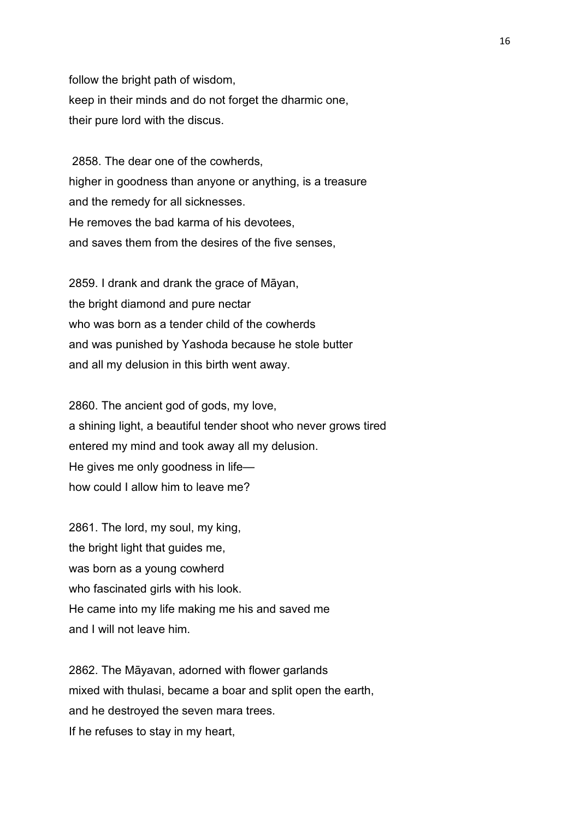follow the bright path of wisdom, keep in their minds and do not forget the dharmic one, their pure lord with the discus.

 2858. The dear one of the cowherds, higher in goodness than anyone or anything, is a treasure and the remedy for all sicknesses. He removes the bad karma of his devotees, and saves them from the desires of the five senses,

2859. I drank and drank the grace of Māyan, the bright diamond and pure nectar who was born as a tender child of the cowherds and was punished by Yashoda because he stole butter and all my delusion in this birth went away.

2860. The ancient god of gods, my love, a shining light, a beautiful tender shoot who never grows tired entered my mind and took away all my delusion. He gives me only goodness in life how could I allow him to leave me?

2861. The lord, my soul, my king, the bright light that guides me, was born as a young cowherd who fascinated girls with his look. He came into my life making me his and saved me and I will not leave him.

2862. The Māyavan, adorned with flower garlands mixed with thulasi, became a boar and split open the earth, and he destroyed the seven mara trees. If he refuses to stay in my heart,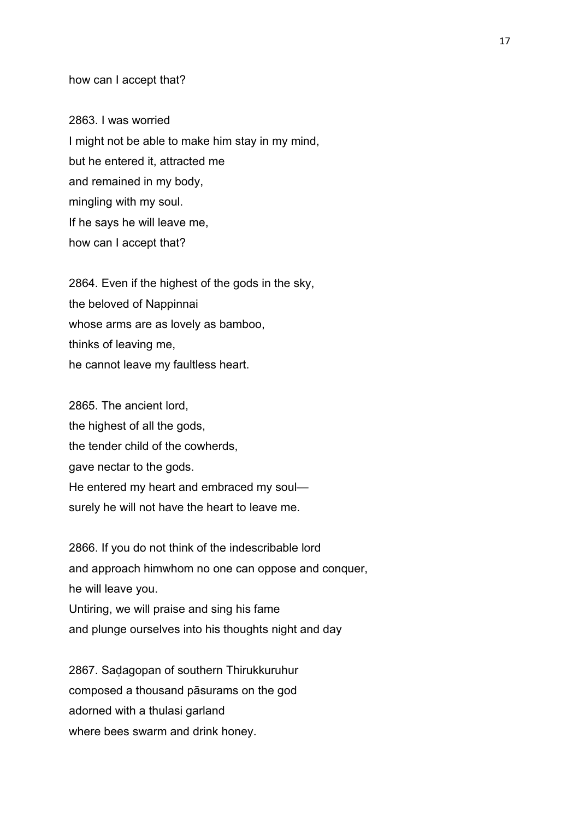# how can I accept that?

2863. I was worried I might not be able to make him stay in my mind, but he entered it, attracted me and remained in my body, mingling with my soul. If he says he will leave me, how can I accept that?

2864. Even if the highest of the gods in the sky, the beloved of Nappinnai whose arms are as lovely as bamboo, thinks of leaving me, he cannot leave my faultless heart.

2865. The ancient lord, the highest of all the gods, the tender child of the cowherds, gave nectar to the gods. He entered my heart and embraced my soul surely he will not have the heart to leave me.

2866. If you do not think of the indescribable lord and approach himwhom no one can oppose and conquer, he will leave you. Untiring, we will praise and sing his fame and plunge ourselves into his thoughts night and day

2867. Saḍagopan of southern Thirukkuruhur composed a thousand pāsurams on the god adorned with a thulasi garland where bees swarm and drink honey.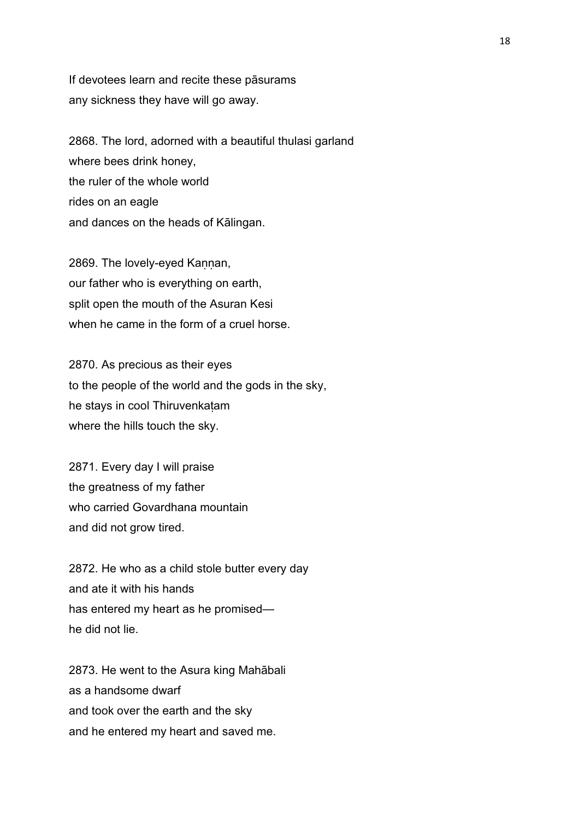If devotees learn and recite these pāsurams any sickness they have will go away.

2868. The lord, adorned with a beautiful thulasi garland where bees drink honey, the ruler of the whole world rides on an eagle and dances on the heads of Kālingan.

2869. The lovely-eyed Kaṇṇan, our father who is everything on earth, split open the mouth of the Asuran Kesi when he came in the form of a cruel horse.

2870. As precious as their eyes to the people of the world and the gods in the sky, he stays in cool Thiruvenkaṭam where the hills touch the sky.

2871. Every day I will praise the greatness of my father who carried Govardhana mountain and did not grow tired.

2872. He who as a child stole butter every day and ate it with his hands has entered my heart as he promised he did not lie.

2873. He went to the Asura king Mahābali as a handsome dwarf and took over the earth and the sky and he entered my heart and saved me.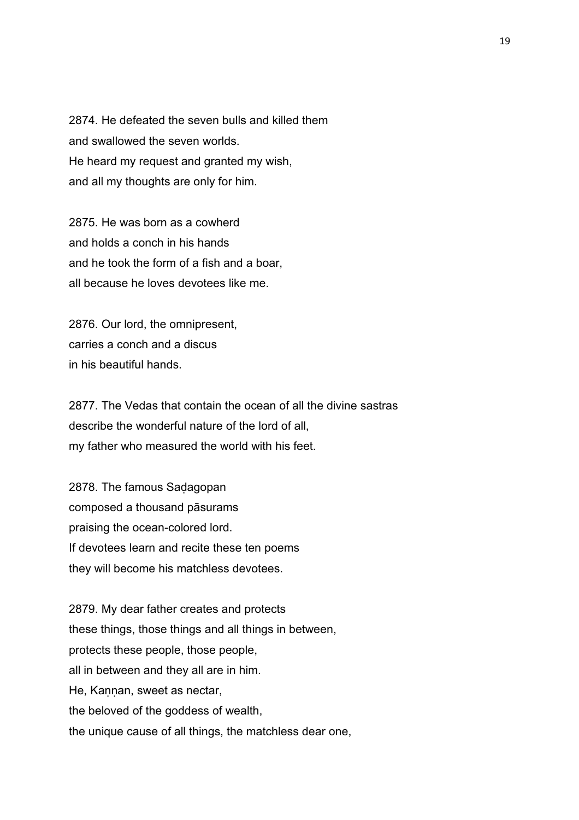2874. He defeated the seven bulls and killed them and swallowed the seven worlds. He heard my request and granted my wish, and all my thoughts are only for him.

2875. He was born as a cowherd and holds a conch in his hands and he took the form of a fish and a boar, all because he loves devotees like me.

2876. Our lord, the omnipresent, carries a conch and a discus in his beautiful hands.

2877. The Vedas that contain the ocean of all the divine sastras describe the wonderful nature of the lord of all, my father who measured the world with his feet.

2878. The famous Saḍagopan composed a thousand pāsurams praising the ocean-colored lord. If devotees learn and recite these ten poems they will become his matchless devotees.

2879. My dear father creates and protects these things, those things and all things in between, protects these people, those people, all in between and they all are in him. He, Kannan, sweet as nectar, the beloved of the goddess of wealth, the unique cause of all things, the matchless dear one,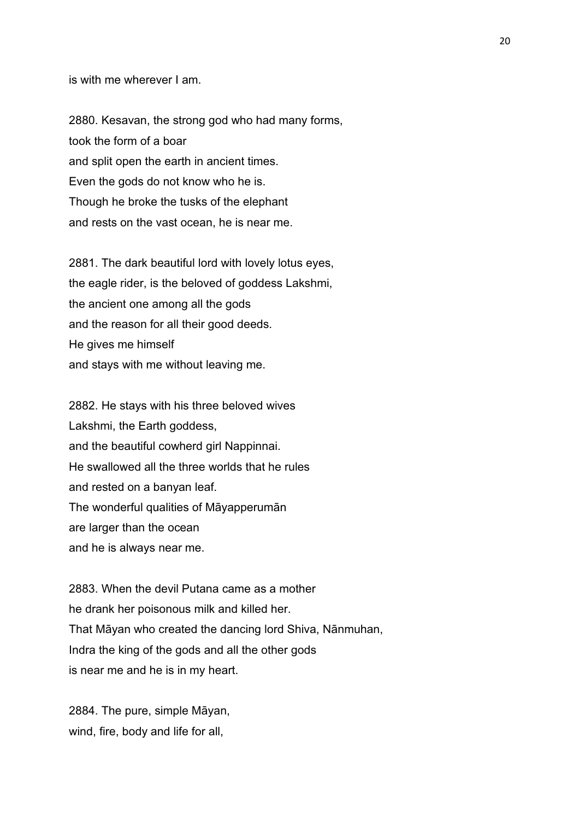is with me wherever I am.

2880. Kesavan, the strong god who had many forms, took the form of a boar and split open the earth in ancient times. Even the gods do not know who he is. Though he broke the tusks of the elephant and rests on the vast ocean, he is near me.

2881. The dark beautiful lord with lovely lotus eyes, the eagle rider, is the beloved of goddess Lakshmi, the ancient one among all the gods and the reason for all their good deeds. He gives me himself and stays with me without leaving me.

2882. He stays with his three beloved wives Lakshmi, the Earth goddess, and the beautiful cowherd girl Nappinnai. He swallowed all the three worlds that he rules and rested on a banyan leaf. The wonderful qualities of Māyapperumān are larger than the ocean and he is always near me.

2883. When the devil Putana came as a mother he drank her poisonous milk and killed her. That Māyan who created the dancing lord Shiva, Nānmuhan, Indra the king of the gods and all the other gods is near me and he is in my heart.

2884. The pure, simple Māyan, wind, fire, body and life for all,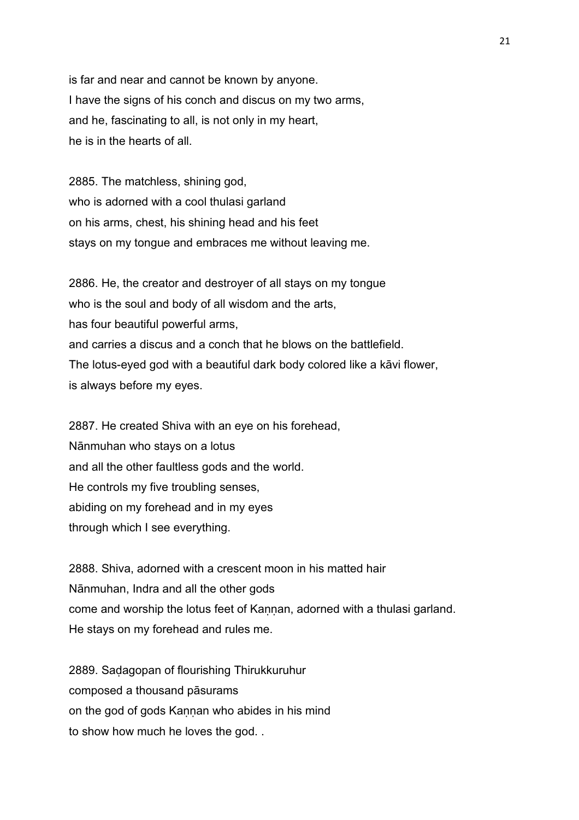is far and near and cannot be known by anyone. I have the signs of his conch and discus on my two arms, and he, fascinating to all, is not only in my heart, he is in the hearts of all.

2885. The matchless, shining god, who is adorned with a cool thulasi garland on his arms, chest, his shining head and his feet stays on my tongue and embraces me without leaving me.

2886. He, the creator and destroyer of all stays on my tongue who is the soul and body of all wisdom and the arts, has four beautiful powerful arms, and carries a discus and a conch that he blows on the battlefield. The lotus-eyed god with a beautiful dark body colored like a kāvi flower, is always before my eyes.

2887. He created Shiva with an eye on his forehead, Nānmuhan who stays on a lotus and all the other faultless gods and the world. He controls my five troubling senses, abiding on my forehead and in my eyes through which I see everything.

2888. Shiva, adorned with a crescent moon in his matted hair Nānmuhan, Indra and all the other gods come and worship the lotus feet of Kannan, adorned with a thulasi garland. He stays on my forehead and rules me.

2889. Saḍagopan of flourishing Thirukkuruhur composed a thousand pāsurams on the god of gods Kannan who abides in his mind to show how much he loves the god. .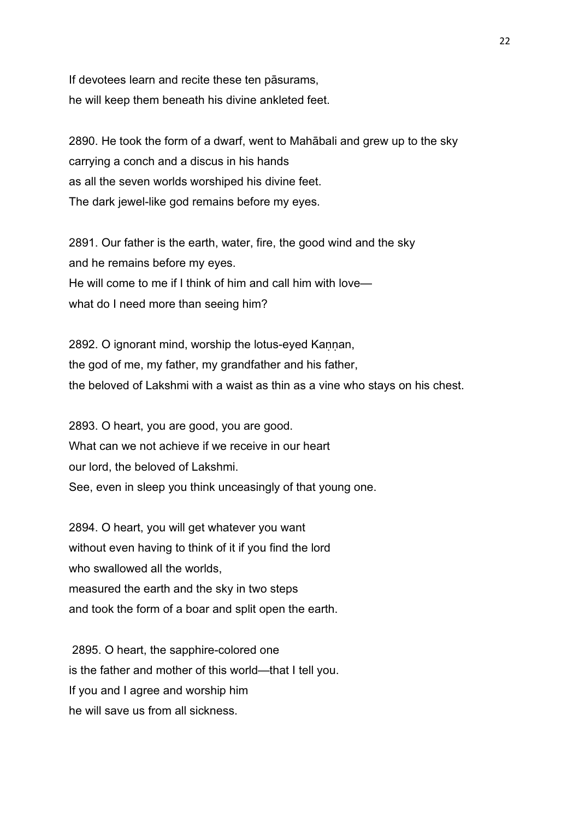If devotees learn and recite these ten pāsurams, he will keep them beneath his divine ankleted feet.

2890. He took the form of a dwarf, went to Mahābali and grew up to the sky carrying a conch and a discus in his hands as all the seven worlds worshiped his divine feet. The dark jewel-like god remains before my eyes.

2891. Our father is the earth, water, fire, the good wind and the sky and he remains before my eyes. He will come to me if I think of him and call him with love what do I need more than seeing him?

2892. O ignorant mind, worship the lotus-eyed Kannan, the god of me, my father, my grandfather and his father, the beloved of Lakshmi with a waist as thin as a vine who stays on his chest.

2893. O heart, you are good, you are good. What can we not achieve if we receive in our heart our lord, the beloved of Lakshmi. See, even in sleep you think unceasingly of that young one.

2894. O heart, you will get whatever you want without even having to think of it if you find the lord who swallowed all the worlds. measured the earth and the sky in two steps and took the form of a boar and split open the earth.

 2895. O heart, the sapphire-colored one is the father and mother of this world—that I tell you. If you and I agree and worship him he will save us from all sickness.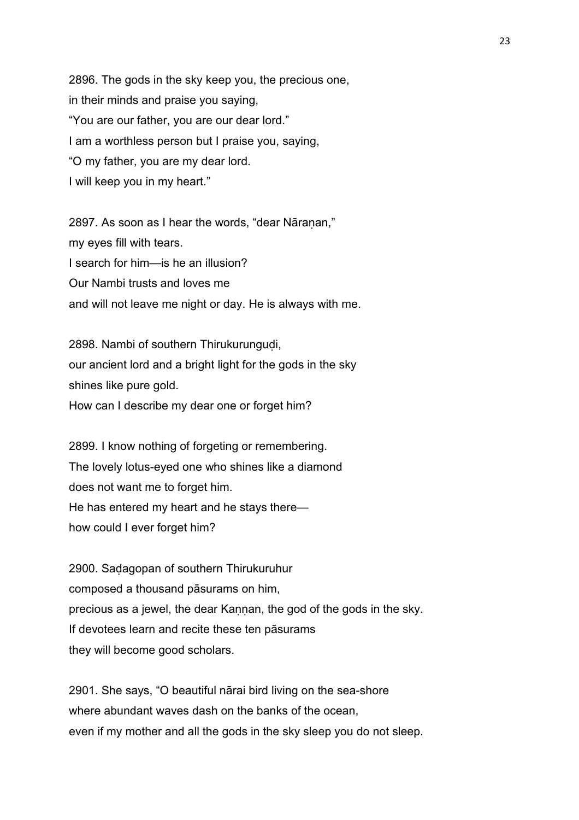2896. The gods in the sky keep you, the precious one, in their minds and praise you saying, "You are our father, you are our dear lord." I am a worthless person but I praise you, saying, "O my father, you are my dear lord. I will keep you in my heart."

2897. As soon as I hear the words, "dear Nāraṇan," my eyes fill with tears. I search for him—is he an illusion? Our Nambi trusts and loves me and will not leave me night or day. He is always with me.

2898. Nambi of southern Thirukurungudi, our ancient lord and a bright light for the gods in the sky shines like pure gold. How can I describe my dear one or forget him?

2899. I know nothing of forgeting or remembering. The lovely lotus-eyed one who shines like a diamond does not want me to forget him. He has entered my heart and he stays there how could I ever forget him?

2900. Saḍagopan of southern Thirukuruhur composed a thousand pāsurams on him, precious as a jewel, the dear Kannan, the god of the gods in the sky. If devotees learn and recite these ten pāsurams they will become good scholars.

2901. She says, "O beautiful nārai bird living on the sea-shore where abundant waves dash on the banks of the ocean, even if my mother and all the gods in the sky sleep you do not sleep.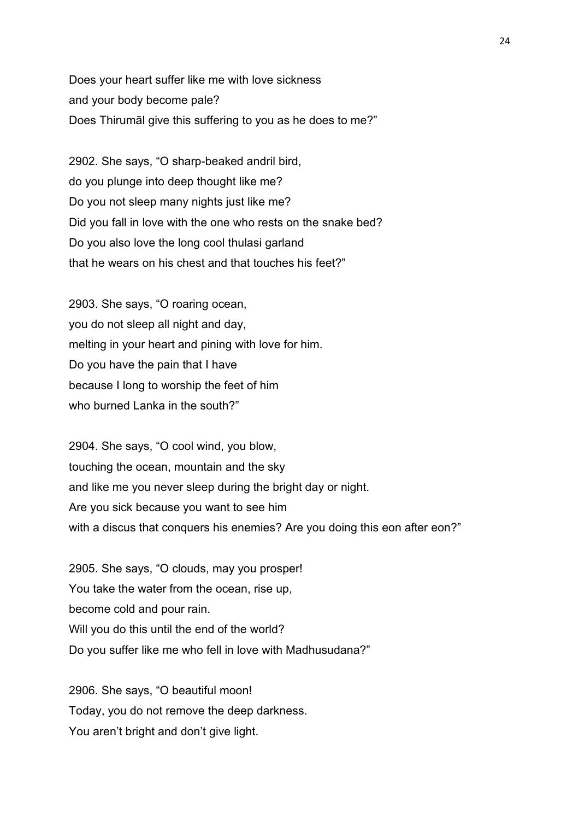Does your heart suffer like me with love sickness and your body become pale? Does Thirumāl give this suffering to you as he does to me?"

2902. She says, "O sharp-beaked andril bird, do you plunge into deep thought like me? Do you not sleep many nights just like me? Did you fall in love with the one who rests on the snake bed? Do you also love the long cool thulasi garland that he wears on his chest and that touches his feet?"

2903. She says, "O roaring ocean, you do not sleep all night and day, melting in your heart and pining with love for him. Do you have the pain that I have because I long to worship the feet of him who burned Lanka in the south?"

2904. She says, "O cool wind, you blow, touching the ocean, mountain and the sky and like me you never sleep during the bright day or night. Are you sick because you want to see him with a discus that conquers his enemies? Are you doing this eon after eon?"

2905. She says, "O clouds, may you prosper! You take the water from the ocean, rise up, become cold and pour rain. Will you do this until the end of the world? Do you suffer like me who fell in love with Madhusudana?"

2906. She says, "O beautiful moon! Today, you do not remove the deep darkness. You aren't bright and don't give light.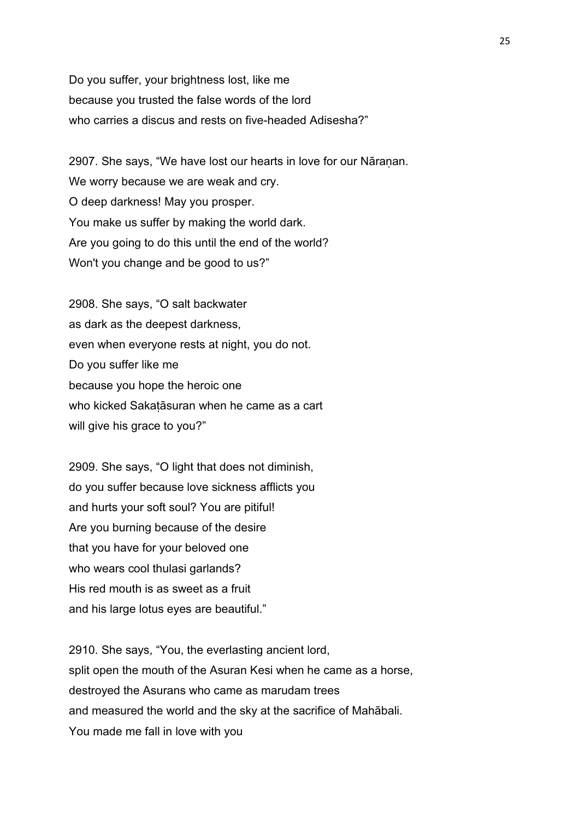Do you suffer, your brightness lost, like me because you trusted the false words of the lord who carries a discus and rests on five-headed Adisesha?"

2907. She says, "We have lost our hearts in love for our Nāranan. We worry because we are weak and cry. O deep darkness! May you prosper. You make us suffer by making the world dark. Are you going to do this until the end of the world? Won't you change and be good to us?"

2908. She says, "O salt backwater as dark as the deepest darkness, even when everyone rests at night, you do not. Do you suffer like me because you hope the heroic one who kicked Sakaṭāsuran when he came as a cart will give his grace to you?"

2909. She says, "O light that does not diminish, do you suffer because love sickness afflicts you and hurts your soft soul? You are pitiful! Are you burning because of the desire that you have for your beloved one who wears cool thulasi garlands? His red mouth is as sweet as a fruit and his large lotus eyes are beautiful."

2910. She says, "You, the everlasting ancient lord, split open the mouth of the Asuran Kesi when he came as a horse, destroyed the Asurans who came as marudam trees and measured the world and the sky at the sacrifice of Mahābali. You made me fall in love with you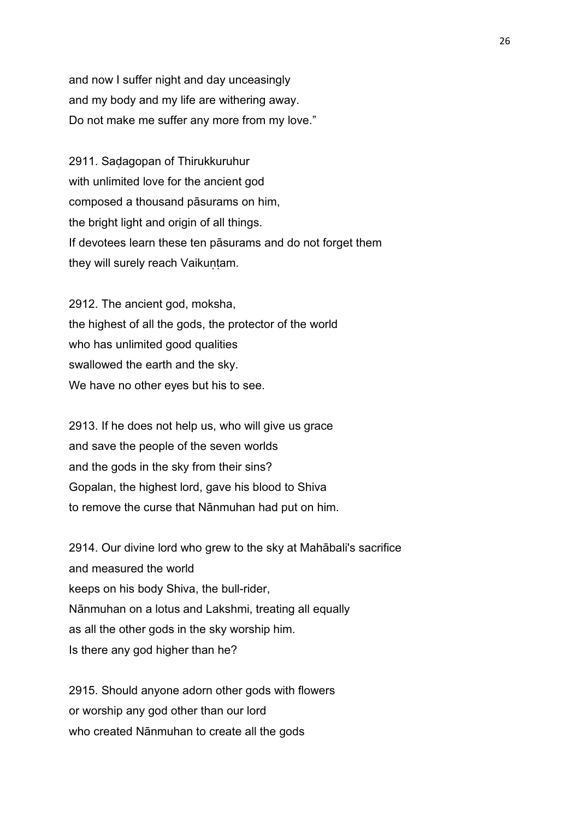and now I suffer night and day unceasingly and my body and my life are withering away. Do not make me suffer any more from my love."

2911. Saḍagopan of Thirukkuruhur with unlimited love for the ancient god composed a thousand pāsurams on him, the bright light and origin of all things. If devotees learn these ten pāsurams and do not forget them they will surely reach Vaikuṇṭam.

2912. The ancient god, moksha, the highest of all the gods, the protector of the world who has unlimited good qualities swallowed the earth and the sky. We have no other eyes but his to see.

2913. If he does not help us, who will give us grace and save the people of the seven worlds and the gods in the sky from their sins? Gopalan, the highest lord, gave his blood to Shiva to remove the curse that Nānmuhan had put on him.

2914. Our divine lord who grew to the sky at Mahābali's sacrifice and measured the world keeps on his body Shiva, the bull-rider, Nānmuhan on a lotus and Lakshmi, treating all equally as all the other gods in the sky worship him. Is there any god higher than he?

2915. Should anyone adorn other gods with flowers or worship any god other than our lord who created Nānmuhan to create all the gods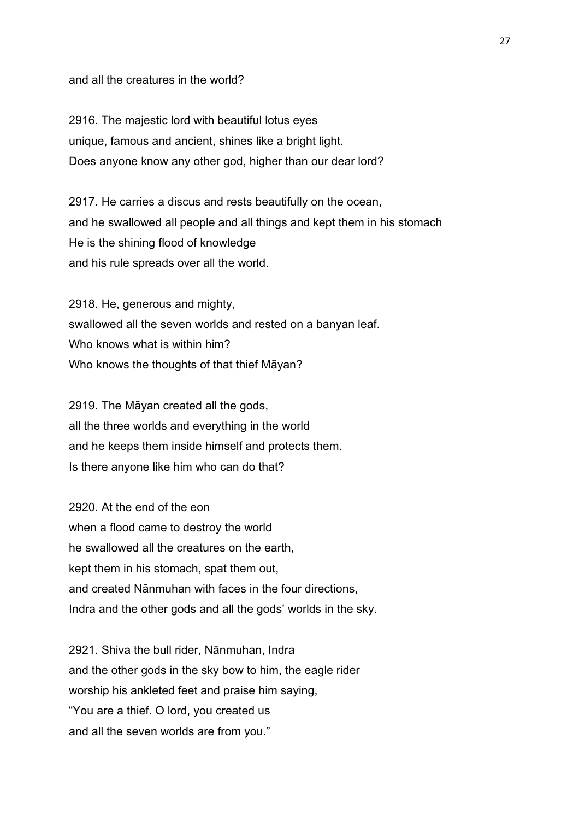and all the creatures in the world?

2916. The majestic lord with beautiful lotus eyes unique, famous and ancient, shines like a bright light. Does anyone know any other god, higher than our dear lord?

2917. He carries a discus and rests beautifully on the ocean, and he swallowed all people and all things and kept them in his stomach He is the shining flood of knowledge and his rule spreads over all the world.

2918. He, generous and mighty, swallowed all the seven worlds and rested on a banyan leaf. Who knows what is within him? Who knows the thoughts of that thief Māyan?

2919. The Māyan created all the gods, all the three worlds and everything in the world and he keeps them inside himself and protects them. Is there anyone like him who can do that?

2920. At the end of the eon when a flood came to destroy the world he swallowed all the creatures on the earth, kept them in his stomach, spat them out, and created Nānmuhan with faces in the four directions, Indra and the other gods and all the gods' worlds in the sky.

2921. Shiva the bull rider, Nānmuhan, Indra and the other gods in the sky bow to him, the eagle rider worship his ankleted feet and praise him saying, "You are a thief. O lord, you created us and all the seven worlds are from you."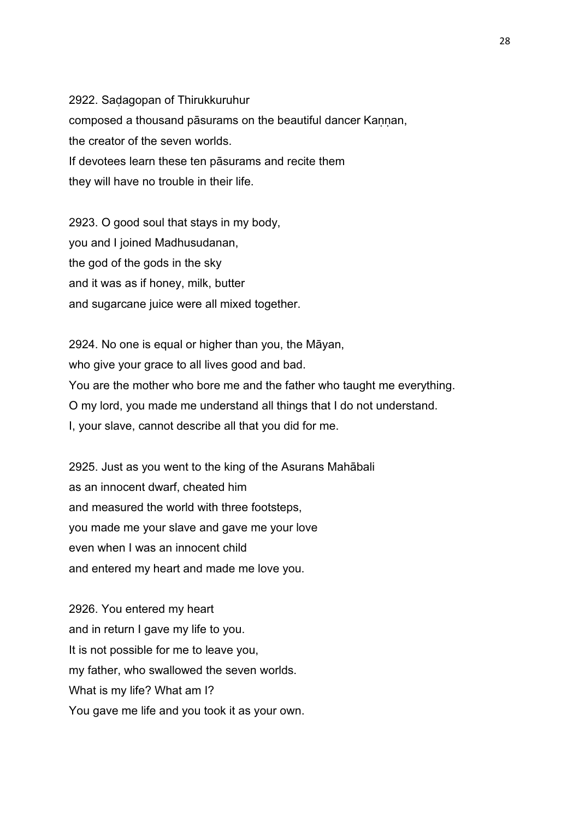2922. Saḍagopan of Thirukkuruhur composed a thousand pāsurams on the beautiful dancer Kaṇṇan, the creator of the seven worlds. If devotees learn these ten pāsurams and recite them they will have no trouble in their life.

2923. O good soul that stays in my body, you and I joined Madhusudanan, the god of the gods in the sky and it was as if honey, milk, butter and sugarcane juice were all mixed together.

2924. No one is equal or higher than you, the Māyan, who give your grace to all lives good and bad. You are the mother who bore me and the father who taught me everything. O my lord, you made me understand all things that I do not understand. I, your slave, cannot describe all that you did for me.

2925. Just as you went to the king of the Asurans Mahābali as an innocent dwarf, cheated him and measured the world with three footsteps, you made me your slave and gave me your love even when I was an innocent child and entered my heart and made me love you.

2926. You entered my heart and in return I gave my life to you. It is not possible for me to leave you, my father, who swallowed the seven worlds. What is my life? What am I? You gave me life and you took it as your own.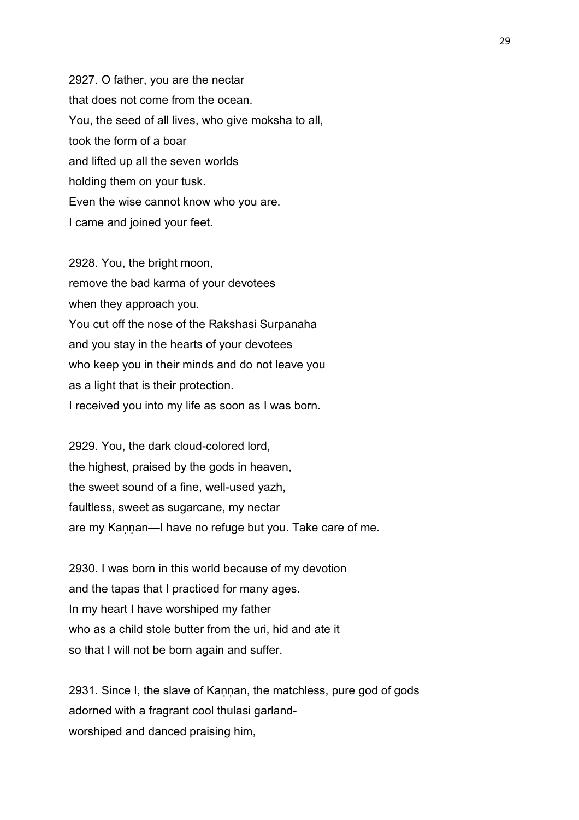2927. O father, you are the nectar that does not come from the ocean. You, the seed of all lives, who give moksha to all, took the form of a boar and lifted up all the seven worlds holding them on your tusk. Even the wise cannot know who you are. I came and joined your feet.

2928. You, the bright moon, remove the bad karma of your devotees when they approach you. You cut off the nose of the Rakshasi Surpanaha and you stay in the hearts of your devotees who keep you in their minds and do not leave you as a light that is their protection. I received you into my life as soon as I was born.

2929. You, the dark cloud-colored lord, the highest, praised by the gods in heaven, the sweet sound of a fine, well-used yazh, faultless, sweet as sugarcane, my nectar are my Kaṇṇan—I have no refuge but you. Take care of me.

2930. I was born in this world because of my devotion and the tapas that I practiced for many ages. In my heart I have worshiped my father who as a child stole butter from the uri, hid and ate it so that I will not be born again and suffer.

2931. Since I, the slave of Kannan, the matchless, pure god of gods adorned with a fragrant cool thulasi garlandworshiped and danced praising him,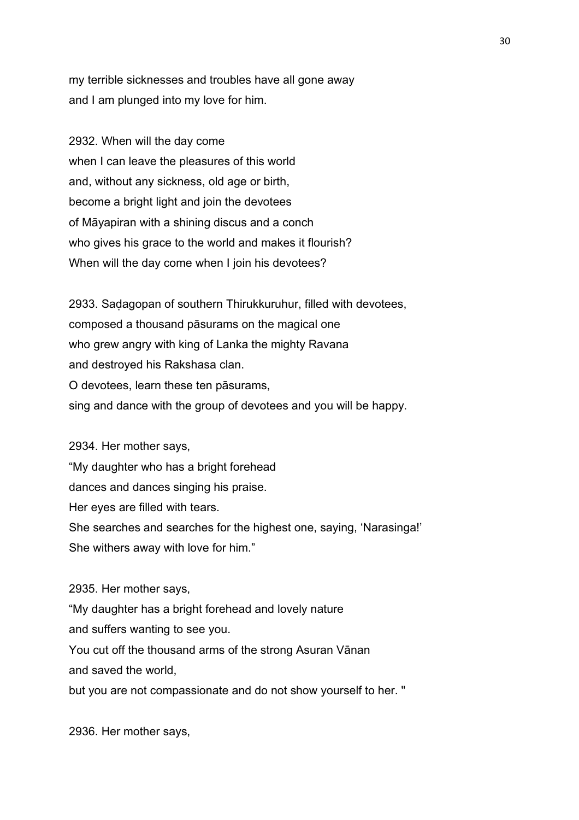my terrible sicknesses and troubles have all gone away and I am plunged into my love for him.

2932. When will the day come when I can leave the pleasures of this world and, without any sickness, old age or birth, become a bright light and join the devotees of Māyapiran with a shining discus and a conch who gives his grace to the world and makes it flourish? When will the day come when I join his devotees?

2933. Saḍagopan of southern Thirukkuruhur, filled with devotees, composed a thousand pāsurams on the magical one who grew angry with king of Lanka the mighty Ravana and destroyed his Rakshasa clan. O devotees, learn these ten pāsurams, sing and dance with the group of devotees and you will be happy.

2934. Her mother says, "My daughter who has a bright forehead dances and dances singing his praise. Her eyes are filled with tears. She searches and searches for the highest one, saying, 'Narasinga!' She withers away with love for him."

2935. Her mother says,

"My daughter has a bright forehead and lovely nature and suffers wanting to see you. You cut off the thousand arms of the strong Asuran Vānan and saved the world,

but you are not compassionate and do not show yourself to her. "

2936. Her mother says,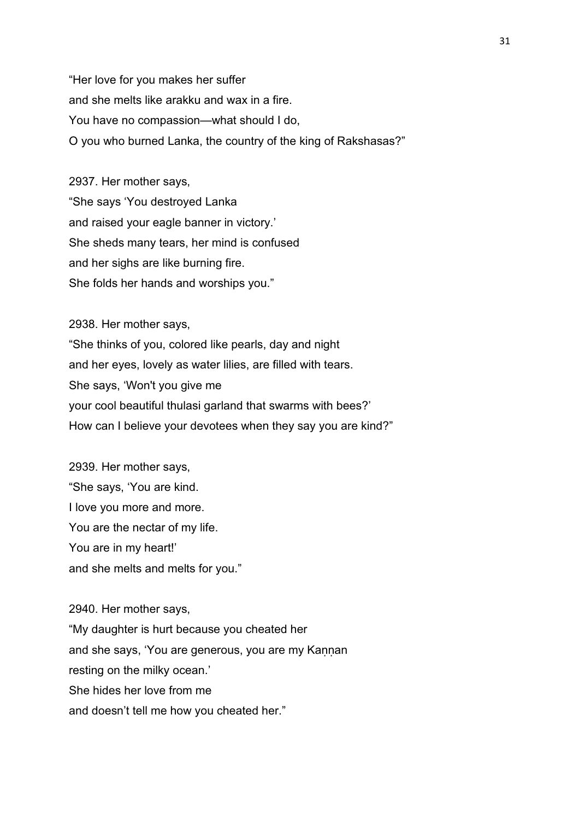"Her love for you makes her suffer and she melts like arakku and wax in a fire. You have no compassion—what should I do, O you who burned Lanka, the country of the king of Rakshasas?"

2937. Her mother says, "She says 'You destroyed Lanka and raised your eagle banner in victory.' She sheds many tears, her mind is confused and her sighs are like burning fire. She folds her hands and worships you."

2938. Her mother says, "She thinks of you, colored like pearls, day and night and her eyes, lovely as water lilies, are filled with tears. She says, 'Won't you give me your cool beautiful thulasi garland that swarms with bees?' How can I believe your devotees when they say you are kind?"

2939. Her mother says, "She says, 'You are kind. I love you more and more. You are the nectar of my life. You are in my heart!' and she melts and melts for you."

2940. Her mother says, "My daughter is hurt because you cheated her and she says, 'You are generous, you are my Kaṇṇan resting on the milky ocean.' She hides her love from me and doesn't tell me how you cheated her."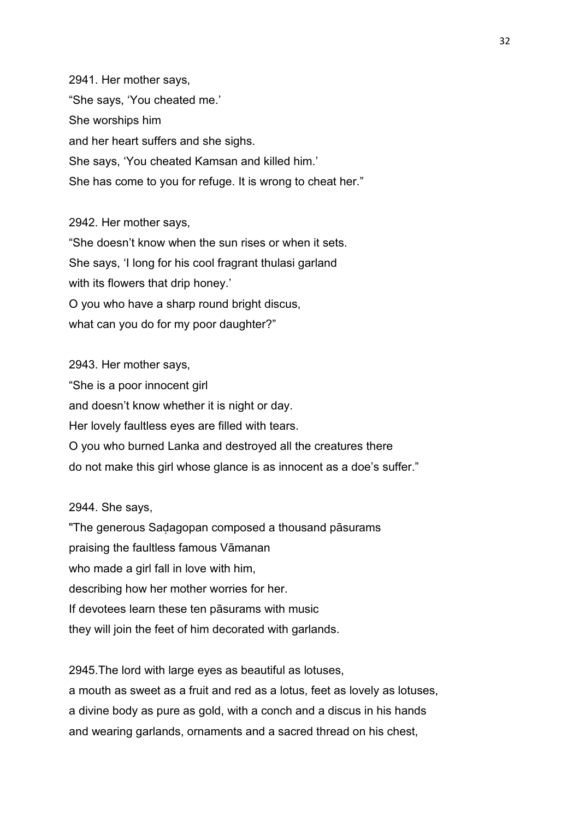2941. Her mother says, "She says, 'You cheated me.' She worships him and her heart suffers and she sighs. She says, 'You cheated Kamsan and killed him.' She has come to you for refuge. It is wrong to cheat her."

2942. Her mother says, "She doesn't know when the sun rises or when it sets. She says, 'I long for his cool fragrant thulasi garland with its flowers that drip honey.' O you who have a sharp round bright discus, what can you do for my poor daughter?"

2943. Her mother says, "She is a poor innocent girl and doesn't know whether it is night or day. Her lovely faultless eyes are filled with tears. O you who burned Lanka and destroyed all the creatures there do not make this girl whose glance is as innocent as a doe's suffer."

2944. She says,

"The generous Saḍagopan composed a thousand pāsurams praising the faultless famous Vāmanan who made a girl fall in love with him, describing how her mother worries for her. If devotees learn these ten pāsurams with music they will join the feet of him decorated with garlands.

2945.The lord with large eyes as beautiful as lotuses, a mouth as sweet as a fruit and red as a lotus, feet as lovely as lotuses, a divine body as pure as gold, with a conch and a discus in his hands and wearing garlands, ornaments and a sacred thread on his chest,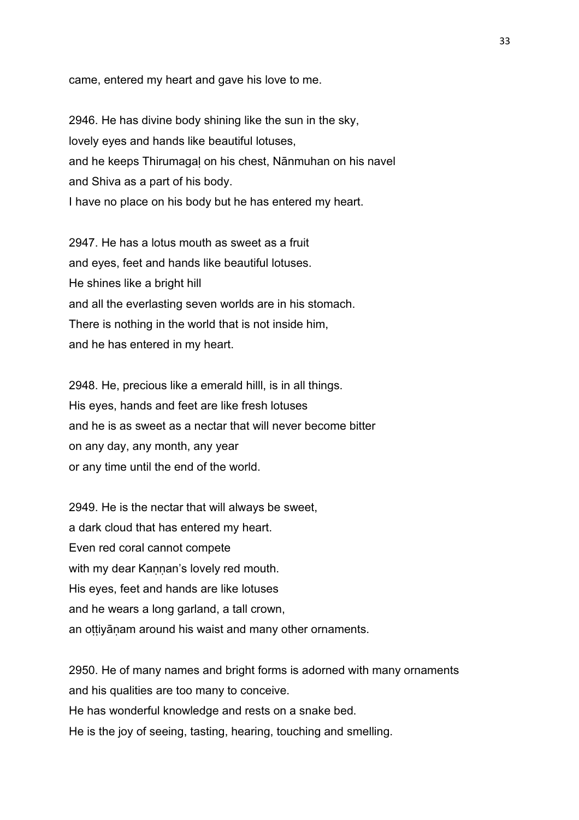came, entered my heart and gave his love to me.

2946. He has divine body shining like the sun in the sky, lovely eyes and hands like beautiful lotuses, and he keeps Thirumagaḷ on his chest, Nānmuhan on his navel and Shiva as a part of his body. I have no place on his body but he has entered my heart.

2947. He has a lotus mouth as sweet as a fruit and eyes, feet and hands like beautiful lotuses. He shines like a bright hill and all the everlasting seven worlds are in his stomach. There is nothing in the world that is not inside him, and he has entered in my heart.

2948. He, precious like a emerald hilll, is in all things. His eyes, hands and feet are like fresh lotuses and he is as sweet as a nectar that will never become bitter on any day, any month, any year or any time until the end of the world.

2949. He is the nectar that will always be sweet, a dark cloud that has entered my heart. Even red coral cannot compete with my dear Kannan's lovely red mouth. His eyes, feet and hands are like lotuses and he wears a long garland, a tall crown, an oṭṭiyāṇam around his waist and many other ornaments.

2950. He of many names and bright forms is adorned with many ornaments and his qualities are too many to conceive. He has wonderful knowledge and rests on a snake bed. He is the joy of seeing, tasting, hearing, touching and smelling.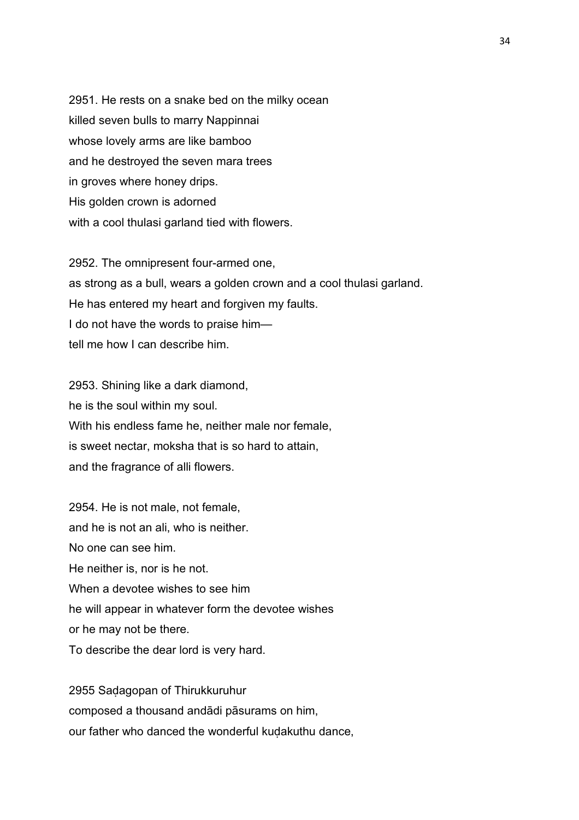2951. He rests on a snake bed on the milky ocean killed seven bulls to marry Nappinnai whose lovely arms are like bamboo and he destroyed the seven mara trees in groves where honey drips. His golden crown is adorned with a cool thulasi garland tied with flowers.

2952. The omnipresent four-armed one, as strong as a bull, wears a golden crown and a cool thulasi garland. He has entered my heart and forgiven my faults. I do not have the words to praise him tell me how I can describe him.

2953. Shining like a dark diamond, he is the soul within my soul. With his endless fame he, neither male nor female, is sweet nectar, moksha that is so hard to attain, and the fragrance of alli flowers.

2954. He is not male, not female, and he is not an ali, who is neither. No one can see him. He neither is, nor is he not. When a devotee wishes to see him he will appear in whatever form the devotee wishes or he may not be there. To describe the dear lord is very hard.

2955 Saḍagopan of Thirukkuruhur composed a thousand andādi pāsurams on him, our father who danced the wonderful kuḍakuthu dance,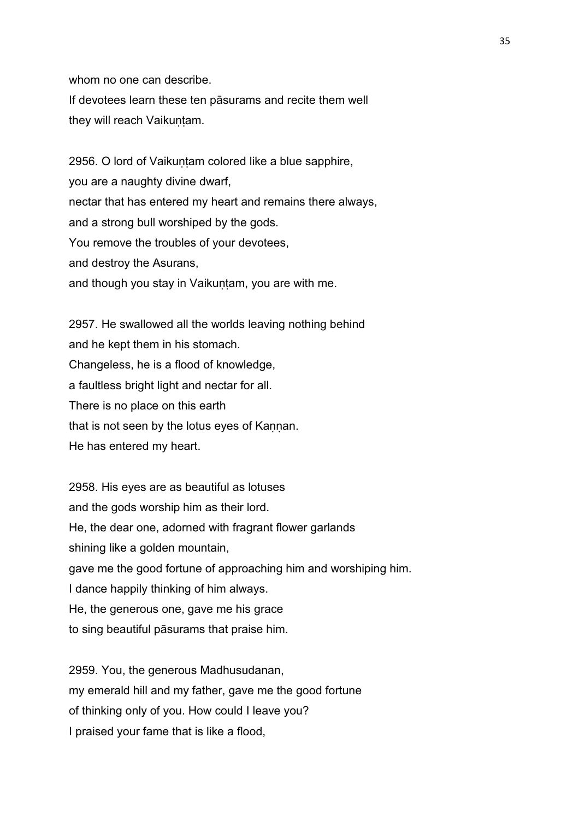whom no one can describe.

If devotees learn these ten pāsurams and recite them well they will reach Vaikuṇṭam.

2956. O lord of Vaikuntam colored like a blue sapphire, you are a naughty divine dwarf, nectar that has entered my heart and remains there always, and a strong bull worshiped by the gods. You remove the troubles of your devotees, and destroy the Asurans, and though you stay in Vaikuntam, you are with me.

2957. He swallowed all the worlds leaving nothing behind and he kept them in his stomach. Changeless, he is a flood of knowledge, a faultless bright light and nectar for all. There is no place on this earth that is not seen by the lotus eyes of Kannan. He has entered my heart.

2958. His eyes are as beautiful as lotuses and the gods worship him as their lord. He, the dear one, adorned with fragrant flower garlands shining like a golden mountain, gave me the good fortune of approaching him and worshiping him. I dance happily thinking of him always. He, the generous one, gave me his grace to sing beautiful pāsurams that praise him.

2959. You, the generous Madhusudanan, my emerald hill and my father, gave me the good fortune of thinking only of you. How could I leave you? I praised your fame that is like a flood,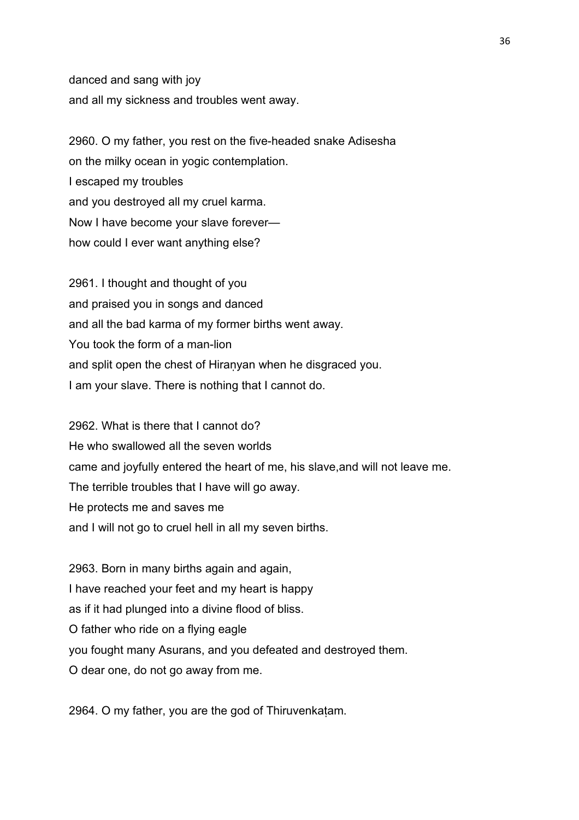danced and sang with joy and all my sickness and troubles went away.

2960. O my father, you rest on the five-headed snake Adisesha on the milky ocean in yogic contemplation. I escaped my troubles and you destroyed all my cruel karma. Now I have become your slave forever how could I ever want anything else?

2961. I thought and thought of you and praised you in songs and danced and all the bad karma of my former births went away. You took the form of a man-lion and split open the chest of Hiranyan when he disgraced you. I am your slave. There is nothing that I cannot do.

2962. What is there that I cannot do? He who swallowed all the seven worlds came and joyfully entered the heart of me, his slave,and will not leave me. The terrible troubles that I have will go away. He protects me and saves me and I will not go to cruel hell in all my seven births.

2963. Born in many births again and again, I have reached your feet and my heart is happy as if it had plunged into a divine flood of bliss. O father who ride on a flying eagle you fought many Asurans, and you defeated and destroyed them. O dear one, do not go away from me.

2964. O my father, you are the god of Thiruvenkaṭam.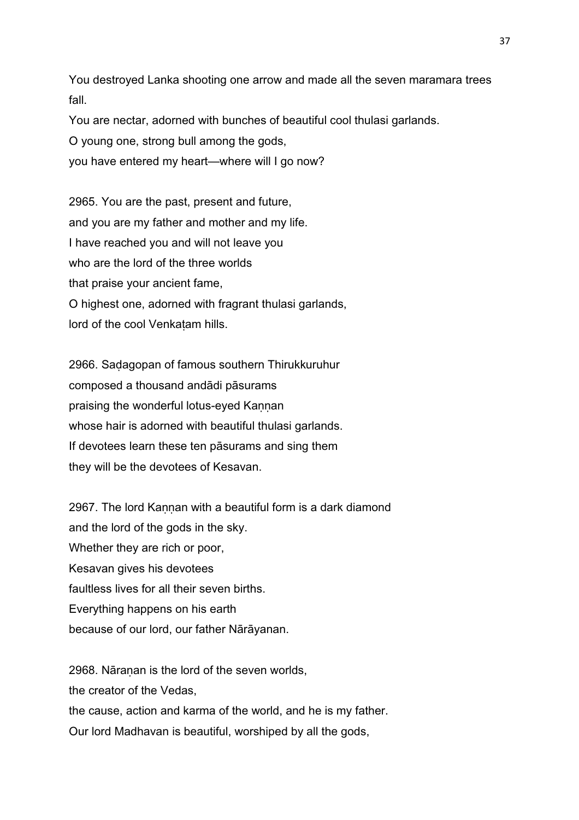You destroyed Lanka shooting one arrow and made all the seven maramara trees fall.

You are nectar, adorned with bunches of beautiful cool thulasi garlands.

O young one, strong bull among the gods,

you have entered my heart—where will I go now?

2965. You are the past, present and future, and you are my father and mother and my life. I have reached you and will not leave you who are the lord of the three worlds that praise your ancient fame, O highest one, adorned with fragrant thulasi garlands, lord of the cool Venkatam hills.

2966. Saḍagopan of famous southern Thirukkuruhur composed a thousand andādi pāsurams praising the wonderful lotus-eyed Kannan whose hair is adorned with beautiful thulasi garlands. If devotees learn these ten pāsurams and sing them they will be the devotees of Kesavan.

2967. The lord Kannan with a beautiful form is a dark diamond and the lord of the gods in the sky. Whether they are rich or poor, Kesavan gives his devotees faultless lives for all their seven births. Everything happens on his earth because of our lord, our father Nārāyanan.

2968. Nāranan is the lord of the seven worlds. the creator of the Vedas, the cause, action and karma of the world, and he is my father. Our lord Madhavan is beautiful, worshiped by all the gods,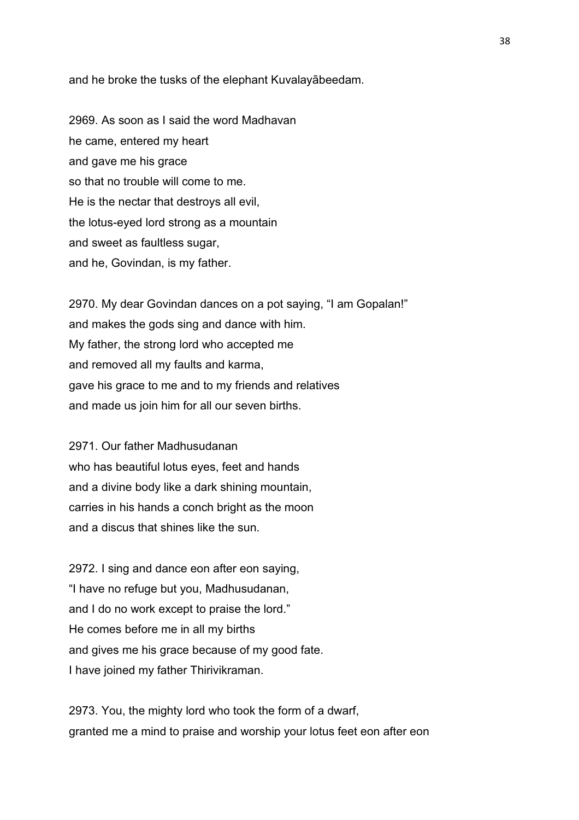and he broke the tusks of the elephant Kuvalayābeedam.

2969. As soon as I said the word Madhavan he came, entered my heart and gave me his grace so that no trouble will come to me. He is the nectar that destroys all evil, the lotus-eyed lord strong as a mountain and sweet as faultless sugar, and he, Govindan, is my father.

2970. My dear Govindan dances on a pot saying, "I am Gopalan!" and makes the gods sing and dance with him. My father, the strong lord who accepted me and removed all my faults and karma, gave his grace to me and to my friends and relatives and made us join him for all our seven births.

2971. Our father Madhusudanan who has beautiful lotus eyes, feet and hands and a divine body like a dark shining mountain, carries in his hands a conch bright as the moon and a discus that shines like the sun.

2972. I sing and dance eon after eon saying, "I have no refuge but you, Madhusudanan, and I do no work except to praise the lord." He comes before me in all my births and gives me his grace because of my good fate. I have joined my father Thirivikraman.

2973. You, the mighty lord who took the form of a dwarf, granted me a mind to praise and worship your lotus feet eon after eon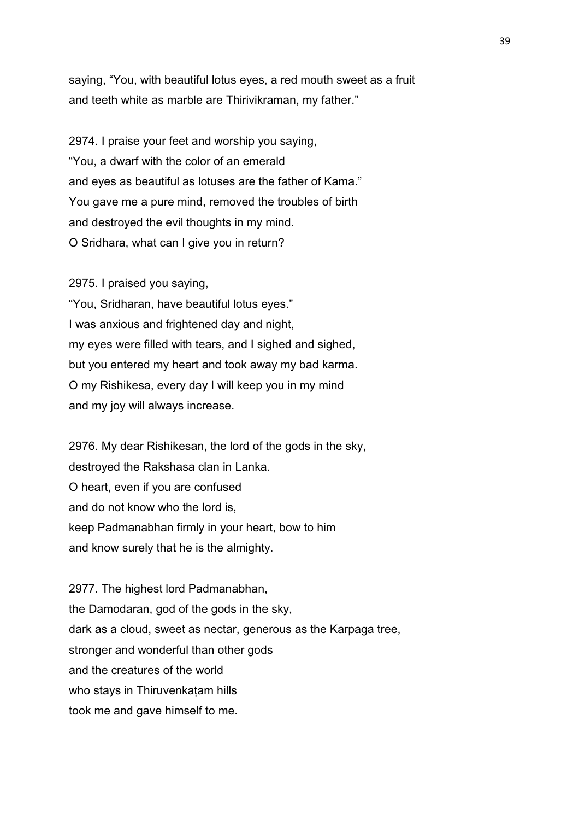saying, "You, with beautiful lotus eyes, a red mouth sweet as a fruit and teeth white as marble are Thirivikraman, my father."

2974. I praise your feet and worship you saying, "You, a dwarf with the color of an emerald and eyes as beautiful as lotuses are the father of Kama." You gave me a pure mind, removed the troubles of birth and destroyed the evil thoughts in my mind. O Sridhara, what can I give you in return?

2975. I praised you saying,

"You, Sridharan, have beautiful lotus eyes." I was anxious and frightened day and night, my eyes were filled with tears, and I sighed and sighed, but you entered my heart and took away my bad karma. O my Rishikesa, every day I will keep you in my mind and my joy will always increase.

2976. My dear Rishikesan, the lord of the gods in the sky, destroyed the Rakshasa clan in Lanka. O heart, even if you are confused and do not know who the lord is, keep Padmanabhan firmly in your heart, bow to him and know surely that he is the almighty.

2977. The highest lord Padmanabhan, the Damodaran, god of the gods in the sky, dark as a cloud, sweet as nectar, generous as the Karpaga tree, stronger and wonderful than other gods and the creatures of the world who stays in Thiruvenkatam hills took me and gave himself to me.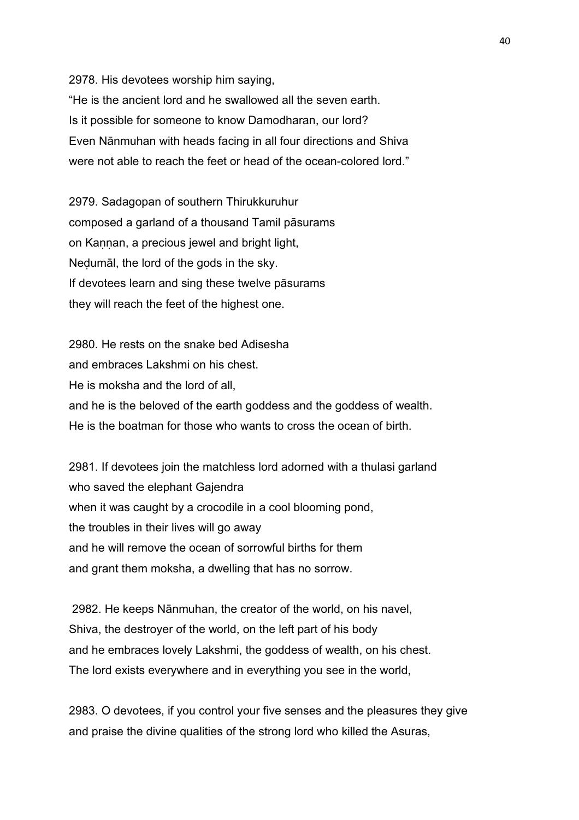2978. His devotees worship him saying, "He is the ancient lord and he swallowed all the seven earth. Is it possible for someone to know Damodharan, our lord? Even Nānmuhan with heads facing in all four directions and Shiva were not able to reach the feet or head of the ocean-colored lord."

2979. Sadagopan of southern Thirukkuruhur composed a garland of a thousand Tamil pāsurams on Kannan, a precious jewel and bright light, Neḍumāl, the lord of the gods in the sky. If devotees learn and sing these twelve pāsurams they will reach the feet of the highest one.

2980. He rests on the snake bed Adisesha and embraces Lakshmi on his chest. He is moksha and the lord of all, and he is the beloved of the earth goddess and the goddess of wealth. He is the boatman for those who wants to cross the ocean of birth.

2981. If devotees join the matchless lord adorned with a thulasi garland who saved the elephant Gajendra when it was caught by a crocodile in a cool blooming pond, the troubles in their lives will go away and he will remove the ocean of sorrowful births for them and grant them moksha, a dwelling that has no sorrow.

 2982. He keeps Nānmuhan, the creator of the world, on his navel, Shiva, the destroyer of the world, on the left part of his body and he embraces lovely Lakshmi, the goddess of wealth, on his chest. The lord exists everywhere and in everything you see in the world,

2983. O devotees, if you control your five senses and the pleasures they give and praise the divine qualities of the strong lord who killed the Asuras,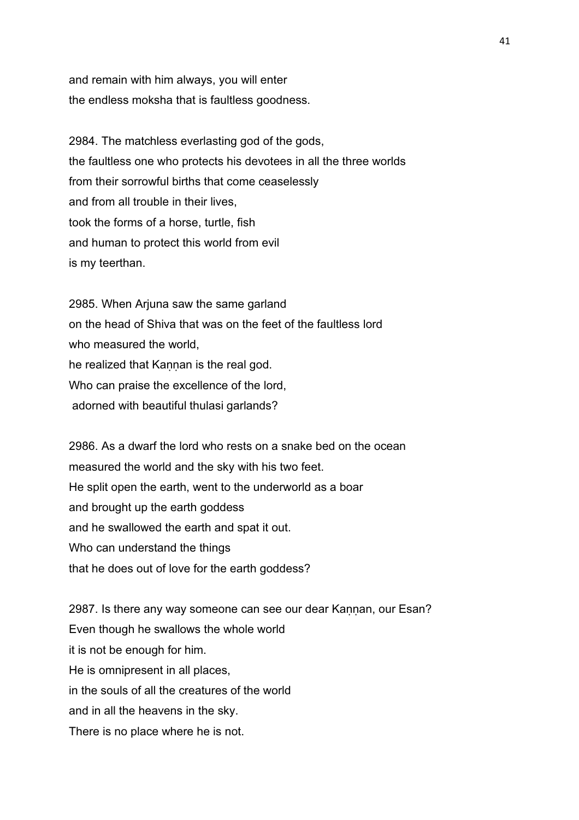and remain with him always, you will enter the endless moksha that is faultless goodness.

2984. The matchless everlasting god of the gods, the faultless one who protects his devotees in all the three worlds from their sorrowful births that come ceaselessly and from all trouble in their lives, took the forms of a horse, turtle, fish and human to protect this world from evil is my teerthan.

2985. When Arjuna saw the same garland on the head of Shiva that was on the feet of the faultless lord who measured the world. he realized that Kannan is the real god. Who can praise the excellence of the lord, adorned with beautiful thulasi garlands?

2986. As a dwarf the lord who rests on a snake bed on the ocean measured the world and the sky with his two feet. He split open the earth, went to the underworld as a boar and brought up the earth goddess and he swallowed the earth and spat it out. Who can understand the things that he does out of love for the earth goddess?

2987. Is there any way someone can see our dear Kannan, our Esan? Even though he swallows the whole world it is not be enough for him. He is omnipresent in all places, in the souls of all the creatures of the world and in all the heavens in the sky. There is no place where he is not.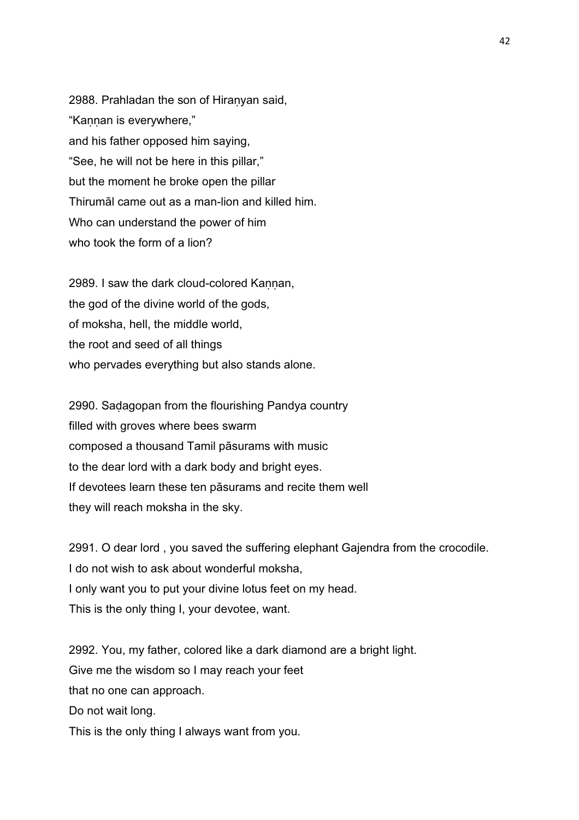2988. Prahladan the son of Hiraṇyan said, "Kaṇṇan is everywhere," and his father opposed him saying, "See, he will not be here in this pillar," but the moment he broke open the pillar Thirumāl came out as a man-lion and killed him. Who can understand the power of him who took the form of a lion?

2989. I saw the dark cloud-colored Kannan, the god of the divine world of the gods, of moksha, hell, the middle world, the root and seed of all things who pervades everything but also stands alone.

2990. Saḍagopan from the flourishing Pandya country filled with groves where bees swarm composed a thousand Tamil pāsurams with music to the dear lord with a dark body and bright eyes. If devotees learn these ten pāsurams and recite them well they will reach moksha in the sky.

2991. O dear lord , you saved the suffering elephant Gajendra from the crocodile. I do not wish to ask about wonderful moksha, I only want you to put your divine lotus feet on my head. This is the only thing I, your devotee, want.

2992. You, my father, colored like a dark diamond are a bright light. Give me the wisdom so I may reach your feet that no one can approach. Do not wait long. This is the only thing I always want from you.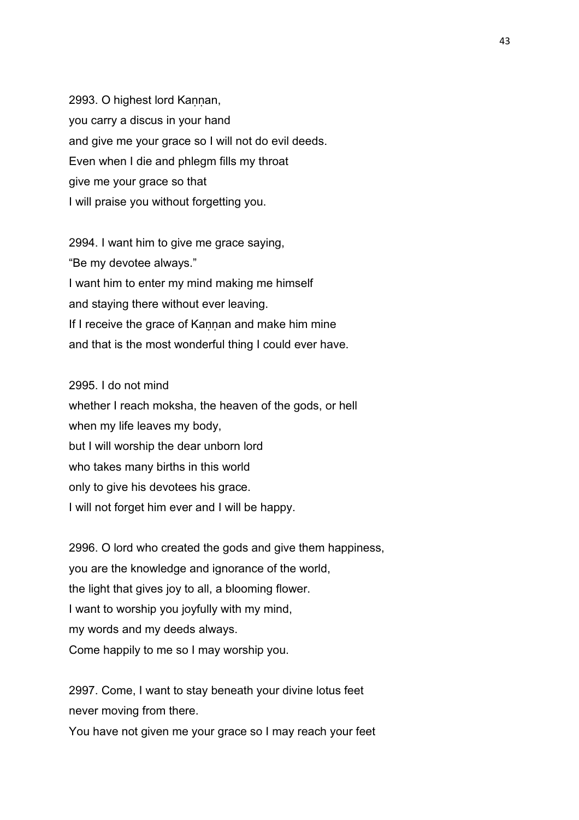2993. O highest lord Kaṇṇan, you carry a discus in your hand and give me your grace so I will not do evil deeds. Even when I die and phlegm fills my throat give me your grace so that I will praise you without forgetting you.

2994. I want him to give me grace saying, "Be my devotee always." I want him to enter my mind making me himself and staying there without ever leaving. If I receive the grace of Kaṇṇan and make him mine and that is the most wonderful thing I could ever have.

## 2995. I do not mind

whether I reach moksha, the heaven of the gods, or hell when my life leaves my body, but I will worship the dear unborn lord who takes many births in this world only to give his devotees his grace. I will not forget him ever and I will be happy.

2996. O lord who created the gods and give them happiness, you are the knowledge and ignorance of the world, the light that gives joy to all, a blooming flower. I want to worship you joyfully with my mind, my words and my deeds always. Come happily to me so I may worship you.

2997. Come, I want to stay beneath your divine lotus feet never moving from there.

You have not given me your grace so I may reach your feet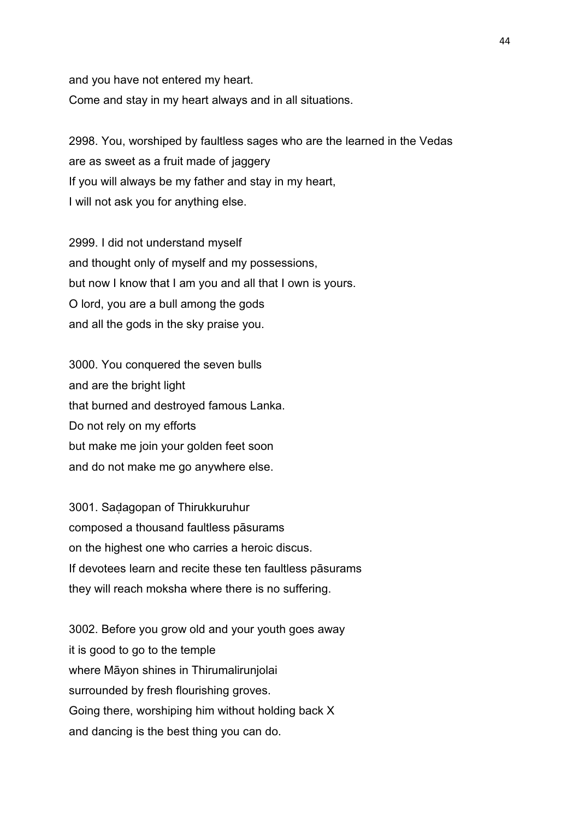and you have not entered my heart. Come and stay in my heart always and in all situations.

2998. You, worshiped by faultless sages who are the learned in the Vedas are as sweet as a fruit made of jaggery If you will always be my father and stay in my heart, I will not ask you for anything else.

2999. I did not understand myself and thought only of myself and my possessions, but now I know that I am you and all that I own is yours. O lord, you are a bull among the gods and all the gods in the sky praise you.

3000. You conquered the seven bulls and are the bright light that burned and destroyed famous Lanka. Do not rely on my efforts but make me join your golden feet soon and do not make me go anywhere else.

3001. Saḍagopan of Thirukkuruhur composed a thousand faultless pāsurams on the highest one who carries a heroic discus. If devotees learn and recite these ten faultless pāsurams they will reach moksha where there is no suffering.

3002. Before you grow old and your youth goes away it is good to go to the temple where Māyon shines in Thirumalirunjolai surrounded by fresh flourishing groves. Going there, worshiping him without holding back X and dancing is the best thing you can do.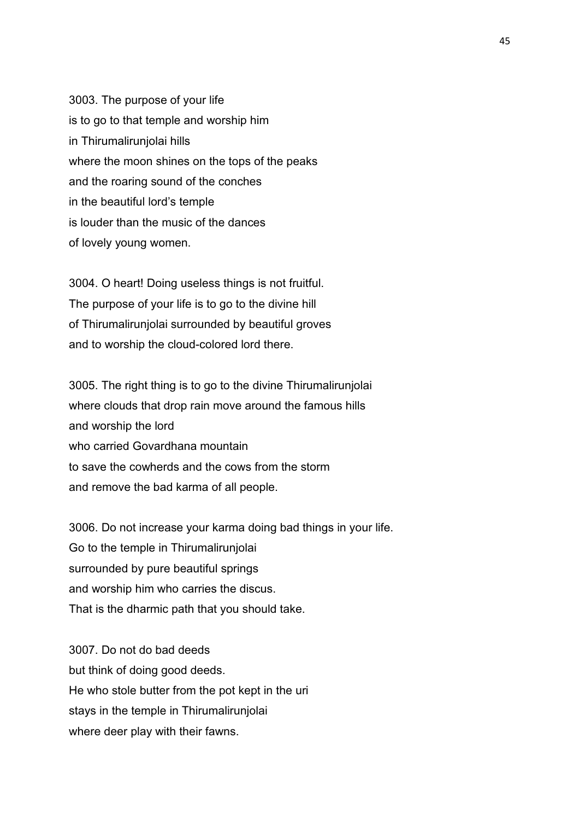3003. The purpose of your life is to go to that temple and worship him in Thirumalirunjolai hills where the moon shines on the tops of the peaks and the roaring sound of the conches in the beautiful lord's temple is louder than the music of the dances of lovely young women.

3004. O heart! Doing useless things is not fruitful. The purpose of your life is to go to the divine hill of Thirumalirunjolai surrounded by beautiful groves and to worship the cloud-colored lord there.

3005. The right thing is to go to the divine Thirumalirunjolai where clouds that drop rain move around the famous hills and worship the lord who carried Govardhana mountain to save the cowherds and the cows from the storm and remove the bad karma of all people.

3006. Do not increase your karma doing bad things in your life. Go to the temple in Thirumalirunjolai surrounded by pure beautiful springs and worship him who carries the discus. That is the dharmic path that you should take.

3007. Do not do bad deeds but think of doing good deeds. He who stole butter from the pot kept in the uri stays in the temple in Thirumalirunjolai where deer play with their fawns.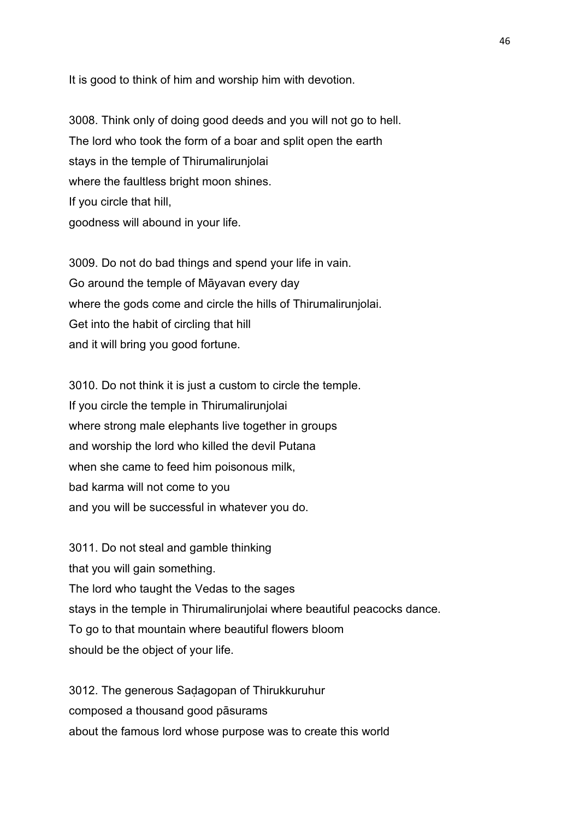It is good to think of him and worship him with devotion.

3008. Think only of doing good deeds and you will not go to hell. The lord who took the form of a boar and split open the earth stays in the temple of Thirumalirunjolai where the faultless bright moon shines. If you circle that hill, goodness will abound in your life.

3009. Do not do bad things and spend your life in vain. Go around the temple of Māyavan every day where the gods come and circle the hills of Thirumalirunjolai. Get into the habit of circling that hill and it will bring you good fortune.

3010. Do not think it is just a custom to circle the temple. If you circle the temple in Thirumalirunjolai where strong male elephants live together in groups and worship the lord who killed the devil Putana when she came to feed him poisonous milk, bad karma will not come to you and you will be successful in whatever you do.

3011. Do not steal and gamble thinking that you will gain something. The lord who taught the Vedas to the sages stays in the temple in Thirumalirunjolai where beautiful peacocks dance. To go to that mountain where beautiful flowers bloom should be the object of your life.

3012. The generous Saḍagopan of Thirukkuruhur composed a thousand good pāsurams about the famous lord whose purpose was to create this world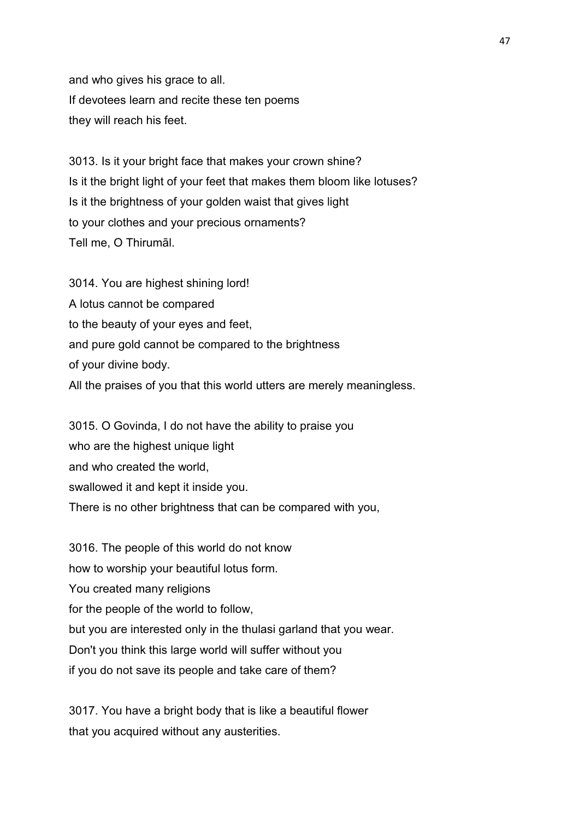and who gives his grace to all. If devotees learn and recite these ten poems they will reach his feet.

3013. Is it your bright face that makes your crown shine? Is it the bright light of your feet that makes them bloom like lotuses? Is it the brightness of your golden waist that gives light to your clothes and your precious ornaments? Tell me, O Thirumāl.

3014. You are highest shining lord! A lotus cannot be compared to the beauty of your eyes and feet, and pure gold cannot be compared to the brightness of your divine body. All the praises of you that this world utters are merely meaningless.

3015. O Govinda, I do not have the ability to praise you who are the highest unique light and who created the world, swallowed it and kept it inside you. There is no other brightness that can be compared with you,

3016. The people of this world do not know how to worship your beautiful lotus form. You created many religions for the people of the world to follow, but you are interested only in the thulasi garland that you wear. Don't you think this large world will suffer without you if you do not save its people and take care of them?

3017. You have a bright body that is like a beautiful flower that you acquired without any austerities.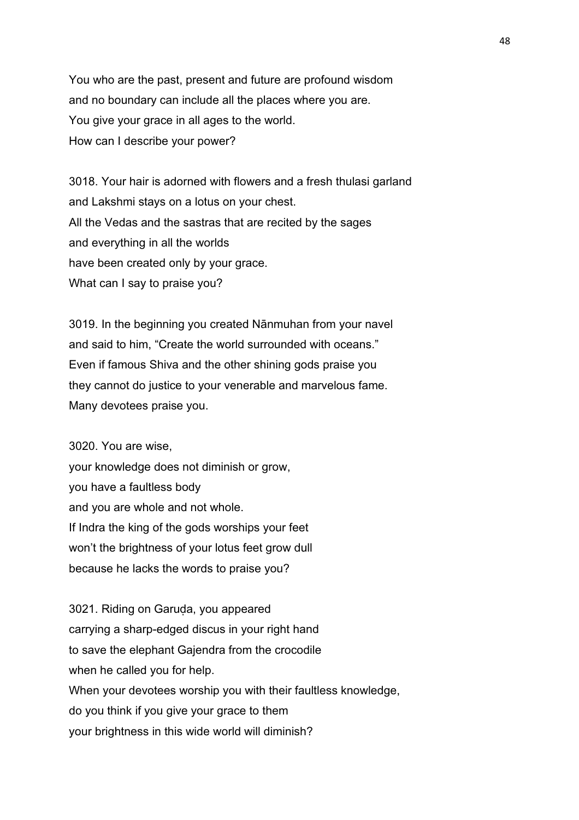You who are the past, present and future are profound wisdom and no boundary can include all the places where you are. You give your grace in all ages to the world. How can I describe your power?

3018. Your hair is adorned with flowers and a fresh thulasi garland and Lakshmi stays on a lotus on your chest. All the Vedas and the sastras that are recited by the sages and everything in all the worlds have been created only by your grace. What can I say to praise you?

3019. In the beginning you created Nānmuhan from your navel and said to him, "Create the world surrounded with oceans." Even if famous Shiva and the other shining gods praise you they cannot do justice to your venerable and marvelous fame. Many devotees praise you.

3020. You are wise, your knowledge does not diminish or grow, you have a faultless body and you are whole and not whole. If Indra the king of the gods worships your feet won't the brightness of your lotus feet grow dull because he lacks the words to praise you?

3021. Riding on Garuda, you appeared carrying a sharp-edged discus in your right hand to save the elephant Gajendra from the crocodile when he called you for help. When your devotees worship you with their faultless knowledge, do you think if you give your grace to them your brightness in this wide world will diminish?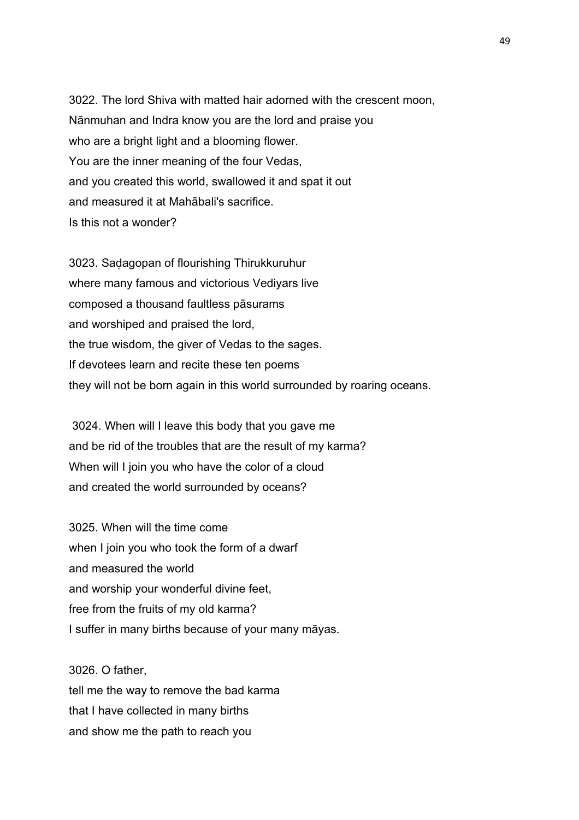3022. The lord Shiva with matted hair adorned with the crescent moon, Nānmuhan and Indra know you are the lord and praise you who are a bright light and a blooming flower. You are the inner meaning of the four Vedas, and you created this world, swallowed it and spat it out and measured it at Mahābali's sacrifice. Is this not a wonder?

3023. Saḍagopan of flourishing Thirukkuruhur where many famous and victorious Vediyars live composed a thousand faultless pāsurams and worshiped and praised the lord, the true wisdom, the giver of Vedas to the sages. If devotees learn and recite these ten poems they will not be born again in this world surrounded by roaring oceans.

 3024. When will I leave this body that you gave me and be rid of the troubles that are the result of my karma? When will I join you who have the color of a cloud and created the world surrounded by oceans?

3025. When will the time come when I join you who took the form of a dwarf and measured the world and worship your wonderful divine feet, free from the fruits of my old karma? I suffer in many births because of your many māyas.

3026. O father, tell me the way to remove the bad karma that I have collected in many births and show me the path to reach you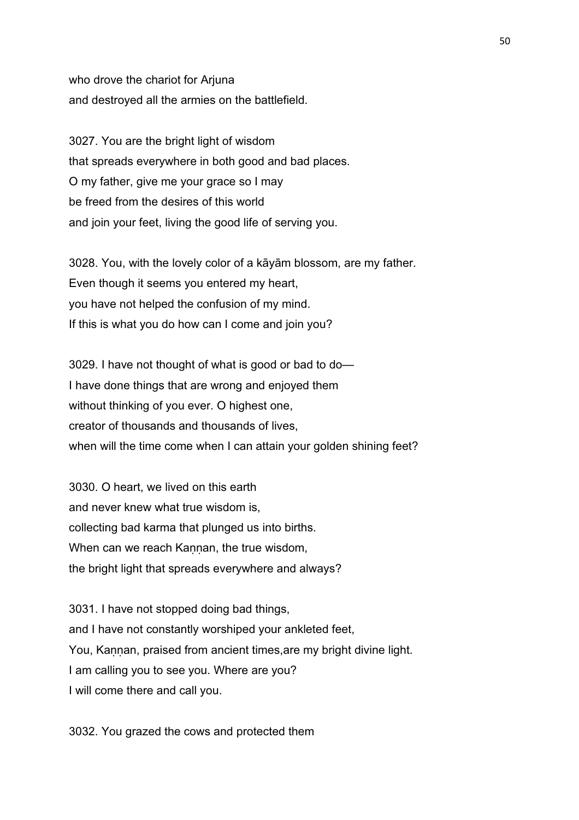who drove the chariot for Arjuna and destroyed all the armies on the battlefield.

3027. You are the bright light of wisdom that spreads everywhere in both good and bad places. O my father, give me your grace so I may be freed from the desires of this world and join your feet, living the good life of serving you.

3028. You, with the lovely color of a kāyām blossom, are my father. Even though it seems you entered my heart, you have not helped the confusion of my mind. If this is what you do how can I come and join you?

3029. I have not thought of what is good or bad to do— I have done things that are wrong and enjoyed them without thinking of you ever. O highest one, creator of thousands and thousands of lives, when will the time come when I can attain your golden shining feet?

3030. O heart, we lived on this earth and never knew what true wisdom is, collecting bad karma that plunged us into births. When can we reach Kannan, the true wisdom, the bright light that spreads everywhere and always?

3031. I have not stopped doing bad things, and I have not constantly worshiped your ankleted feet, You, Kaṇṇan, praised from ancient times,are my bright divine light. I am calling you to see you. Where are you? I will come there and call you.

3032. You grazed the cows and protected them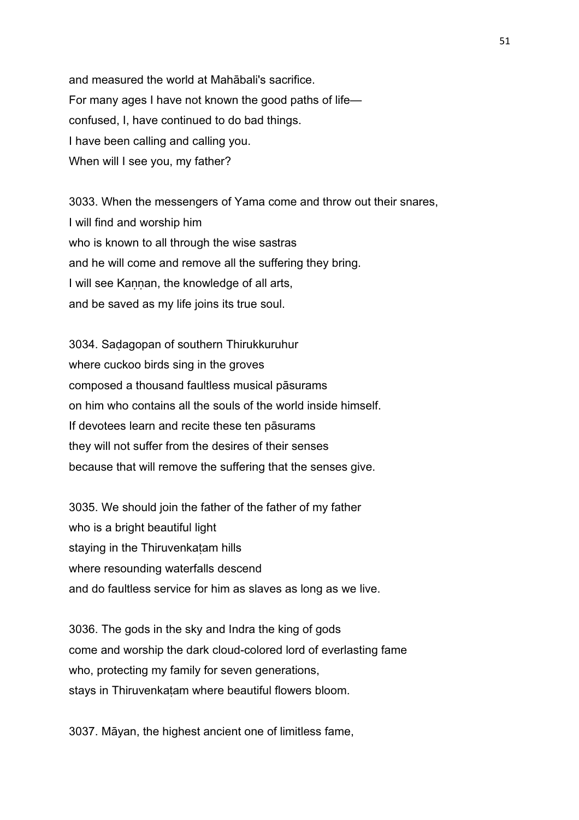and measured the world at Mahābali's sacrifice. For many ages I have not known the good paths of life confused, I, have continued to do bad things. I have been calling and calling you. When will I see you, my father?

3033. When the messengers of Yama come and throw out their snares, I will find and worship him who is known to all through the wise sastras and he will come and remove all the suffering they bring. I will see Kannan, the knowledge of all arts, and be saved as my life joins its true soul.

3034. Saḍagopan of southern Thirukkuruhur where cuckoo birds sing in the groves composed a thousand faultless musical pāsurams on him who contains all the souls of the world inside himself. If devotees learn and recite these ten pāsurams they will not suffer from the desires of their senses because that will remove the suffering that the senses give.

3035. We should join the father of the father of my father who is a bright beautiful light staying in the Thiruvenkatam hills where resounding waterfalls descend and do faultless service for him as slaves as long as we live.

3036. The gods in the sky and Indra the king of gods come and worship the dark cloud-colored lord of everlasting fame who, protecting my family for seven generations, stays in Thiruvenkatam where beautiful flowers bloom.

3037. Māyan, the highest ancient one of limitless fame,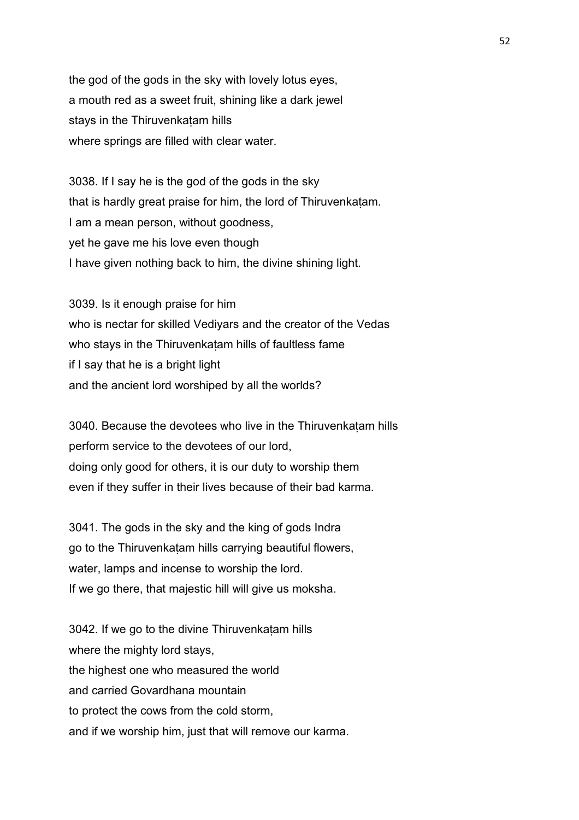the god of the gods in the sky with lovely lotus eyes, a mouth red as a sweet fruit, shining like a dark jewel stays in the Thiruvenkaṭam hills where springs are filled with clear water.

3038. If I say he is the god of the gods in the sky that is hardly great praise for him, the lord of Thiruvenkaṭam. I am a mean person, without goodness, yet he gave me his love even though I have given nothing back to him, the divine shining light.

3039. Is it enough praise for him who is nectar for skilled Vediyars and the creator of the Vedas who stays in the Thiruvenkatam hills of faultless fame if I say that he is a bright light and the ancient lord worshiped by all the worlds?

3040. Because the devotees who live in the Thiruvenkaṭam hills perform service to the devotees of our lord, doing only good for others, it is our duty to worship them even if they suffer in their lives because of their bad karma.

3041. The gods in the sky and the king of gods Indra go to the Thiruvenkatam hills carrying beautiful flowers, water, lamps and incense to worship the lord. If we go there, that majestic hill will give us moksha.

3042. If we go to the divine Thiruvenkaṭam hills where the mighty lord stays, the highest one who measured the world and carried Govardhana mountain to protect the cows from the cold storm, and if we worship him, just that will remove our karma.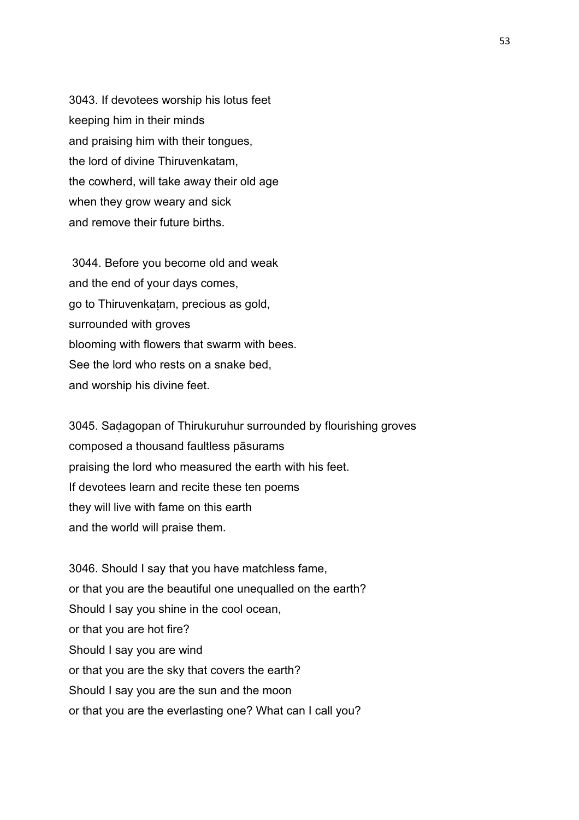3043. If devotees worship his lotus feet keeping him in their minds and praising him with their tongues, the lord of divine Thiruvenkatam, the cowherd, will take away their old age when they grow weary and sick and remove their future births.

 3044. Before you become old and weak and the end of your days comes, go to Thiruvenkaṭam, precious as gold, surrounded with groves blooming with flowers that swarm with bees. See the lord who rests on a snake bed, and worship his divine feet.

3045. Saḍagopan of Thirukuruhur surrounded by flourishing groves composed a thousand faultless pāsurams praising the lord who measured the earth with his feet. If devotees learn and recite these ten poems they will live with fame on this earth and the world will praise them.

3046. Should I say that you have matchless fame, or that you are the beautiful one unequalled on the earth? Should I say you shine in the cool ocean, or that you are hot fire? Should I say you are wind or that you are the sky that covers the earth? Should I say you are the sun and the moon or that you are the everlasting one? What can I call you?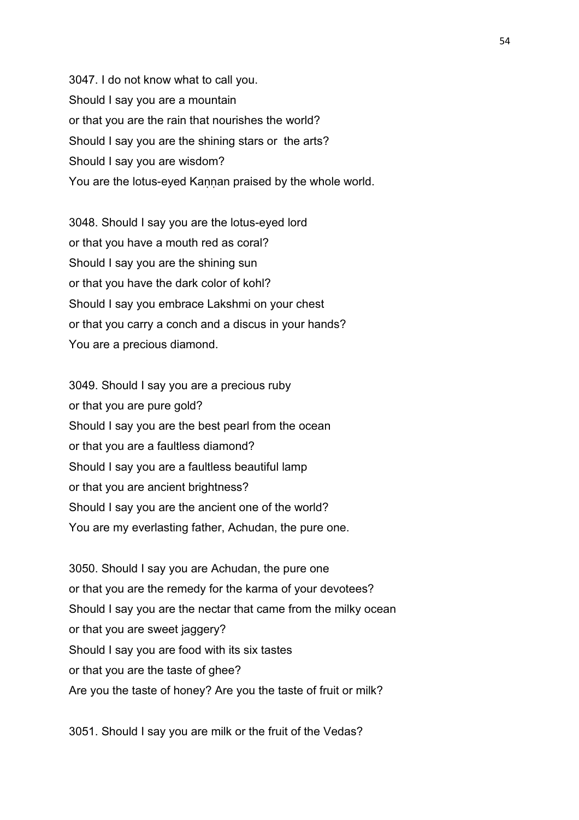3047. I do not know what to call you. Should I say you are a mountain or that you are the rain that nourishes the world? Should I say you are the shining stars or the arts? Should I say you are wisdom? You are the lotus-eyed Kannan praised by the whole world.

3048. Should I say you are the lotus-eyed lord or that you have a mouth red as coral? Should I say you are the shining sun or that you have the dark color of kohl? Should I say you embrace Lakshmi on your chest or that you carry a conch and a discus in your hands? You are a precious diamond.

3049. Should I say you are a precious ruby or that you are pure gold? Should I say you are the best pearl from the ocean or that you are a faultless diamond? Should I say you are a faultless beautiful lamp or that you are ancient brightness? Should I say you are the ancient one of the world? You are my everlasting father, Achudan, the pure one.

3050. Should I say you are Achudan, the pure one or that you are the remedy for the karma of your devotees? Should I say you are the nectar that came from the milky ocean or that you are sweet jaggery? Should I say you are food with its six tastes or that you are the taste of ghee? Are you the taste of honey? Are you the taste of fruit or milk?

3051. Should I say you are milk or the fruit of the Vedas?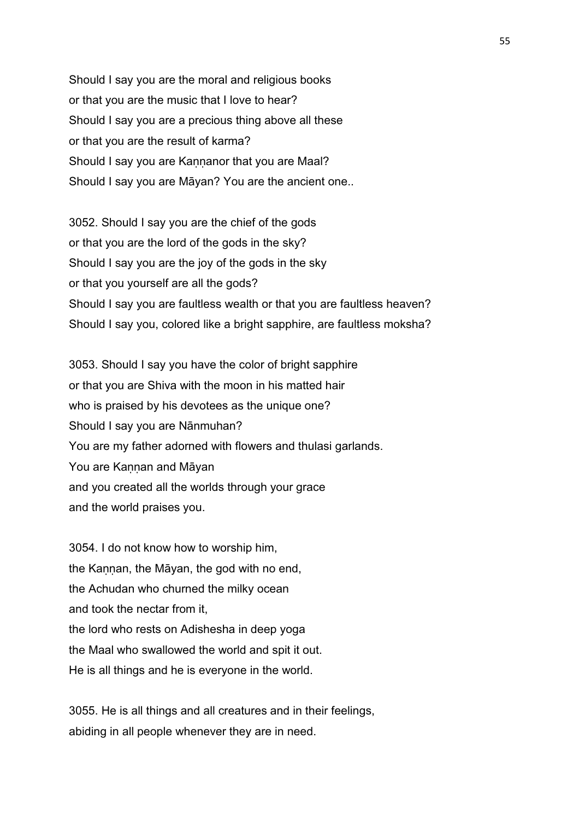Should I say you are the moral and religious books or that you are the music that I love to hear? Should I say you are a precious thing above all these or that you are the result of karma? Should I say you are Kannanor that you are Maal? Should I say you are Māyan? You are the ancient one..

3052. Should I say you are the chief of the gods or that you are the lord of the gods in the sky? Should I say you are the joy of the gods in the sky or that you yourself are all the gods? Should I say you are faultless wealth or that you are faultless heaven? Should I say you, colored like a bright sapphire, are faultless moksha?

3053. Should I say you have the color of bright sapphire or that you are Shiva with the moon in his matted hair who is praised by his devotees as the unique one? Should I say you are Nānmuhan? You are my father adorned with flowers and thulasi garlands. You are Kannan and Māyan and you created all the worlds through your grace and the world praises you.

3054. I do not know how to worship him, the Kannan, the Māyan, the god with no end, the Achudan who churned the milky ocean and took the nectar from it, the lord who rests on Adishesha in deep yoga the Maal who swallowed the world and spit it out. He is all things and he is everyone in the world.

3055. He is all things and all creatures and in their feelings, abiding in all people whenever they are in need.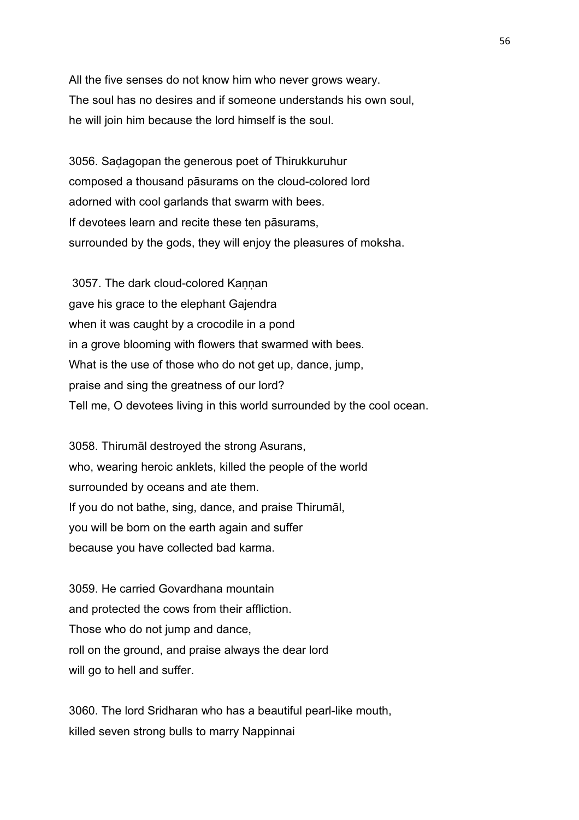All the five senses do not know him who never grows weary. The soul has no desires and if someone understands his own soul, he will join him because the lord himself is the soul.

3056. Saḍagopan the generous poet of Thirukkuruhur composed a thousand pāsurams on the cloud-colored lord adorned with cool garlands that swarm with bees. If devotees learn and recite these ten pāsurams, surrounded by the gods, they will enjoy the pleasures of moksha.

3057. The dark cloud-colored Kannan gave his grace to the elephant Gajendra when it was caught by a crocodile in a pond in a grove blooming with flowers that swarmed with bees. What is the use of those who do not get up, dance, jump, praise and sing the greatness of our lord? Tell me, O devotees living in this world surrounded by the cool ocean.

3058. Thirumāl destroyed the strong Asurans, who, wearing heroic anklets, killed the people of the world surrounded by oceans and ate them. If you do not bathe, sing, dance, and praise Thirumāl, you will be born on the earth again and suffer because you have collected bad karma.

3059. He carried Govardhana mountain and protected the cows from their affliction. Those who do not jump and dance, roll on the ground, and praise always the dear lord will go to hell and suffer.

3060. The lord Sridharan who has a beautiful pearl-like mouth, killed seven strong bulls to marry Nappinnai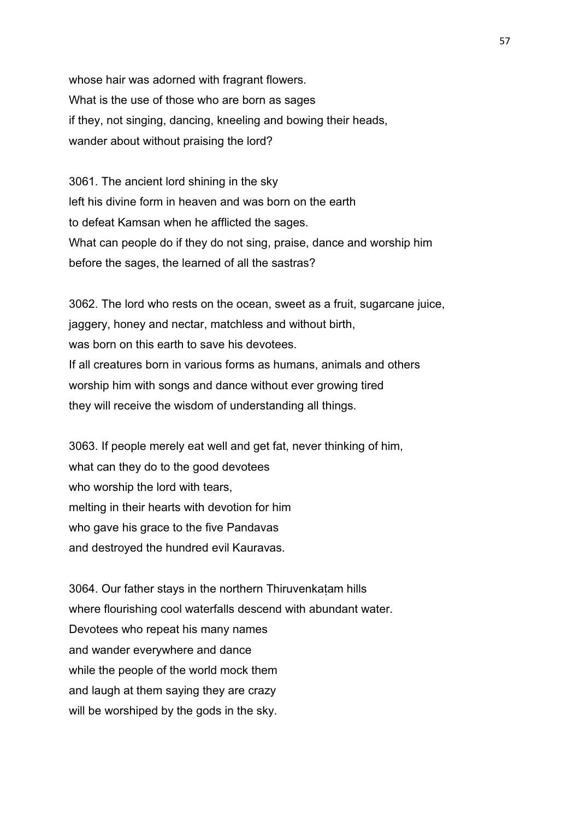whose hair was adorned with fragrant flowers. What is the use of those who are born as sages if they, not singing, dancing, kneeling and bowing their heads, wander about without praising the lord?

3061. The ancient lord shining in the sky left his divine form in heaven and was born on the earth to defeat Kamsan when he afflicted the sages. What can people do if they do not sing, praise, dance and worship him before the sages, the learned of all the sastras?

3062. The lord who rests on the ocean, sweet as a fruit, sugarcane juice, jaggery, honey and nectar, matchless and without birth, was born on this earth to save his devotees. If all creatures born in various forms as humans, animals and others worship him with songs and dance without ever growing tired they will receive the wisdom of understanding all things.

3063. If people merely eat well and get fat, never thinking of him, what can they do to the good devotees who worship the lord with tears, melting in their hearts with devotion for him who gave his grace to the five Pandavas and destroyed the hundred evil Kauravas.

3064. Our father stays in the northern Thiruvenkaṭam hills where flourishing cool waterfalls descend with abundant water. Devotees who repeat his many names and wander everywhere and dance while the people of the world mock them and laugh at them saying they are crazy will be worshiped by the gods in the sky.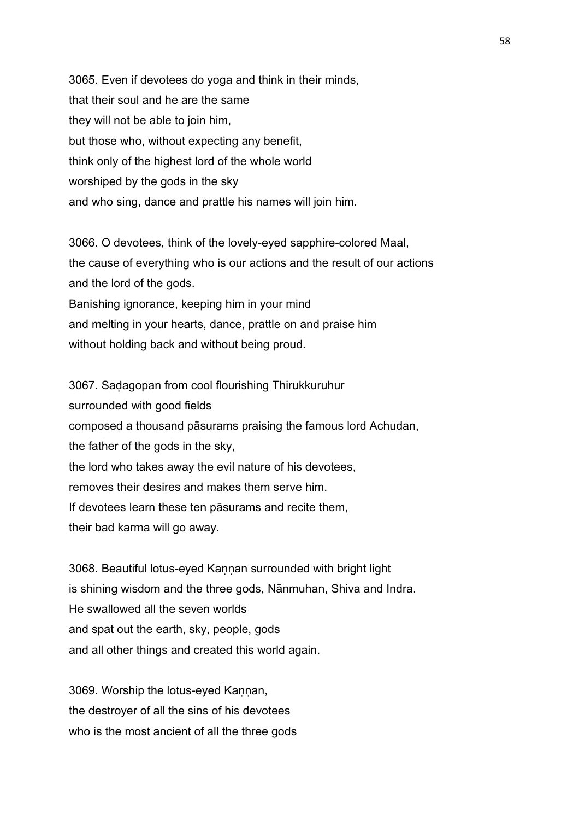3065. Even if devotees do yoga and think in their minds, that their soul and he are the same they will not be able to join him, but those who, without expecting any benefit, think only of the highest lord of the whole world worshiped by the gods in the sky and who sing, dance and prattle his names will join him.

3066. O devotees, think of the lovely-eyed sapphire-colored Maal, the cause of everything who is our actions and the result of our actions and the lord of the gods. Banishing ignorance, keeping him in your mind and melting in your hearts, dance, prattle on and praise him without holding back and without being proud.

3067. Saḍagopan from cool flourishing Thirukkuruhur surrounded with good fields composed a thousand pāsurams praising the famous lord Achudan, the father of the gods in the sky, the lord who takes away the evil nature of his devotees, removes their desires and makes them serve him. If devotees learn these ten pāsurams and recite them, their bad karma will go away.

3068. Beautiful lotus-eyed Kannan surrounded with bright light is shining wisdom and the three gods, Nānmuhan, Shiva and Indra. He swallowed all the seven worlds and spat out the earth, sky, people, gods and all other things and created this world again.

3069. Worship the lotus-eyed Kannan, the destroyer of all the sins of his devotees who is the most ancient of all the three gods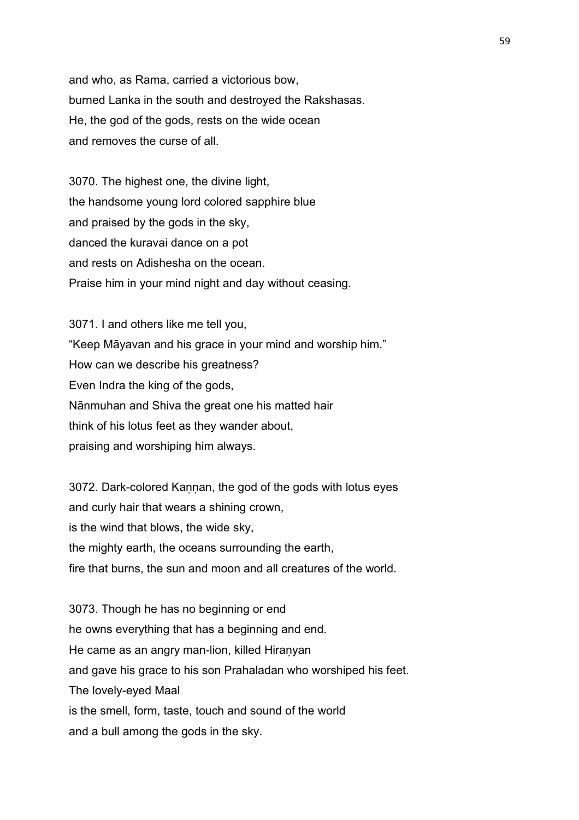and who, as Rama, carried a victorious bow, burned Lanka in the south and destroyed the Rakshasas. He, the god of the gods, rests on the wide ocean and removes the curse of all.

3070. The highest one, the divine light, the handsome young lord colored sapphire blue and praised by the gods in the sky, danced the kuravai dance on a pot and rests on Adishesha on the ocean. Praise him in your mind night and day without ceasing.

3071. I and others like me tell you, "Keep Māyavan and his grace in your mind and worship him." How can we describe his greatness? Even Indra the king of the gods, Nānmuhan and Shiva the great one his matted hair think of his lotus feet as they wander about, praising and worshiping him always.

3072. Dark-colored Kannan, the god of the gods with lotus eyes and curly hair that wears a shining crown, is the wind that blows, the wide sky, the mighty earth, the oceans surrounding the earth, fire that burns, the sun and moon and all creatures of the world.

3073. Though he has no beginning or end he owns everything that has a beginning and end. He came as an angry man-lion, killed Hiranyan and gave his grace to his son Prahaladan who worshiped his feet. The lovely-eyed Maal is the smell, form, taste, touch and sound of the world and a bull among the gods in the sky.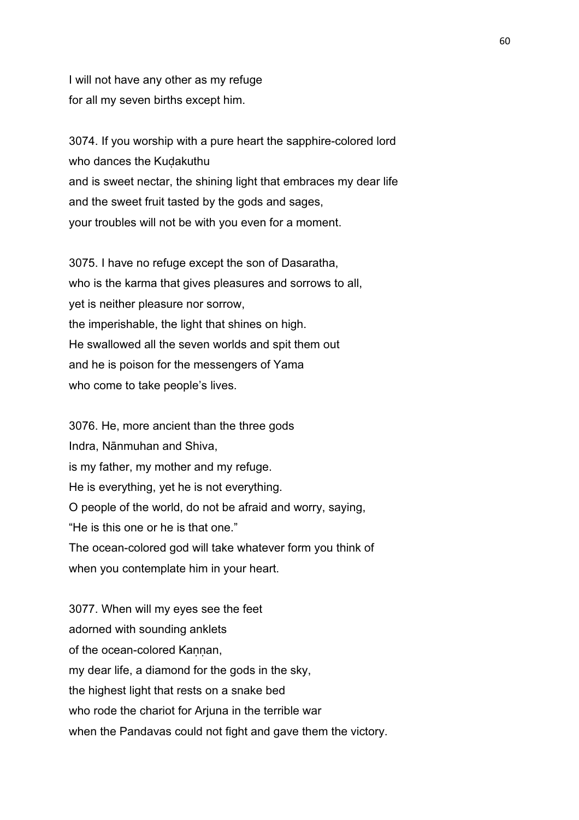I will not have any other as my refuge for all my seven births except him.

3074. If you worship with a pure heart the sapphire-colored lord who dances the Kudakuthu and is sweet nectar, the shining light that embraces my dear life and the sweet fruit tasted by the gods and sages, your troubles will not be with you even for a moment.

3075. I have no refuge except the son of Dasaratha, who is the karma that gives pleasures and sorrows to all, yet is neither pleasure nor sorrow, the imperishable, the light that shines on high. He swallowed all the seven worlds and spit them out and he is poison for the messengers of Yama who come to take people's lives.

3076. He, more ancient than the three gods Indra, Nānmuhan and Shiva, is my father, my mother and my refuge. He is everything, yet he is not everything. O people of the world, do not be afraid and worry, saying, "He is this one or he is that one." The ocean-colored god will take whatever form you think of when you contemplate him in your heart.

3077. When will my eyes see the feet adorned with sounding anklets of the ocean-colored Kannan, my dear life, a diamond for the gods in the sky, the highest light that rests on a snake bed who rode the chariot for Arjuna in the terrible war when the Pandavas could not fight and gave them the victory.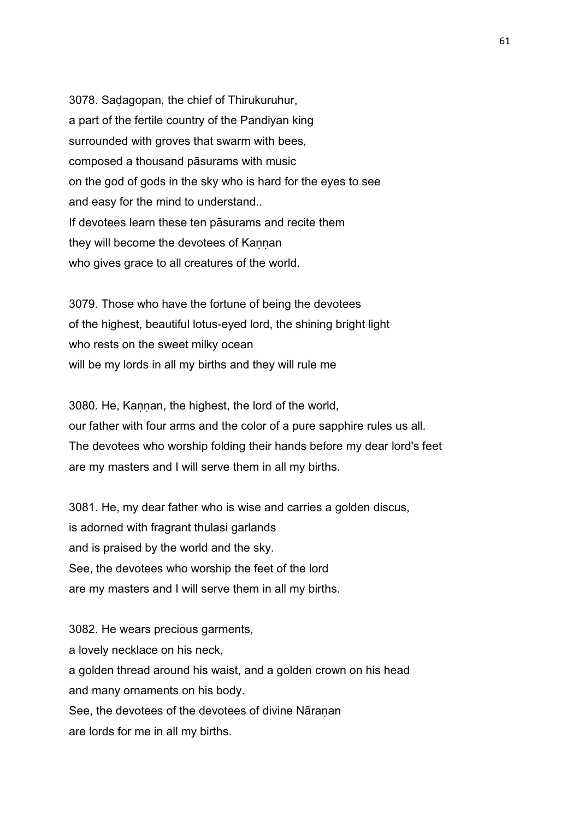3078. Saḍagopan, the chief of Thirukuruhur, a part of the fertile country of the Pandiyan king surrounded with groves that swarm with bees, composed a thousand pāsurams with music on the god of gods in the sky who is hard for the eyes to see and easy for the mind to understand.. If devotees learn these ten pāsurams and recite them they will become the devotees of Kannan who gives grace to all creatures of the world.

3079. Those who have the fortune of being the devotees of the highest, beautiful lotus-eyed lord, the shining bright light who rests on the sweet milky ocean will be my lords in all my births and they will rule me

3080. He, Kannan, the highest, the lord of the world, our father with four arms and the color of a pure sapphire rules us all. The devotees who worship folding their hands before my dear lord's feet are my masters and I will serve them in all my births.

3081. He, my dear father who is wise and carries a golden discus, is adorned with fragrant thulasi garlands and is praised by the world and the sky. See, the devotees who worship the feet of the lord are my masters and I will serve them in all my births.

3082. He wears precious garments, a lovely necklace on his neck, a golden thread around his waist, and a golden crown on his head and many ornaments on his body. See, the devotees of the devotees of divine Nāranan are lords for me in all my births.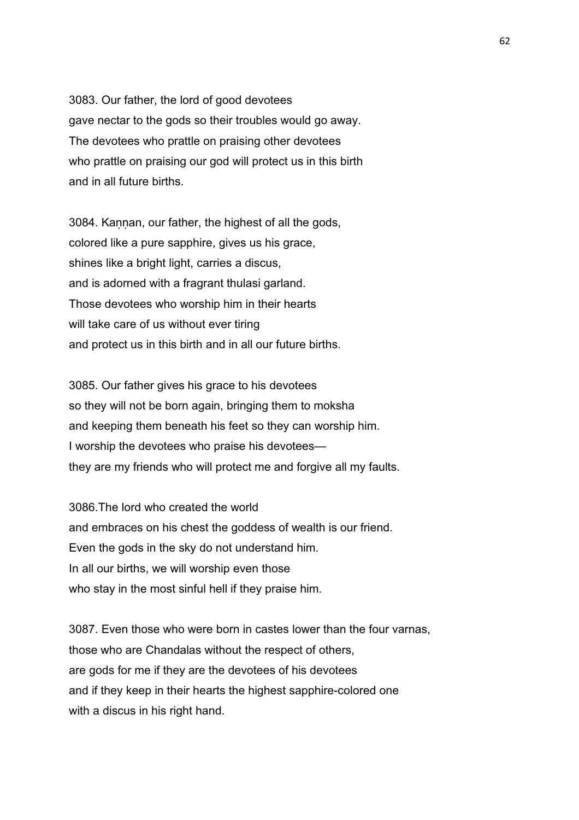3083. Our father, the lord of good devotees gave nectar to the gods so their troubles would go away. The devotees who prattle on praising other devotees who prattle on praising our god will protect us in this birth and in all future births.

3084. Kaṇṇan, our father, the highest of all the gods, colored like a pure sapphire, gives us his grace, shines like a bright light, carries a discus, and is adorned with a fragrant thulasi garland. Those devotees who worship him in their hearts will take care of us without ever tiring and protect us in this birth and in all our future births.

3085. Our father gives his grace to his devotees so they will not be born again, bringing them to moksha and keeping them beneath his feet so they can worship him. I worship the devotees who praise his devotees they are my friends who will protect me and forgive all my faults.

3086.The lord who created the world and embraces on his chest the goddess of wealth is our friend. Even the gods in the sky do not understand him. In all our births, we will worship even those who stay in the most sinful hell if they praise him.

3087. Even those who were born in castes lower than the four varnas, those who are Chandalas without the respect of others, are gods for me if they are the devotees of his devotees and if they keep in their hearts the highest sapphire-colored one with a discus in his right hand.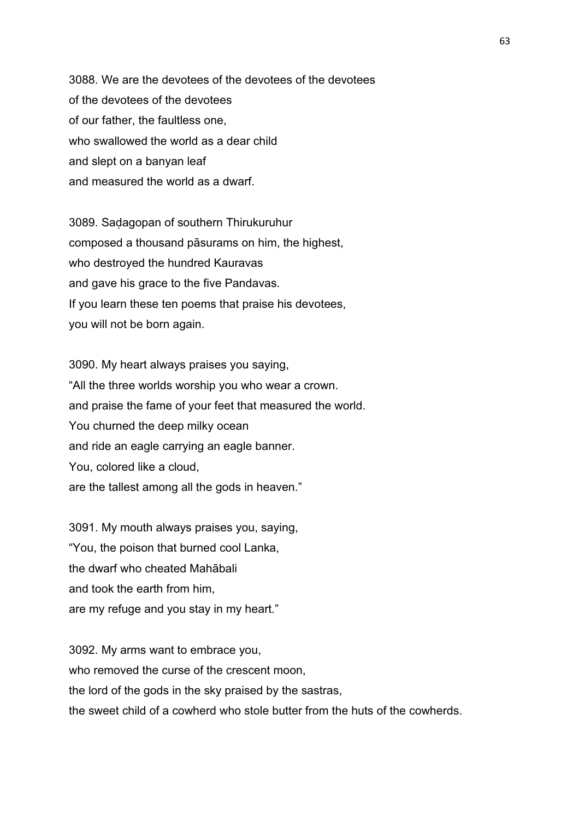3088. We are the devotees of the devotees of the devotees of the devotees of the devotees of our father, the faultless one, who swallowed the world as a dear child and slept on a banyan leaf and measured the world as a dwarf.

3089. Saḍagopan of southern Thirukuruhur composed a thousand pāsurams on him, the highest, who destroyed the hundred Kauravas and gave his grace to the five Pandavas. If you learn these ten poems that praise his devotees, you will not be born again.

3090. My heart always praises you saying, "All the three worlds worship you who wear a crown. and praise the fame of your feet that measured the world. You churned the deep milky ocean and ride an eagle carrying an eagle banner. You, colored like a cloud, are the tallest among all the gods in heaven."

3091. My mouth always praises you, saying, "You, the poison that burned cool Lanka, the dwarf who cheated Mahābali and took the earth from him, are my refuge and you stay in my heart."

3092. My arms want to embrace you, who removed the curse of the crescent moon. the lord of the gods in the sky praised by the sastras, the sweet child of a cowherd who stole butter from the huts of the cowherds.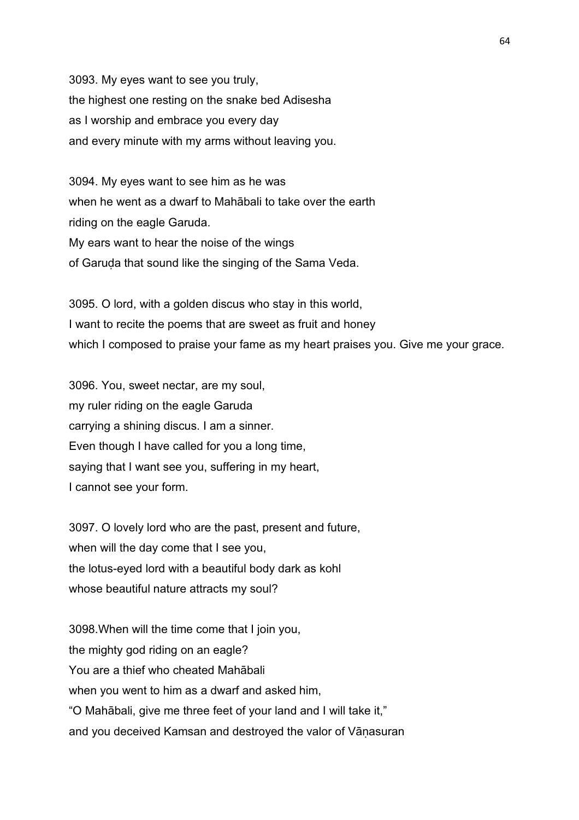3093. My eyes want to see you truly, the highest one resting on the snake bed Adisesha as I worship and embrace you every day and every minute with my arms without leaving you.

3094. My eyes want to see him as he was when he went as a dwarf to Mahābali to take over the earth riding on the eagle Garuda. My ears want to hear the noise of the wings of Garuḍa that sound like the singing of the Sama Veda.

3095. O lord, with a golden discus who stay in this world, I want to recite the poems that are sweet as fruit and honey which I composed to praise your fame as my heart praises you. Give me your grace.

3096. You, sweet nectar, are my soul, my ruler riding on the eagle Garuda carrying a shining discus. I am a sinner. Even though I have called for you a long time, saying that I want see you, suffering in my heart, I cannot see your form.

3097. O lovely lord who are the past, present and future, when will the day come that I see you, the lotus-eyed lord with a beautiful body dark as kohl whose beautiful nature attracts my soul?

3098.When will the time come that I join you, the mighty god riding on an eagle? You are a thief who cheated Mahābali when you went to him as a dwarf and asked him. "O Mahābali, give me three feet of your land and I will take it," and you deceived Kamsan and destroyed the valor of Vāṇasuran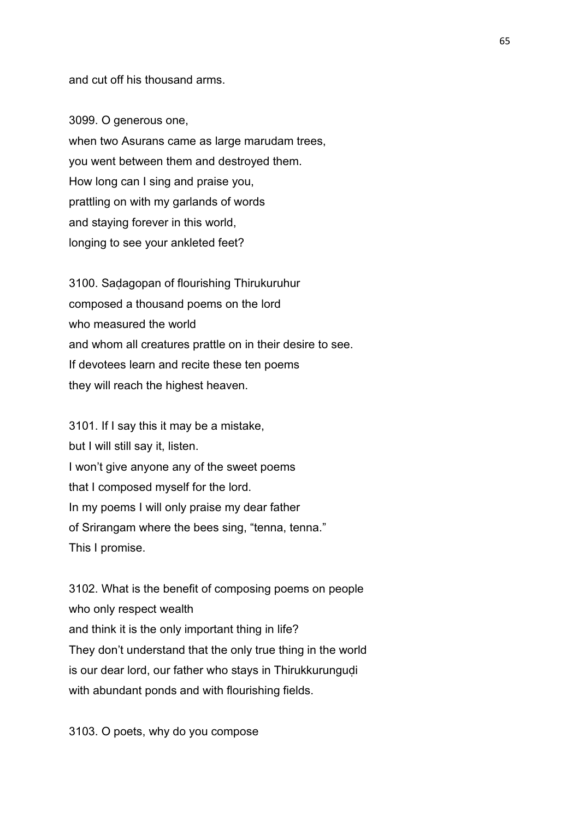and cut off his thousand arms.

3099. O generous one, when two Asurans came as large marudam trees, you went between them and destroyed them. How long can I sing and praise you, prattling on with my garlands of words and staying forever in this world, longing to see your ankleted feet?

3100. Saḍagopan of flourishing Thirukuruhur composed a thousand poems on the lord who measured the world and whom all creatures prattle on in their desire to see. If devotees learn and recite these ten poems they will reach the highest heaven.

3101. If I say this it may be a mistake, but I will still say it, listen. I won't give anyone any of the sweet poems that I composed myself for the lord. In my poems I will only praise my dear father of Srirangam where the bees sing, "tenna, tenna." This I promise.

3102. What is the benefit of composing poems on people who only respect wealth and think it is the only important thing in life? They don't understand that the only true thing in the world is our dear lord, our father who stays in Thirukkurungudi with abundant ponds and with flourishing fields.

3103. O poets, why do you compose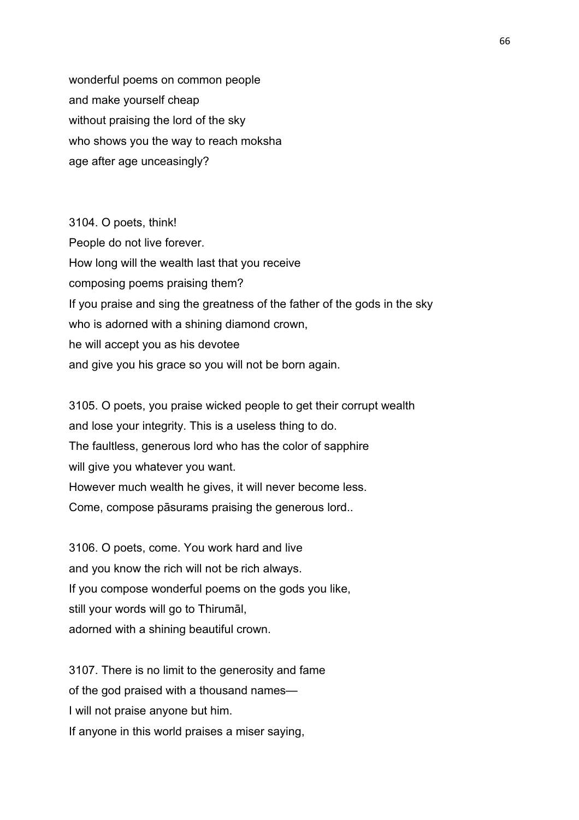wonderful poems on common people and make yourself cheap without praising the lord of the sky who shows you the way to reach moksha age after age unceasingly?

3104. O poets, think! People do not live forever. How long will the wealth last that you receive composing poems praising them? If you praise and sing the greatness of the father of the gods in the sky who is adorned with a shining diamond crown, he will accept you as his devotee and give you his grace so you will not be born again.

3105. O poets, you praise wicked people to get their corrupt wealth and lose your integrity. This is a useless thing to do. The faultless, generous lord who has the color of sapphire will give you whatever you want. However much wealth he gives, it will never become less. Come, compose pāsurams praising the generous lord..

3106. O poets, come. You work hard and live and you know the rich will not be rich always. If you compose wonderful poems on the gods you like, still your words will go to Thirumāl, adorned with a shining beautiful crown.

3107. There is no limit to the generosity and fame of the god praised with a thousand names— I will not praise anyone but him. If anyone in this world praises a miser saying,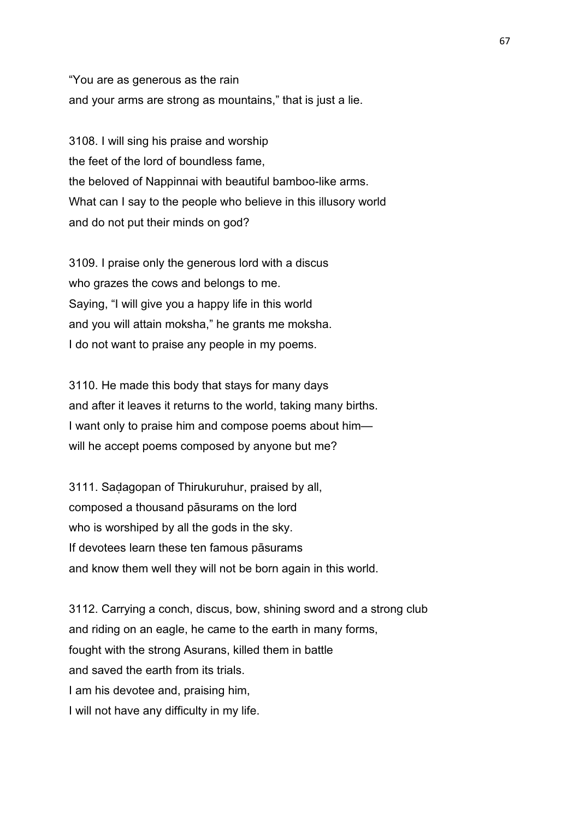"You are as generous as the rain and your arms are strong as mountains," that is just a lie.

3108. I will sing his praise and worship the feet of the lord of boundless fame, the beloved of Nappinnai with beautiful bamboo-like arms. What can I say to the people who believe in this illusory world and do not put their minds on god?

3109. I praise only the generous lord with a discus who grazes the cows and belongs to me. Saying, "I will give you a happy life in this world and you will attain moksha," he grants me moksha. I do not want to praise any people in my poems.

3110. He made this body that stays for many days and after it leaves it returns to the world, taking many births. I want only to praise him and compose poems about him will he accept poems composed by anyone but me?

3111. Saḍagopan of Thirukuruhur, praised by all, composed a thousand pāsurams on the lord who is worshiped by all the gods in the sky. If devotees learn these ten famous pāsurams and know them well they will not be born again in this world.

3112. Carrying a conch, discus, bow, shining sword and a strong club and riding on an eagle, he came to the earth in many forms, fought with the strong Asurans, killed them in battle and saved the earth from its trials. I am his devotee and, praising him, I will not have any difficulty in my life.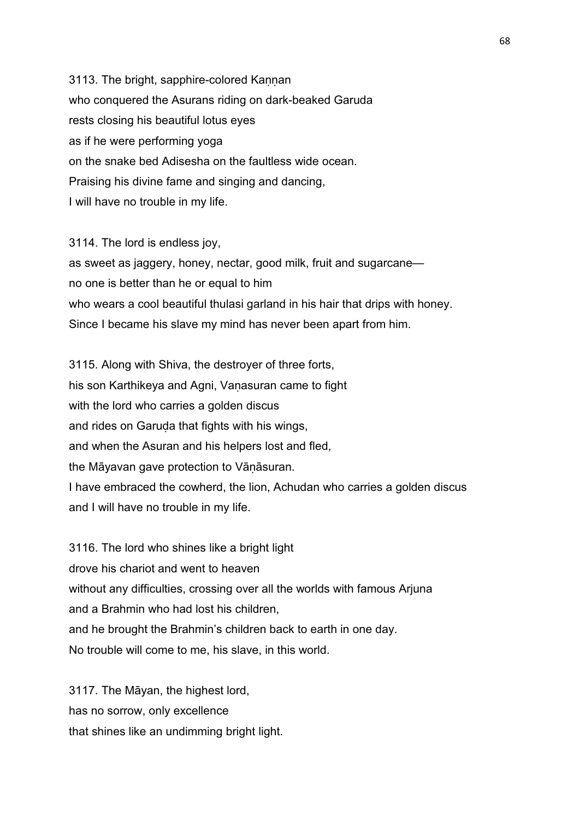3113. The bright, sapphire-colored Kannan who conquered the Asurans riding on dark-beaked Garuda rests closing his beautiful lotus eyes as if he were performing yoga on the snake bed Adisesha on the faultless wide ocean. Praising his divine fame and singing and dancing, I will have no trouble in my life.

3114. The lord is endless joy, as sweet as jaggery, honey, nectar, good milk, fruit and sugarcane no one is better than he or equal to him who wears a cool beautiful thulasi garland in his hair that drips with honey. Since I became his slave my mind has never been apart from him.

3115. Along with Shiva, the destroyer of three forts, his son Karthikeya and Agni, Vanasuran came to fight with the lord who carries a golden discus and rides on Garuḍa that fights with his wings, and when the Asuran and his helpers lost and fled, the Māyavan gave protection to Vāṇāsuran. I have embraced the cowherd, the lion, Achudan who carries a golden discus and I will have no trouble in my life.

3116. The lord who shines like a bright light drove his chariot and went to heaven without any difficulties, crossing over all the worlds with famous Arjuna and a Brahmin who had lost his children, and he brought the Brahmin's children back to earth in one day. No trouble will come to me, his slave, in this world.

3117. The Māyan, the highest lord, has no sorrow, only excellence that shines like an undimming bright light.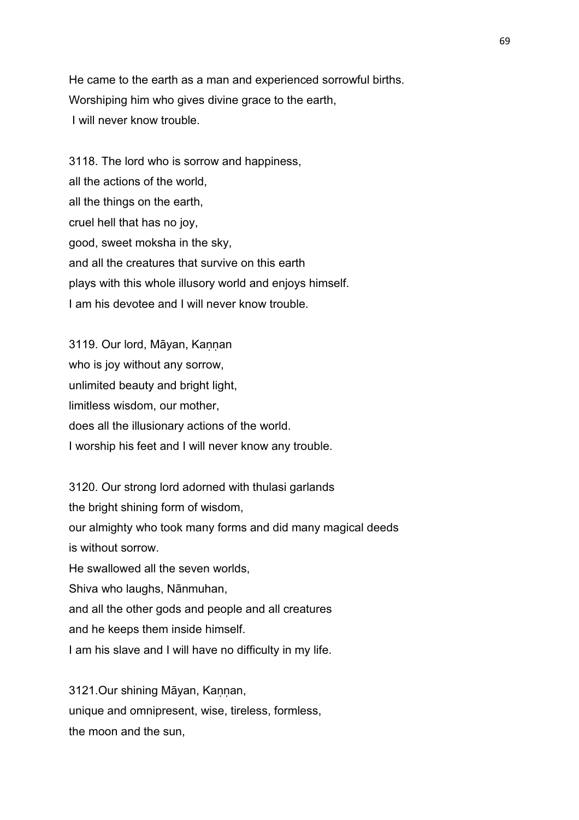He came to the earth as a man and experienced sorrowful births. Worshiping him who gives divine grace to the earth, I will never know trouble.

3118. The lord who is sorrow and happiness, all the actions of the world, all the things on the earth, cruel hell that has no joy, good, sweet moksha in the sky, and all the creatures that survive on this earth plays with this whole illusory world and enjoys himself. I am his devotee and I will never know trouble.

3119. Our lord, Māyan, Kannan who is joy without any sorrow, unlimited beauty and bright light, limitless wisdom, our mother, does all the illusionary actions of the world. I worship his feet and I will never know any trouble.

3120. Our strong lord adorned with thulasi garlands the bright shining form of wisdom, our almighty who took many forms and did many magical deeds is without sorrow. He swallowed all the seven worlds, Shiva who laughs, Nānmuhan, and all the other gods and people and all creatures and he keeps them inside himself. I am his slave and I will have no difficulty in my life.

3121.Our shining Māyan, Kannan, unique and omnipresent, wise, tireless, formless, the moon and the sun,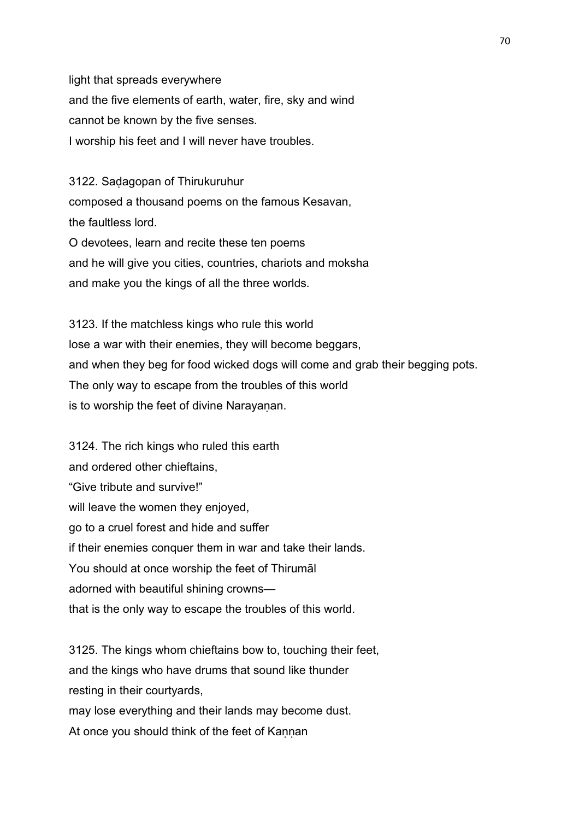light that spreads everywhere and the five elements of earth, water, fire, sky and wind cannot be known by the five senses. I worship his feet and I will never have troubles.

3122. Saḍagopan of Thirukuruhur composed a thousand poems on the famous Kesavan, the faultless lord. O devotees, learn and recite these ten poems and he will give you cities, countries, chariots and moksha and make you the kings of all the three worlds.

3123. If the matchless kings who rule this world lose a war with their enemies, they will become beggars, and when they beg for food wicked dogs will come and grab their begging pots. The only way to escape from the troubles of this world is to worship the feet of divine Narayanan.

3124. The rich kings who ruled this earth and ordered other chieftains, "Give tribute and survive!" will leave the women they enjoyed, go to a cruel forest and hide and suffer if their enemies conquer them in war and take their lands. You should at once worship the feet of Thirumāl adorned with beautiful shining crowns that is the only way to escape the troubles of this world.

3125. The kings whom chieftains bow to, touching their feet, and the kings who have drums that sound like thunder resting in their courtyards,

may lose everything and their lands may become dust.

At once you should think of the feet of Kannan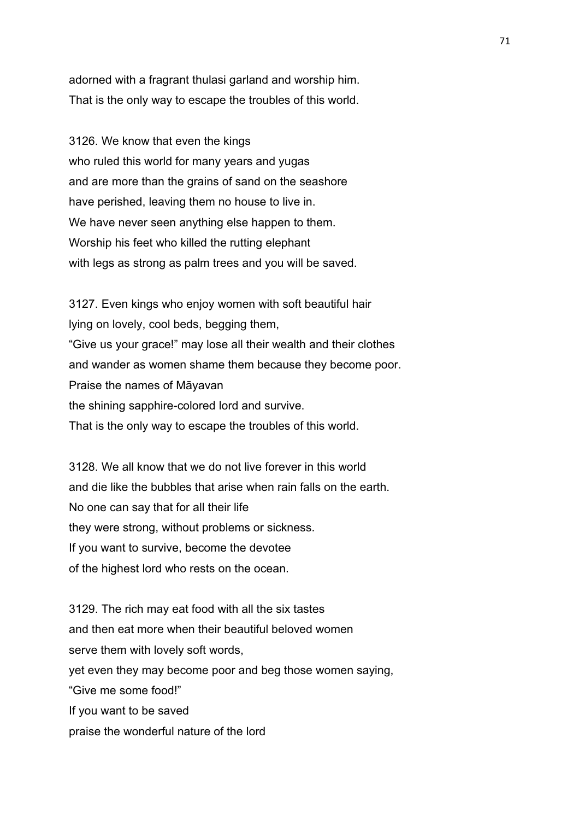adorned with a fragrant thulasi garland and worship him. That is the only way to escape the troubles of this world.

3126. We know that even the kings who ruled this world for many years and yugas and are more than the grains of sand on the seashore have perished, leaving them no house to live in. We have never seen anything else happen to them. Worship his feet who killed the rutting elephant with legs as strong as palm trees and you will be saved.

3127. Even kings who enjoy women with soft beautiful hair lying on lovely, cool beds, begging them, "Give us your grace!" may lose all their wealth and their clothes and wander as women shame them because they become poor. Praise the names of Māyavan the shining sapphire-colored lord and survive. That is the only way to escape the troubles of this world.

3128. We all know that we do not live forever in this world and die like the bubbles that arise when rain falls on the earth. No one can say that for all their life they were strong, without problems or sickness. If you want to survive, become the devotee of the highest lord who rests on the ocean.

3129. The rich may eat food with all the six tastes and then eat more when their beautiful beloved women serve them with lovely soft words, yet even they may become poor and beg those women saying, "Give me some food!" If you want to be saved praise the wonderful nature of the lord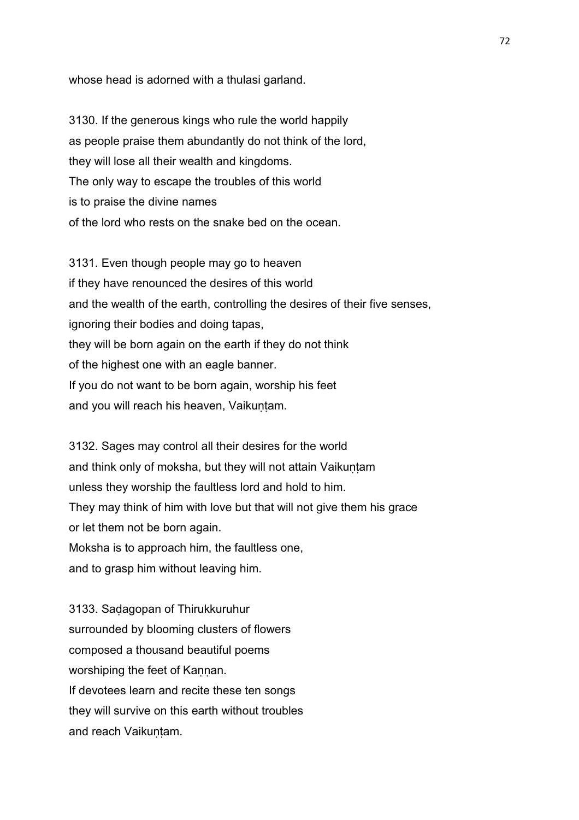whose head is adorned with a thulasi garland.

3130. If the generous kings who rule the world happily as people praise them abundantly do not think of the lord, they will lose all their wealth and kingdoms. The only way to escape the troubles of this world is to praise the divine names of the lord who rests on the snake bed on the ocean.

3131. Even though people may go to heaven if they have renounced the desires of this world and the wealth of the earth, controlling the desires of their five senses, ignoring their bodies and doing tapas, they will be born again on the earth if they do not think of the highest one with an eagle banner. If you do not want to be born again, worship his feet and you will reach his heaven, Vaikuntam.

3132. Sages may control all their desires for the world and think only of moksha, but they will not attain Vaikuntam unless they worship the faultless lord and hold to him. They may think of him with love but that will not give them his grace or let them not be born again. Moksha is to approach him, the faultless one, and to grasp him without leaving him.

3133. Saḍagopan of Thirukkuruhur surrounded by blooming clusters of flowers composed a thousand beautiful poems worshiping the feet of Kannan. If devotees learn and recite these ten songs they will survive on this earth without troubles and reach Vaikuntam.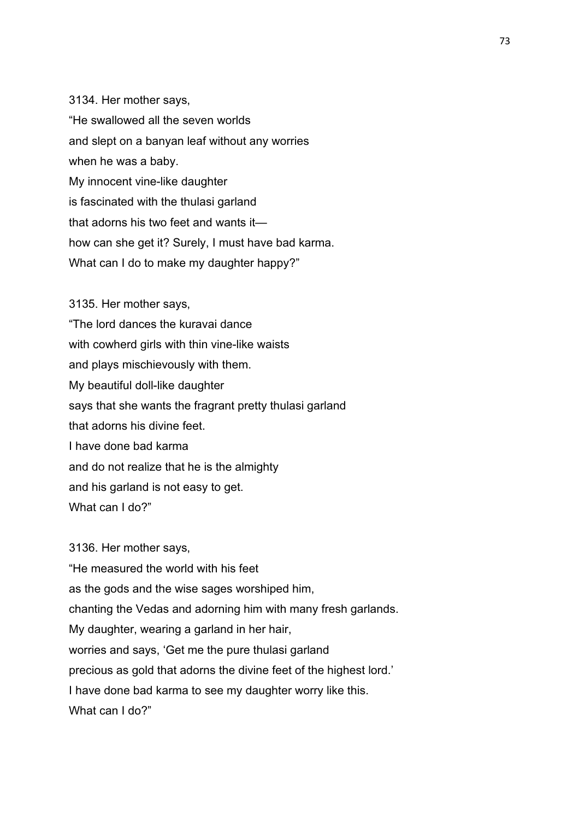3134. Her mother says, "He swallowed all the seven worlds and slept on a banyan leaf without any worries when he was a baby. My innocent vine-like daughter is fascinated with the thulasi garland that adorns his two feet and wants it how can she get it? Surely, I must have bad karma. What can I do to make my daughter happy?"

3135. Her mother says, "The lord dances the kuravai dance with cowherd girls with thin vine-like waists and plays mischievously with them. My beautiful doll-like daughter says that she wants the fragrant pretty thulasi garland that adorns his divine feet. I have done bad karma and do not realize that he is the almighty and his garland is not easy to get. What can I do?"

3136. Her mother says, "He measured the world with his feet as the gods and the wise sages worshiped him, chanting the Vedas and adorning him with many fresh garlands. My daughter, wearing a garland in her hair, worries and says, 'Get me the pure thulasi garland precious as gold that adorns the divine feet of the highest lord.' I have done bad karma to see my daughter worry like this. What can I do?"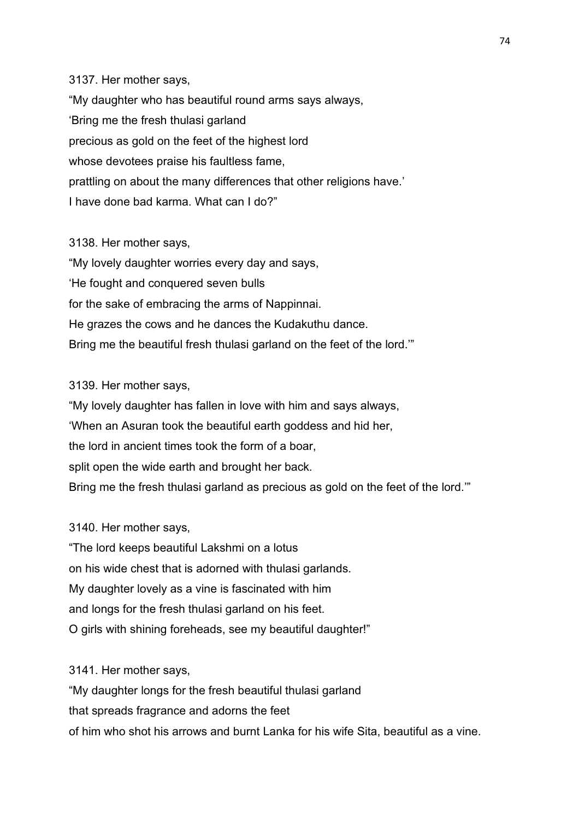3137. Her mother says, "My daughter who has beautiful round arms says always, 'Bring me the fresh thulasi garland precious as gold on the feet of the highest lord whose devotees praise his faultless fame. prattling on about the many differences that other religions have.' I have done bad karma. What can I do?"

3138. Her mother says, "My lovely daughter worries every day and says, 'He fought and conquered seven bulls for the sake of embracing the arms of Nappinnai. He grazes the cows and he dances the Kudakuthu dance. Bring me the beautiful fresh thulasi garland on the feet of the lord.'"

#### 3139. Her mother says,

"My lovely daughter has fallen in love with him and says always, 'When an Asuran took the beautiful earth goddess and hid her, the lord in ancient times took the form of a boar, split open the wide earth and brought her back. Bring me the fresh thulasi garland as precious as gold on the feet of the lord.'"

3140. Her mother says,

"The lord keeps beautiful Lakshmi on a lotus on his wide chest that is adorned with thulasi garlands. My daughter lovely as a vine is fascinated with him and longs for the fresh thulasi garland on his feet. O girls with shining foreheads, see my beautiful daughter!"

3141. Her mother says,

"My daughter longs for the fresh beautiful thulasi garland that spreads fragrance and adorns the feet of him who shot his arrows and burnt Lanka for his wife Sita, beautiful as a vine.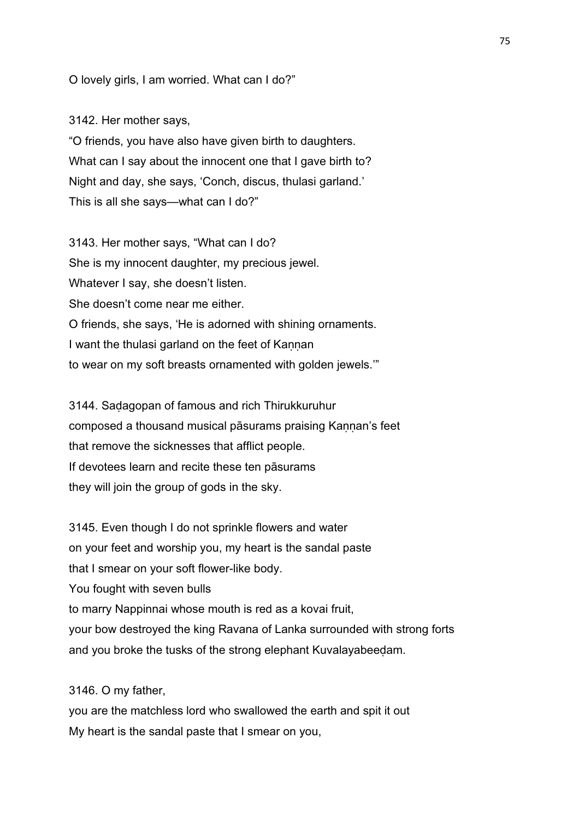O lovely girls, I am worried. What can I do?"

3142. Her mother says, "O friends, you have also have given birth to daughters. What can I say about the innocent one that I gave birth to? Night and day, she says, 'Conch, discus, thulasi garland.' This is all she says—what can I do?"

3143. Her mother says, "What can I do? She is my innocent daughter, my precious jewel. Whatever I say, she doesn't listen. She doesn't come near me either. O friends, she says, 'He is adorned with shining ornaments. I want the thulasi garland on the feet of Kannan to wear on my soft breasts ornamented with golden jewels.'"

3144. Saḍagopan of famous and rich Thirukkuruhur composed a thousand musical pāsurams praising Kannan's feet that remove the sicknesses that afflict people. If devotees learn and recite these ten pāsurams they will join the group of gods in the sky.

3145. Even though I do not sprinkle flowers and water on your feet and worship you, my heart is the sandal paste that I smear on your soft flower-like body. You fought with seven bulls to marry Nappinnai whose mouth is red as a kovai fruit, your bow destroyed the king Ravana of Lanka surrounded with strong forts and you broke the tusks of the strong elephant Kuvalayabeeḍam.

3146. O my father,

you are the matchless lord who swallowed the earth and spit it out My heart is the sandal paste that I smear on you,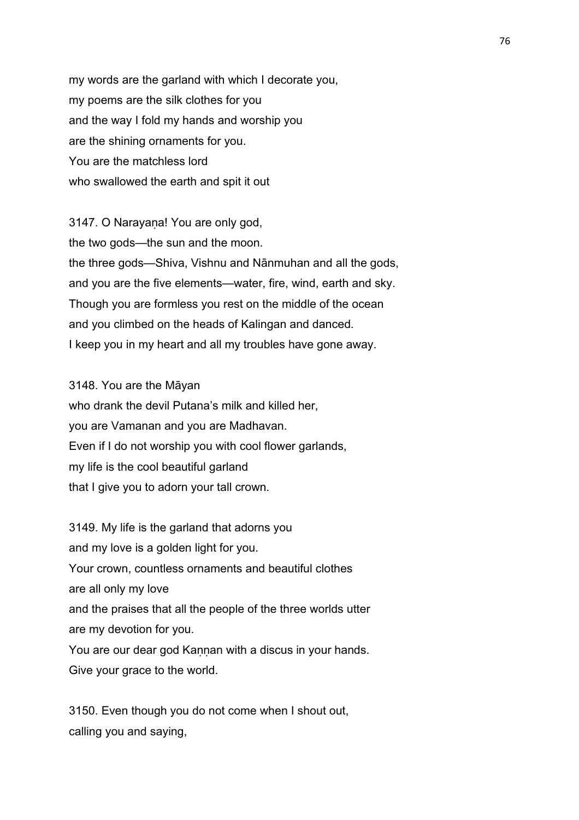my words are the garland with which I decorate you, my poems are the silk clothes for you and the way I fold my hands and worship you are the shining ornaments for you. You are the matchless lord who swallowed the earth and spit it out

3147. O Narayaṇa! You are only god, the two gods—the sun and the moon. the three gods—Shiva, Vishnu and Nānmuhan and all the gods, and you are the five elements—water, fire, wind, earth and sky. Though you are formless you rest on the middle of the ocean and you climbed on the heads of Kalingan and danced. I keep you in my heart and all my troubles have gone away.

3148. You are the Māyan who drank the devil Putana's milk and killed her, you are Vamanan and you are Madhavan. Even if I do not worship you with cool flower garlands, my life is the cool beautiful garland that I give you to adorn your tall crown.

3149. My life is the garland that adorns you and my love is a golden light for you. Your crown, countless ornaments and beautiful clothes are all only my love and the praises that all the people of the three worlds utter are my devotion for you. You are our dear god Kannan with a discus in your hands. Give your grace to the world.

3150. Even though you do not come when I shout out, calling you and saying,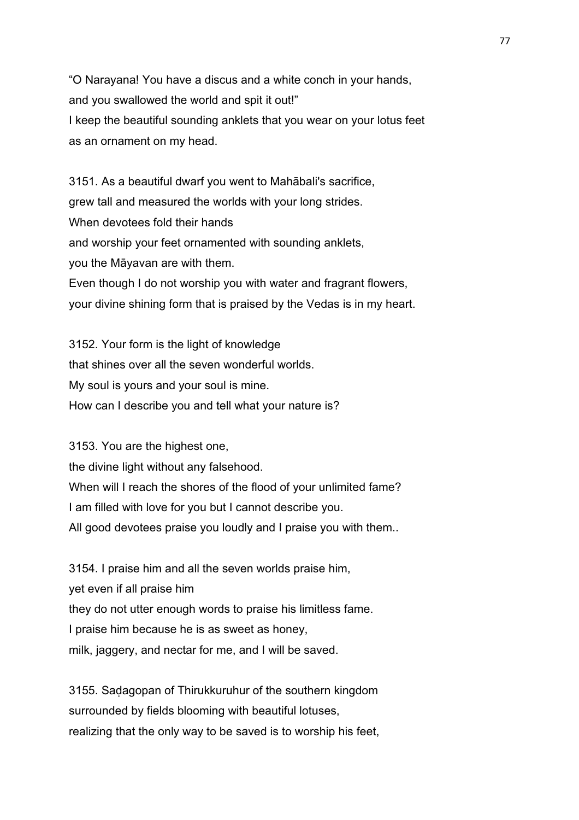"O Narayana! You have a discus and a white conch in your hands, and you swallowed the world and spit it out!" I keep the beautiful sounding anklets that you wear on your lotus feet as an ornament on my head.

3151. As a beautiful dwarf you went to Mahābali's sacrifice, grew tall and measured the worlds with your long strides. When devotees fold their hands and worship your feet ornamented with sounding anklets, you the Māyavan are with them. Even though I do not worship you with water and fragrant flowers, your divine shining form that is praised by the Vedas is in my heart.

3152. Your form is the light of knowledge that shines over all the seven wonderful worlds. My soul is yours and your soul is mine. How can I describe you and tell what your nature is?

3153. You are the highest one, the divine light without any falsehood. When will I reach the shores of the flood of your unlimited fame? I am filled with love for you but I cannot describe you. All good devotees praise you loudly and I praise you with them..

3154. I praise him and all the seven worlds praise him, yet even if all praise him they do not utter enough words to praise his limitless fame. I praise him because he is as sweet as honey, milk, jaggery, and nectar for me, and I will be saved.

3155. Saḍagopan of Thirukkuruhur of the southern kingdom surrounded by fields blooming with beautiful lotuses, realizing that the only way to be saved is to worship his feet,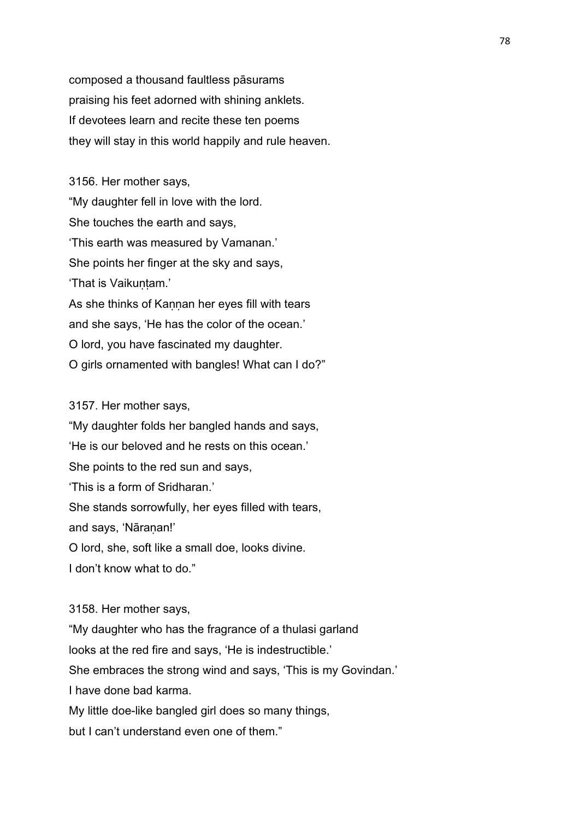composed a thousand faultless pāsurams praising his feet adorned with shining anklets. If devotees learn and recite these ten poems they will stay in this world happily and rule heaven.

3156. Her mother says, "My daughter fell in love with the lord. She touches the earth and says, 'This earth was measured by Vamanan.' She points her finger at the sky and says, 'That is Vaikuntam.' As she thinks of Kannan her eyes fill with tears and she says, 'He has the color of the ocean.' O lord, you have fascinated my daughter. O girls ornamented with bangles! What can I do?"

3157. Her mother says,

"My daughter folds her bangled hands and says, 'He is our beloved and he rests on this ocean.' She points to the red sun and says, 'This is a form of Sridharan.' She stands sorrowfully, her eyes filled with tears, and says, 'Nāraṇan!' O lord, she, soft like a small doe, looks divine. I don't know what to do."

3158. Her mother says,

"My daughter who has the fragrance of a thulasi garland

looks at the red fire and says, 'He is indestructible.'

She embraces the strong wind and says, 'This is my Govindan.'

I have done bad karma.

My little doe-like bangled girl does so many things,

but I can't understand even one of them."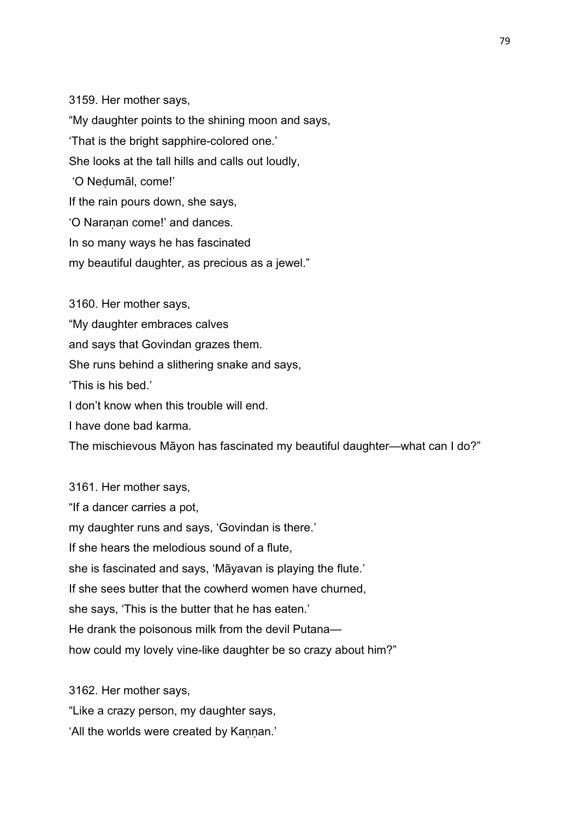3159. Her mother says, "My daughter points to the shining moon and says, 'That is the bright sapphire-colored one.' She looks at the tall hills and calls out loudly, 'O Neḍumāl, come!' If the rain pours down, she says, 'O Naranan come!' and dances. In so many ways he has fascinated my beautiful daughter, as precious as a jewel."

3160. Her mother says, "My daughter embraces calves

and says that Govindan grazes them.

She runs behind a slithering snake and says,

'This is his bed.'

I don't know when this trouble will end.

I have done bad karma.

The mischievous Māyon has fascinated my beautiful daughter—what can I do?"

3161. Her mother says, "If a dancer carries a pot, my daughter runs and says, 'Govindan is there.' If she hears the melodious sound of a flute, she is fascinated and says, 'Māyavan is playing the flute.' If she sees butter that the cowherd women have churned, she says, 'This is the butter that he has eaten.' He drank the poisonous milk from the devil Putana how could my lovely vine-like daughter be so crazy about him?"

3162. Her mother says,

"Like a crazy person, my daughter says,

'All the worlds were created by Kannan.'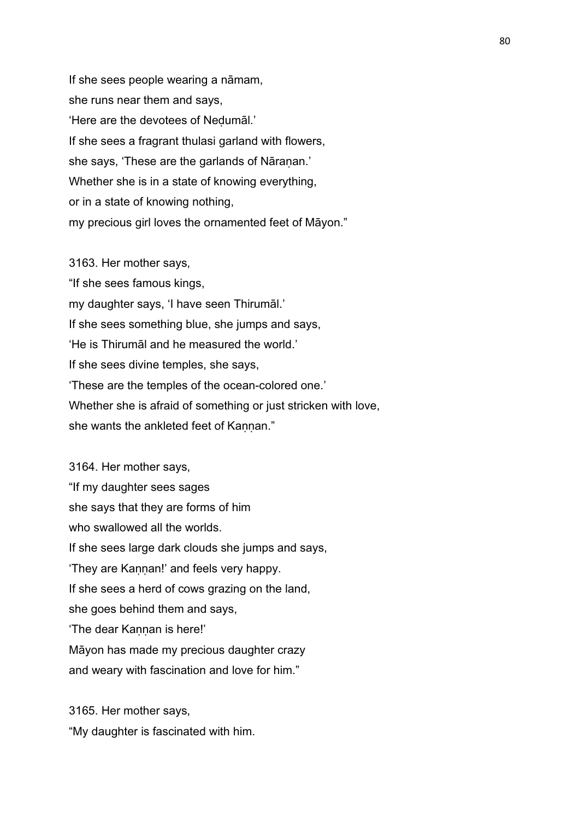If she sees people wearing a nāmam, she runs near them and says, 'Here are the devotees of Neḍumāl.' If she sees a fragrant thulasi garland with flowers, she says, 'These are the garlands of Nāranan.' Whether she is in a state of knowing everything, or in a state of knowing nothing, my precious girl loves the ornamented feet of Māyon."

3163. Her mother says, "If she sees famous kings, my daughter says, 'I have seen Thirumāl.' If she sees something blue, she jumps and says, 'He is Thirumāl and he measured the world.' If she sees divine temples, she says, 'These are the temples of the ocean-colored one.' Whether she is afraid of something or just stricken with love, she wants the ankleted feet of Kannan."

3164. Her mother says, "If my daughter sees sages she says that they are forms of him who swallowed all the worlds. If she sees large dark clouds she jumps and says, 'They are Kannan!' and feels very happy. If she sees a herd of cows grazing on the land, she goes behind them and says, 'The dear Kaṇṇan is here!' Māyon has made my precious daughter crazy and weary with fascination and love for him."

3165. Her mother says, "My daughter is fascinated with him.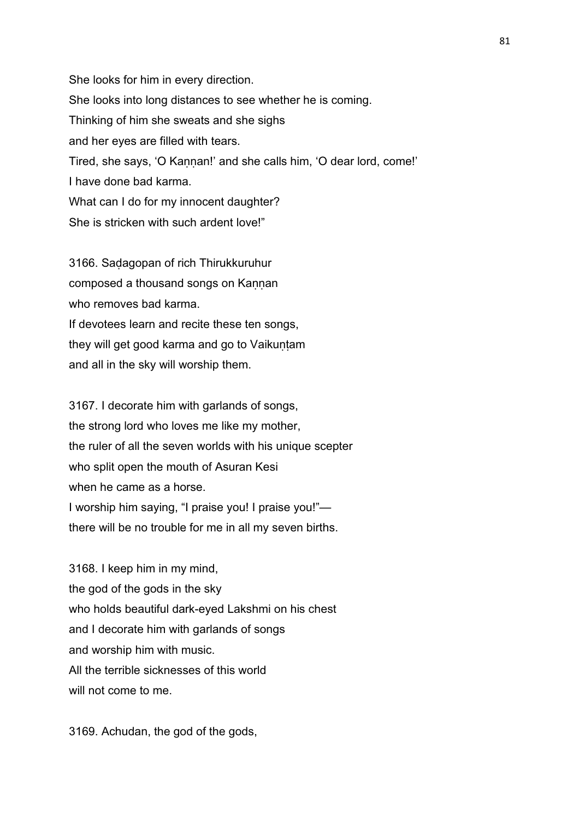She looks for him in every direction. She looks into long distances to see whether he is coming. Thinking of him she sweats and she sighs and her eyes are filled with tears. Tired, she says, 'O Kannan!' and she calls him, 'O dear lord, come!' I have done bad karma. What can I do for my innocent daughter? She is stricken with such ardent love!"

3166. Saḍagopan of rich Thirukkuruhur composed a thousand songs on Kannan who removes bad karma. If devotees learn and recite these ten songs, they will get good karma and go to Vaikuntam and all in the sky will worship them.

3167. I decorate him with garlands of songs, the strong lord who loves me like my mother, the ruler of all the seven worlds with his unique scepter who split open the mouth of Asuran Kesi when he came as a horse. I worship him saying, "I praise you! I praise you!" there will be no trouble for me in all my seven births.

3168. I keep him in my mind, the god of the gods in the sky who holds beautiful dark-eyed Lakshmi on his chest and I decorate him with garlands of songs and worship him with music. All the terrible sicknesses of this world will not come to me.

3169. Achudan, the god of the gods,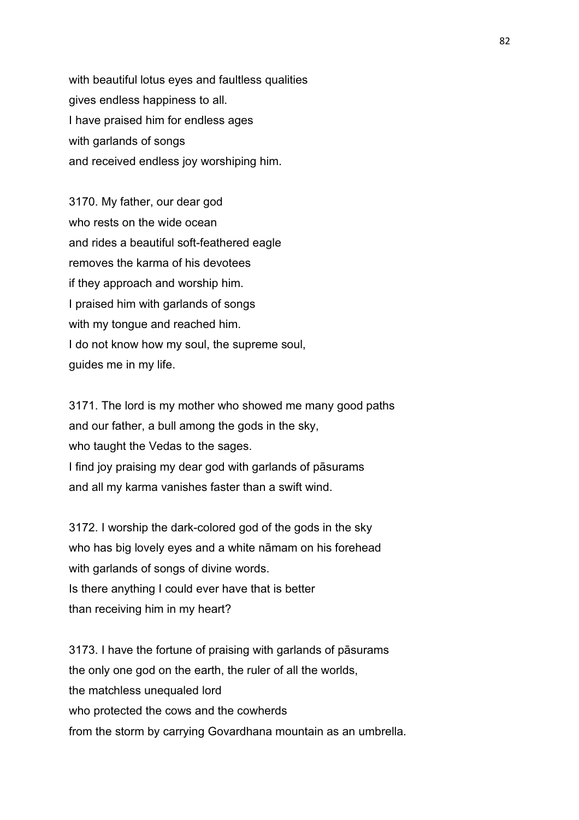with beautiful lotus eyes and faultless qualities gives endless happiness to all. I have praised him for endless ages with garlands of songs and received endless joy worshiping him.

3170. My father, our dear god who rests on the wide ocean and rides a beautiful soft-feathered eagle removes the karma of his devotees if they approach and worship him. I praised him with garlands of songs with my tongue and reached him. I do not know how my soul, the supreme soul, guides me in my life.

3171. The lord is my mother who showed me many good paths and our father, a bull among the gods in the sky, who taught the Vedas to the sages. I find joy praising my dear god with garlands of pāsurams and all my karma vanishes faster than a swift wind.

3172. I worship the dark-colored god of the gods in the sky who has big lovely eyes and a white nāmam on his forehead with garlands of songs of divine words. Is there anything I could ever have that is better than receiving him in my heart?

3173. I have the fortune of praising with garlands of pāsurams the only one god on the earth, the ruler of all the worlds, the matchless unequaled lord who protected the cows and the cowherds from the storm by carrying Govardhana mountain as an umbrella.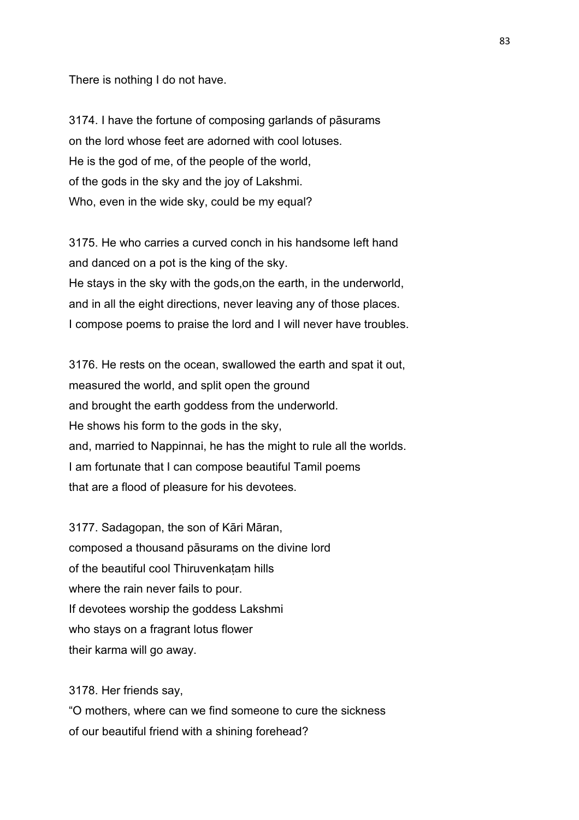There is nothing I do not have.

3174. I have the fortune of composing garlands of pāsurams on the lord whose feet are adorned with cool lotuses. He is the god of me, of the people of the world, of the gods in the sky and the joy of Lakshmi. Who, even in the wide sky, could be my equal?

3175. He who carries a curved conch in his handsome left hand and danced on a pot is the king of the sky. He stays in the sky with the gods,on the earth, in the underworld, and in all the eight directions, never leaving any of those places. I compose poems to praise the lord and I will never have troubles.

3176. He rests on the ocean, swallowed the earth and spat it out, measured the world, and split open the ground and brought the earth goddess from the underworld. He shows his form to the gods in the sky, and, married to Nappinnai, he has the might to rule all the worlds. I am fortunate that I can compose beautiful Tamil poems that are a flood of pleasure for his devotees.

3177. Sadagopan, the son of Kāri Māran, composed a thousand pāsurams on the divine lord of the beautiful cool Thiruvenkaṭam hills where the rain never fails to pour. If devotees worship the goddess Lakshmi who stays on a fragrant lotus flower their karma will go away.

3178. Her friends say,

"O mothers, where can we find someone to cure the sickness of our beautiful friend with a shining forehead?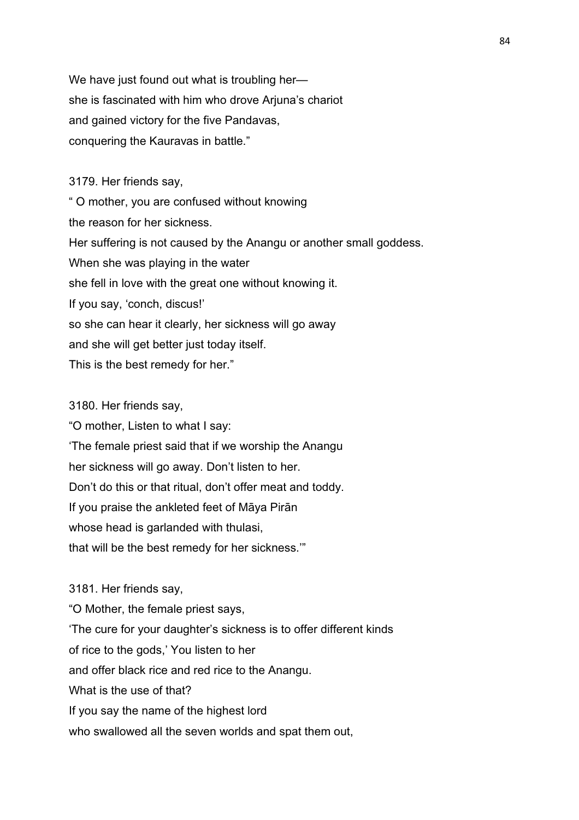We have just found out what is troubling hershe is fascinated with him who drove Arjuna's chariot and gained victory for the five Pandavas, conquering the Kauravas in battle."

3179. Her friends say,

" O mother, you are confused without knowing the reason for her sickness. Her suffering is not caused by the Anangu or another small goddess. When she was playing in the water she fell in love with the great one without knowing it. If you say, 'conch, discus!' so she can hear it clearly, her sickness will go away and she will get better just today itself. This is the best remedy for her."

3180. Her friends say,

"O mother, Listen to what I say: 'The female priest said that if we worship the Anangu her sickness will go away. Don't listen to her. Don't do this or that ritual, don't offer meat and toddy. If you praise the ankleted feet of Māya Pirān whose head is garlanded with thulasi, that will be the best remedy for her sickness.'"

3181. Her friends say, "O Mother, the female priest says, 'The cure for your daughter's sickness is to offer different kinds of rice to the gods,' You listen to her and offer black rice and red rice to the Anangu. What is the use of that? If you say the name of the highest lord who swallowed all the seven worlds and spat them out,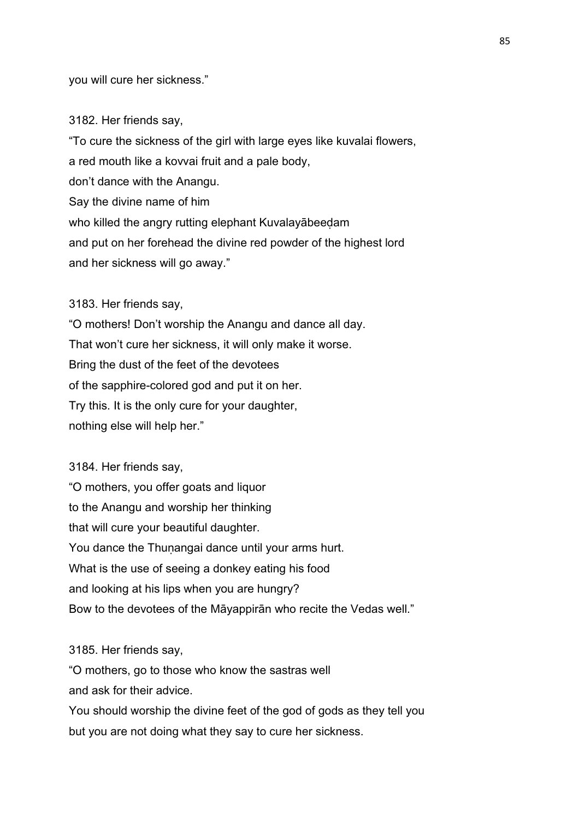you will cure her sickness."

3182. Her friends say,

"To cure the sickness of the girl with large eyes like kuvalai flowers, a red mouth like a kovvai fruit and a pale body, don't dance with the Anangu. Say the divine name of him who killed the angry rutting elephant Kuvalayābeeḍam and put on her forehead the divine red powder of the highest lord and her sickness will go away."

3183. Her friends say,

"O mothers! Don't worship the Anangu and dance all day. That won't cure her sickness, it will only make it worse. Bring the dust of the feet of the devotees of the sapphire-colored god and put it on her. Try this. It is the only cure for your daughter, nothing else will help her."

3184. Her friends say, "O mothers, you offer goats and liquor to the Anangu and worship her thinking that will cure your beautiful daughter. You dance the Thunangai dance until your arms hurt. What is the use of seeing a donkey eating his food and looking at his lips when you are hungry? Bow to the devotees of the Māyappirān who recite the Vedas well."

3185. Her friends say,

"O mothers, go to those who know the sastras well and ask for their advice.

You should worship the divine feet of the god of gods as they tell you but you are not doing what they say to cure her sickness.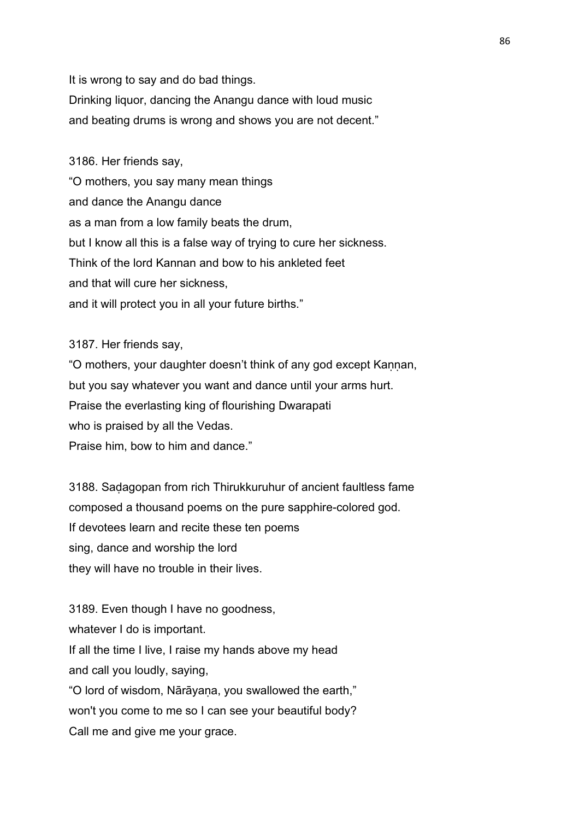It is wrong to say and do bad things. Drinking liquor, dancing the Anangu dance with loud music and beating drums is wrong and shows you are not decent."

3186. Her friends say, "O mothers, you say many mean things and dance the Anangu dance as a man from a low family beats the drum, but I know all this is a false way of trying to cure her sickness. Think of the lord Kannan and bow to his ankleted feet and that will cure her sickness, and it will protect you in all your future births."

3187. Her friends say,

"O mothers, your daughter doesn't think of any god except Kannan, but you say whatever you want and dance until your arms hurt. Praise the everlasting king of flourishing Dwarapati who is praised by all the Vedas. Praise him, bow to him and dance."

3188. Saḍagopan from rich Thirukkuruhur of ancient faultless fame composed a thousand poems on the pure sapphire-colored god. If devotees learn and recite these ten poems sing, dance and worship the lord they will have no trouble in their lives.

3189. Even though I have no goodness, whatever I do is important. If all the time I live, I raise my hands above my head and call you loudly, saying, "O lord of wisdom, Nārāyaṇa, you swallowed the earth," won't you come to me so I can see your beautiful body? Call me and give me your grace.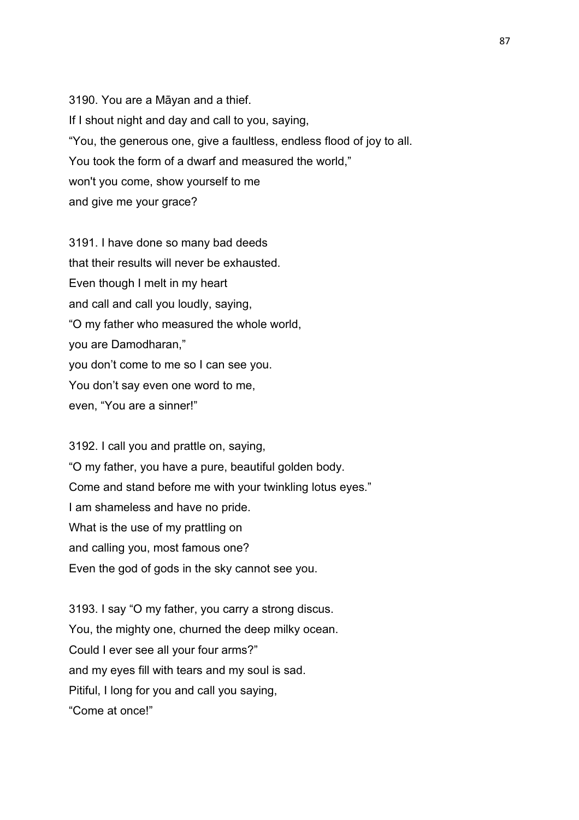3190. You are a Māyan and a thief. If I shout night and day and call to you, saying, "You, the generous one, give a faultless, endless flood of joy to all. You took the form of a dwarf and measured the world," won't you come, show yourself to me and give me your grace?

3191. I have done so many bad deeds that their results will never be exhausted. Even though I melt in my heart and call and call you loudly, saying, "O my father who measured the whole world, you are Damodharan," you don't come to me so I can see you. You don't say even one word to me, even, "You are a sinner!"

3192. I call you and prattle on, saying, "O my father, you have a pure, beautiful golden body. Come and stand before me with your twinkling lotus eyes." I am shameless and have no pride. What is the use of my prattling on and calling you, most famous one? Even the god of gods in the sky cannot see you.

3193. I say "O my father, you carry a strong discus. You, the mighty one, churned the deep milky ocean. Could I ever see all your four arms?" and my eyes fill with tears and my soul is sad. Pitiful, I long for you and call you saying, "Come at once!"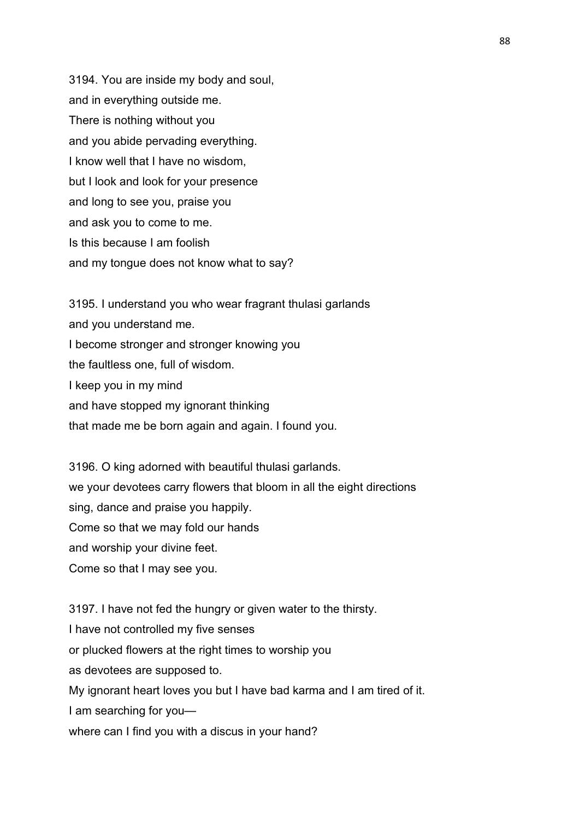3194. You are inside my body and soul, and in everything outside me. There is nothing without you and you abide pervading everything. I know well that I have no wisdom, but I look and look for your presence and long to see you, praise you and ask you to come to me. Is this because I am foolish and my tongue does not know what to say?

3195. I understand you who wear fragrant thulasi garlands and you understand me. I become stronger and stronger knowing you the faultless one, full of wisdom. I keep you in my mind and have stopped my ignorant thinking that made me be born again and again. I found you.

3196. O king adorned with beautiful thulasi garlands. we your devotees carry flowers that bloom in all the eight directions sing, dance and praise you happily. Come so that we may fold our hands and worship your divine feet. Come so that I may see you.

3197. I have not fed the hungry or given water to the thirsty. I have not controlled my five senses or plucked flowers at the right times to worship you as devotees are supposed to. My ignorant heart loves you but I have bad karma and I am tired of it. I am searching for you where can I find you with a discus in your hand?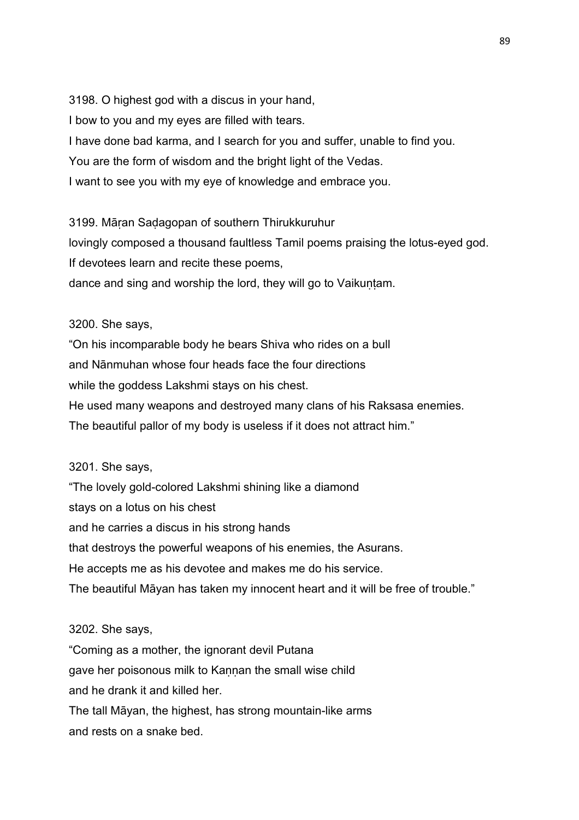3198. O highest god with a discus in your hand, I bow to you and my eyes are filled with tears. I have done bad karma, and I search for you and suffer, unable to find you. You are the form of wisdom and the bright light of the Vedas. I want to see you with my eye of knowledge and embrace you.

3199. Māṛan Saḍagopan of southern Thirukkuruhur lovingly composed a thousand faultless Tamil poems praising the lotus-eyed god. If devotees learn and recite these poems, dance and sing and worship the lord, they will go to Vaikuntam.

# 3200. She says,

"On his incomparable body he bears Shiva who rides on a bull and Nānmuhan whose four heads face the four directions while the goddess Lakshmi stays on his chest. He used many weapons and destroyed many clans of his Raksasa enemies. The beautiful pallor of my body is useless if it does not attract him."

# 3201. She says,

"The lovely gold-colored Lakshmi shining like a diamond stays on a lotus on his chest and he carries a discus in his strong hands that destroys the powerful weapons of his enemies, the Asurans. He accepts me as his devotee and makes me do his service. The beautiful Māyan has taken my innocent heart and it will be free of trouble."

# 3202. She says,

"Coming as a mother, the ignorant devil Putana gave her poisonous milk to Kannan the small wise child and he drank it and killed her. The tall Māyan, the highest, has strong mountain-like arms and rests on a snake bed.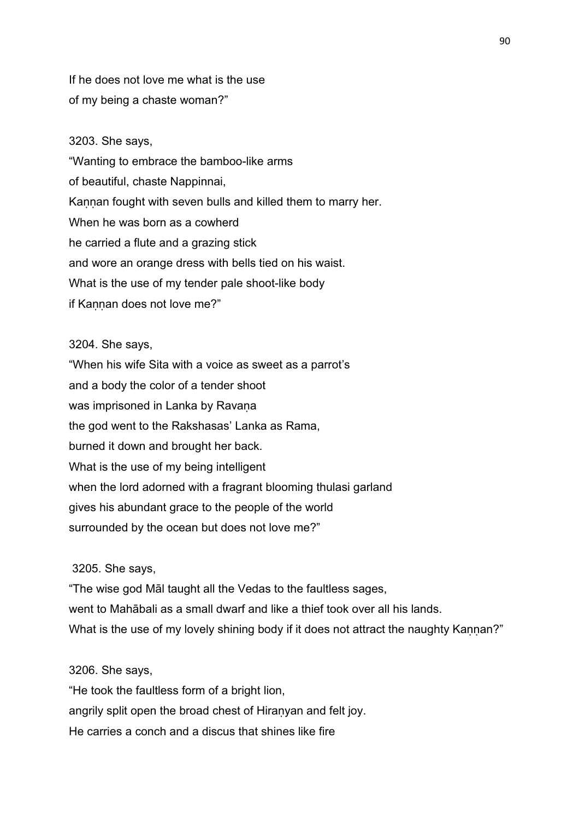If he does not love me what is the use of my being a chaste woman?"

### 3203. She says,

"Wanting to embrace the bamboo-like arms of beautiful, chaste Nappinnai, Kannan fought with seven bulls and killed them to marry her. When he was born as a cowherd he carried a flute and a grazing stick and wore an orange dress with bells tied on his waist. What is the use of my tender pale shoot-like body if Kannan does not love me?"

#### 3204. She says,

"When his wife Sita with a voice as sweet as a parrot's and a body the color of a tender shoot was imprisoned in Lanka by Ravana the god went to the Rakshasas' Lanka as Rama, burned it down and brought her back. What is the use of my being intelligent when the lord adorned with a fragrant blooming thulasi garland gives his abundant grace to the people of the world surrounded by the ocean but does not love me?"

# 3205. She says,

"The wise god Māl taught all the Vedas to the faultless sages, went to Mahābali as a small dwarf and like a thief took over all his lands. What is the use of my lovely shining body if it does not attract the naughty Kannan?"

### 3206. She says,

"He took the faultless form of a bright lion, angrily split open the broad chest of Hiranyan and felt joy. He carries a conch and a discus that shines like fire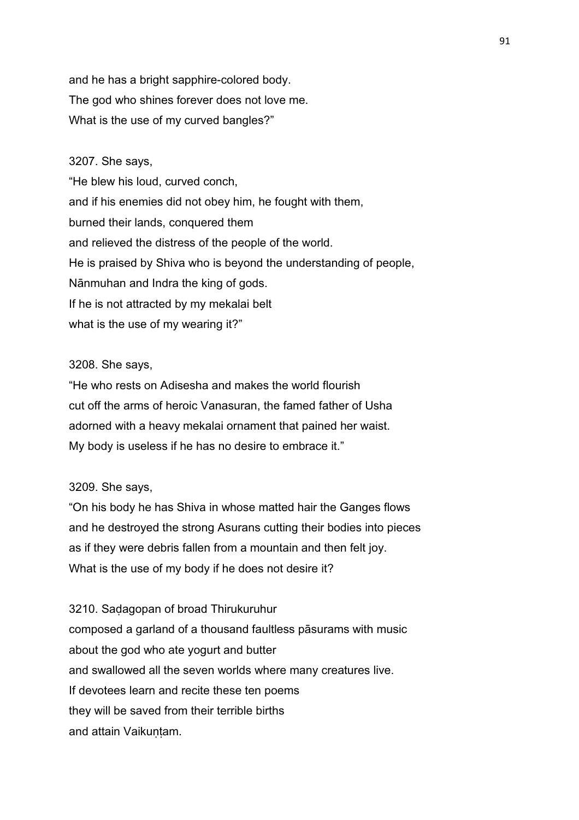and he has a bright sapphire-colored body. The god who shines forever does not love me. What is the use of my curved bangles?"

# 3207. She says,

"He blew his loud, curved conch, and if his enemies did not obey him, he fought with them, burned their lands, conquered them and relieved the distress of the people of the world. He is praised by Shiva who is beyond the understanding of people, Nānmuhan and Indra the king of gods. If he is not attracted by my mekalai belt what is the use of my wearing it?"

# 3208. She says,

"He who rests on Adisesha and makes the world flourish cut off the arms of heroic Vanasuran, the famed father of Usha adorned with a heavy mekalai ornament that pained her waist. My body is useless if he has no desire to embrace it."

# 3209. She says,

"On his body he has Shiva in whose matted hair the Ganges flows and he destroyed the strong Asurans cutting their bodies into pieces as if they were debris fallen from a mountain and then felt joy. What is the use of my body if he does not desire it?

3210. Saḍagopan of broad Thirukuruhur composed a garland of a thousand faultless pāsurams with music about the god who ate yogurt and butter and swallowed all the seven worlds where many creatures live. If devotees learn and recite these ten poems they will be saved from their terrible births and attain Vaikuntam.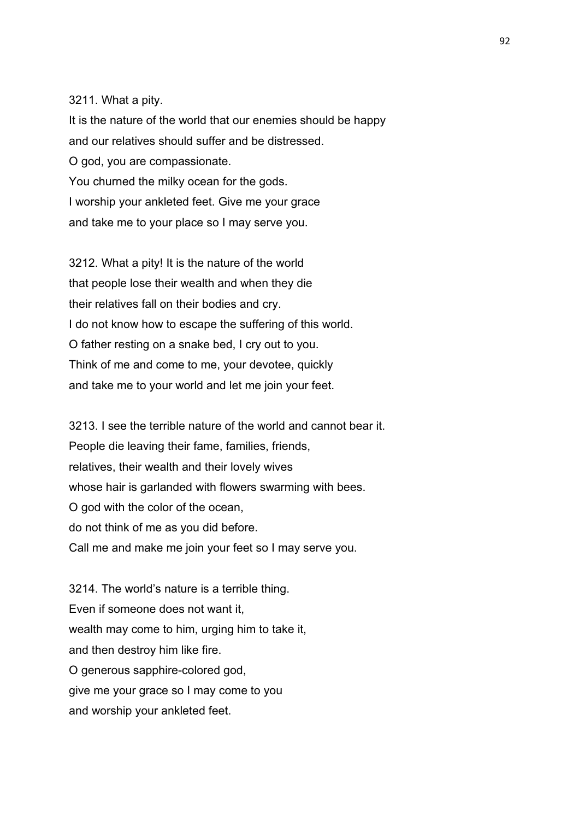#### 3211. What a pity.

It is the nature of the world that our enemies should be happy and our relatives should suffer and be distressed. O god, you are compassionate. You churned the milky ocean for the gods. I worship your ankleted feet. Give me your grace and take me to your place so I may serve you.

3212. What a pity! It is the nature of the world that people lose their wealth and when they die their relatives fall on their bodies and cry. I do not know how to escape the suffering of this world. O father resting on a snake bed, I cry out to you. Think of me and come to me, your devotee, quickly and take me to your world and let me join your feet.

3213. I see the terrible nature of the world and cannot bear it. People die leaving their fame, families, friends, relatives, their wealth and their lovely wives whose hair is garlanded with flowers swarming with bees. O god with the color of the ocean, do not think of me as you did before. Call me and make me join your feet so I may serve you.

3214. The world's nature is a terrible thing. Even if someone does not want it, wealth may come to him, urging him to take it, and then destroy him like fire. O generous sapphire-colored god, give me your grace so I may come to you and worship your ankleted feet.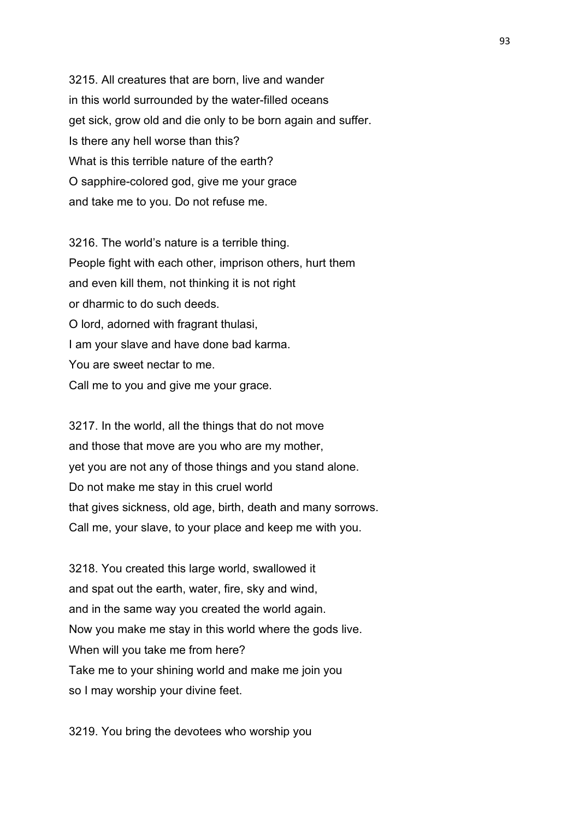3215. All creatures that are born, live and wander in this world surrounded by the water-filled oceans get sick, grow old and die only to be born again and suffer. Is there any hell worse than this? What is this terrible nature of the earth? O sapphire-colored god, give me your grace and take me to you. Do not refuse me.

3216. The world's nature is a terrible thing. People fight with each other, imprison others, hurt them and even kill them, not thinking it is not right or dharmic to do such deeds. O lord, adorned with fragrant thulasi, I am your slave and have done bad karma. You are sweet nectar to me. Call me to you and give me your grace.

3217. In the world, all the things that do not move and those that move are you who are my mother, yet you are not any of those things and you stand alone. Do not make me stay in this cruel world that gives sickness, old age, birth, death and many sorrows. Call me, your slave, to your place and keep me with you.

3218. You created this large world, swallowed it and spat out the earth, water, fire, sky and wind, and in the same way you created the world again. Now you make me stay in this world where the gods live. When will you take me from here? Take me to your shining world and make me join you so I may worship your divine feet.

3219. You bring the devotees who worship you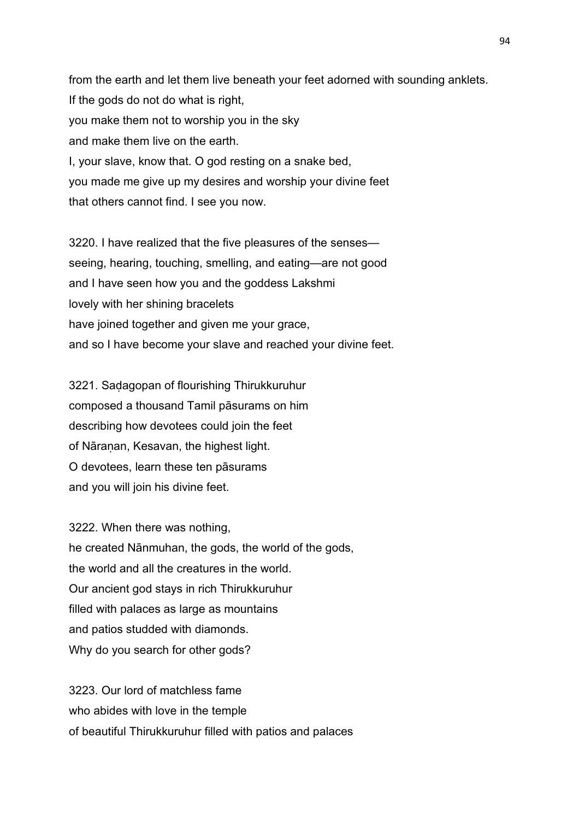from the earth and let them live beneath your feet adorned with sounding anklets. If the gods do not do what is right, you make them not to worship you in the sky and make them live on the earth. I, your slave, know that. O god resting on a snake bed, you made me give up my desires and worship your divine feet that others cannot find. I see you now.

3220. I have realized that the five pleasures of the senses seeing, hearing, touching, smelling, and eating—are not good and I have seen how you and the goddess Lakshmi lovely with her shining bracelets have joined together and given me your grace, and so I have become your slave and reached your divine feet.

3221. Saḍagopan of flourishing Thirukkuruhur composed a thousand Tamil pāsurams on him describing how devotees could join the feet of Nāraṇan, Kesavan, the highest light. O devotees, learn these ten pāsurams and you will join his divine feet.

3222. When there was nothing, he created Nānmuhan, the gods, the world of the gods, the world and all the creatures in the world. Our ancient god stays in rich Thirukkuruhur filled with palaces as large as mountains and patios studded with diamonds. Why do you search for other gods?

3223. Our lord of matchless fame who abides with love in the temple of beautiful Thirukkuruhur filled with patios and palaces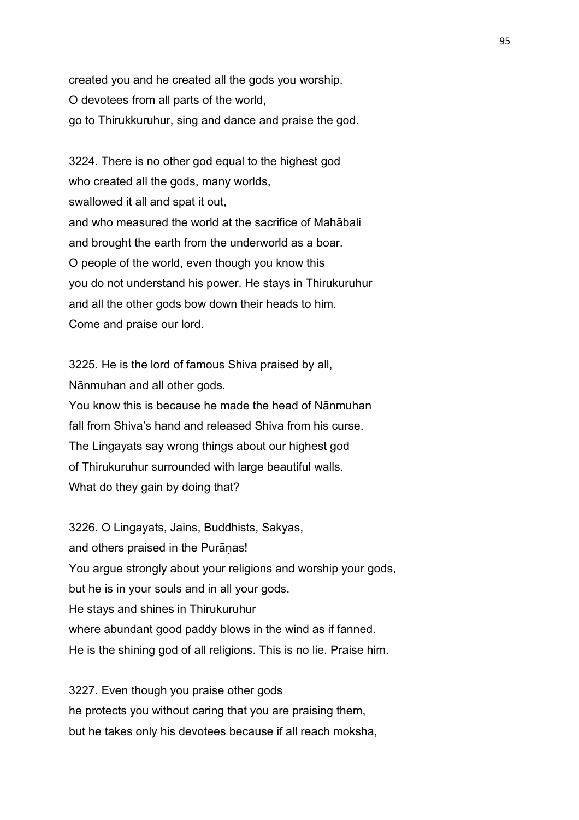created you and he created all the gods you worship. O devotees from all parts of the world, go to Thirukkuruhur, sing and dance and praise the god.

3224. There is no other god equal to the highest god who created all the gods, many worlds, swallowed it all and spat it out, and who measured the world at the sacrifice of Mahābali and brought the earth from the underworld as a boar. O people of the world, even though you know this you do not understand his power. He stays in Thirukuruhur and all the other gods bow down their heads to him. Come and praise our lord.

3225. He is the lord of famous Shiva praised by all, Nānmuhan and all other gods.

You know this is because he made the head of Nānmuhan fall from Shiva's hand and released Shiva from his curse. The Lingayats say wrong things about our highest god of Thirukuruhur surrounded with large beautiful walls. What do they gain by doing that?

3226. O Lingayats, Jains, Buddhists, Sakyas, and others praised in the Purāṇas! You argue strongly about your religions and worship your gods, but he is in your souls and in all your gods. He stays and shines in Thirukuruhur where abundant good paddy blows in the wind as if fanned. He is the shining god of all religions. This is no lie. Praise him.

3227. Even though you praise other gods he protects you without caring that you are praising them, but he takes only his devotees because if all reach moksha,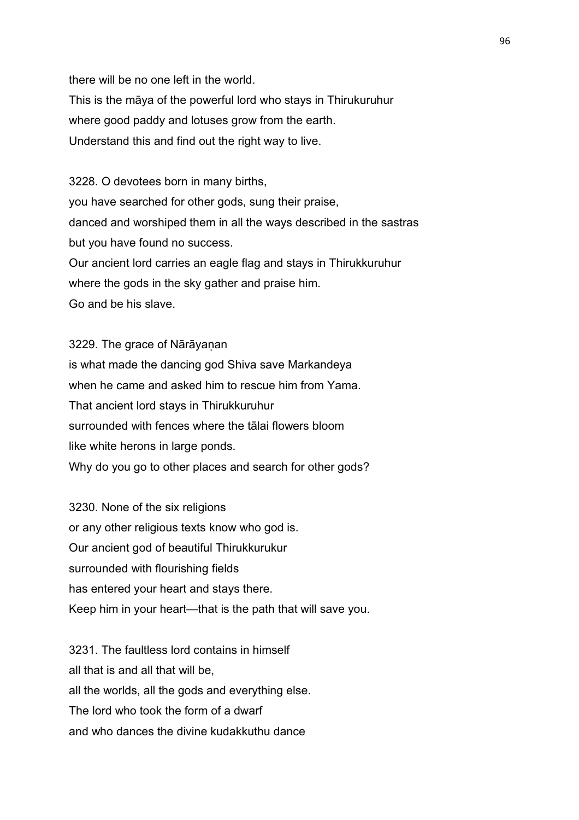there will be no one left in the world. This is the māya of the powerful lord who stays in Thirukuruhur where good paddy and lotuses grow from the earth. Understand this and find out the right way to live.

3228. O devotees born in many births, you have searched for other gods, sung their praise, danced and worshiped them in all the ways described in the sastras but you have found no success. Our ancient lord carries an eagle flag and stays in Thirukkuruhur where the gods in the sky gather and praise him. Go and be his slave.

3229. The grace of Nārāyanan is what made the dancing god Shiva save Markandeya when he came and asked him to rescue him from Yama. That ancient lord stays in Thirukkuruhur surrounded with fences where the tālai flowers bloom like white herons in large ponds. Why do you go to other places and search for other gods?

3230. None of the six religions or any other religious texts know who god is. Our ancient god of beautiful Thirukkurukur surrounded with flourishing fields has entered your heart and stays there. Keep him in your heart—that is the path that will save you.

3231. The faultless lord contains in himself all that is and all that will be, all the worlds, all the gods and everything else. The lord who took the form of a dwarf and who dances the divine kudakkuthu dance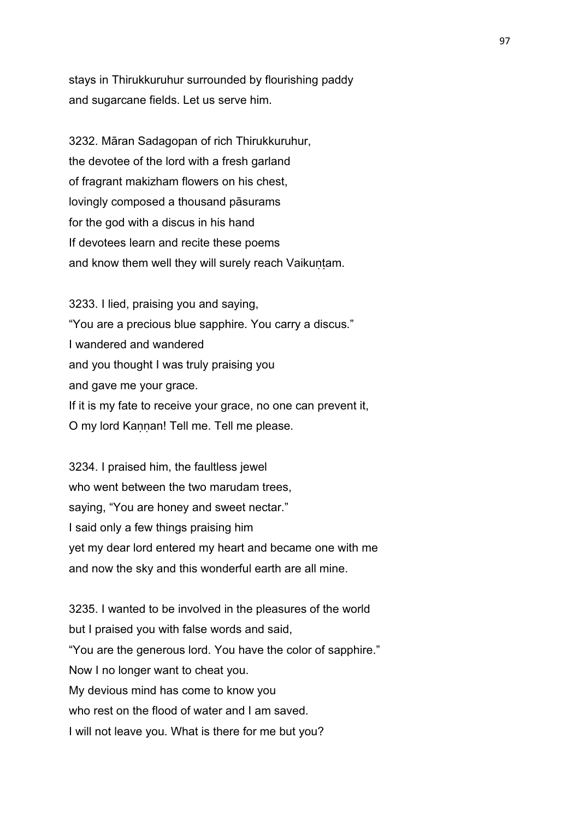stays in Thirukkuruhur surrounded by flourishing paddy and sugarcane fields. Let us serve him.

3232. Māran Sadagopan of rich Thirukkuruhur, the devotee of the lord with a fresh garland of fragrant makizham flowers on his chest, lovingly composed a thousand pāsurams for the god with a discus in his hand If devotees learn and recite these poems and know them well they will surely reach Vaikuṇṭam.

3233. I lied, praising you and saying, "You are a precious blue sapphire. You carry a discus." I wandered and wandered and you thought I was truly praising you and gave me your grace. If it is my fate to receive your grace, no one can prevent it, O my lord Kaṇṇan! Tell me. Tell me please.

3234. I praised him, the faultless jewel who went between the two marudam trees, saying, "You are honey and sweet nectar." I said only a few things praising him yet my dear lord entered my heart and became one with me and now the sky and this wonderful earth are all mine.

3235. I wanted to be involved in the pleasures of the world but I praised you with false words and said, "You are the generous lord. You have the color of sapphire." Now I no longer want to cheat you. My devious mind has come to know you who rest on the flood of water and I am saved. I will not leave you. What is there for me but you?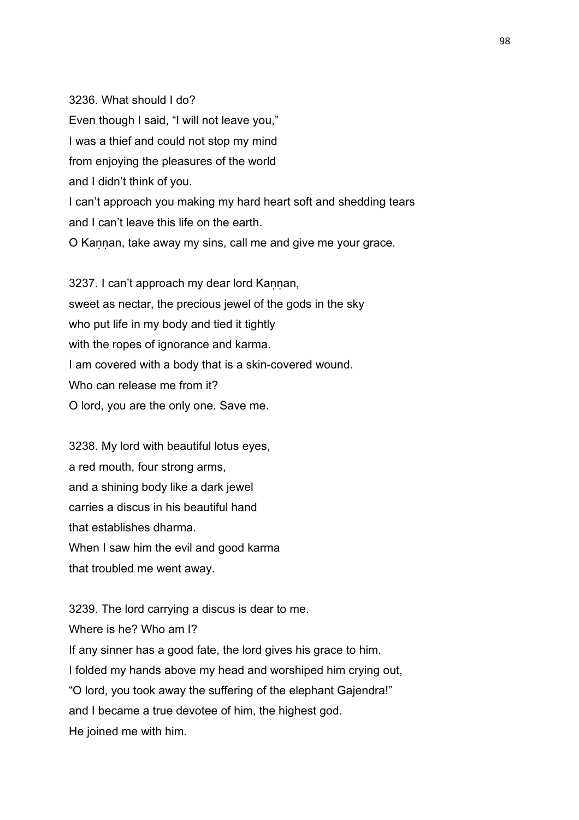3236. What should I do? Even though I said, "I will not leave you," I was a thief and could not stop my mind from enjoying the pleasures of the world and I didn't think of you. I can't approach you making my hard heart soft and shedding tears and I can't leave this life on the earth. O Kannan, take away my sins, call me and give me your grace.

3237. I can't approach my dear lord Kaṇṇan, sweet as nectar, the precious jewel of the gods in the sky who put life in my body and tied it tightly with the ropes of ignorance and karma. I am covered with a body that is a skin-covered wound. Who can release me from it? O lord, you are the only one. Save me.

3238. My lord with beautiful lotus eyes, a red mouth, four strong arms, and a shining body like a dark jewel carries a discus in his beautiful hand that establishes dharma. When I saw him the evil and good karma that troubled me went away.

3239. The lord carrying a discus is dear to me. Where is he? Who am I? If any sinner has a good fate, the lord gives his grace to him. I folded my hands above my head and worshiped him crying out, "O lord, you took away the suffering of the elephant Gajendra!" and I became a true devotee of him, the highest god. He joined me with him.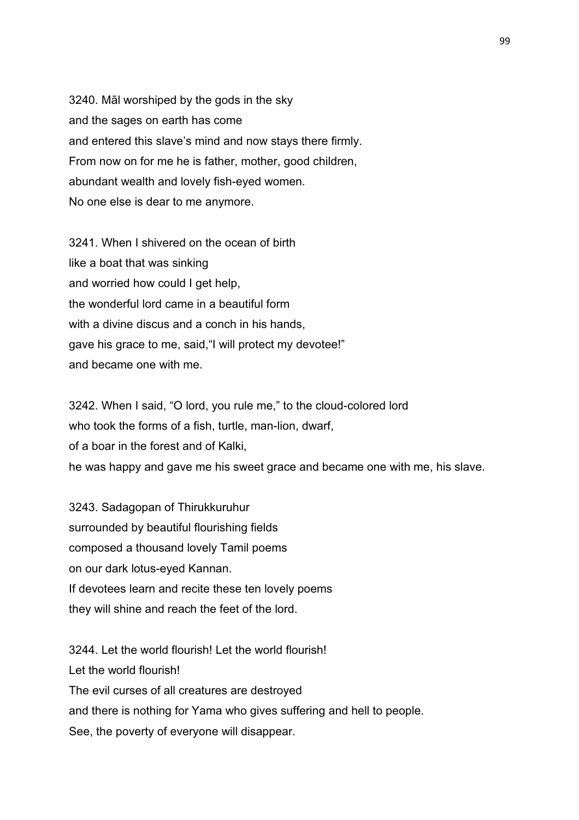3240. Māl worshiped by the gods in the sky and the sages on earth has come and entered this slave's mind and now stays there firmly. From now on for me he is father, mother, good children, abundant wealth and lovely fish-eyed women. No one else is dear to me anymore.

3241. When I shivered on the ocean of birth like a boat that was sinking and worried how could I get help, the wonderful lord came in a beautiful form with a divine discus and a conch in his hands. gave his grace to me, said,"I will protect my devotee!" and became one with me.

3242. When I said, "O lord, you rule me," to the cloud-colored lord who took the forms of a fish, turtle, man-lion, dwarf, of a boar in the forest and of Kalki, he was happy and gave me his sweet grace and became one with me, his slave.

3243. Sadagopan of Thirukkuruhur surrounded by beautiful flourishing fields composed a thousand lovely Tamil poems on our dark lotus-eyed Kannan. If devotees learn and recite these ten lovely poems they will shine and reach the feet of the lord.

3244. Let the world flourish! Let the world flourish! Let the world flourish! The evil curses of all creatures are destroyed and there is nothing for Yama who gives suffering and hell to people. See, the poverty of everyone will disappear.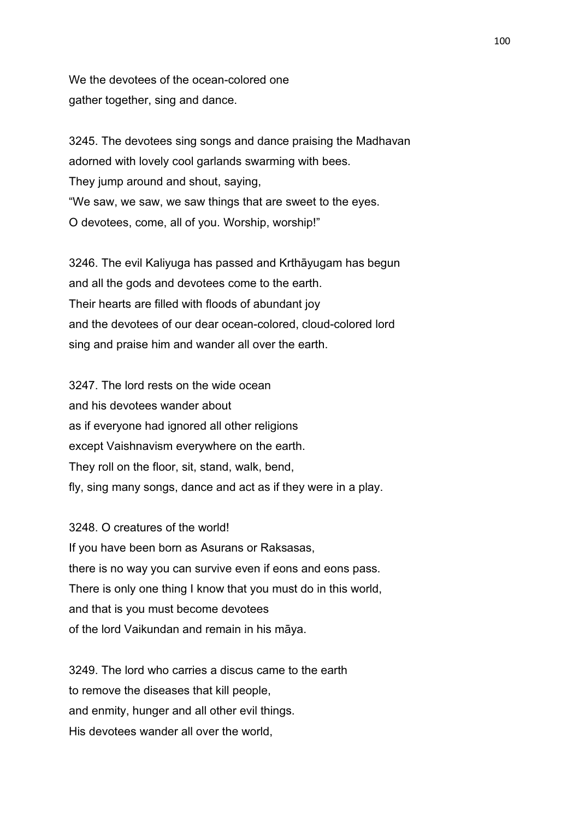We the devotees of the ocean-colored one gather together, sing and dance.

3245. The devotees sing songs and dance praising the Madhavan adorned with lovely cool garlands swarming with bees. They jump around and shout, saying, "We saw, we saw, we saw things that are sweet to the eyes. O devotees, come, all of you. Worship, worship!"

3246. The evil Kaliyuga has passed and Krthāyugam has begun and all the gods and devotees come to the earth. Their hearts are filled with floods of abundant joy and the devotees of our dear ocean-colored, cloud-colored lord sing and praise him and wander all over the earth.

3247. The lord rests on the wide ocean and his devotees wander about as if everyone had ignored all other religions except Vaishnavism everywhere on the earth. They roll on the floor, sit, stand, walk, bend, fly, sing many songs, dance and act as if they were in a play.

3248. O creatures of the world! If you have been born as Asurans or Raksasas, there is no way you can survive even if eons and eons pass. There is only one thing I know that you must do in this world, and that is you must become devotees of the lord Vaikundan and remain in his māya.

3249. The lord who carries a discus came to the earth to remove the diseases that kill people, and enmity, hunger and all other evil things. His devotees wander all over the world,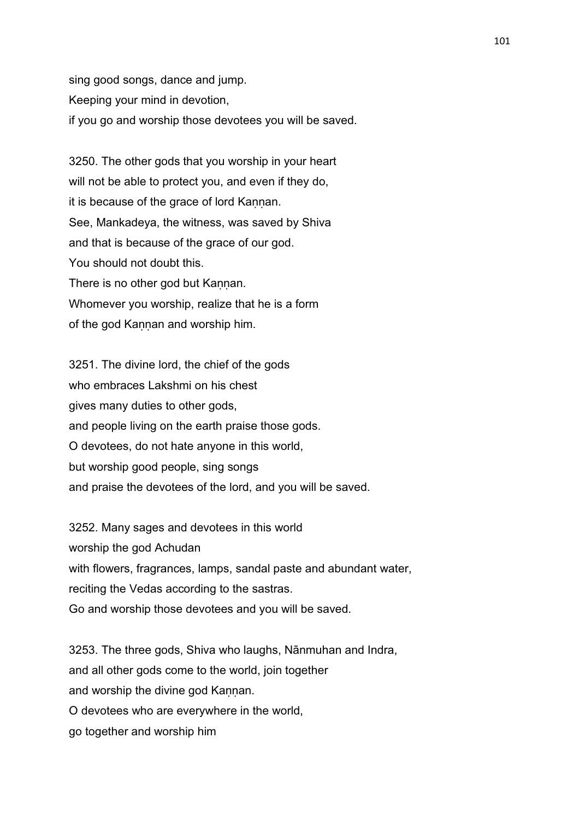sing good songs, dance and jump. Keeping your mind in devotion, if you go and worship those devotees you will be saved.

3250. The other gods that you worship in your heart will not be able to protect you, and even if they do, it is because of the grace of lord Kannan. See, Mankadeya, the witness, was saved by Shiva and that is because of the grace of our god. You should not doubt this. There is no other god but Kannan. Whomever you worship, realize that he is a form of the god Kannan and worship him.

3251. The divine lord, the chief of the gods who embraces Lakshmi on his chest gives many duties to other gods, and people living on the earth praise those gods. O devotees, do not hate anyone in this world, but worship good people, sing songs and praise the devotees of the lord, and you will be saved.

3252. Many sages and devotees in this world worship the god Achudan with flowers, fragrances, lamps, sandal paste and abundant water, reciting the Vedas according to the sastras. Go and worship those devotees and you will be saved.

3253. The three gods, Shiva who laughs, Nānmuhan and Indra, and all other gods come to the world, join together and worship the divine god Kannan. O devotees who are everywhere in the world, go together and worship him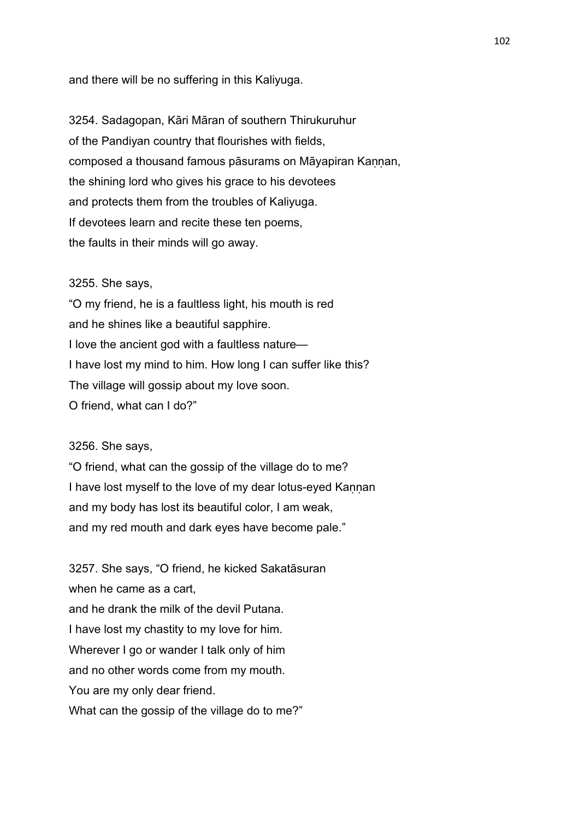and there will be no suffering in this Kaliyuga.

3254. Sadagopan, Kāri Māran of southern Thirukuruhur of the Pandiyan country that flourishes with fields, composed a thousand famous pāsurams on Māyapiran Kannan, the shining lord who gives his grace to his devotees and protects them from the troubles of Kaliyuga. If devotees learn and recite these ten poems, the faults in their minds will go away.

#### 3255. She says,

"O my friend, he is a faultless light, his mouth is red and he shines like a beautiful sapphire. I love the ancient god with a faultless nature— I have lost my mind to him. How long I can suffer like this? The village will gossip about my love soon. O friend, what can I do?"

### 3256. She says,

"O friend, what can the gossip of the village do to me? I have lost myself to the love of my dear lotus-eyed Kannan and my body has lost its beautiful color, I am weak, and my red mouth and dark eyes have become pale."

3257. She says, "O friend, he kicked Sakatāsuran when he came as a cart, and he drank the milk of the devil Putana. I have lost my chastity to my love for him. Wherever I go or wander I talk only of him and no other words come from my mouth. You are my only dear friend. What can the gossip of the village do to me?"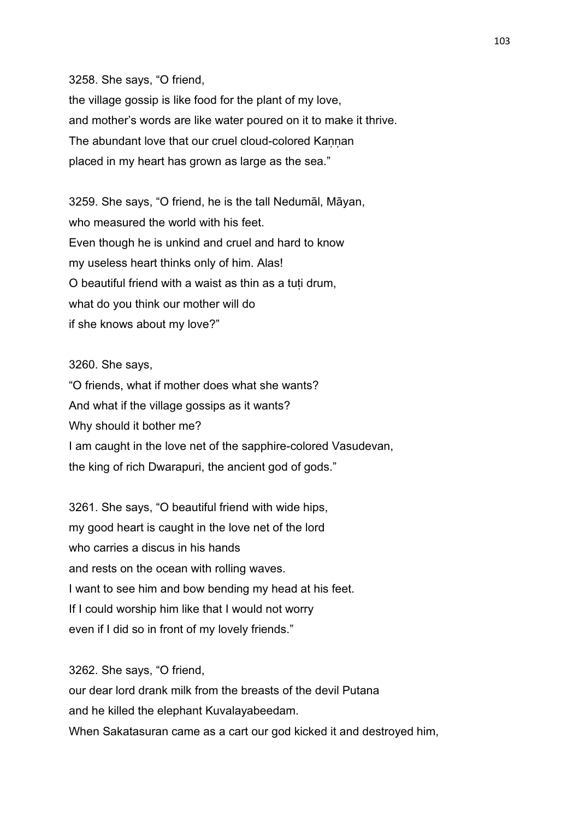3258. She says, "O friend,

the village gossip is like food for the plant of my love, and mother's words are like water poured on it to make it thrive. The abundant love that our cruel cloud-colored Kannan placed in my heart has grown as large as the sea."

3259. She says, "O friend, he is the tall Nedumāl, Māyan, who measured the world with his feet. Even though he is unkind and cruel and hard to know my useless heart thinks only of him. Alas! O beautiful friend with a waist as thin as a tuṭi drum, what do you think our mother will do if she knows about my love?"

3260. She says,

"O friends, what if mother does what she wants? And what if the village gossips as it wants? Why should it bother me? I am caught in the love net of the sapphire-colored Vasudevan, the king of rich Dwarapuri, the ancient god of gods."

3261. She says, "O beautiful friend with wide hips, my good heart is caught in the love net of the lord who carries a discus in his hands and rests on the ocean with rolling waves. I want to see him and bow bending my head at his feet. If I could worship him like that I would not worry even if I did so in front of my lovely friends."

3262. She says, "O friend, our dear lord drank milk from the breasts of the devil Putana and he killed the elephant Kuvalayabeedam. When Sakatasuran came as a cart our god kicked it and destroyed him,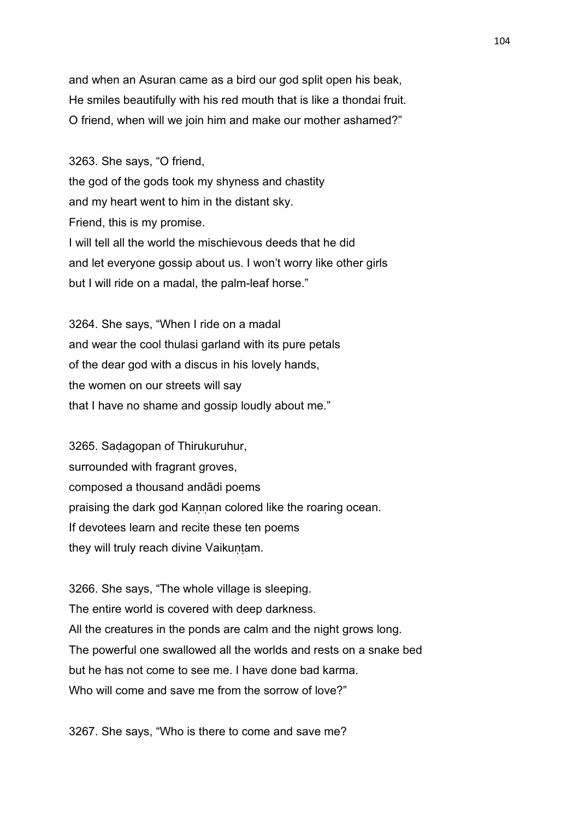and when an Asuran came as a bird our god split open his beak, He smiles beautifully with his red mouth that is like a thondai fruit. O friend, when will we join him and make our mother ashamed?"

3263. She says, "O friend, the god of the gods took my shyness and chastity and my heart went to him in the distant sky. Friend, this is my promise. I will tell all the world the mischievous deeds that he did and let everyone gossip about us. I won't worry like other girls but I will ride on a madal, the palm-leaf horse."

3264. She says, "When I ride on a madal and wear the cool thulasi garland with its pure petals of the dear god with a discus in his lovely hands, the women on our streets will say that I have no shame and gossip loudly about me."

3265. Saḍagopan of Thirukuruhur, surrounded with fragrant groves, composed a thousand andādi poems praising the dark god Kannan colored like the roaring ocean. If devotees learn and recite these ten poems they will truly reach divine Vaikuntam.

3266. She says, "The whole village is sleeping. The entire world is covered with deep darkness. All the creatures in the ponds are calm and the night grows long. The powerful one swallowed all the worlds and rests on a snake bed but he has not come to see me. I have done bad karma. Who will come and save me from the sorrow of love?"

3267. She says, "Who is there to come and save me?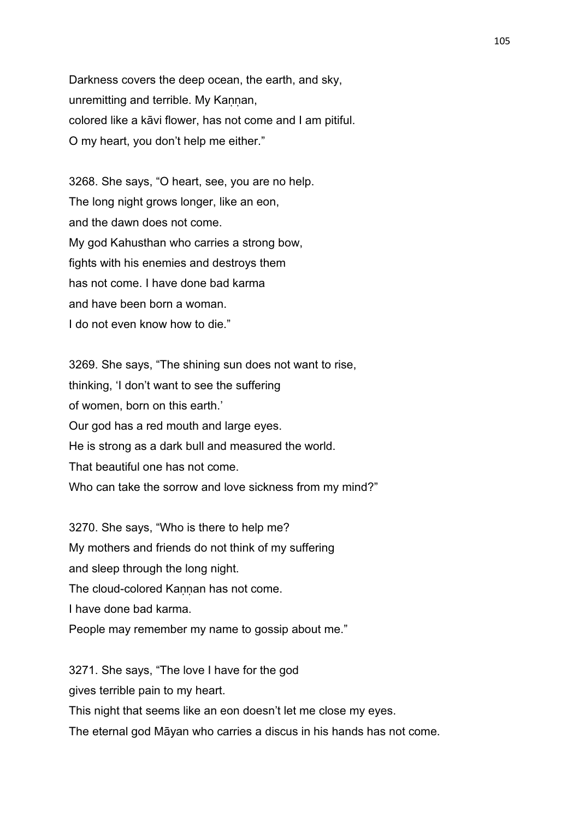Darkness covers the deep ocean, the earth, and sky, unremitting and terrible. My Kaṇṇan, colored like a kāvi flower, has not come and I am pitiful. O my heart, you don't help me either."

3268. She says, "O heart, see, you are no help. The long night grows longer, like an eon, and the dawn does not come. My god Kahusthan who carries a strong bow, fights with his enemies and destroys them has not come. I have done bad karma and have been born a woman. I do not even know how to die."

3269. She says, "The shining sun does not want to rise, thinking, 'I don't want to see the suffering of women, born on this earth.' Our god has a red mouth and large eyes. He is strong as a dark bull and measured the world. That beautiful one has not come. Who can take the sorrow and love sickness from my mind?"

3270. She says, "Who is there to help me? My mothers and friends do not think of my suffering and sleep through the long night. The cloud-colored Kannan has not come. I have done bad karma. People may remember my name to gossip about me."

3271. She says, "The love I have for the god gives terrible pain to my heart. This night that seems like an eon doesn't let me close my eyes. The eternal god Māyan who carries a discus in his hands has not come.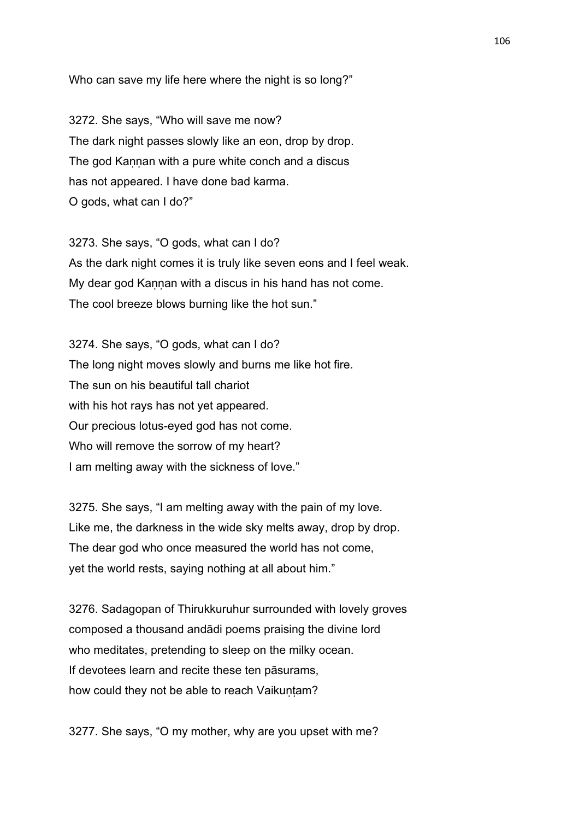Who can save my life here where the night is so long?"

3272. She says, "Who will save me now? The dark night passes slowly like an eon, drop by drop. The god Kannan with a pure white conch and a discus has not appeared. I have done bad karma. O gods, what can I do?"

3273. She says, "O gods, what can I do? As the dark night comes it is truly like seven eons and I feel weak. My dear god Kannan with a discus in his hand has not come. The cool breeze blows burning like the hot sun."

3274. She says, "O gods, what can I do? The long night moves slowly and burns me like hot fire. The sun on his beautiful tall chariot with his hot rays has not yet appeared. Our precious lotus-eyed god has not come. Who will remove the sorrow of my heart? I am melting away with the sickness of love."

3275. She says, "I am melting away with the pain of my love. Like me, the darkness in the wide sky melts away, drop by drop. The dear god who once measured the world has not come, yet the world rests, saying nothing at all about him."

3276. Sadagopan of Thirukkuruhur surrounded with lovely groves composed a thousand andādi poems praising the divine lord who meditates, pretending to sleep on the milky ocean. If devotees learn and recite these ten pāsurams, how could they not be able to reach Vaikuntam?

3277. She says, "O my mother, why are you upset with me?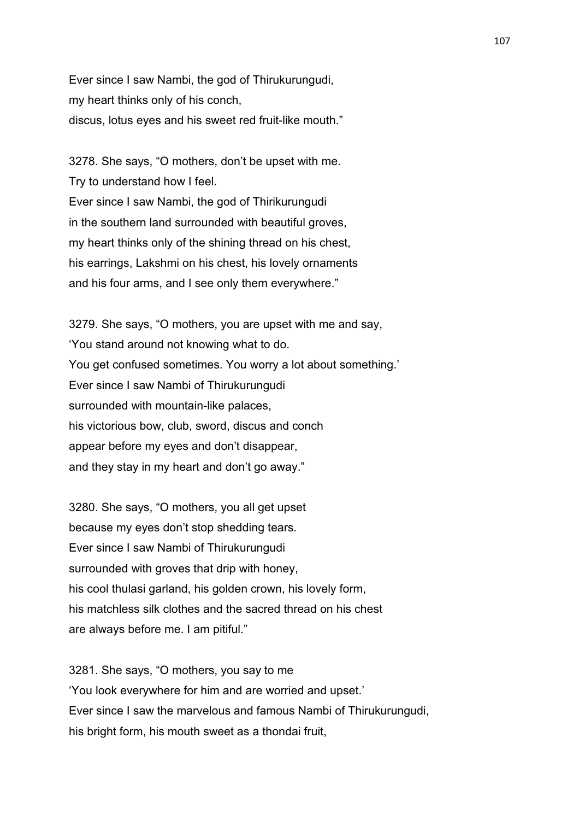Ever since I saw Nambi, the god of Thirukurungudi, my heart thinks only of his conch, discus, lotus eyes and his sweet red fruit-like mouth."

3278. She says, "O mothers, don't be upset with me. Try to understand how I feel. Ever since I saw Nambi, the god of Thirikurungudi in the southern land surrounded with beautiful groves, my heart thinks only of the shining thread on his chest, his earrings, Lakshmi on his chest, his lovely ornaments and his four arms, and I see only them everywhere."

3279. She says, "O mothers, you are upset with me and say, 'You stand around not knowing what to do. You get confused sometimes. You worry a lot about something.' Ever since I saw Nambi of Thirukurungudi surrounded with mountain-like palaces, his victorious bow, club, sword, discus and conch appear before my eyes and don't disappear, and they stay in my heart and don't go away."

3280. She says, "O mothers, you all get upset because my eyes don't stop shedding tears. Ever since I saw Nambi of Thirukurungudi surrounded with groves that drip with honey, his cool thulasi garland, his golden crown, his lovely form, his matchless silk clothes and the sacred thread on his chest are always before me. I am pitiful."

3281. She says, "O mothers, you say to me 'You look everywhere for him and are worried and upset.' Ever since I saw the marvelous and famous Nambi of Thirukurungudi, his bright form, his mouth sweet as a thondai fruit,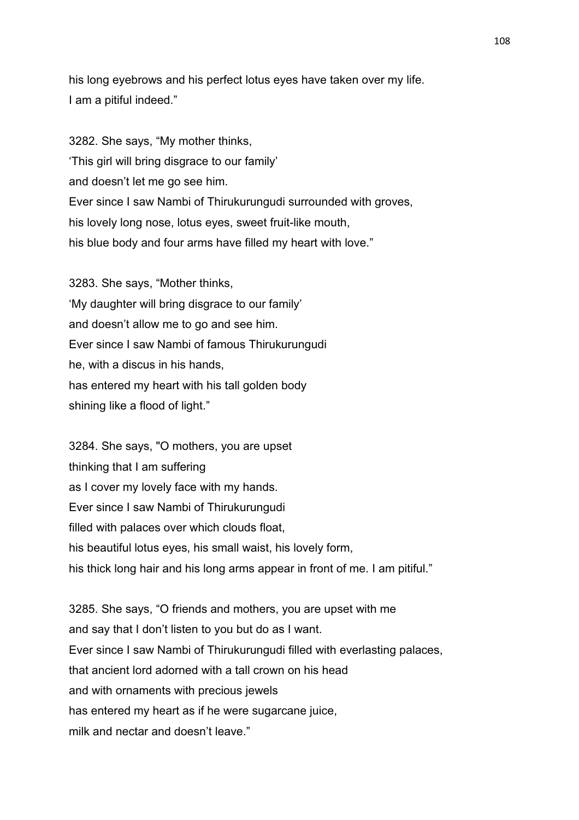his long eyebrows and his perfect lotus eyes have taken over my life. I am a pitiful indeed."

3282. She says, "My mother thinks, 'This girl will bring disgrace to our family' and doesn't let me go see him. Ever since I saw Nambi of Thirukurungudi surrounded with groves, his lovely long nose, lotus eyes, sweet fruit-like mouth, his blue body and four arms have filled my heart with love."

3283. She says, "Mother thinks, 'My daughter will bring disgrace to our family' and doesn't allow me to go and see him. Ever since I saw Nambi of famous Thirukurungudi he, with a discus in his hands, has entered my heart with his tall golden body shining like a flood of light."

3284. She says, "O mothers, you are upset thinking that I am suffering as I cover my lovely face with my hands. Ever since I saw Nambi of Thirukurungudi filled with palaces over which clouds float, his beautiful lotus eyes, his small waist, his lovely form, his thick long hair and his long arms appear in front of me. I am pitiful."

3285. She says, "O friends and mothers, you are upset with me and say that I don't listen to you but do as I want. Ever since I saw Nambi of Thirukurungudi filled with everlasting palaces, that ancient lord adorned with a tall crown on his head and with ornaments with precious jewels has entered my heart as if he were sugarcane juice, milk and nectar and doesn't leave."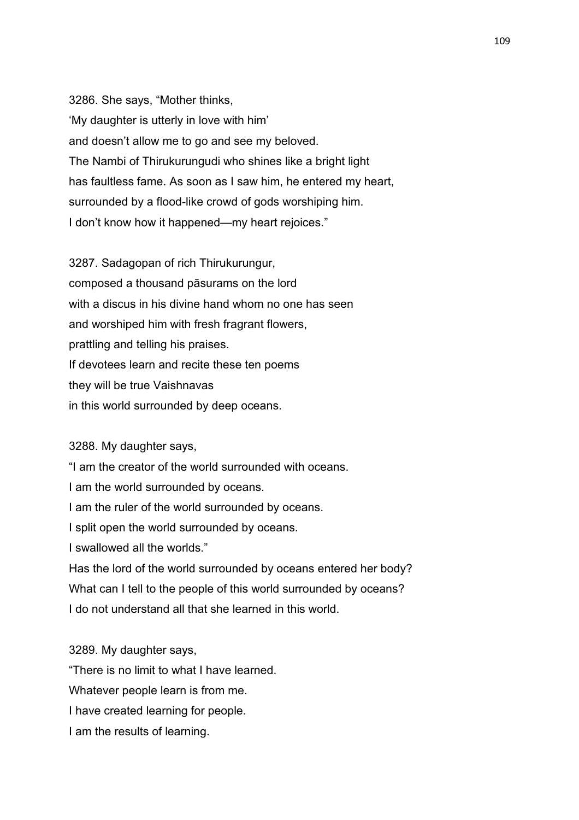3286. She says, "Mother thinks, 'My daughter is utterly in love with him' and doesn't allow me to go and see my beloved. The Nambi of Thirukurungudi who shines like a bright light has faultless fame. As soon as I saw him, he entered my heart, surrounded by a flood-like crowd of gods worshiping him. I don't know how it happened—my heart rejoices."

3287. Sadagopan of rich Thirukurungur, composed a thousand pāsurams on the lord with a discus in his divine hand whom no one has seen and worshiped him with fresh fragrant flowers, prattling and telling his praises. If devotees learn and recite these ten poems they will be true Vaishnavas in this world surrounded by deep oceans.

#### 3288. My daughter says,

"I am the creator of the world surrounded with oceans. I am the world surrounded by oceans. I am the ruler of the world surrounded by oceans. I split open the world surrounded by oceans. I swallowed all the worlds." Has the lord of the world surrounded by oceans entered her body? What can I tell to the people of this world surrounded by oceans? I do not understand all that she learned in this world.

3289. My daughter says,

"There is no limit to what I have learned.

Whatever people learn is from me.

I have created learning for people.

I am the results of learning.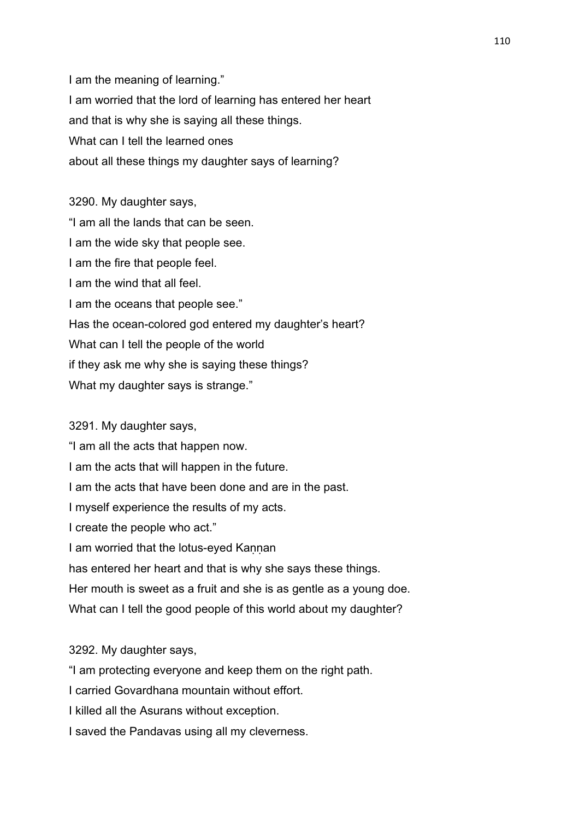I am the meaning of learning." I am worried that the lord of learning has entered her heart and that is why she is saying all these things. What can I tell the learned ones about all these things my daughter says of learning?

3290. My daughter says, "I am all the lands that can be seen. I am the wide sky that people see. I am the fire that people feel. I am the wind that all feel. I am the oceans that people see." Has the ocean-colored god entered my daughter's heart? What can I tell the people of the world if they ask me why she is saying these things? What my daughter says is strange."

# 3291. My daughter says,

"I am all the acts that happen now.

I am the acts that will happen in the future.

I am the acts that have been done and are in the past.

I myself experience the results of my acts.

I create the people who act."

I am worried that the lotus-eyed Kannan

has entered her heart and that is why she says these things.

Her mouth is sweet as a fruit and she is as gentle as a young doe.

What can I tell the good people of this world about my daughter?

3292. My daughter says,

"I am protecting everyone and keep them on the right path.

I carried Govardhana mountain without effort.

I killed all the Asurans without exception.

I saved the Pandavas using all my cleverness.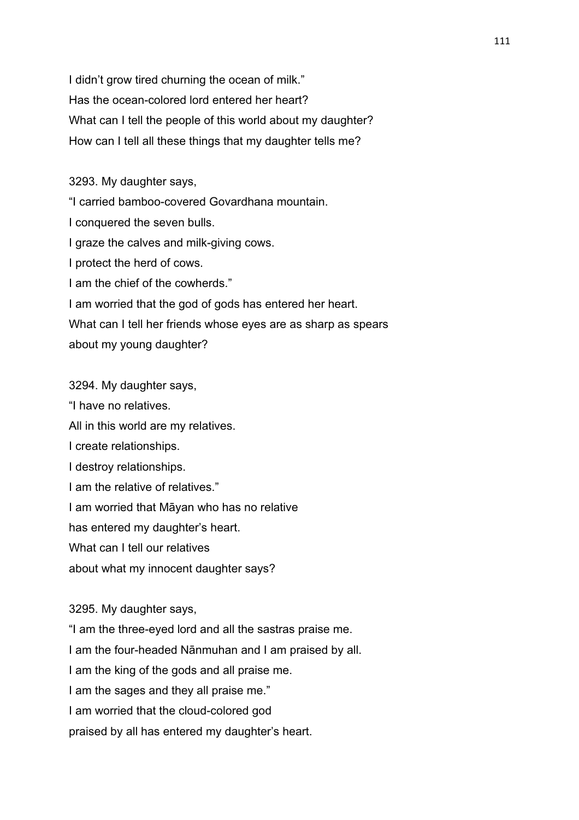I didn't grow tired churning the ocean of milk." Has the ocean-colored lord entered her heart? What can I tell the people of this world about my daughter? How can I tell all these things that my daughter tells me?

3293. My daughter says,

"I carried bamboo-covered Govardhana mountain.

I conquered the seven bulls.

I graze the calves and milk-giving cows.

I protect the herd of cows.

I am the chief of the cowherds."

I am worried that the god of gods has entered her heart.

What can I tell her friends whose eyes are as sharp as spears about my young daughter?

3294. My daughter says, "I have no relatives. All in this world are my relatives. I create relationships. I destroy relationships. I am the relative of relatives." I am worried that Māyan who has no relative has entered my daughter's heart. What can I tell our relatives about what my innocent daughter says?

3295. My daughter says,

"I am the three-eyed lord and all the sastras praise me.

I am the four-headed Nānmuhan and I am praised by all.

I am the king of the gods and all praise me.

I am the sages and they all praise me."

I am worried that the cloud-colored god

praised by all has entered my daughter's heart.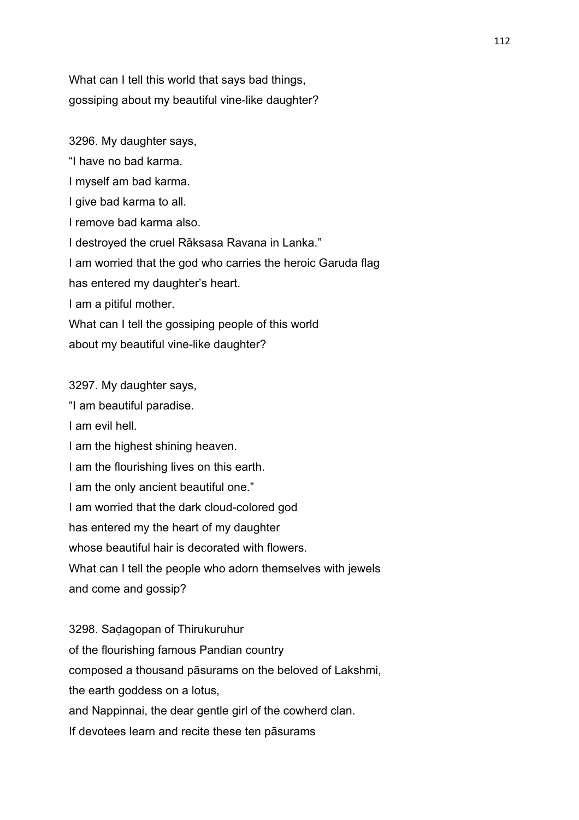What can I tell this world that says bad things, gossiping about my beautiful vine-like daughter?

3296. My daughter says, "I have no bad karma. I myself am bad karma. I give bad karma to all. I remove bad karma also. I destroyed the cruel Rāksasa Ravana in Lanka." I am worried that the god who carries the heroic Garuda flag has entered my daughter's heart. I am a pitiful mother. What can I tell the gossiping people of this world about my beautiful vine-like daughter?

3297. My daughter says,

"I am beautiful paradise. I am evil hell. I am the highest shining heaven. I am the flourishing lives on this earth. I am the only ancient beautiful one." I am worried that the dark cloud-colored god has entered my the heart of my daughter whose beautiful hair is decorated with flowers. What can I tell the people who adorn themselves with jewels and come and gossip? 3298. Saḍagopan of Thirukuruhur of the flourishing famous Pandian country composed a thousand pāsurams on the beloved of Lakshmi, the earth goddess on a lotus, and Nappinnai, the dear gentle girl of the cowherd clan. If devotees learn and recite these ten pāsurams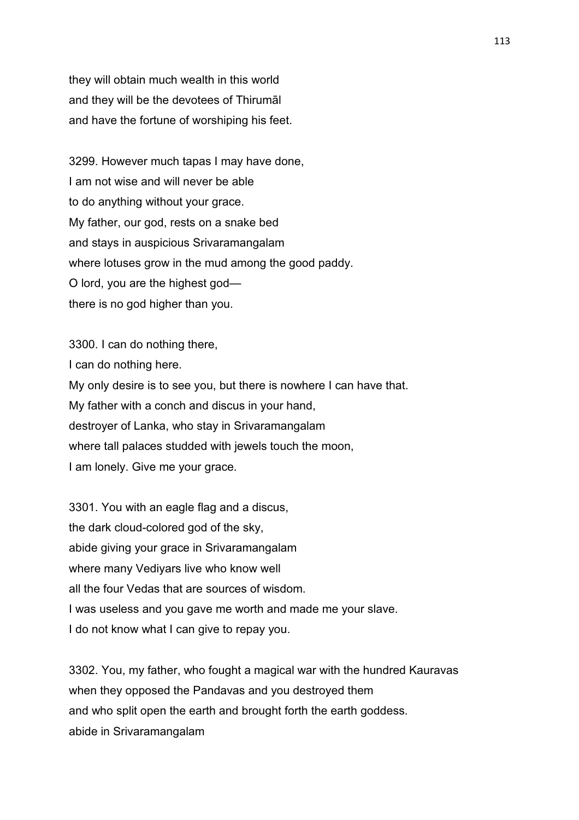they will obtain much wealth in this world and they will be the devotees of Thirumāl and have the fortune of worshiping his feet.

3299. However much tapas I may have done, I am not wise and will never be able to do anything without your grace. My father, our god, rests on a snake bed and stays in auspicious Srivaramangalam where lotuses grow in the mud among the good paddy. O lord, you are the highest god there is no god higher than you.

3300. I can do nothing there, I can do nothing here. My only desire is to see you, but there is nowhere I can have that. My father with a conch and discus in your hand, destroyer of Lanka, who stay in Srivaramangalam where tall palaces studded with jewels touch the moon, I am lonely. Give me your grace.

3301. You with an eagle flag and a discus, the dark cloud-colored god of the sky, abide giving your grace in Srivaramangalam where many Vediyars live who know well all the four Vedas that are sources of wisdom. I was useless and you gave me worth and made me your slave. I do not know what I can give to repay you.

3302. You, my father, who fought a magical war with the hundred Kauravas when they opposed the Pandavas and you destroyed them and who split open the earth and brought forth the earth goddess. abide in Srivaramangalam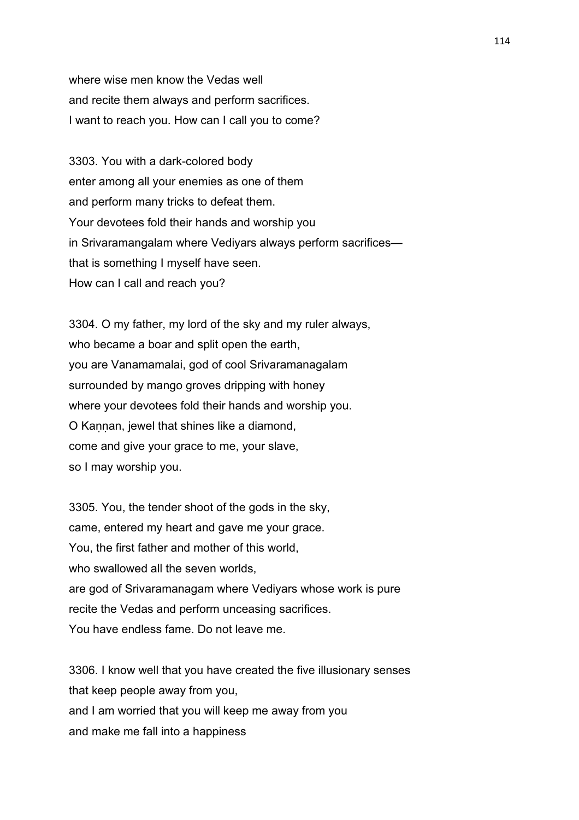where wise men know the Vedas well and recite them always and perform sacrifices. I want to reach you. How can I call you to come?

3303. You with a dark-colored body enter among all your enemies as one of them and perform many tricks to defeat them. Your devotees fold their hands and worship you in Srivaramangalam where Vediyars always perform sacrifices that is something I myself have seen. How can I call and reach you?

3304. O my father, my lord of the sky and my ruler always, who became a boar and split open the earth, you are Vanamamalai, god of cool Srivaramanagalam surrounded by mango groves dripping with honey where your devotees fold their hands and worship you. O Kannan, jewel that shines like a diamond, come and give your grace to me, your slave, so I may worship you.

3305. You, the tender shoot of the gods in the sky, came, entered my heart and gave me your grace. You, the first father and mother of this world, who swallowed all the seven worlds. are god of Srivaramanagam where Vediyars whose work is pure recite the Vedas and perform unceasing sacrifices. You have endless fame. Do not leave me.

3306. I know well that you have created the five illusionary senses that keep people away from you, and I am worried that you will keep me away from you and make me fall into a happiness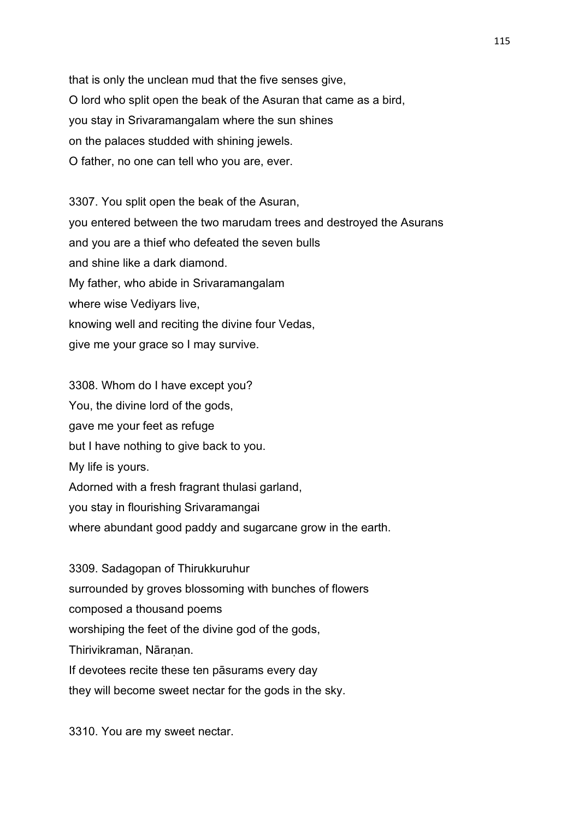that is only the unclean mud that the five senses give, O lord who split open the beak of the Asuran that came as a bird, you stay in Srivaramangalam where the sun shines on the palaces studded with shining jewels. O father, no one can tell who you are, ever.

3307. You split open the beak of the Asuran, you entered between the two marudam trees and destroyed the Asurans and you are a thief who defeated the seven bulls and shine like a dark diamond. My father, who abide in Srivaramangalam where wise Vediyars live, knowing well and reciting the divine four Vedas, give me your grace so I may survive.

3308. Whom do I have except you? You, the divine lord of the gods, gave me your feet as refuge but I have nothing to give back to you. My life is yours. Adorned with a fresh fragrant thulasi garland, you stay in flourishing Srivaramangai where abundant good paddy and sugarcane grow in the earth.

3309. Sadagopan of Thirukkuruhur surrounded by groves blossoming with bunches of flowers composed a thousand poems worshiping the feet of the divine god of the gods, Thirivikraman, Nāranan. If devotees recite these ten pāsurams every day they will become sweet nectar for the gods in the sky.

3310. You are my sweet nectar.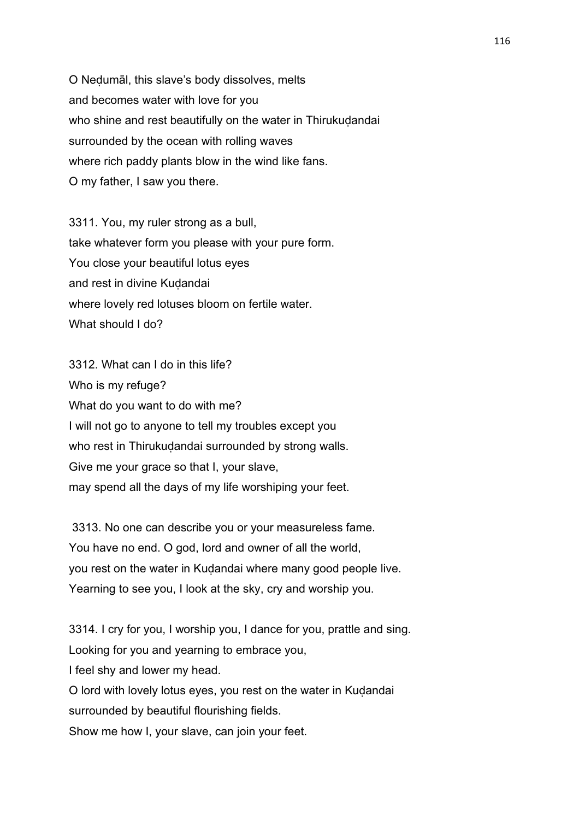O Neḍumāl, this slave's body dissolves, melts and becomes water with love for you who shine and rest beautifully on the water in Thirukuḍandai surrounded by the ocean with rolling waves where rich paddy plants blow in the wind like fans. O my father, I saw you there.

3311. You, my ruler strong as a bull, take whatever form you please with your pure form. You close your beautiful lotus eyes and rest in divine Kuḍandai where lovely red lotuses bloom on fertile water. What should I do?

3312. What can I do in this life? Who is my refuge? What do you want to do with me? I will not go to anyone to tell my troubles except you who rest in Thirukuḍandai surrounded by strong walls. Give me your grace so that I, your slave, may spend all the days of my life worshiping your feet.

 3313. No one can describe you or your measureless fame. You have no end. O god, lord and owner of all the world, you rest on the water in Kuḍandai where many good people live. Yearning to see you, I look at the sky, cry and worship you.

3314. I cry for you, I worship you, I dance for you, prattle and sing. Looking for you and yearning to embrace you, I feel shy and lower my head. O lord with lovely lotus eyes, you rest on the water in Kuḍandai surrounded by beautiful flourishing fields. Show me how I, your slave, can join your feet.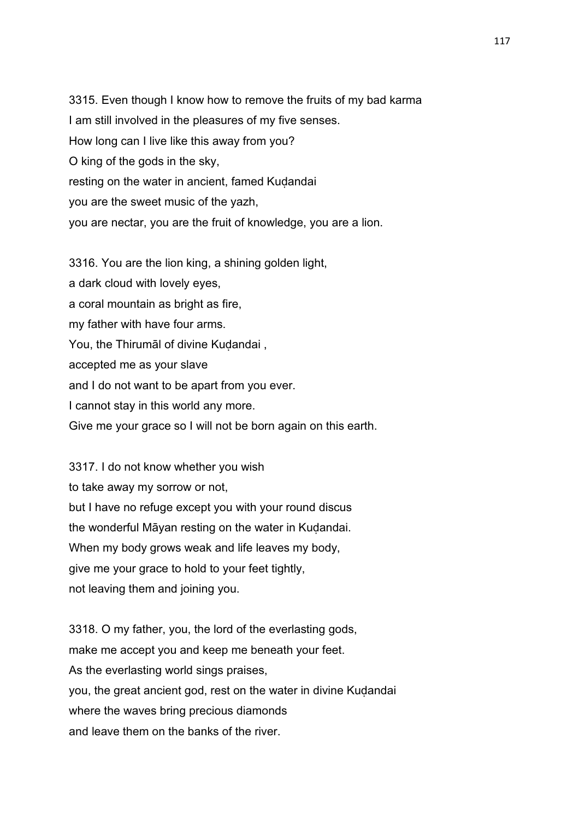3315. Even though I know how to remove the fruits of my bad karma I am still involved in the pleasures of my five senses. How long can I live like this away from you? O king of the gods in the sky, resting on the water in ancient, famed Kudandai you are the sweet music of the yazh, you are nectar, you are the fruit of knowledge, you are a lion.

3316. You are the lion king, a shining golden light, a dark cloud with lovely eyes, a coral mountain as bright as fire, my father with have four arms. You, the Thirumal of divine Kudandai, accepted me as your slave and I do not want to be apart from you ever. I cannot stay in this world any more. Give me your grace so I will not be born again on this earth.

3317. I do not know whether you wish to take away my sorrow or not, but I have no refuge except you with your round discus the wonderful Māyan resting on the water in Kuḍandai. When my body grows weak and life leaves my body, give me your grace to hold to your feet tightly, not leaving them and joining you.

3318. O my father, you, the lord of the everlasting gods, make me accept you and keep me beneath your feet. As the everlasting world sings praises, you, the great ancient god, rest on the water in divine Kudandai where the waves bring precious diamonds and leave them on the banks of the river.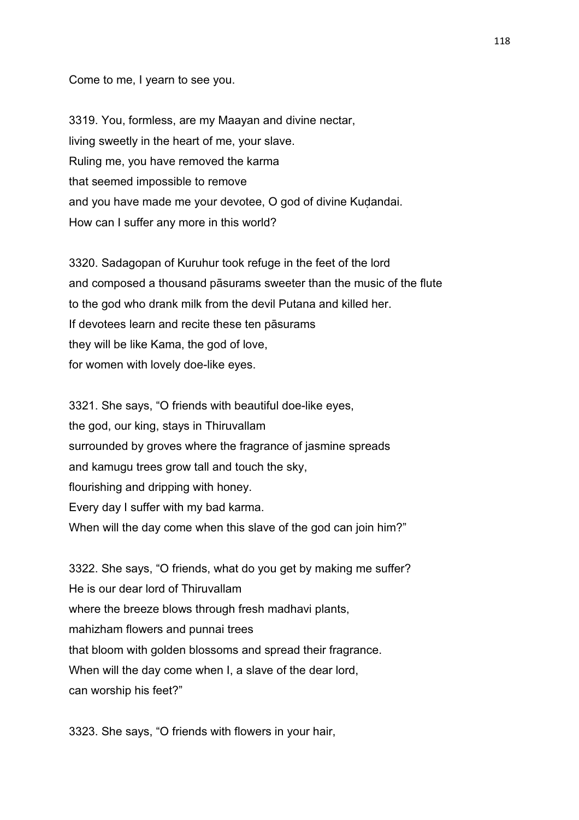Come to me, I yearn to see you.

3319. You, formless, are my Maayan and divine nectar, living sweetly in the heart of me, your slave. Ruling me, you have removed the karma that seemed impossible to remove and you have made me your devotee, O god of divine Kuḍandai. How can I suffer any more in this world?

3320. Sadagopan of Kuruhur took refuge in the feet of the lord and composed a thousand pāsurams sweeter than the music of the flute to the god who drank milk from the devil Putana and killed her. If devotees learn and recite these ten pāsurams they will be like Kama, the god of love, for women with lovely doe-like eyes.

3321. She says, "O friends with beautiful doe-like eyes, the god, our king, stays in Thiruvallam surrounded by groves where the fragrance of jasmine spreads and kamugu trees grow tall and touch the sky, flourishing and dripping with honey. Every day I suffer with my bad karma. When will the day come when this slave of the god can join him?"

3322. She says, "O friends, what do you get by making me suffer? He is our dear lord of Thiruvallam where the breeze blows through fresh madhavi plants, mahizham flowers and punnai trees that bloom with golden blossoms and spread their fragrance. When will the day come when I, a slave of the dear lord, can worship his feet?"

3323. She says, "O friends with flowers in your hair,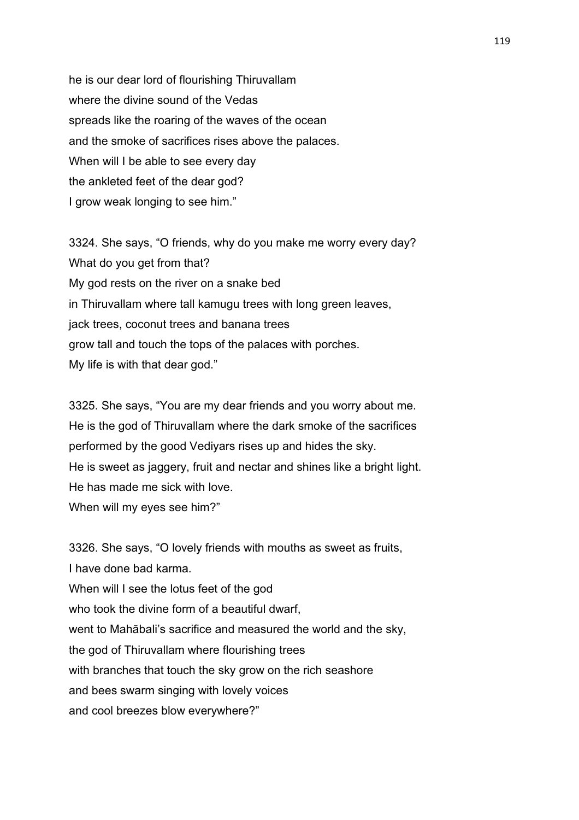he is our dear lord of flourishing Thiruvallam where the divine sound of the Vedas spreads like the roaring of the waves of the ocean and the smoke of sacrifices rises above the palaces. When will I be able to see every day the ankleted feet of the dear god? I grow weak longing to see him."

3324. She says, "O friends, why do you make me worry every day? What do you get from that? My god rests on the river on a snake bed in Thiruvallam where tall kamugu trees with long green leaves, jack trees, coconut trees and banana trees grow tall and touch the tops of the palaces with porches. My life is with that dear god."

3325. She says, "You are my dear friends and you worry about me. He is the god of Thiruvallam where the dark smoke of the sacrifices performed by the good Vediyars rises up and hides the sky. He is sweet as jaggery, fruit and nectar and shines like a bright light. He has made me sick with love. When will my eyes see him?"

3326. She says, "O lovely friends with mouths as sweet as fruits, I have done bad karma. When will I see the lotus feet of the god who took the divine form of a beautiful dwarf. went to Mahābali's sacrifice and measured the world and the sky, the god of Thiruvallam where flourishing trees with branches that touch the sky grow on the rich seashore and bees swarm singing with lovely voices and cool breezes blow everywhere?"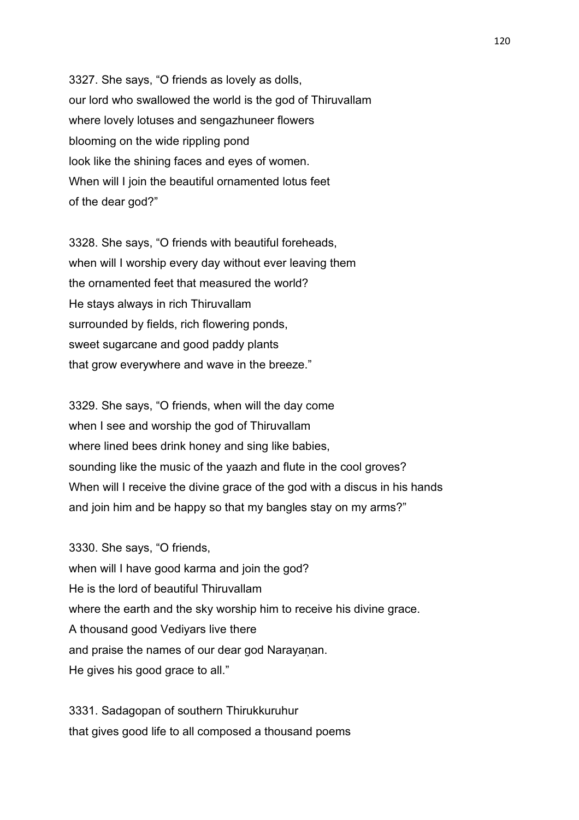3327. She says, "O friends as lovely as dolls, our lord who swallowed the world is the god of Thiruvallam where lovely lotuses and sengazhuneer flowers blooming on the wide rippling pond look like the shining faces and eyes of women. When will I join the beautiful ornamented lotus feet of the dear god?"

3328. She says, "O friends with beautiful foreheads, when will I worship every day without ever leaving them the ornamented feet that measured the world? He stays always in rich Thiruvallam surrounded by fields, rich flowering ponds, sweet sugarcane and good paddy plants that grow everywhere and wave in the breeze."

3329. She says, "O friends, when will the day come when I see and worship the god of Thiruvallam where lined bees drink honey and sing like babies, sounding like the music of the yaazh and flute in the cool groves? When will I receive the divine grace of the god with a discus in his hands and join him and be happy so that my bangles stay on my arms?"

3330. She says, "O friends, when will I have good karma and join the god? He is the lord of beautiful Thiruvallam where the earth and the sky worship him to receive his divine grace. A thousand good Vediyars live there and praise the names of our dear god Narayanan. He gives his good grace to all."

3331. Sadagopan of southern Thirukkuruhur that gives good life to all composed a thousand poems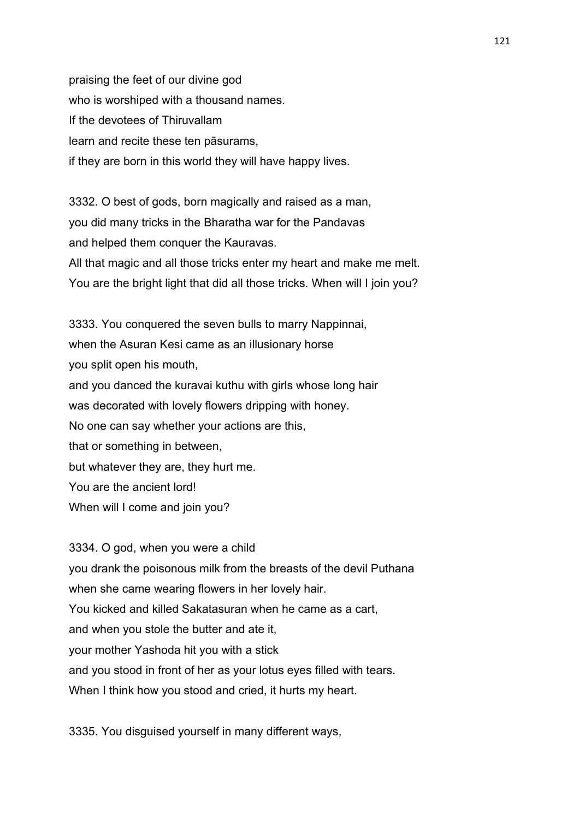praising the feet of our divine god who is worshiped with a thousand names. If the devotees of Thiruvallam learn and recite these ten pāsurams, if they are born in this world they will have happy lives.

3332. O best of gods, born magically and raised as a man, you did many tricks in the Bharatha war for the Pandavas and helped them conquer the Kauravas. All that magic and all those tricks enter my heart and make me melt. You are the bright light that did all those tricks. When will I join you?

3333. You conquered the seven bulls to marry Nappinnai, when the Asuran Kesi came as an illusionary horse you split open his mouth, and you danced the kuravai kuthu with girls whose long hair was decorated with lovely flowers dripping with honey. No one can say whether your actions are this, that or something in between, but whatever they are, they hurt me. You are the ancient lord! When will I come and join you?

3334. O god, when you were a child you drank the poisonous milk from the breasts of the devil Puthana when she came wearing flowers in her lovely hair. You kicked and killed Sakatasuran when he came as a cart, and when you stole the butter and ate it, your mother Yashoda hit you with a stick and you stood in front of her as your lotus eyes filled with tears. When I think how you stood and cried, it hurts my heart.

3335. You disguised yourself in many different ways,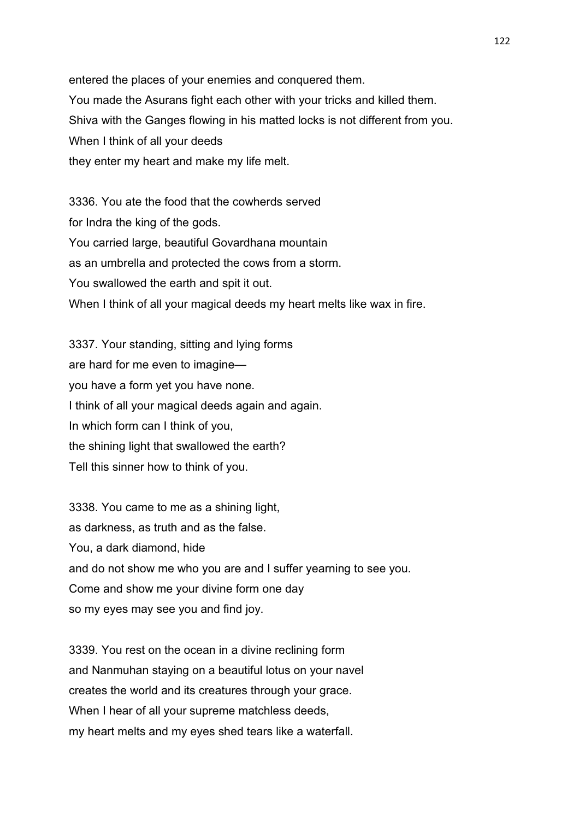entered the places of your enemies and conquered them. You made the Asurans fight each other with your tricks and killed them. Shiva with the Ganges flowing in his matted locks is not different from you. When I think of all your deeds they enter my heart and make my life melt.

3336. You ate the food that the cowherds served for Indra the king of the gods. You carried large, beautiful Govardhana mountain as an umbrella and protected the cows from a storm. You swallowed the earth and spit it out. When I think of all your magical deeds my heart melts like wax in fire.

3337. Your standing, sitting and lying forms are hard for me even to imagine you have a form yet you have none. I think of all your magical deeds again and again. In which form can I think of you, the shining light that swallowed the earth? Tell this sinner how to think of you.

3338. You came to me as a shining light, as darkness, as truth and as the false. You, a dark diamond, hide and do not show me who you are and I suffer yearning to see you. Come and show me your divine form one day so my eyes may see you and find joy.

3339. You rest on the ocean in a divine reclining form and Nanmuhan staying on a beautiful lotus on your navel creates the world and its creatures through your grace. When I hear of all your supreme matchless deeds, my heart melts and my eyes shed tears like a waterfall.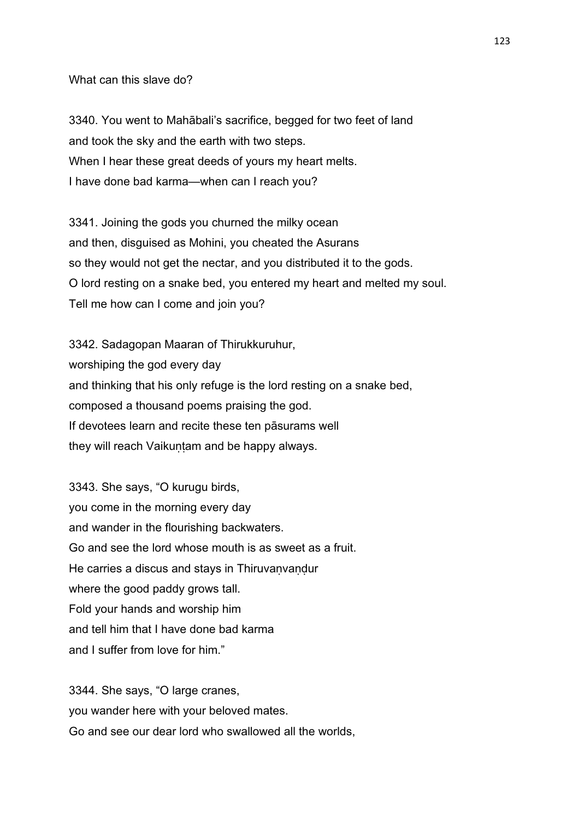What can this slave do?

3340. You went to Mahābali's sacrifice, begged for two feet of land and took the sky and the earth with two steps. When I hear these great deeds of yours my heart melts. I have done bad karma—when can I reach you?

3341. Joining the gods you churned the milky ocean and then, disguised as Mohini, you cheated the Asurans so they would not get the nectar, and you distributed it to the gods. O lord resting on a snake bed, you entered my heart and melted my soul. Tell me how can I come and join you?

3342. Sadagopan Maaran of Thirukkuruhur, worshiping the god every day and thinking that his only refuge is the lord resting on a snake bed, composed a thousand poems praising the god. If devotees learn and recite these ten pāsurams well they will reach Vaikuṇṭam and be happy always.

3343. She says, "O kurugu birds, you come in the morning every day and wander in the flourishing backwaters. Go and see the lord whose mouth is as sweet as a fruit. He carries a discus and stays in Thiruvaṇvaṇḍur where the good paddy grows tall. Fold your hands and worship him and tell him that I have done bad karma and I suffer from love for him."

3344. She says, "O large cranes, you wander here with your beloved mates. Go and see our dear lord who swallowed all the worlds,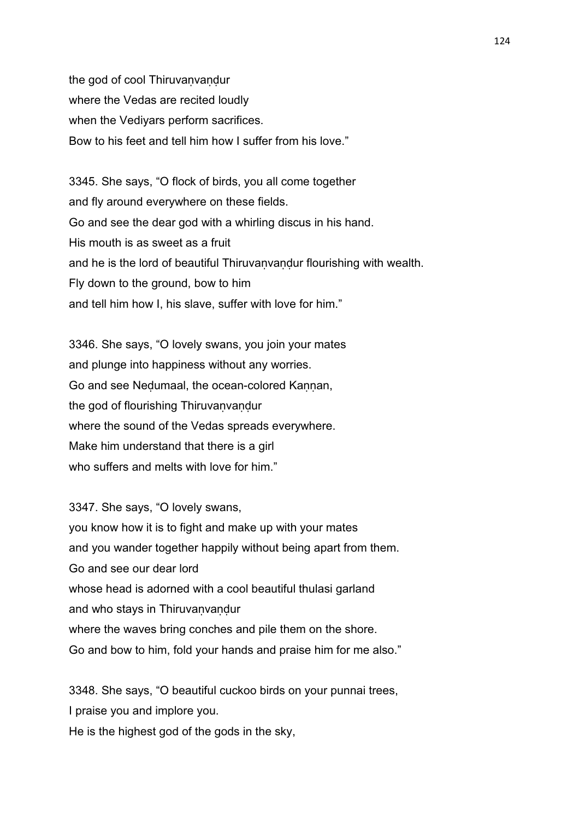the god of cool Thiruvanvandur where the Vedas are recited loudly when the Vediyars perform sacrifices. Bow to his feet and tell him how I suffer from his love."

3345. She says, "O flock of birds, you all come together and fly around everywhere on these fields. Go and see the dear god with a whirling discus in his hand. His mouth is as sweet as a fruit and he is the lord of beautiful Thiruvaṇvaṇḍur flourishing with wealth. Fly down to the ground, bow to him and tell him how I, his slave, suffer with love for him."

3346. She says, "O lovely swans, you join your mates and plunge into happiness without any worries. Go and see Nedumaal, the ocean-colored Kannan, the god of flourishing Thiruvanvandur where the sound of the Vedas spreads everywhere. Make him understand that there is a girl who suffers and melts with love for him."

3347. She says, "O lovely swans, you know how it is to fight and make up with your mates and you wander together happily without being apart from them. Go and see our dear lord whose head is adorned with a cool beautiful thulasi garland and who stays in Thiruvanvandur where the waves bring conches and pile them on the shore. Go and bow to him, fold your hands and praise him for me also."

3348. She says, "O beautiful cuckoo birds on your punnai trees, I praise you and implore you. He is the highest god of the gods in the sky,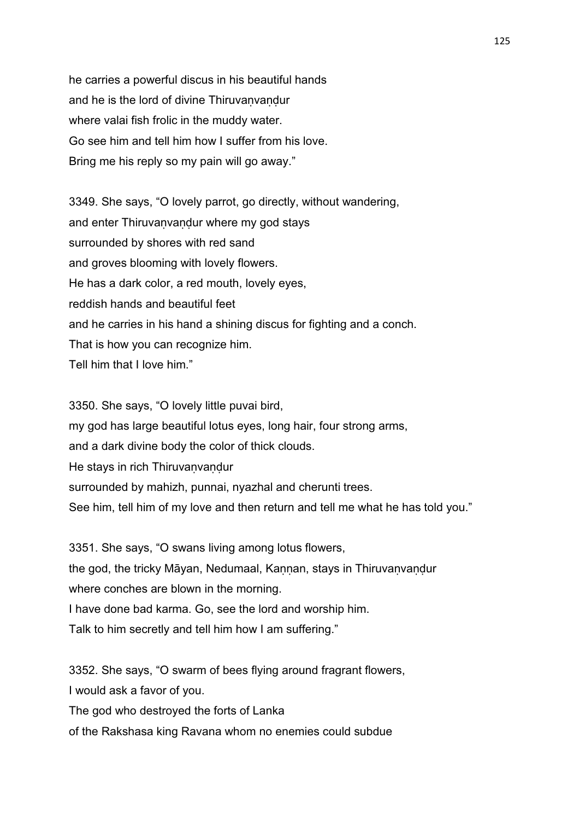he carries a powerful discus in his beautiful hands and he is the lord of divine Thiruvanvandur where valai fish frolic in the muddy water. Go see him and tell him how I suffer from his love. Bring me his reply so my pain will go away."

3349. She says, "O lovely parrot, go directly, without wandering, and enter Thiruvaṇvaṇḍur where my god stays surrounded by shores with red sand and groves blooming with lovely flowers. He has a dark color, a red mouth, lovely eyes, reddish hands and beautiful feet and he carries in his hand a shining discus for fighting and a conch. That is how you can recognize him. Tell him that I love him."

3350. She says, "O lovely little puvai bird, my god has large beautiful lotus eyes, long hair, four strong arms, and a dark divine body the color of thick clouds. He stays in rich Thiruvanvandur surrounded by mahizh, punnai, nyazhal and cherunti trees. See him, tell him of my love and then return and tell me what he has told you."

3351. She says, "O swans living among lotus flowers, the god, the tricky Māyan, Nedumaal, Kannan, stays in Thiruvanvandur where conches are blown in the morning. I have done bad karma. Go, see the lord and worship him. Talk to him secretly and tell him how I am suffering."

3352. She says, "O swarm of bees flying around fragrant flowers, I would ask a favor of you. The god who destroyed the forts of Lanka

of the Rakshasa king Ravana whom no enemies could subdue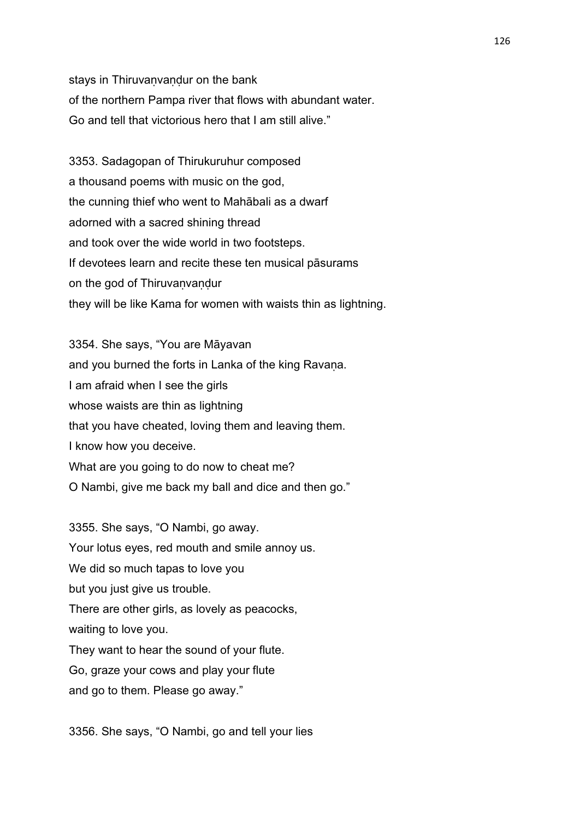stays in Thiruvanvandur on the bank of the northern Pampa river that flows with abundant water. Go and tell that victorious hero that I am still alive."

3353. Sadagopan of Thirukuruhur composed a thousand poems with music on the god, the cunning thief who went to Mahābali as a dwarf adorned with a sacred shining thread and took over the wide world in two footsteps. If devotees learn and recite these ten musical pāsurams on the god of Thiruvanvandur they will be like Kama for women with waists thin as lightning.

3354. She says, "You are Māyavan and you burned the forts in Lanka of the king Ravana. I am afraid when I see the girls whose waists are thin as lightning that you have cheated, loving them and leaving them. I know how you deceive. What are you going to do now to cheat me? O Nambi, give me back my ball and dice and then go."

3355. She says, "O Nambi, go away. Your lotus eyes, red mouth and smile annoy us. We did so much tapas to love you but you just give us trouble. There are other girls, as lovely as peacocks, waiting to love you. They want to hear the sound of your flute. Go, graze your cows and play your flute and go to them. Please go away."

3356. She says, "O Nambi, go and tell your lies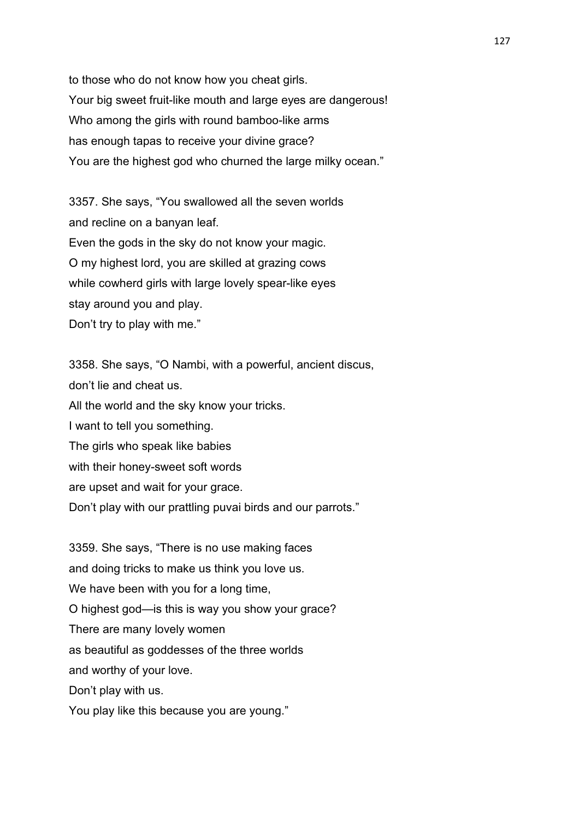to those who do not know how you cheat girls. Your big sweet fruit-like mouth and large eyes are dangerous! Who among the girls with round bamboo-like arms has enough tapas to receive your divine grace? You are the highest god who churned the large milky ocean."

3357. She says, "You swallowed all the seven worlds and recline on a banyan leaf. Even the gods in the sky do not know your magic. O my highest lord, you are skilled at grazing cows while cowherd girls with large lovely spear-like eyes stay around you and play. Don't try to play with me."

3358. She says, "O Nambi, with a powerful, ancient discus, don't lie and cheat us. All the world and the sky know your tricks. I want to tell you something. The girls who speak like babies with their honey-sweet soft words are upset and wait for your grace. Don't play with our prattling puvai birds and our parrots."

3359. She says, "There is no use making faces and doing tricks to make us think you love us. We have been with you for a long time, O highest god—is this is way you show your grace? There are many lovely women as beautiful as goddesses of the three worlds and worthy of your love. Don't play with us.

You play like this because you are young."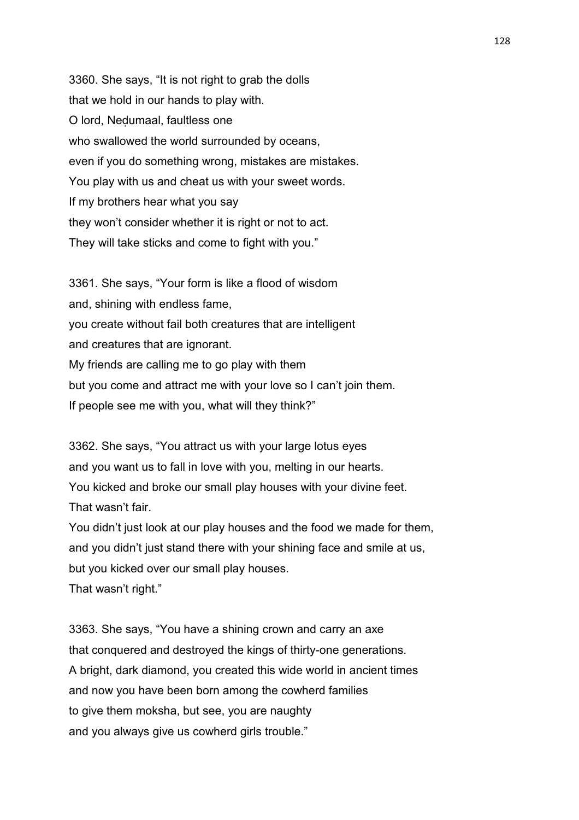3360. She says, "It is not right to grab the dolls that we hold in our hands to play with. O lord, Neḍumaal, faultless one who swallowed the world surrounded by oceans, even if you do something wrong, mistakes are mistakes. You play with us and cheat us with your sweet words. If my brothers hear what you say they won't consider whether it is right or not to act. They will take sticks and come to fight with you."

3361. She says, "Your form is like a flood of wisdom and, shining with endless fame, you create without fail both creatures that are intelligent and creatures that are ignorant. My friends are calling me to go play with them but you come and attract me with your love so I can't join them. If people see me with you, what will they think?"

3362. She says, "You attract us with your large lotus eyes and you want us to fall in love with you, melting in our hearts. You kicked and broke our small play houses with your divine feet. That wasn't fair.

You didn't just look at our play houses and the food we made for them, and you didn't just stand there with your shining face and smile at us, but you kicked over our small play houses. That wasn't right."

3363. She says, "You have a shining crown and carry an axe that conquered and destroyed the kings of thirty-one generations. A bright, dark diamond, you created this wide world in ancient times and now you have been born among the cowherd families to give them moksha, but see, you are naughty and you always give us cowherd girls trouble."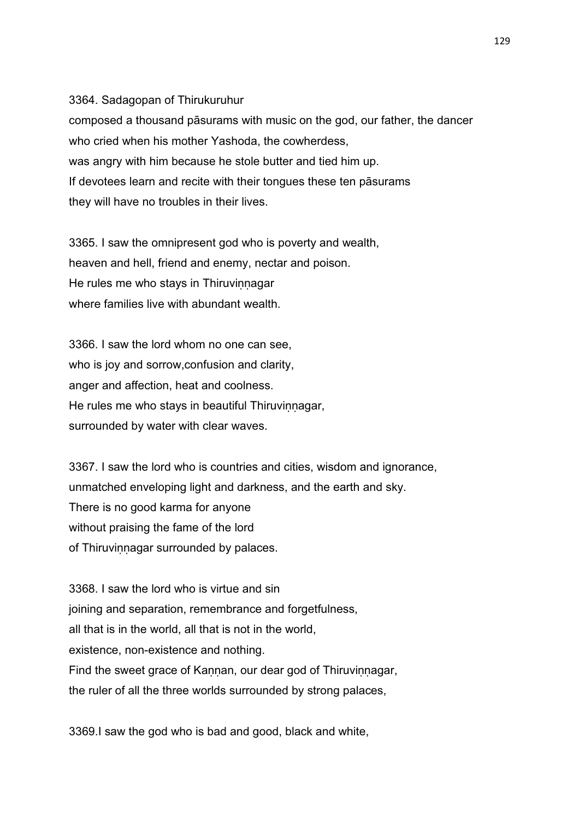3364. Sadagopan of Thirukuruhur composed a thousand pāsurams with music on the god, our father, the dancer who cried when his mother Yashoda, the cowherdess, was angry with him because he stole butter and tied him up. If devotees learn and recite with their tongues these ten pāsurams they will have no troubles in their lives.

3365. I saw the omnipresent god who is poverty and wealth, heaven and hell, friend and enemy, nectar and poison. He rules me who stays in Thiruvinnagar where families live with abundant wealth.

3366. I saw the lord whom no one can see, who is joy and sorrow,confusion and clarity, anger and affection, heat and coolness. He rules me who stays in beautiful Thiruvinnagar, surrounded by water with clear waves.

3367. I saw the lord who is countries and cities, wisdom and ignorance, unmatched enveloping light and darkness, and the earth and sky. There is no good karma for anyone without praising the fame of the lord of Thiruvinnagar surrounded by palaces.

3368. I saw the lord who is virtue and sin joining and separation, remembrance and forgetfulness, all that is in the world, all that is not in the world, existence, non-existence and nothing. Find the sweet grace of Kannan, our dear god of Thiruvinnagar, the ruler of all the three worlds surrounded by strong palaces,

3369.I saw the god who is bad and good, black and white,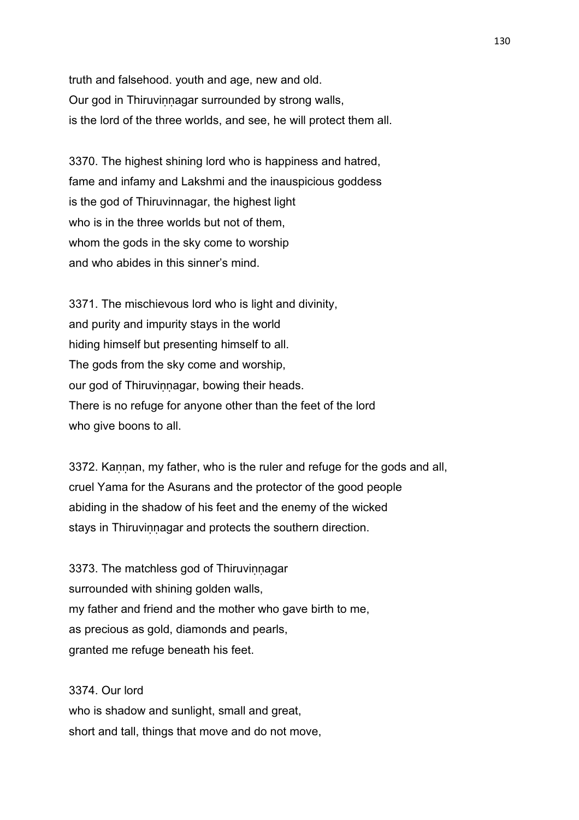truth and falsehood. youth and age, new and old. Our god in Thiruvinnagar surrounded by strong walls, is the lord of the three worlds, and see, he will protect them all.

3370. The highest shining lord who is happiness and hatred, fame and infamy and Lakshmi and the inauspicious goddess is the god of Thiruvinnagar, the highest light who is in the three worlds but not of them, whom the gods in the sky come to worship and who abides in this sinner's mind.

3371. The mischievous lord who is light and divinity, and purity and impurity stays in the world hiding himself but presenting himself to all. The gods from the sky come and worship, our god of Thiruvinnagar, bowing their heads. There is no refuge for anyone other than the feet of the lord who give boons to all.

3372. Kannan, my father, who is the ruler and refuge for the gods and all, cruel Yama for the Asurans and the protector of the good people abiding in the shadow of his feet and the enemy of the wicked stays in Thiruvinnagar and protects the southern direction.

3373. The matchless god of Thiruvinnagar surrounded with shining golden walls, my father and friend and the mother who gave birth to me, as precious as gold, diamonds and pearls, granted me refuge beneath his feet.

3374. Our lord who is shadow and sunlight, small and great, short and tall, things that move and do not move,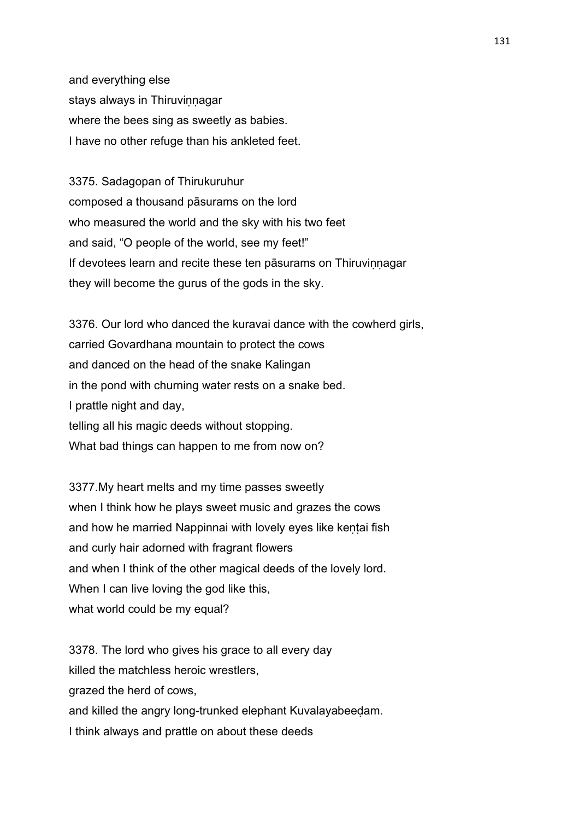and everything else stays always in Thiruvinnagar where the bees sing as sweetly as babies. I have no other refuge than his ankleted feet.

3375. Sadagopan of Thirukuruhur composed a thousand pāsurams on the lord who measured the world and the sky with his two feet and said, "O people of the world, see my feet!" If devotees learn and recite these ten pāsurams on Thiruviṇṇagar they will become the gurus of the gods in the sky.

3376. Our lord who danced the kuravai dance with the cowherd girls, carried Govardhana mountain to protect the cows and danced on the head of the snake Kalingan in the pond with churning water rests on a snake bed. I prattle night and day, telling all his magic deeds without stopping. What bad things can happen to me from now on?

3377.My heart melts and my time passes sweetly when I think how he plays sweet music and grazes the cows and how he married Nappinnai with lovely eyes like kentai fish and curly hair adorned with fragrant flowers and when I think of the other magical deeds of the lovely lord. When I can live loving the god like this, what world could be my equal?

3378. The lord who gives his grace to all every day killed the matchless heroic wrestlers, grazed the herd of cows, and killed the angry long-trunked elephant Kuvalayabeeḍam. I think always and prattle on about these deeds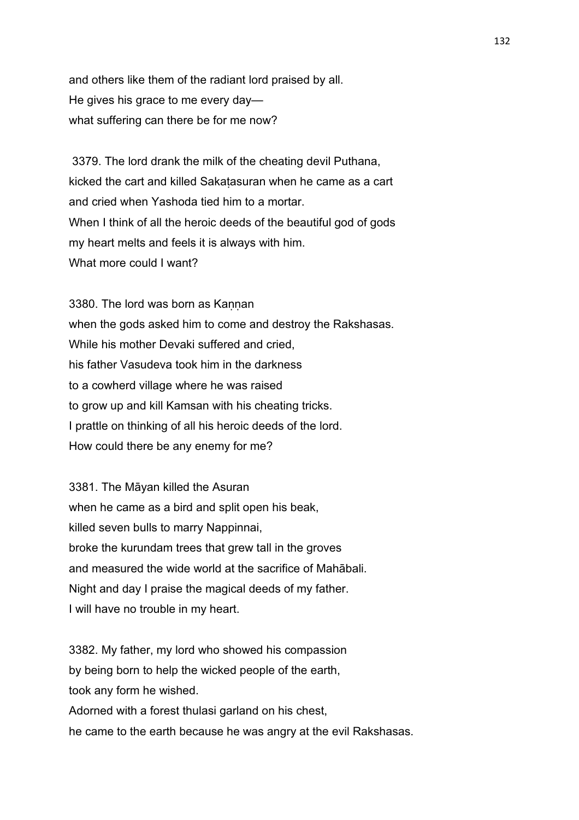and others like them of the radiant lord praised by all. He gives his grace to me every day what suffering can there be for me now?

 3379. The lord drank the milk of the cheating devil Puthana, kicked the cart and killed Sakaṭasuran when he came as a cart and cried when Yashoda tied him to a mortar. When I think of all the heroic deeds of the beautiful god of gods my heart melts and feels it is always with him. What more could I want?

3380. The lord was born as Kannan when the gods asked him to come and destroy the Rakshasas. While his mother Devaki suffered and cried, his father Vasudeva took him in the darkness to a cowherd village where he was raised to grow up and kill Kamsan with his cheating tricks. I prattle on thinking of all his heroic deeds of the lord. How could there be any enemy for me?

3381. The Māyan killed the Asuran when he came as a bird and split open his beak, killed seven bulls to marry Nappinnai, broke the kurundam trees that grew tall in the groves and measured the wide world at the sacrifice of Mahābali. Night and day I praise the magical deeds of my father. I will have no trouble in my heart.

3382. My father, my lord who showed his compassion by being born to help the wicked people of the earth, took any form he wished. Adorned with a forest thulasi garland on his chest,

he came to the earth because he was angry at the evil Rakshasas.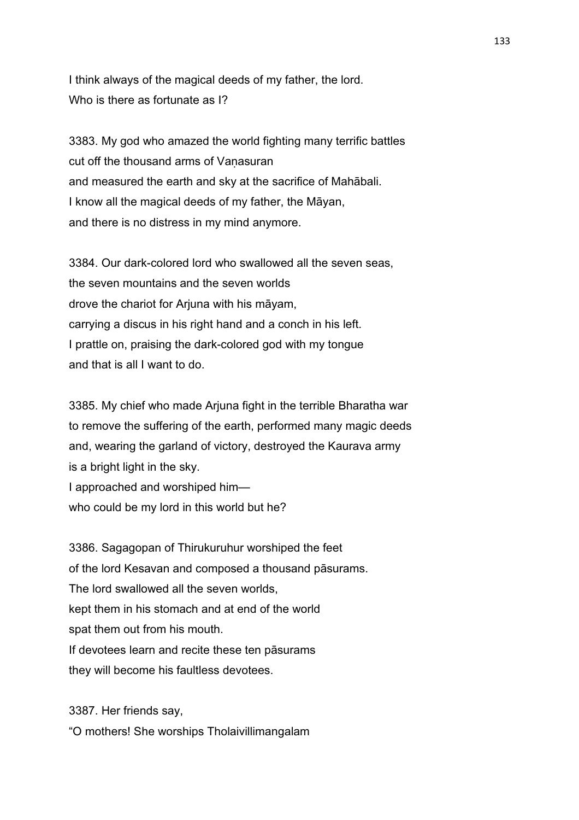I think always of the magical deeds of my father, the lord. Who is there as fortunate as I?

3383. My god who amazed the world fighting many terrific battles cut off the thousand arms of Vanasuran and measured the earth and sky at the sacrifice of Mahābali. I know all the magical deeds of my father, the Māyan, and there is no distress in my mind anymore.

3384. Our dark-colored lord who swallowed all the seven seas, the seven mountains and the seven worlds drove the chariot for Arjuna with his māyam, carrying a discus in his right hand and a conch in his left. I prattle on, praising the dark-colored god with my tongue and that is all I want to do.

3385. My chief who made Arjuna fight in the terrible Bharatha war to remove the suffering of the earth, performed many magic deeds and, wearing the garland of victory, destroyed the Kaurava army is a bright light in the sky. I approached and worshiped him who could be my lord in this world but he?

3386. Sagagopan of Thirukuruhur worshiped the feet of the lord Kesavan and composed a thousand pāsurams. The lord swallowed all the seven worlds, kept them in his stomach and at end of the world spat them out from his mouth. If devotees learn and recite these ten pāsurams they will become his faultless devotees.

3387. Her friends say, "O mothers! She worships Tholaivillimangalam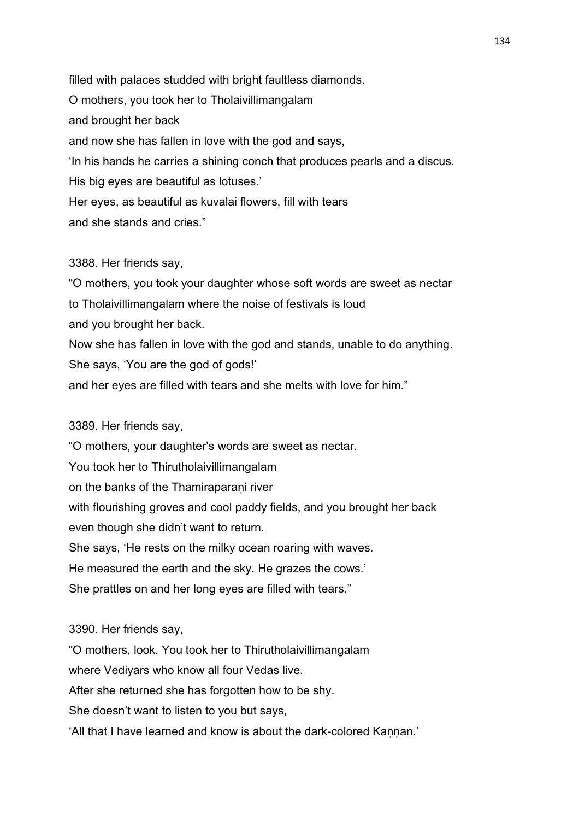filled with palaces studded with bright faultless diamonds. O mothers, you took her to Tholaivillimangalam and brought her back and now she has fallen in love with the god and says, 'In his hands he carries a shining conch that produces pearls and a discus. His big eyes are beautiful as lotuses.' Her eyes, as beautiful as kuvalai flowers, fill with tears and she stands and cries."

### 3388. Her friends say,

"O mothers, you took your daughter whose soft words are sweet as nectar to Tholaivillimangalam where the noise of festivals is loud and you brought her back. Now she has fallen in love with the god and stands, unable to do anything. She says, 'You are the god of gods!' and her eyes are filled with tears and she melts with love for him."

## 3389. Her friends say,

"O mothers, your daughter's words are sweet as nectar. You took her to Thirutholaivillimangalam on the banks of the Thamiraparani river with flourishing groves and cool paddy fields, and you brought her back even though she didn't want to return. She says, 'He rests on the milky ocean roaring with waves. He measured the earth and the sky. He grazes the cows.' She prattles on and her long eyes are filled with tears."

### 3390. Her friends say,

"O mothers, look. You took her to Thirutholaivillimangalam where Vediyars who know all four Vedas live. After she returned she has forgotten how to be shy. She doesn't want to listen to you but says, 'All that I have learned and know is about the dark-colored Kannan.'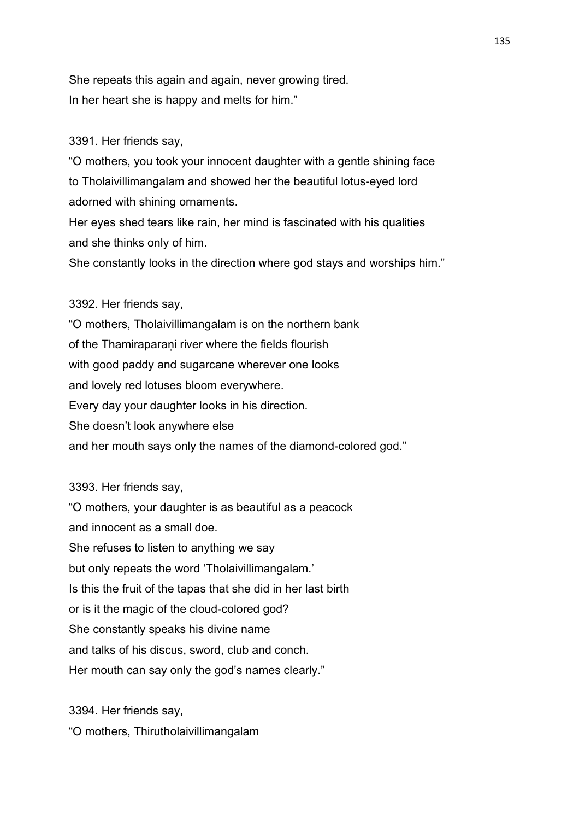She repeats this again and again, never growing tired. In her heart she is happy and melts for him."

# 3391. Her friends say,

"O mothers, you took your innocent daughter with a gentle shining face to Tholaivillimangalam and showed her the beautiful lotus-eyed lord adorned with shining ornaments.

Her eyes shed tears like rain, her mind is fascinated with his qualities and she thinks only of him.

She constantly looks in the direction where god stays and worships him."

# 3392. Her friends say,

"O mothers, Tholaivillimangalam is on the northern bank of the Thamiraparaṇi river where the fields flourish with good paddy and sugarcane wherever one looks and lovely red lotuses bloom everywhere. Every day your daughter looks in his direction. She doesn't look anywhere else and her mouth says only the names of the diamond-colored god."

3393. Her friends say,

"O mothers, your daughter is as beautiful as a peacock and innocent as a small doe. She refuses to listen to anything we say but only repeats the word 'Tholaivillimangalam.' Is this the fruit of the tapas that she did in her last birth or is it the magic of the cloud-colored god? She constantly speaks his divine name and talks of his discus, sword, club and conch. Her mouth can say only the god's names clearly."

3394. Her friends say, "O mothers, Thirutholaivillimangalam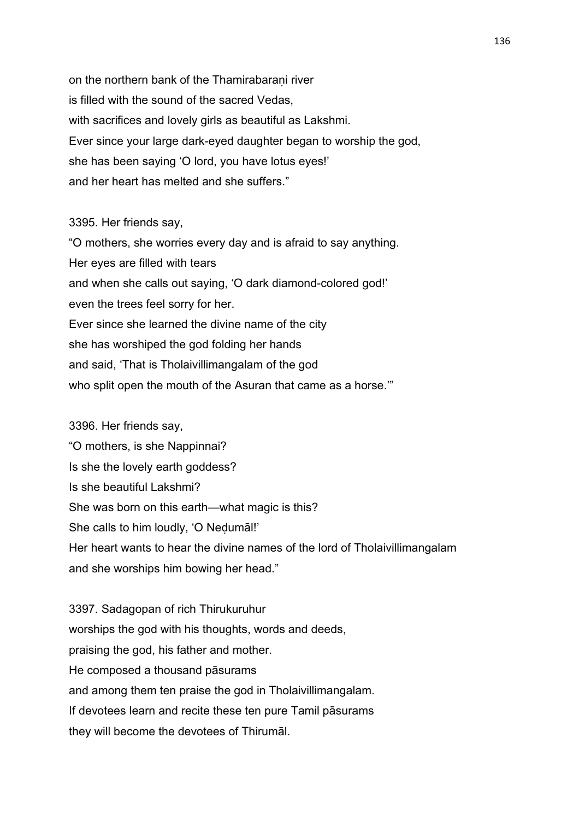on the northern bank of the Thamirabarani river is filled with the sound of the sacred Vedas, with sacrifices and lovely girls as beautiful as Lakshmi. Ever since your large dark-eyed daughter began to worship the god, she has been saying 'O lord, you have lotus eyes!' and her heart has melted and she suffers."

## 3395. Her friends say,

"O mothers, she worries every day and is afraid to say anything. Her eyes are filled with tears and when she calls out saying, 'O dark diamond-colored god!' even the trees feel sorry for her. Ever since she learned the divine name of the city she has worshiped the god folding her hands and said, 'That is Tholaivillimangalam of the god who split open the mouth of the Asuran that came as a horse."

3396. Her friends say, "O mothers, is she Nappinnai? Is she the lovely earth goddess? Is she beautiful Lakshmi? She was born on this earth—what magic is this? She calls to him loudly, 'O Neḍumāl!' Her heart wants to hear the divine names of the lord of Tholaivillimangalam and she worships him bowing her head."

3397. Sadagopan of rich Thirukuruhur worships the god with his thoughts, words and deeds, praising the god, his father and mother. He composed a thousand pāsurams and among them ten praise the god in Tholaivillimangalam. If devotees learn and recite these ten pure Tamil pāsurams they will become the devotees of Thirumāl.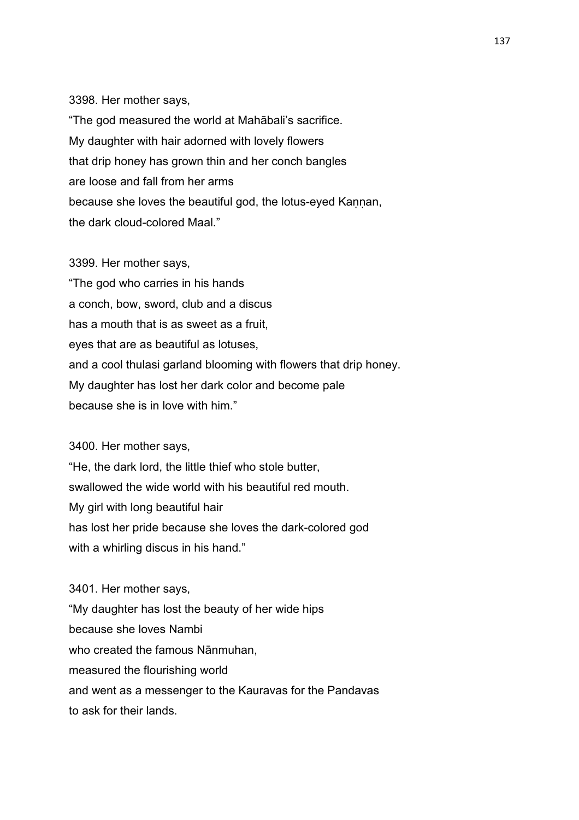#### 3398. Her mother says,

"The god measured the world at Mahābali's sacrifice. My daughter with hair adorned with lovely flowers that drip honey has grown thin and her conch bangles are loose and fall from her arms because she loves the beautiful god, the lotus-eyed Kaṇṇan, the dark cloud-colored Maal."

3399. Her mother says, "The god who carries in his hands a conch, bow, sword, club and a discus has a mouth that is as sweet as a fruit, eyes that are as beautiful as lotuses, and a cool thulasi garland blooming with flowers that drip honey. My daughter has lost her dark color and become pale because she is in love with him."

3400. Her mother says,

"He, the dark lord, the little thief who stole butter, swallowed the wide world with his beautiful red mouth. My girl with long beautiful hair has lost her pride because she loves the dark-colored god with a whirling discus in his hand."

3401. Her mother says, "My daughter has lost the beauty of her wide hips because she loves Nambi who created the famous Nānmuhan, measured the flourishing world and went as a messenger to the Kauravas for the Pandavas to ask for their lands.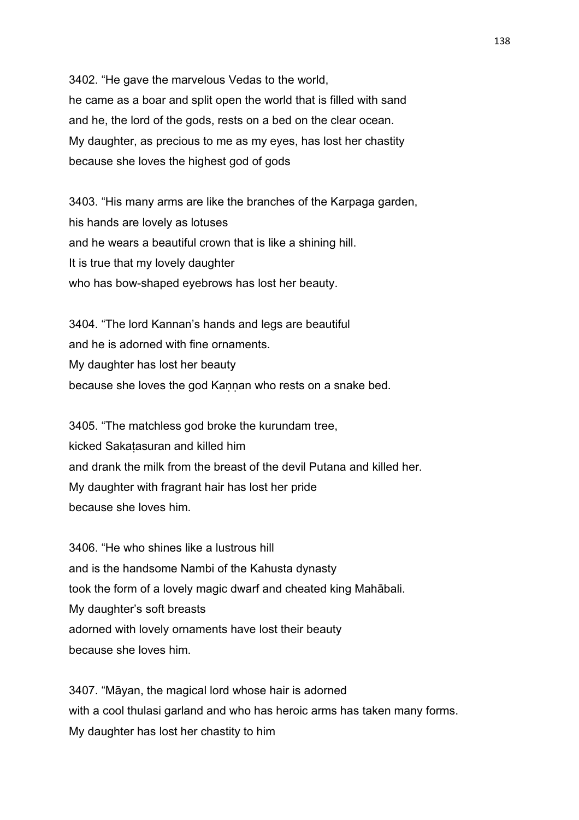3402. "He gave the marvelous Vedas to the world, he came as a boar and split open the world that is filled with sand and he, the lord of the gods, rests on a bed on the clear ocean. My daughter, as precious to me as my eyes, has lost her chastity because she loves the highest god of gods

3403. "His many arms are like the branches of the Karpaga garden, his hands are lovely as lotuses and he wears a beautiful crown that is like a shining hill. It is true that my lovely daughter who has bow-shaped eyebrows has lost her beauty.

3404. "The lord Kannan's hands and legs are beautiful and he is adorned with fine ornaments. My daughter has lost her beauty because she loves the god Kannan who rests on a snake bed.

3405. "The matchless god broke the kurundam tree, kicked Sakaṭasuran and killed him and drank the milk from the breast of the devil Putana and killed her. My daughter with fragrant hair has lost her pride because she loves him.

3406. "He who shines like a lustrous hill and is the handsome Nambi of the Kahusta dynasty took the form of a lovely magic dwarf and cheated king Mahābali. My daughter's soft breasts adorned with lovely ornaments have lost their beauty because she loves him.

3407. "Māyan, the magical lord whose hair is adorned with a cool thulasi garland and who has heroic arms has taken many forms. My daughter has lost her chastity to him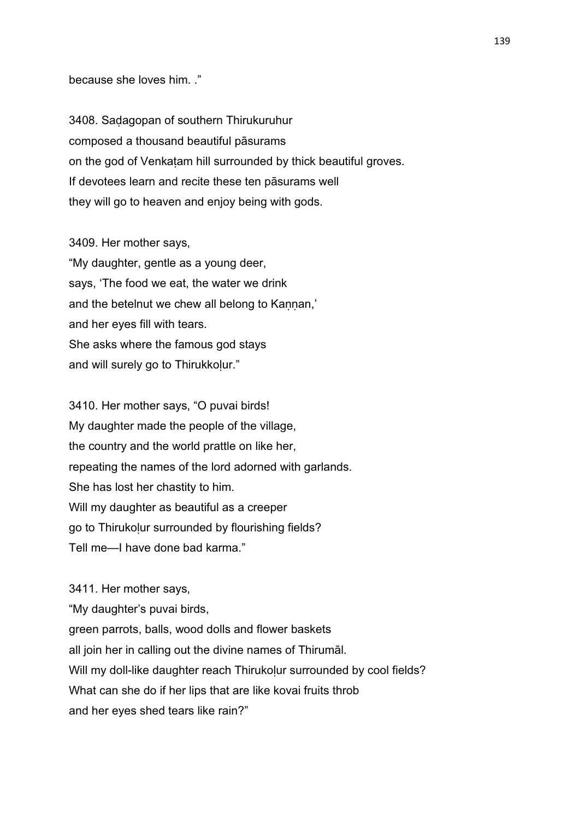because she loves him. ."

3408. Saḍagopan of southern Thirukuruhur composed a thousand beautiful pāsurams on the god of Venkatam hill surrounded by thick beautiful groves. If devotees learn and recite these ten pāsurams well they will go to heaven and enjoy being with gods.

3409. Her mother says,

"My daughter, gentle as a young deer, says, 'The food we eat, the water we drink and the betelnut we chew all belong to Kannan,' and her eyes fill with tears. She asks where the famous god stays and will surely go to Thirukkolur."

3410. Her mother says, "O puvai birds! My daughter made the people of the village, the country and the world prattle on like her, repeating the names of the lord adorned with garlands. She has lost her chastity to him. Will my daughter as beautiful as a creeper go to Thirukolur surrounded by flourishing fields? Tell me—I have done bad karma."

3411. Her mother says, "My daughter's puvai birds, green parrots, balls, wood dolls and flower baskets all join her in calling out the divine names of Thirumāl. Will my doll-like daughter reach Thirukolur surrounded by cool fields? What can she do if her lips that are like kovai fruits throb and her eyes shed tears like rain?"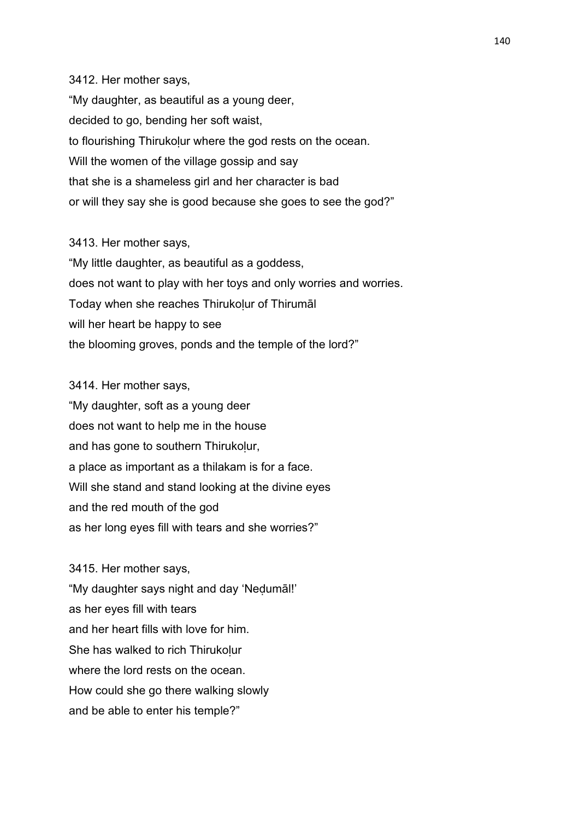3412. Her mother says, "My daughter, as beautiful as a young deer, decided to go, bending her soft waist, to flourishing Thirukolur where the god rests on the ocean. Will the women of the village gossip and say that she is a shameless girl and her character is bad or will they say she is good because she goes to see the god?"

3413. Her mother says,

"My little daughter, as beautiful as a goddess, does not want to play with her toys and only worries and worries. Today when she reaches Thirukolur of Thirumāl will her heart be happy to see the blooming groves, ponds and the temple of the lord?"

3414. Her mother says, "My daughter, soft as a young deer does not want to help me in the house and has gone to southern Thirukolur, a place as important as a thilakam is for a face. Will she stand and stand looking at the divine eyes and the red mouth of the god as her long eyes fill with tears and she worries?"

3415. Her mother says, "My daughter says night and day 'Neḍumāl!' as her eyes fill with tears and her heart fills with love for him. She has walked to rich Thirukolur where the lord rests on the ocean. How could she go there walking slowly and be able to enter his temple?"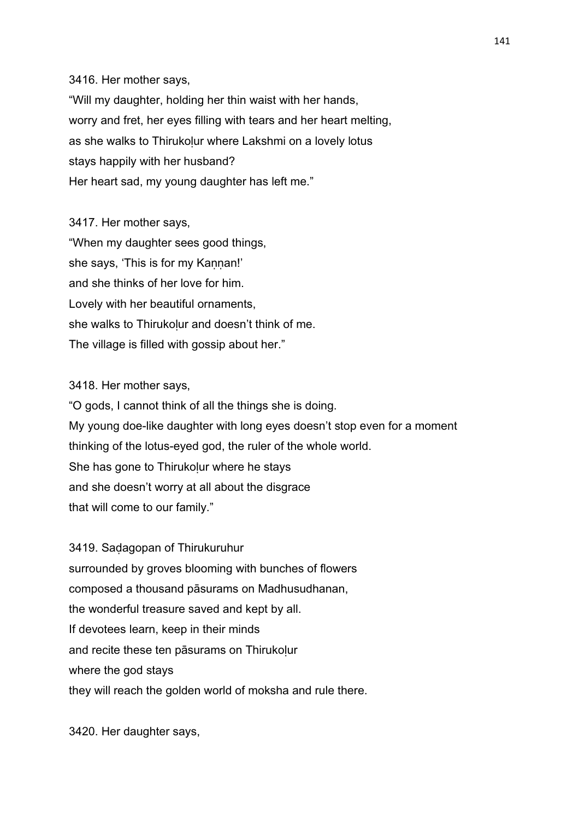3416. Her mother says, "Will my daughter, holding her thin waist with her hands, worry and fret, her eyes filling with tears and her heart melting, as she walks to Thirukolur where Lakshmi on a lovely lotus stays happily with her husband? Her heart sad, my young daughter has left me."

3417. Her mother says, "When my daughter sees good things, she says, 'This is for my Kannan!' and she thinks of her love for him. Lovely with her beautiful ornaments, she walks to Thirukolur and doesn't think of me. The village is filled with gossip about her."

3418. Her mother says,

"O gods, I cannot think of all the things she is doing. My young doe-like daughter with long eyes doesn't stop even for a moment thinking of the lotus-eyed god, the ruler of the whole world. She has gone to Thirukolur where he stays and she doesn't worry at all about the disgrace that will come to our family."

3419. Saḍagopan of Thirukuruhur surrounded by groves blooming with bunches of flowers composed a thousand pāsurams on Madhusudhanan, the wonderful treasure saved and kept by all. If devotees learn, keep in their minds and recite these ten pāsurams on Thirukoḷur where the god stays they will reach the golden world of moksha and rule there.

3420. Her daughter says,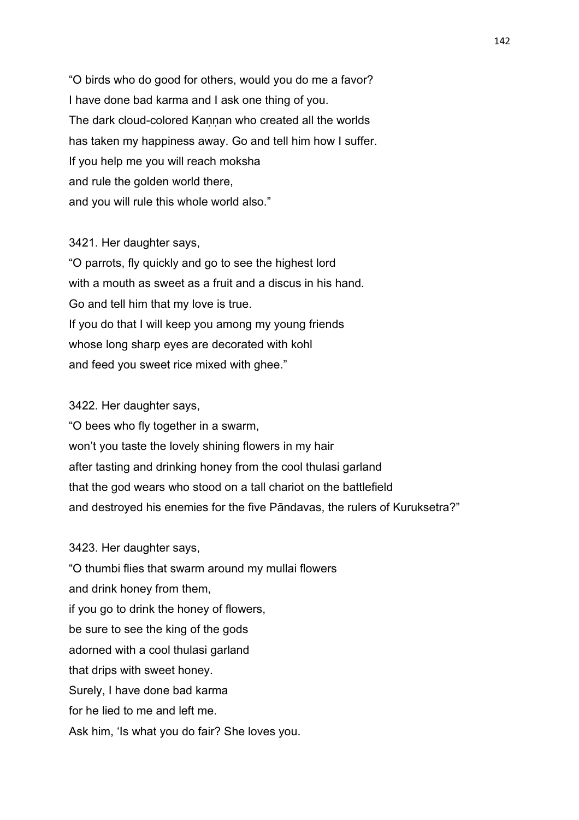"O birds who do good for others, would you do me a favor? I have done bad karma and I ask one thing of you. The dark cloud-colored Kannan who created all the worlds has taken my happiness away. Go and tell him how I suffer. If you help me you will reach moksha and rule the golden world there, and you will rule this whole world also."

# 3421. Her daughter says,

"O parrots, fly quickly and go to see the highest lord with a mouth as sweet as a fruit and a discus in his hand. Go and tell him that my love is true. If you do that I will keep you among my young friends whose long sharp eyes are decorated with kohl and feed you sweet rice mixed with ghee."

# 3422. Her daughter says,

"O bees who fly together in a swarm, won't you taste the lovely shining flowers in my hair after tasting and drinking honey from the cool thulasi garland that the god wears who stood on a tall chariot on the battlefield and destroyed his enemies for the five Pāndavas, the rulers of Kuruksetra?"

3423. Her daughter says, "O thumbi flies that swarm around my mullai flowers and drink honey from them, if you go to drink the honey of flowers, be sure to see the king of the gods adorned with a cool thulasi garland that drips with sweet honey. Surely, I have done bad karma for he lied to me and left me. Ask him, 'Is what you do fair? She loves you.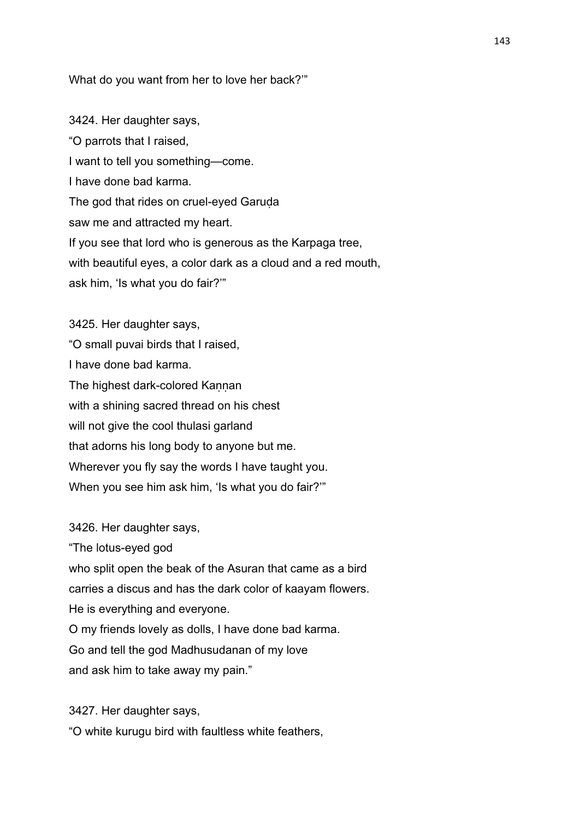### What do you want from her to love her back?'"

3424. Her daughter says, "O parrots that I raised, I want to tell you something—come. I have done bad karma. The god that rides on cruel-eyed Garuḍa saw me and attracted my heart. If you see that lord who is generous as the Karpaga tree, with beautiful eyes, a color dark as a cloud and a red mouth, ask him, 'Is what you do fair?'"

3425. Her daughter says, "O small puvai birds that I raised, I have done bad karma. The highest dark-colored Kannan with a shining sacred thread on his chest will not give the cool thulasi garland that adorns his long body to anyone but me. Wherever you fly say the words I have taught you. When you see him ask him, 'Is what you do fair?'"

3426. Her daughter says,

"The lotus-eyed god

who split open the beak of the Asuran that came as a bird

carries a discus and has the dark color of kaayam flowers.

He is everything and everyone.

O my friends lovely as dolls, I have done bad karma.

Go and tell the god Madhusudanan of my love

and ask him to take away my pain."

3427. Her daughter says, "O white kurugu bird with faultless white feathers,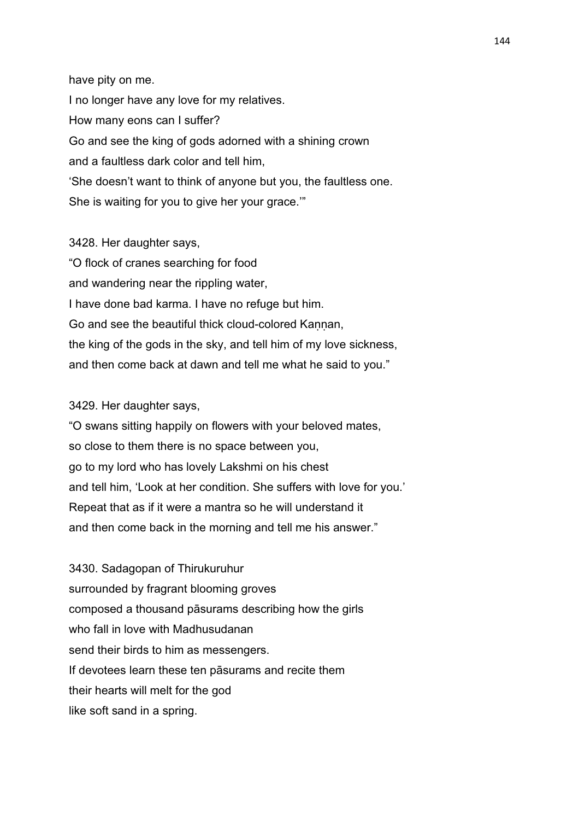have pity on me. I no longer have any love for my relatives. How many eons can I suffer? Go and see the king of gods adorned with a shining crown and a faultless dark color and tell him, 'She doesn't want to think of anyone but you, the faultless one. She is waiting for you to give her your grace.'"

3428. Her daughter says, "O flock of cranes searching for food and wandering near the rippling water, I have done bad karma. I have no refuge but him. Go and see the beautiful thick cloud-colored Kannan, the king of the gods in the sky, and tell him of my love sickness, and then come back at dawn and tell me what he said to you."

## 3429. Her daughter says,

"O swans sitting happily on flowers with your beloved mates, so close to them there is no space between you, go to my lord who has lovely Lakshmi on his chest and tell him, 'Look at her condition. She suffers with love for you.' Repeat that as if it were a mantra so he will understand it and then come back in the morning and tell me his answer."

3430. Sadagopan of Thirukuruhur surrounded by fragrant blooming groves composed a thousand pāsurams describing how the girls who fall in love with Madhusudanan send their birds to him as messengers. If devotees learn these ten pāsurams and recite them their hearts will melt for the god like soft sand in a spring.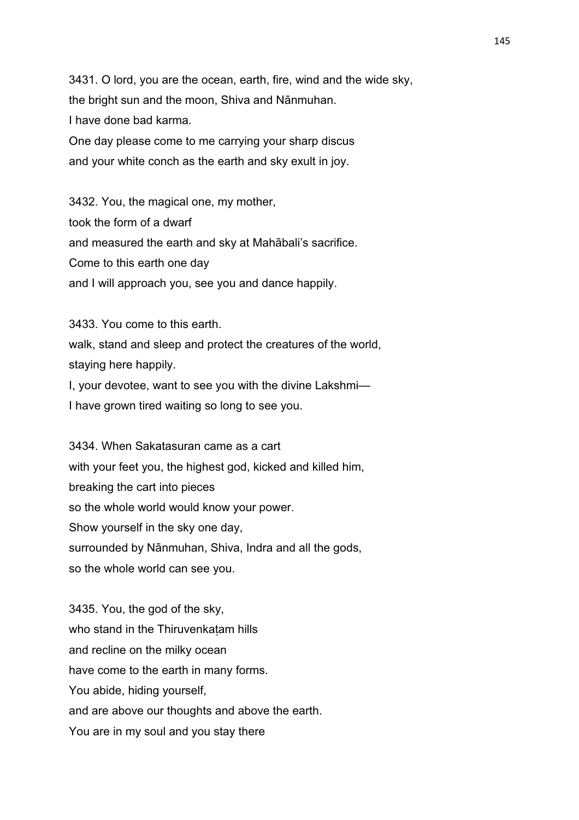3431. O lord, you are the ocean, earth, fire, wind and the wide sky, the bright sun and the moon, Shiva and Nānmuhan. I have done bad karma. One day please come to me carrying your sharp discus

and your white conch as the earth and sky exult in joy.

3432. You, the magical one, my mother, took the form of a dwarf and measured the earth and sky at Mahābali's sacrifice. Come to this earth one day and I will approach you, see you and dance happily.

3433. You come to this earth. walk, stand and sleep and protect the creatures of the world, staying here happily. I, your devotee, want to see you with the divine Lakshmi— I have grown tired waiting so long to see you.

3434. When Sakatasuran came as a cart with your feet you, the highest god, kicked and killed him, breaking the cart into pieces so the whole world would know your power. Show yourself in the sky one day, surrounded by Nānmuhan, Shiva, Indra and all the gods, so the whole world can see you.

3435. You, the god of the sky, who stand in the Thiruvenkaṭam hills and recline on the milky ocean have come to the earth in many forms. You abide, hiding yourself, and are above our thoughts and above the earth. You are in my soul and you stay there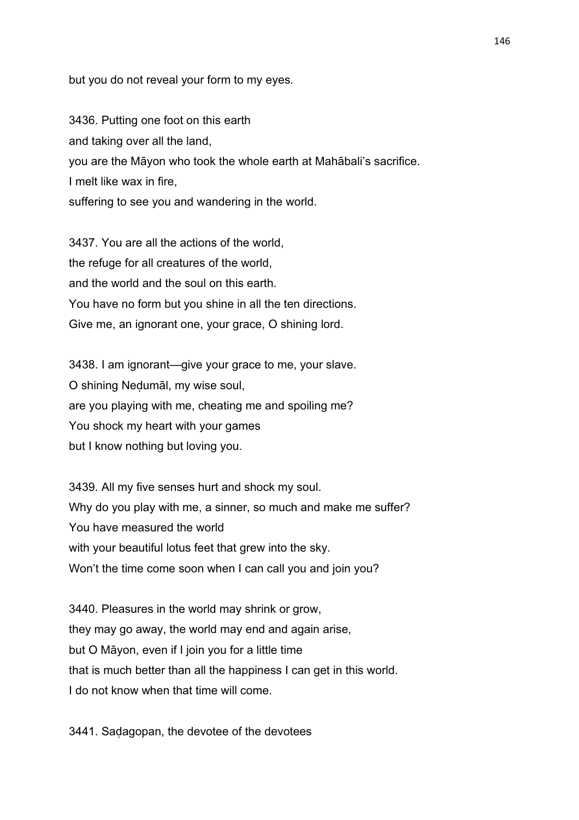but you do not reveal your form to my eyes.

3436. Putting one foot on this earth and taking over all the land, you are the Māyon who took the whole earth at Mahābali's sacrifice. I melt like wax in fire, suffering to see you and wandering in the world.

3437. You are all the actions of the world, the refuge for all creatures of the world, and the world and the soul on this earth. You have no form but you shine in all the ten directions. Give me, an ignorant one, your grace, O shining lord.

3438. I am ignorant—give your grace to me, your slave. O shining Neḍumāl, my wise soul, are you playing with me, cheating me and spoiling me? You shock my heart with your games but I know nothing but loving you.

3439. All my five senses hurt and shock my soul. Why do you play with me, a sinner, so much and make me suffer? You have measured the world with your beautiful lotus feet that grew into the sky. Won't the time come soon when I can call you and join you?

3440. Pleasures in the world may shrink or grow, they may go away, the world may end and again arise, but O Māyon, even if I join you for a little time that is much better than all the happiness I can get in this world. I do not know when that time will come.

3441. Saḍagopan, the devotee of the devotees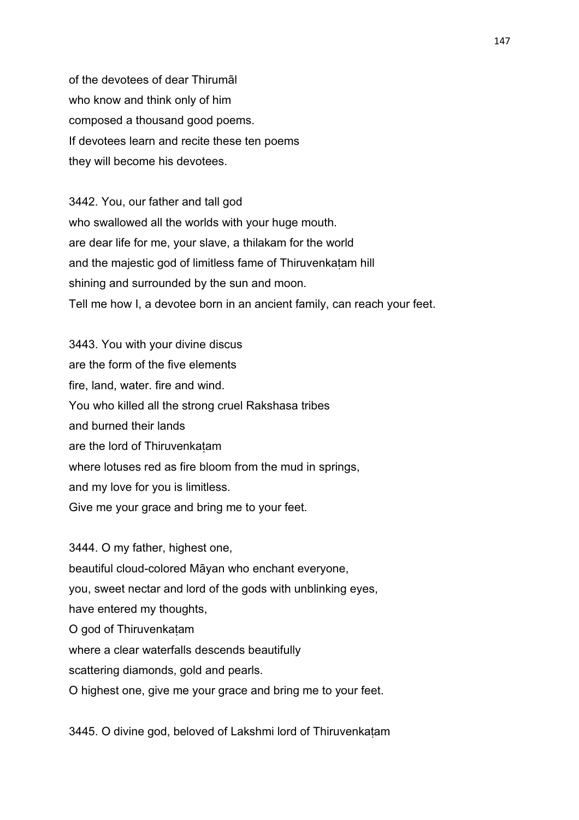of the devotees of dear Thirumāl who know and think only of him composed a thousand good poems. If devotees learn and recite these ten poems they will become his devotees.

3442. You, our father and tall god who swallowed all the worlds with your huge mouth. are dear life for me, your slave, a thilakam for the world and the majestic god of limitless fame of Thiruvenkaṭam hill shining and surrounded by the sun and moon. Tell me how I, a devotee born in an ancient family, can reach your feet.

3443. You with your divine discus are the form of the five elements fire, land, water. fire and wind. You who killed all the strong cruel Rakshasa tribes and burned their lands are the lord of Thiruvenkaṭam where lotuses red as fire bloom from the mud in springs, and my love for you is limitless. Give me your grace and bring me to your feet.

3444. O my father, highest one, beautiful cloud-colored Māyan who enchant everyone, you, sweet nectar and lord of the gods with unblinking eyes, have entered my thoughts, O god of Thiruvenkaṭam where a clear waterfalls descends beautifully scattering diamonds, gold and pearls. O highest one, give me your grace and bring me to your feet.

3445. O divine god, beloved of Lakshmi lord of Thiruvenkaṭam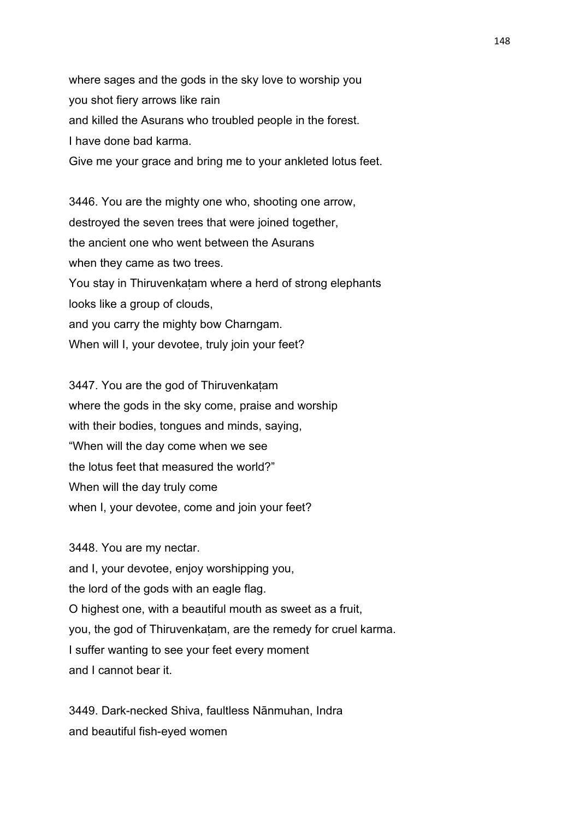where sages and the gods in the sky love to worship you you shot fiery arrows like rain and killed the Asurans who troubled people in the forest. I have done bad karma. Give me your grace and bring me to your ankleted lotus feet.

3446. You are the mighty one who, shooting one arrow, destroyed the seven trees that were joined together, the ancient one who went between the Asurans when they came as two trees. You stay in Thiruvenkatam where a herd of strong elephants looks like a group of clouds, and you carry the mighty bow Charngam. When will I, your devotee, truly join your feet?

3447. You are the god of Thiruvenkaṭam where the gods in the sky come, praise and worship with their bodies, tongues and minds, saying, "When will the day come when we see the lotus feet that measured the world?" When will the day truly come when I, your devotee, come and join your feet?

3448. You are my nectar. and I, your devotee, enjoy worshipping you, the lord of the gods with an eagle flag. O highest one, with a beautiful mouth as sweet as a fruit, you, the god of Thiruvenkaṭam, are the remedy for cruel karma. I suffer wanting to see your feet every moment and I cannot bear it.

3449. Dark-necked Shiva, faultless Nānmuhan, Indra and beautiful fish-eyed women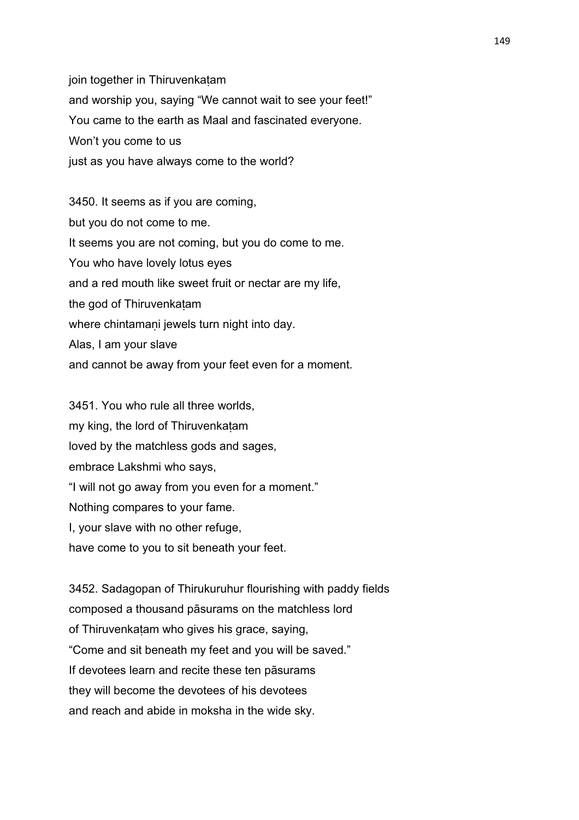join together in Thiruvenkatam and worship you, saying "We cannot wait to see your feet!" You came to the earth as Maal and fascinated everyone. Won't you come to us just as you have always come to the world?

3450. It seems as if you are coming, but you do not come to me. It seems you are not coming, but you do come to me. You who have lovely lotus eyes and a red mouth like sweet fruit or nectar are my life, the god of Thiruvenkaṭam where chintamaṇi jewels turn night into dav. Alas, I am your slave and cannot be away from your feet even for a moment.

3451. You who rule all three worlds, my king, the lord of Thiruvenkaṭam loved by the matchless gods and sages, embrace Lakshmi who says, "I will not go away from you even for a moment." Nothing compares to your fame. I, your slave with no other refuge, have come to you to sit beneath your feet.

3452. Sadagopan of Thirukuruhur flourishing with paddy fields composed a thousand pāsurams on the matchless lord of Thiruvenkaṭam who gives his grace, saying, "Come and sit beneath my feet and you will be saved." If devotees learn and recite these ten pāsurams they will become the devotees of his devotees and reach and abide in moksha in the wide sky.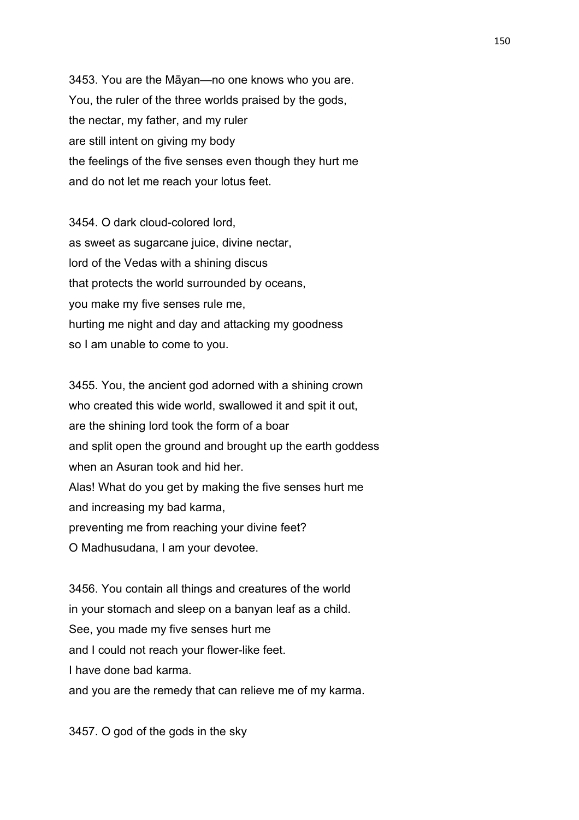3453. You are the Māyan—no one knows who you are. You, the ruler of the three worlds praised by the gods, the nectar, my father, and my ruler are still intent on giving my body the feelings of the five senses even though they hurt me and do not let me reach your lotus feet.

3454. O dark cloud-colored lord, as sweet as sugarcane juice, divine nectar, lord of the Vedas with a shining discus that protects the world surrounded by oceans, you make my five senses rule me, hurting me night and day and attacking my goodness so I am unable to come to you.

3455. You, the ancient god adorned with a shining crown who created this wide world, swallowed it and spit it out, are the shining lord took the form of a boar and split open the ground and brought up the earth goddess when an Asuran took and hid her. Alas! What do you get by making the five senses hurt me and increasing my bad karma, preventing me from reaching your divine feet? O Madhusudana, I am your devotee.

3456. You contain all things and creatures of the world in your stomach and sleep on a banyan leaf as a child. See, you made my five senses hurt me and I could not reach your flower-like feet. I have done bad karma. and you are the remedy that can relieve me of my karma.

3457. O god of the gods in the sky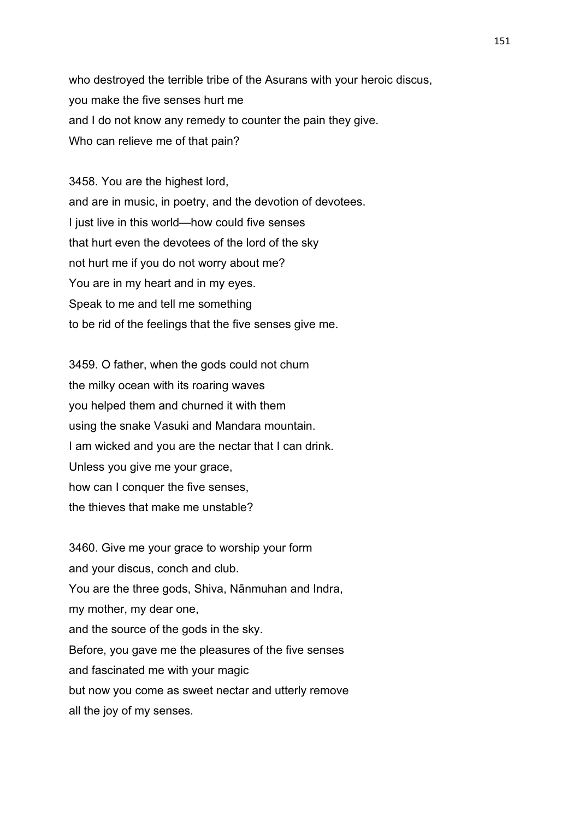who destroyed the terrible tribe of the Asurans with your heroic discus, you make the five senses hurt me and I do not know any remedy to counter the pain they give. Who can relieve me of that pain?

3458. You are the highest lord, and are in music, in poetry, and the devotion of devotees. I just live in this world—how could five senses that hurt even the devotees of the lord of the sky not hurt me if you do not worry about me? You are in my heart and in my eyes. Speak to me and tell me something to be rid of the feelings that the five senses give me.

3459. O father, when the gods could not churn the milky ocean with its roaring waves you helped them and churned it with them using the snake Vasuki and Mandara mountain. I am wicked and you are the nectar that I can drink. Unless you give me your grace, how can I conquer the five senses, the thieves that make me unstable?

3460. Give me your grace to worship your form and your discus, conch and club. You are the three gods, Shiva, Nānmuhan and Indra, my mother, my dear one, and the source of the gods in the sky. Before, you gave me the pleasures of the five senses and fascinated me with your magic but now you come as sweet nectar and utterly remove all the joy of my senses.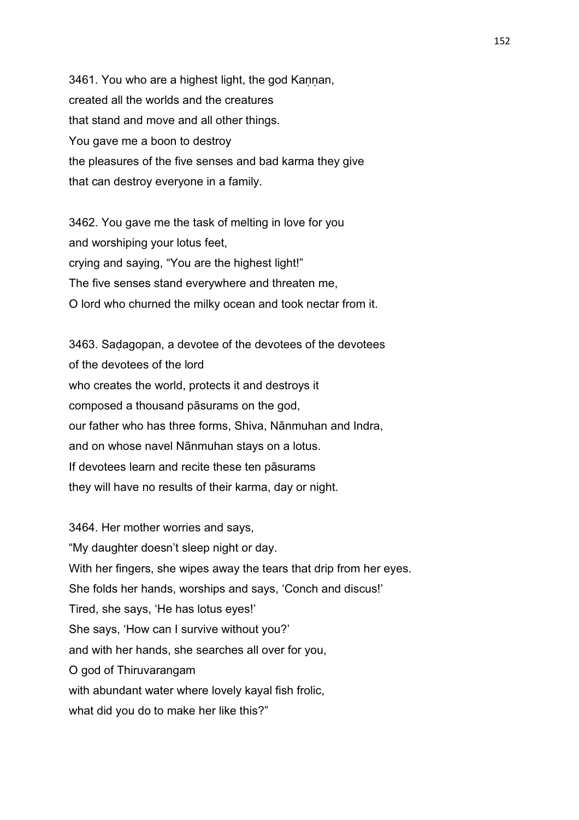3461. You who are a highest light, the god Kannan, created all the worlds and the creatures that stand and move and all other things. You gave me a boon to destroy the pleasures of the five senses and bad karma they give that can destroy everyone in a family.

3462. You gave me the task of melting in love for you and worshiping your lotus feet, crying and saying, "You are the highest light!" The five senses stand everywhere and threaten me, O lord who churned the milky ocean and took nectar from it.

3463. Saḍagopan, a devotee of the devotees of the devotees of the devotees of the lord who creates the world, protects it and destroys it composed a thousand pāsurams on the god, our father who has three forms, Shiva, Nānmuhan and Indra, and on whose navel Nānmuhan stays on a lotus. If devotees learn and recite these ten pāsurams they will have no results of their karma, day or night.

3464. Her mother worries and says, "My daughter doesn't sleep night or day. With her fingers, she wipes away the tears that drip from her eyes. She folds her hands, worships and says, 'Conch and discus!' Tired, she says, 'He has lotus eyes!' She says, 'How can I survive without you?' and with her hands, she searches all over for you, O god of Thiruvarangam with abundant water where lovely kayal fish frolic, what did you do to make her like this?"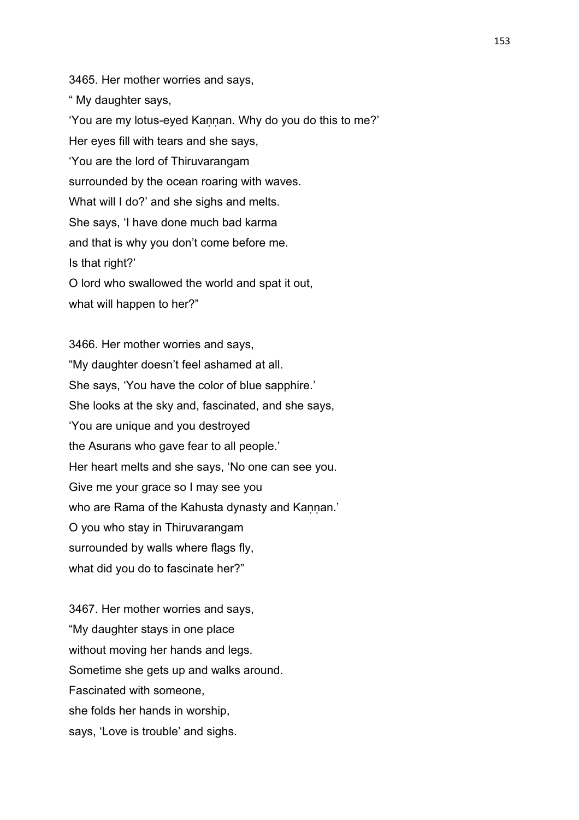3465. Her mother worries and says, " My daughter says, 'You are my lotus-eyed Kaṇṇan. Why do you do this to me?' Her eyes fill with tears and she says, 'You are the lord of Thiruvarangam surrounded by the ocean roaring with waves. What will I do?' and she sighs and melts. She says, 'I have done much bad karma and that is why you don't come before me. Is that right?' O lord who swallowed the world and spat it out, what will happen to her?"

3466. Her mother worries and says, "My daughter doesn't feel ashamed at all. She says, 'You have the color of blue sapphire.' She looks at the sky and, fascinated, and she says, 'You are unique and you destroyed the Asurans who gave fear to all people.' Her heart melts and she says, 'No one can see you. Give me your grace so I may see you who are Rama of the Kahusta dynasty and Kannan.' O you who stay in Thiruvarangam surrounded by walls where flags fly, what did you do to fascinate her?"

3467. Her mother worries and says, "My daughter stays in one place without moving her hands and legs. Sometime she gets up and walks around. Fascinated with someone, she folds her hands in worship, says, 'Love is trouble' and sighs.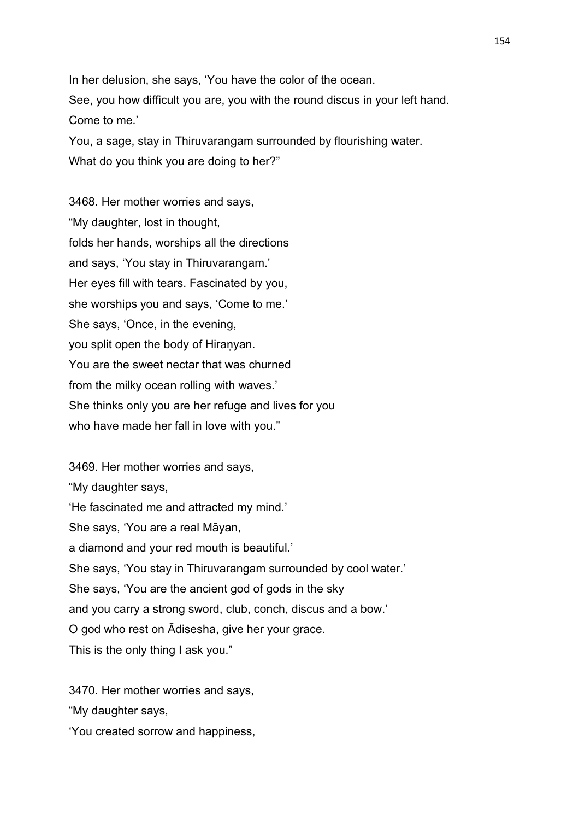In her delusion, she says, 'You have the color of the ocean. See, you how difficult you are, you with the round discus in your left hand. Come to me.'

You, a sage, stay in Thiruvarangam surrounded by flourishing water.

What do you think you are doing to her?"

3468. Her mother worries and says, "My daughter, lost in thought, folds her hands, worships all the directions and says, 'You stay in Thiruvarangam.' Her eyes fill with tears. Fascinated by you, she worships you and says, 'Come to me.' She says, 'Once, in the evening, you split open the body of Hiranyan. You are the sweet nectar that was churned from the milky ocean rolling with waves.' She thinks only you are her refuge and lives for you who have made her fall in love with you."

3469. Her mother worries and says, "My daughter says, 'He fascinated me and attracted my mind.' She says, 'You are a real Māyan, a diamond and your red mouth is beautiful.' She says, 'You stay in Thiruvarangam surrounded by cool water.' She says, 'You are the ancient god of gods in the sky and you carry a strong sword, club, conch, discus and a bow.' O god who rest on Ādisesha, give her your grace. This is the only thing I ask you."

3470. Her mother worries and says,

"My daughter says,

'You created sorrow and happiness,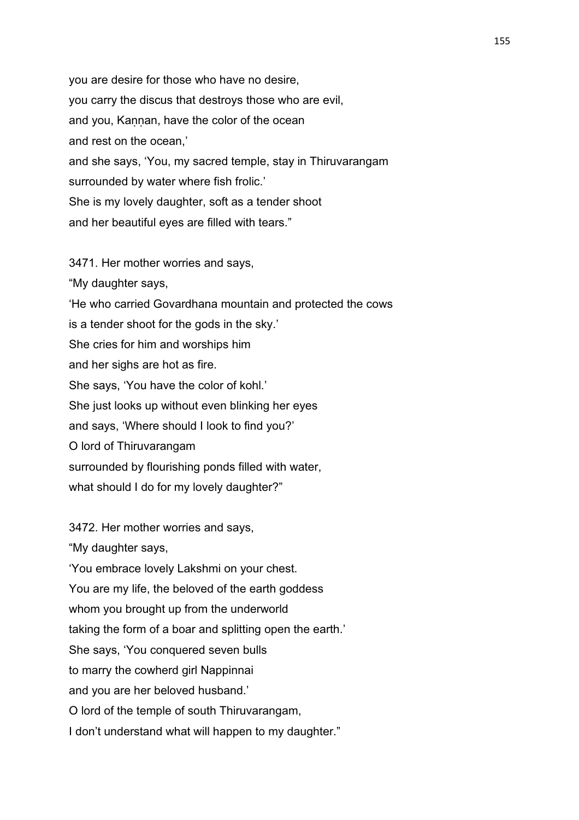you are desire for those who have no desire, you carry the discus that destroys those who are evil, and you, Kannan, have the color of the ocean and rest on the ocean,' and she says, 'You, my sacred temple, stay in Thiruvarangam surrounded by water where fish frolic.' She is my lovely daughter, soft as a tender shoot and her beautiful eyes are filled with tears."

3471. Her mother worries and says,

"My daughter says, 'He who carried Govardhana mountain and protected the cows is a tender shoot for the gods in the sky.' She cries for him and worships him and her sighs are hot as fire. She says, 'You have the color of kohl.' She just looks up without even blinking her eyes and says, 'Where should I look to find you?' O lord of Thiruvarangam surrounded by flourishing ponds filled with water, what should I do for my lovely daughter?"

3472. Her mother worries and says,

"My daughter says,

'You embrace lovely Lakshmi on your chest.

You are my life, the beloved of the earth goddess

whom you brought up from the underworld

taking the form of a boar and splitting open the earth.'

She says, 'You conquered seven bulls

to marry the cowherd girl Nappinnai

and you are her beloved husband.'

O lord of the temple of south Thiruvarangam,

I don't understand what will happen to my daughter."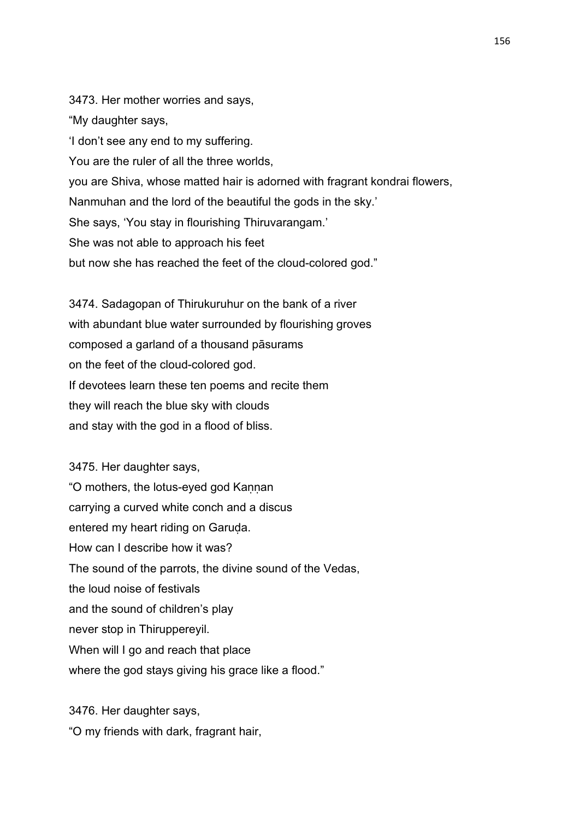3473. Her mother worries and says, "My daughter says, 'I don't see any end to my suffering. You are the ruler of all the three worlds, you are Shiva, whose matted hair is adorned with fragrant kondrai flowers, Nanmuhan and the lord of the beautiful the gods in the sky.' She says, 'You stay in flourishing Thiruvarangam.' She was not able to approach his feet but now she has reached the feet of the cloud-colored god."

3474. Sadagopan of Thirukuruhur on the bank of a river with abundant blue water surrounded by flourishing groves composed a garland of a thousand pāsurams on the feet of the cloud-colored god. If devotees learn these ten poems and recite them they will reach the blue sky with clouds and stay with the god in a flood of bliss.

3475. Her daughter says, "O mothers, the lotus-eyed god Kaṇṇan carrying a curved white conch and a discus entered my heart riding on Garuda. How can I describe how it was? The sound of the parrots, the divine sound of the Vedas, the loud noise of festivals and the sound of children's play never stop in Thiruppereyil. When will I go and reach that place where the god stays giving his grace like a flood."

3476. Her daughter says, "O my friends with dark, fragrant hair,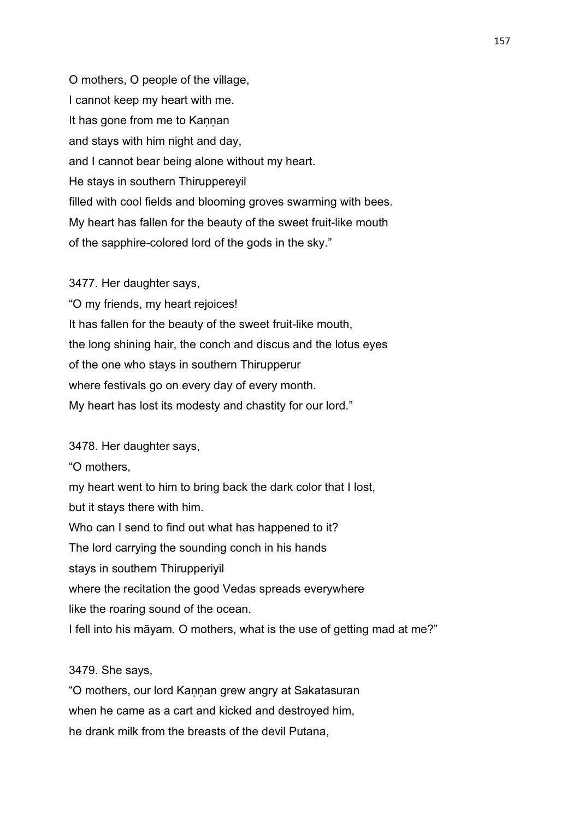O mothers, O people of the village, I cannot keep my heart with me. It has gone from me to Kannan and stays with him night and day, and I cannot bear being alone without my heart. He stays in southern Thiruppereyil filled with cool fields and blooming groves swarming with bees. My heart has fallen for the beauty of the sweet fruit-like mouth of the sapphire-colored lord of the gods in the sky."

3477. Her daughter says,

"O my friends, my heart rejoices! It has fallen for the beauty of the sweet fruit-like mouth, the long shining hair, the conch and discus and the lotus eyes of the one who stays in southern Thirupperur where festivals go on every day of every month. My heart has lost its modesty and chastity for our lord."

3478. Her daughter says,

"O mothers, my heart went to him to bring back the dark color that I lost, but it stays there with him. Who can I send to find out what has happened to it? The lord carrying the sounding conch in his hands stays in southern Thirupperiyil where the recitation the good Vedas spreads everywhere like the roaring sound of the ocean. I fell into his māyam. O mothers, what is the use of getting mad at me?"

## 3479. She says,

"O mothers, our lord Kaṇṇan grew angry at Sakatasuran when he came as a cart and kicked and destroyed him, he drank milk from the breasts of the devil Putana,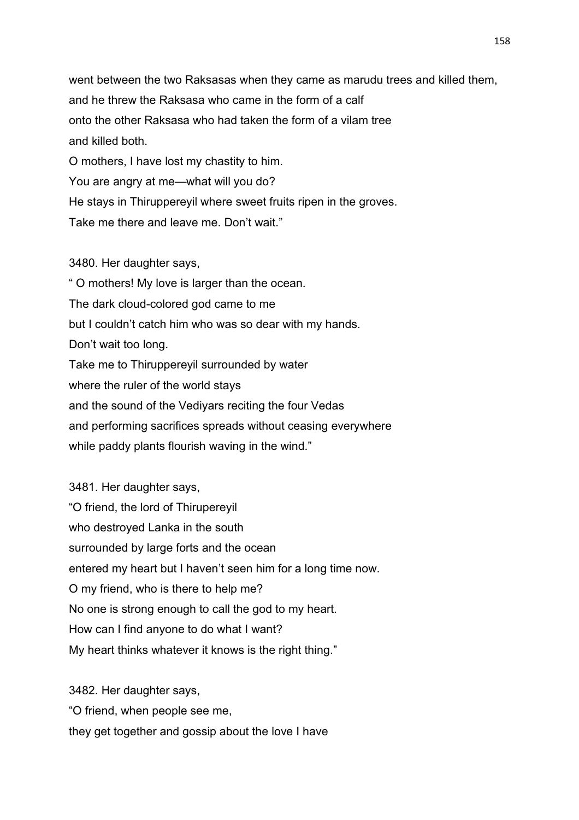went between the two Raksasas when they came as marudu trees and killed them, and he threw the Raksasa who came in the form of a calf onto the other Raksasa who had taken the form of a vilam tree and killed both. O mothers, I have lost my chastity to him. You are angry at me—what will you do? He stays in Thiruppereyil where sweet fruits ripen in the groves. Take me there and leave me. Don't wait."

3480. Her daughter says, " O mothers! My love is larger than the ocean. The dark cloud-colored god came to me but I couldn't catch him who was so dear with my hands. Don't wait too long. Take me to Thiruppereyil surrounded by water where the ruler of the world stays and the sound of the Vediyars reciting the four Vedas and performing sacrifices spreads without ceasing everywhere while paddy plants flourish waving in the wind."

3481. Her daughter says, "O friend, the lord of Thirupereyil who destroyed Lanka in the south surrounded by large forts and the ocean entered my heart but I haven't seen him for a long time now. O my friend, who is there to help me? No one is strong enough to call the god to my heart. How can I find anyone to do what I want? My heart thinks whatever it knows is the right thing."

3482. Her daughter says, "O friend, when people see me, they get together and gossip about the love I have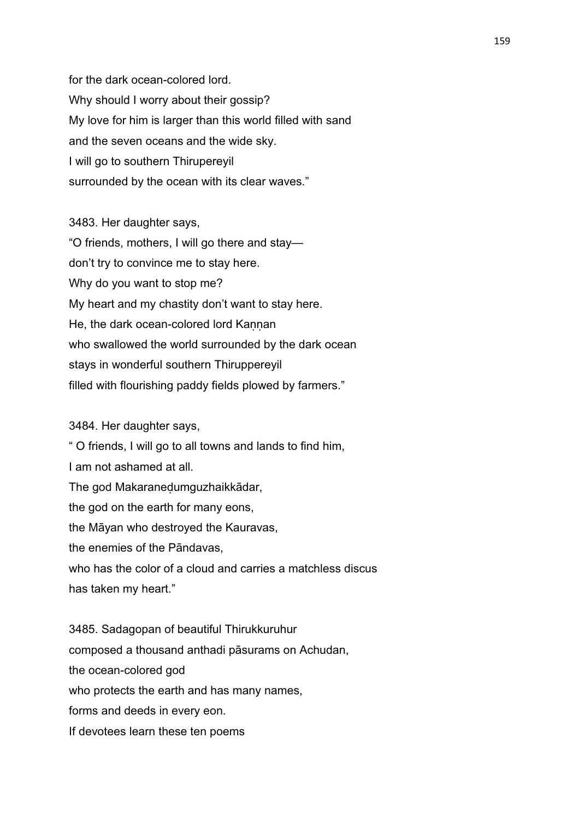for the dark ocean-colored lord. Why should I worry about their gossip? My love for him is larger than this world filled with sand and the seven oceans and the wide sky. I will go to southern Thirupereyil surrounded by the ocean with its clear waves."

3483. Her daughter says, "O friends, mothers, I will go there and stay don't try to convince me to stay here. Why do you want to stop me? My heart and my chastity don't want to stay here. He, the dark ocean-colored lord Kannan who swallowed the world surrounded by the dark ocean stays in wonderful southern Thiruppereyil filled with flourishing paddy fields plowed by farmers."

3484. Her daughter says,

" O friends, I will go to all towns and lands to find him, I am not ashamed at all. The god Makaraneḍumguzhaikkādar, the god on the earth for many eons, the Māyan who destroyed the Kauravas, the enemies of the Pāndavas, who has the color of a cloud and carries a matchless discus has taken my heart."

3485. Sadagopan of beautiful Thirukkuruhur composed a thousand anthadi pāsurams on Achudan, the ocean-colored god who protects the earth and has many names. forms and deeds in every eon. If devotees learn these ten poems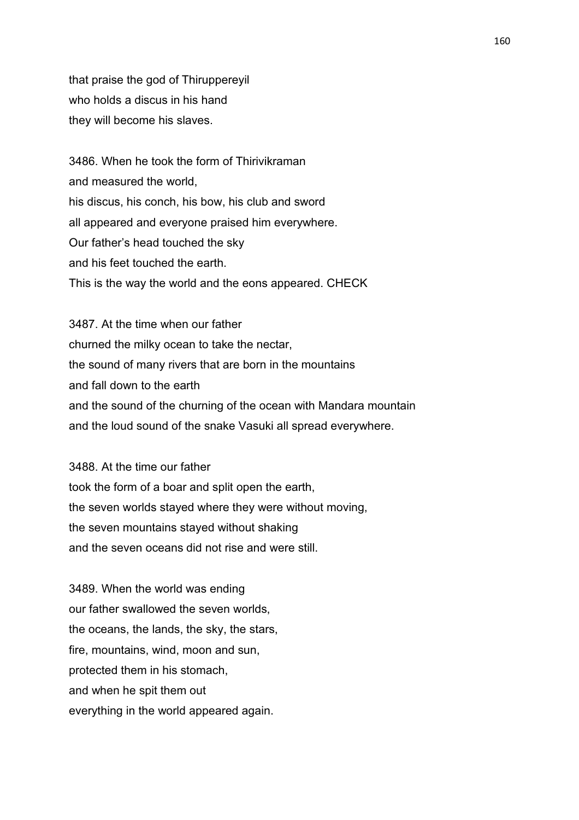that praise the god of Thiruppereyil who holds a discus in his hand they will become his slaves.

3486. When he took the form of Thirivikraman and measured the world, his discus, his conch, his bow, his club and sword all appeared and everyone praised him everywhere. Our father's head touched the sky and his feet touched the earth. This is the way the world and the eons appeared. CHECK

3487. At the time when our father churned the milky ocean to take the nectar, the sound of many rivers that are born in the mountains and fall down to the earth and the sound of the churning of the ocean with Mandara mountain and the loud sound of the snake Vasuki all spread everywhere.

3488. At the time our father took the form of a boar and split open the earth, the seven worlds stayed where they were without moving, the seven mountains stayed without shaking and the seven oceans did not rise and were still.

3489. When the world was ending our father swallowed the seven worlds, the oceans, the lands, the sky, the stars, fire, mountains, wind, moon and sun, protected them in his stomach, and when he spit them out everything in the world appeared again.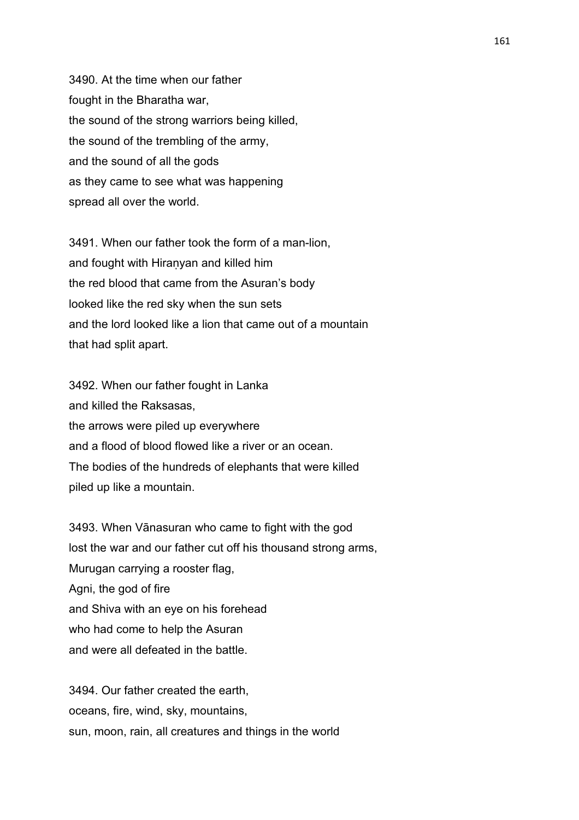3490. At the time when our father fought in the Bharatha war, the sound of the strong warriors being killed, the sound of the trembling of the army, and the sound of all the gods as they came to see what was happening spread all over the world.

3491. When our father took the form of a man-lion, and fought with Hiraṇyan and killed him the red blood that came from the Asuran's body looked like the red sky when the sun sets and the lord looked like a lion that came out of a mountain that had split apart.

3492. When our father fought in Lanka and killed the Raksasas, the arrows were piled up everywhere and a flood of blood flowed like a river or an ocean. The bodies of the hundreds of elephants that were killed piled up like a mountain.

3493. When Vānasuran who came to fight with the god lost the war and our father cut off his thousand strong arms, Murugan carrying a rooster flag, Agni, the god of fire and Shiva with an eye on his forehead who had come to help the Asuran and were all defeated in the battle.

3494. Our father created the earth, oceans, fire, wind, sky, mountains, sun, moon, rain, all creatures and things in the world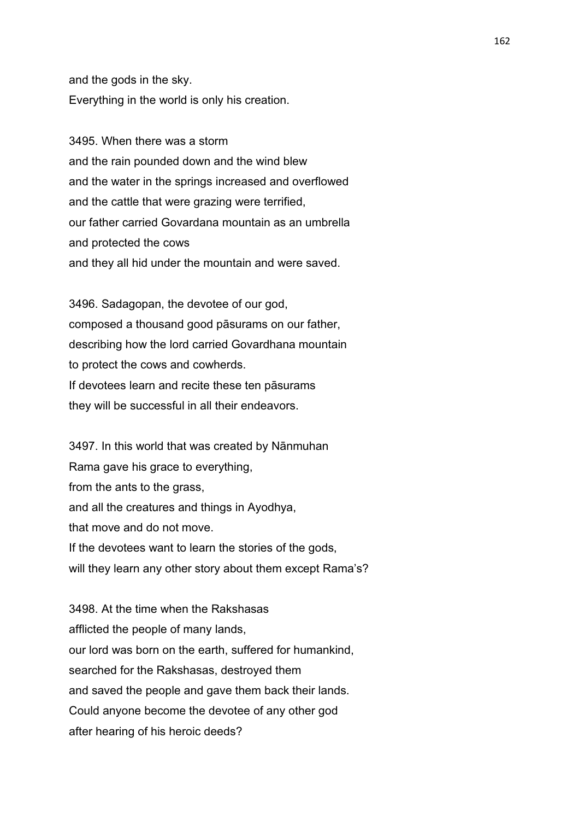and the gods in the sky. Everything in the world is only his creation.

3495. When there was a storm and the rain pounded down and the wind blew and the water in the springs increased and overflowed and the cattle that were grazing were terrified, our father carried Govardana mountain as an umbrella and protected the cows and they all hid under the mountain and were saved.

3496. Sadagopan, the devotee of our god, composed a thousand good pāsurams on our father, describing how the lord carried Govardhana mountain to protect the cows and cowherds. If devotees learn and recite these ten pāsurams they will be successful in all their endeavors.

3497. In this world that was created by Nānmuhan Rama gave his grace to everything, from the ants to the grass, and all the creatures and things in Ayodhya, that move and do not move. If the devotees want to learn the stories of the gods, will they learn any other story about them except Rama's?

3498. At the time when the Rakshasas afflicted the people of many lands, our lord was born on the earth, suffered for humankind, searched for the Rakshasas, destroyed them and saved the people and gave them back their lands. Could anyone become the devotee of any other god after hearing of his heroic deeds?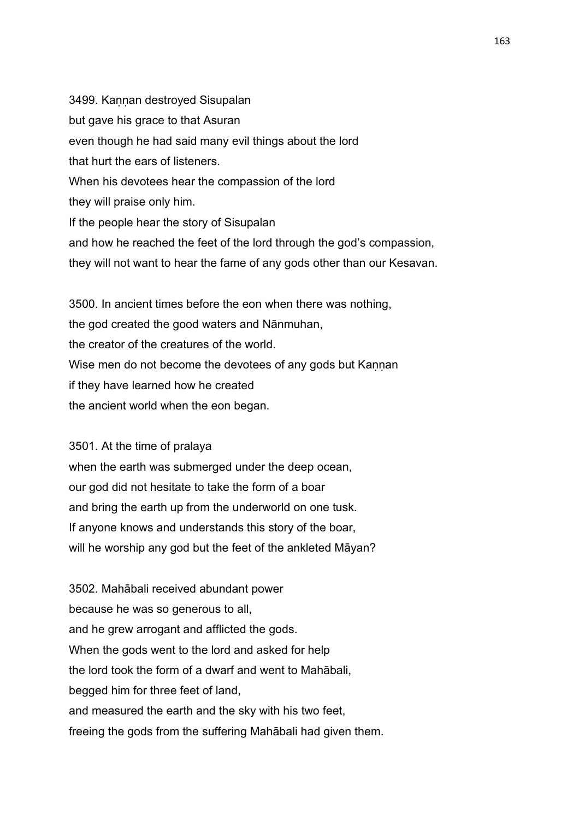3499. Kaṇṇan destroyed Sisupalan but gave his grace to that Asuran even though he had said many evil things about the lord that hurt the ears of listeners. When his devotees hear the compassion of the lord they will praise only him. If the people hear the story of Sisupalan and how he reached the feet of the lord through the god's compassion, they will not want to hear the fame of any gods other than our Kesavan.

3500. In ancient times before the eon when there was nothing, the god created the good waters and Nānmuhan, the creator of the creatures of the world. Wise men do not become the devotees of any gods but Kannan if they have learned how he created the ancient world when the eon began.

3501. At the time of pralaya

when the earth was submerged under the deep ocean, our god did not hesitate to take the form of a boar and bring the earth up from the underworld on one tusk. If anyone knows and understands this story of the boar, will he worship any god but the feet of the ankleted Māyan?

3502. Mahābali received abundant power because he was so generous to all, and he grew arrogant and afflicted the gods. When the gods went to the lord and asked for help the lord took the form of a dwarf and went to Mahābali, begged him for three feet of land, and measured the earth and the sky with his two feet, freeing the gods from the suffering Mahābali had given them.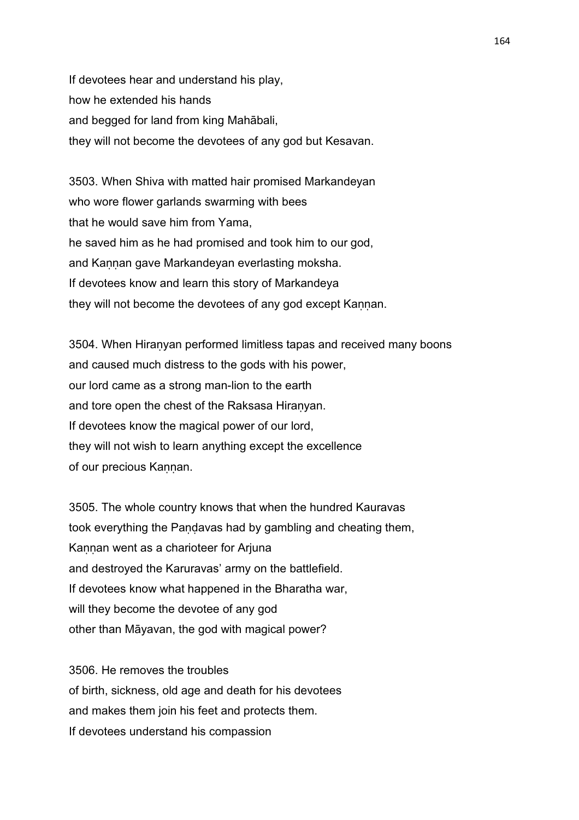If devotees hear and understand his play, how he extended his hands and begged for land from king Mahābali, they will not become the devotees of any god but Kesavan.

3503. When Shiva with matted hair promised Markandeyan who wore flower garlands swarming with bees that he would save him from Yama, he saved him as he had promised and took him to our god, and Kaṇṇan gave Markandeyan everlasting moksha. If devotees know and learn this story of Markandeya they will not become the devotees of any god except Kannan.

3504. When Hiraṇyan performed limitless tapas and received many boons and caused much distress to the gods with his power, our lord came as a strong man-lion to the earth and tore open the chest of the Raksasa Hiranyan. If devotees know the magical power of our lord, they will not wish to learn anything except the excellence of our precious Kannan.

3505. The whole country knows that when the hundred Kauravas took everything the Paṇḍavas had by gambling and cheating them, Kannan went as a charioteer for Arjuna and destroyed the Karuravas' army on the battlefield. If devotees know what happened in the Bharatha war, will they become the devotee of any god other than Māyavan, the god with magical power?

3506. He removes the troubles of birth, sickness, old age and death for his devotees and makes them join his feet and protects them. If devotees understand his compassion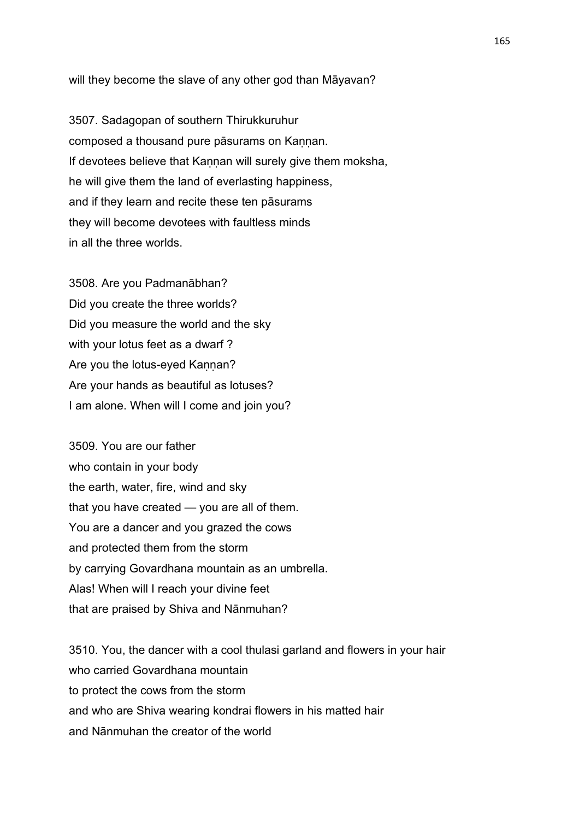will they become the slave of any other god than Māyavan?

3507. Sadagopan of southern Thirukkuruhur composed a thousand pure pāsurams on Kannan. If devotees believe that Kannan will surely give them moksha, he will give them the land of everlasting happiness, and if they learn and recite these ten pāsurams they will become devotees with faultless minds in all the three worlds.

3508. Are you Padmanābhan? Did you create the three worlds? Did you measure the world and the sky with your lotus feet as a dwarf? Are you the lotus-eyed Kannan? Are your hands as beautiful as lotuses? I am alone. When will I come and join you?

3509. You are our father who contain in your body the earth, water, fire, wind and sky that you have created — you are all of them. You are a dancer and you grazed the cows and protected them from the storm by carrying Govardhana mountain as an umbrella. Alas! When will I reach your divine feet that are praised by Shiva and Nānmuhan?

3510. You, the dancer with a cool thulasi garland and flowers in your hair who carried Govardhana mountain to protect the cows from the storm and who are Shiva wearing kondrai flowers in his matted hair and Nānmuhan the creator of the world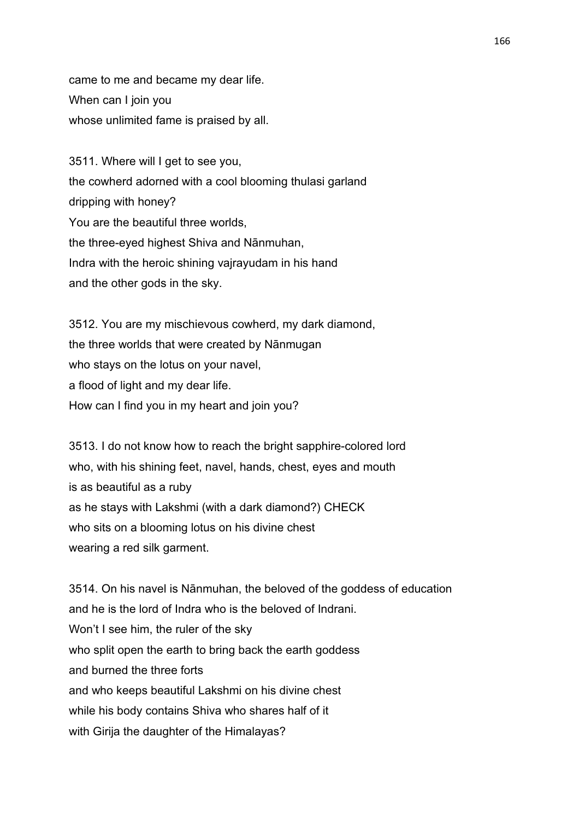came to me and became my dear life. When can I join you whose unlimited fame is praised by all.

3511. Where will I get to see you, the cowherd adorned with a cool blooming thulasi garland dripping with honey? You are the beautiful three worlds, the three-eyed highest Shiva and Nānmuhan, Indra with the heroic shining vajrayudam in his hand and the other gods in the sky.

3512. You are my mischievous cowherd, my dark diamond, the three worlds that were created by Nānmugan who stays on the lotus on your navel, a flood of light and my dear life. How can I find you in my heart and join you?

3513. I do not know how to reach the bright sapphire-colored lord who, with his shining feet, navel, hands, chest, eyes and mouth is as beautiful as a ruby as he stays with Lakshmi (with a dark diamond?) CHECK who sits on a blooming lotus on his divine chest wearing a red silk garment.

3514. On his navel is Nānmuhan, the beloved of the goddess of education and he is the lord of Indra who is the beloved of Indrani. Won't I see him, the ruler of the sky who split open the earth to bring back the earth goddess and burned the three forts and who keeps beautiful Lakshmi on his divine chest while his body contains Shiva who shares half of it with Girija the daughter of the Himalayas?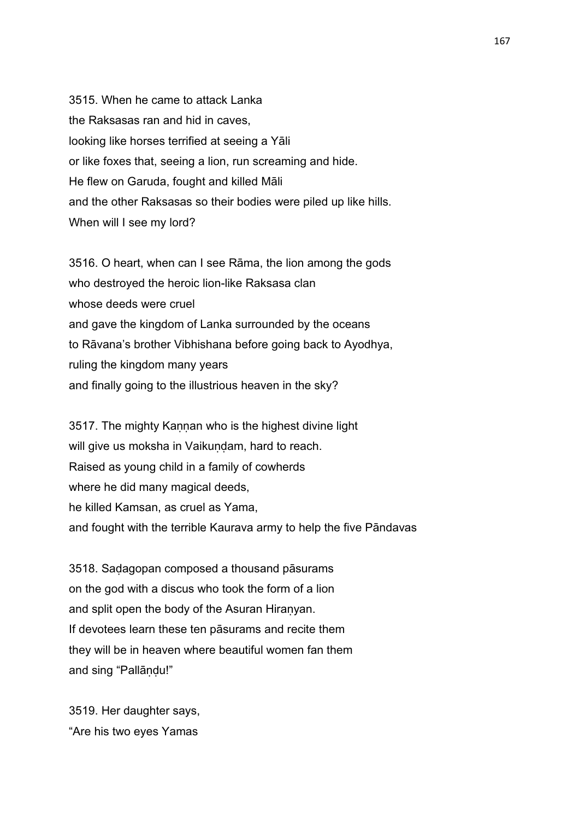3515. When he came to attack Lanka the Raksasas ran and hid in caves, looking like horses terrified at seeing a Yāli or like foxes that, seeing a lion, run screaming and hide. He flew on Garuda, fought and killed Māli and the other Raksasas so their bodies were piled up like hills. When will I see my lord?

3516. O heart, when can I see Rāma, the lion among the gods who destroyed the heroic lion-like Raksasa clan whose deeds were cruel and gave the kingdom of Lanka surrounded by the oceans to Rāvana's brother Vibhishana before going back to Ayodhya, ruling the kingdom many years and finally going to the illustrious heaven in the sky?

3517. The mighty Kannan who is the highest divine light will give us moksha in Vaikundam, hard to reach. Raised as young child in a family of cowherds where he did many magical deeds, he killed Kamsan, as cruel as Yama, and fought with the terrible Kaurava army to help the five Pāndavas

3518. Saḍagopan composed a thousand pāsurams on the god with a discus who took the form of a lion and split open the body of the Asuran Hiranyan. If devotees learn these ten pāsurams and recite them they will be in heaven where beautiful women fan them and sing "Pallāṇḍu!"

3519. Her daughter says, "Are his two eyes Yamas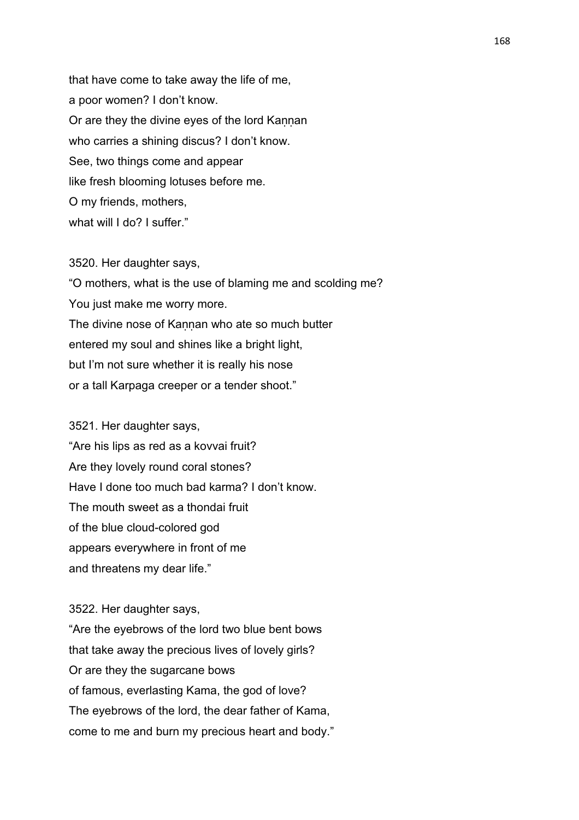that have come to take away the life of me, a poor women? I don't know. Or are they the divine eyes of the lord Kaṇṇan who carries a shining discus? I don't know. See, two things come and appear like fresh blooming lotuses before me. O my friends, mothers, what will I do? I suffer."

3520. Her daughter says, "O mothers, what is the use of blaming me and scolding me? You just make me worry more. The divine nose of Kannan who ate so much butter entered my soul and shines like a bright light, but I'm not sure whether it is really his nose or a tall Karpaga creeper or a tender shoot."

3521. Her daughter says, "Are his lips as red as a kovvai fruit? Are they lovely round coral stones? Have I done too much bad karma? I don't know. The mouth sweet as a thondai fruit of the blue cloud-colored god appears everywhere in front of me and threatens my dear life."

3522. Her daughter says, "Are the eyebrows of the lord two blue bent bows that take away the precious lives of lovely girls? Or are they the sugarcane bows of famous, everlasting Kama, the god of love? The eyebrows of the lord, the dear father of Kama, come to me and burn my precious heart and body."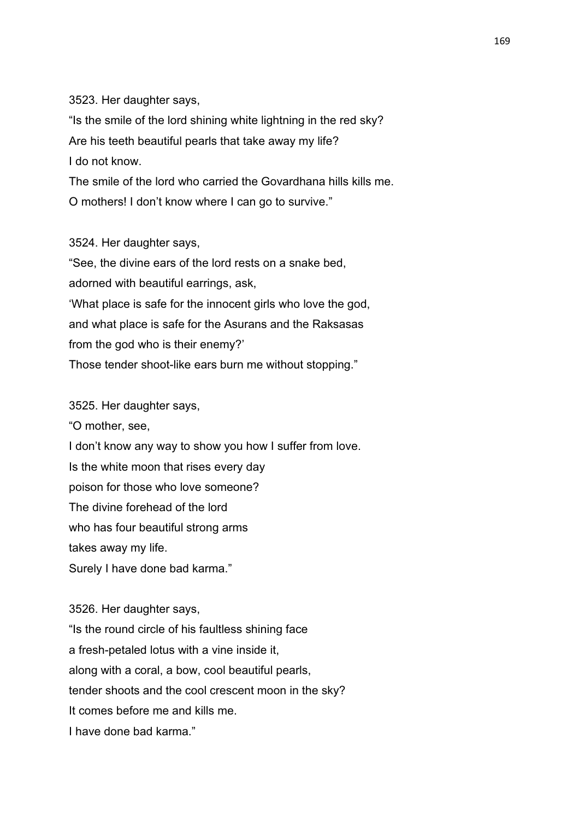3523. Her daughter says,

"Is the smile of the lord shining white lightning in the red sky? Are his teeth beautiful pearls that take away my life? I do not know.

The smile of the lord who carried the Govardhana hills kills me. O mothers! I don't know where I can go to survive."

3524. Her daughter says,

"See, the divine ears of the lord rests on a snake bed, adorned with beautiful earrings, ask, 'What place is safe for the innocent girls who love the god, and what place is safe for the Asurans and the Raksasas from the god who is their enemy?' Those tender shoot-like ears burn me without stopping."

3525. Her daughter says,

"O mother, see,

I don't know any way to show you how I suffer from love.

Is the white moon that rises every day

poison for those who love someone?

The divine forehead of the lord

who has four beautiful strong arms

takes away my life.

Surely I have done bad karma."

3526. Her daughter says, "Is the round circle of his faultless shining face a fresh-petaled lotus with a vine inside it, along with a coral, a bow, cool beautiful pearls, tender shoots and the cool crescent moon in the sky? It comes before me and kills me. I have done bad karma."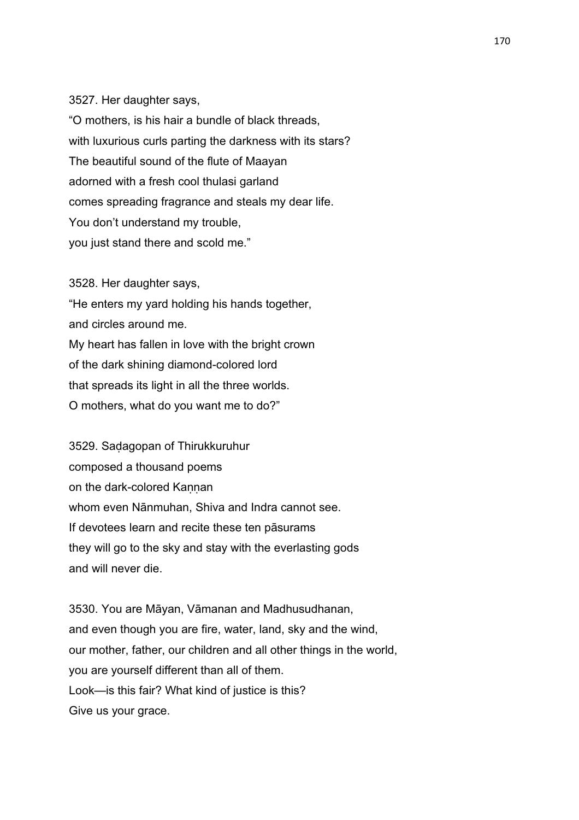## 3527. Her daughter says,

"O mothers, is his hair a bundle of black threads, with luxurious curls parting the darkness with its stars? The beautiful sound of the flute of Maayan adorned with a fresh cool thulasi garland comes spreading fragrance and steals my dear life. You don't understand my trouble, you just stand there and scold me."

3528. Her daughter says, "He enters my yard holding his hands together, and circles around me. My heart has fallen in love with the bright crown of the dark shining diamond-colored lord that spreads its light in all the three worlds. O mothers, what do you want me to do?"

3529. Saḍagopan of Thirukkuruhur composed a thousand poems on the dark-colored Kannan whom even Nānmuhan, Shiva and Indra cannot see. If devotees learn and recite these ten pāsurams they will go to the sky and stay with the everlasting gods and will never die.

3530. You are Māyan, Vāmanan and Madhusudhanan, and even though you are fire, water, land, sky and the wind, our mother, father, our children and all other things in the world, you are yourself different than all of them. Look—is this fair? What kind of justice is this? Give us your grace.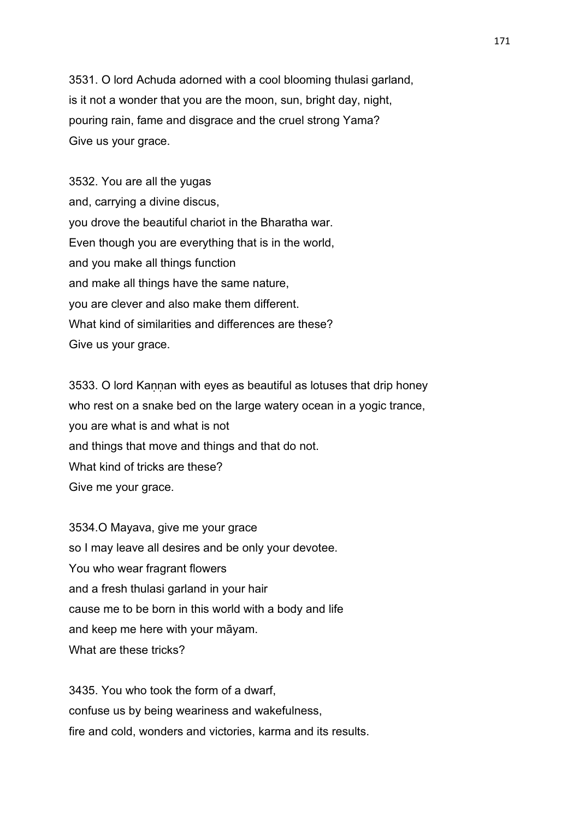3531. O lord Achuda adorned with a cool blooming thulasi garland, is it not a wonder that you are the moon, sun, bright day, night, pouring rain, fame and disgrace and the cruel strong Yama? Give us your grace.

3532. You are all the yugas and, carrying a divine discus, you drove the beautiful chariot in the Bharatha war. Even though you are everything that is in the world, and you make all things function and make all things have the same nature, you are clever and also make them different. What kind of similarities and differences are these? Give us your grace.

3533. O lord Kannan with eyes as beautiful as lotuses that drip honey who rest on a snake bed on the large watery ocean in a yogic trance, you are what is and what is not and things that move and things and that do not. What kind of tricks are these? Give me your grace.

3534.O Mayava, give me your grace so I may leave all desires and be only your devotee. You who wear fragrant flowers and a fresh thulasi garland in your hair cause me to be born in this world with a body and life and keep me here with your māyam. What are these tricks?

3435. You who took the form of a dwarf, confuse us by being weariness and wakefulness, fire and cold, wonders and victories, karma and its results.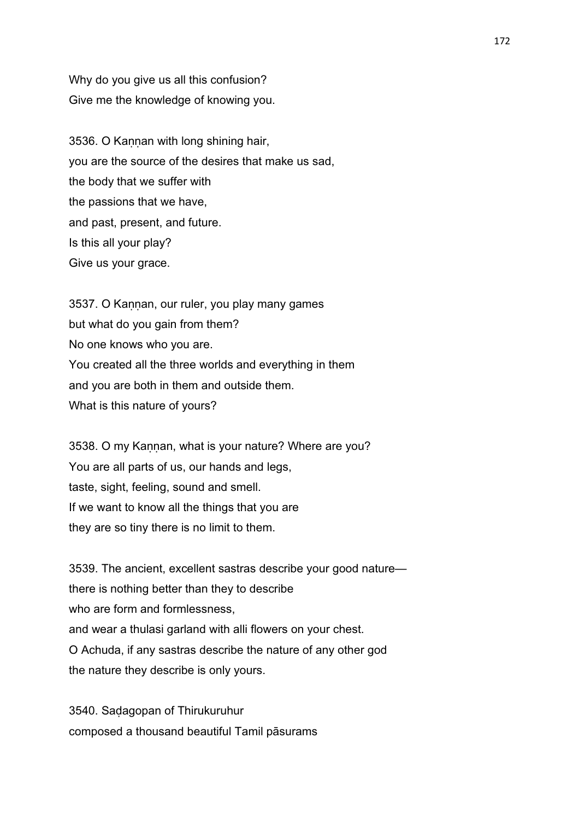Why do you give us all this confusion? Give me the knowledge of knowing you.

3536. O Kannan with long shining hair, you are the source of the desires that make us sad, the body that we suffer with the passions that we have, and past, present, and future. Is this all your play? Give us your grace.

3537. O Kannan, our ruler, you play many games but what do you gain from them? No one knows who you are. You created all the three worlds and everything in them and you are both in them and outside them. What is this nature of yours?

3538. O my Kaṇṇan, what is your nature? Where are you? You are all parts of us, our hands and legs, taste, sight, feeling, sound and smell. If we want to know all the things that you are they are so tiny there is no limit to them.

3539. The ancient, excellent sastras describe your good nature there is nothing better than they to describe who are form and formlessness. and wear a thulasi garland with alli flowers on your chest. O Achuda, if any sastras describe the nature of any other god the nature they describe is only yours.

3540. Saḍagopan of Thirukuruhur composed a thousand beautiful Tamil pāsurams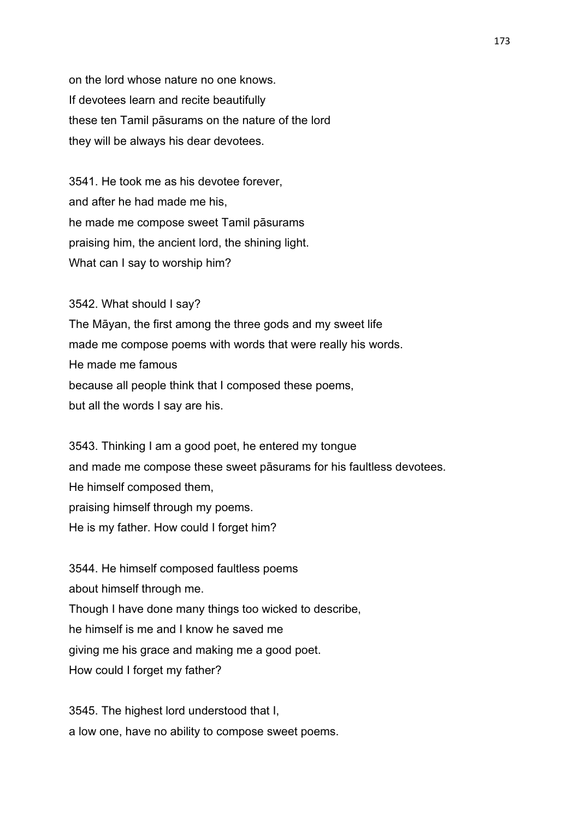on the lord whose nature no one knows. If devotees learn and recite beautifully these ten Tamil pāsurams on the nature of the lord they will be always his dear devotees.

3541. He took me as his devotee forever, and after he had made me his, he made me compose sweet Tamil pāsurams praising him, the ancient lord, the shining light. What can I say to worship him?

3542. What should I say? The Māyan, the first among the three gods and my sweet life made me compose poems with words that were really his words. He made me famous because all people think that I composed these poems, but all the words I say are his.

3543. Thinking I am a good poet, he entered my tongue and made me compose these sweet pāsurams for his faultless devotees. He himself composed them, praising himself through my poems. He is my father. How could I forget him?

3544. He himself composed faultless poems about himself through me. Though I have done many things too wicked to describe, he himself is me and I know he saved me giving me his grace and making me a good poet. How could I forget my father?

3545. The highest lord understood that I, a low one, have no ability to compose sweet poems.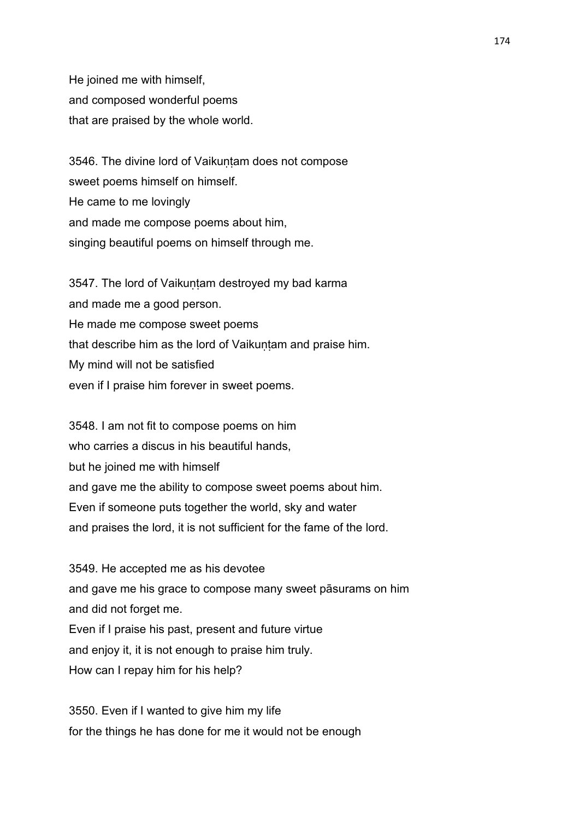He joined me with himself, and composed wonderful poems that are praised by the whole world.

3546. The divine lord of Vaikuntam does not compose sweet poems himself on himself. He came to me lovingly and made me compose poems about him, singing beautiful poems on himself through me.

3547. The lord of Vaikuntam destroyed my bad karma and made me a good person. He made me compose sweet poems that describe him as the lord of Vaikuntam and praise him. My mind will not be satisfied even if I praise him forever in sweet poems.

3548. I am not fit to compose poems on him who carries a discus in his beautiful hands. but he joined me with himself and gave me the ability to compose sweet poems about him. Even if someone puts together the world, sky and water and praises the lord, it is not sufficient for the fame of the lord.

3549. He accepted me as his devotee and gave me his grace to compose many sweet pāsurams on him and did not forget me. Even if I praise his past, present and future virtue and enjoy it, it is not enough to praise him truly. How can I repay him for his help?

3550. Even if I wanted to give him my life for the things he has done for me it would not be enough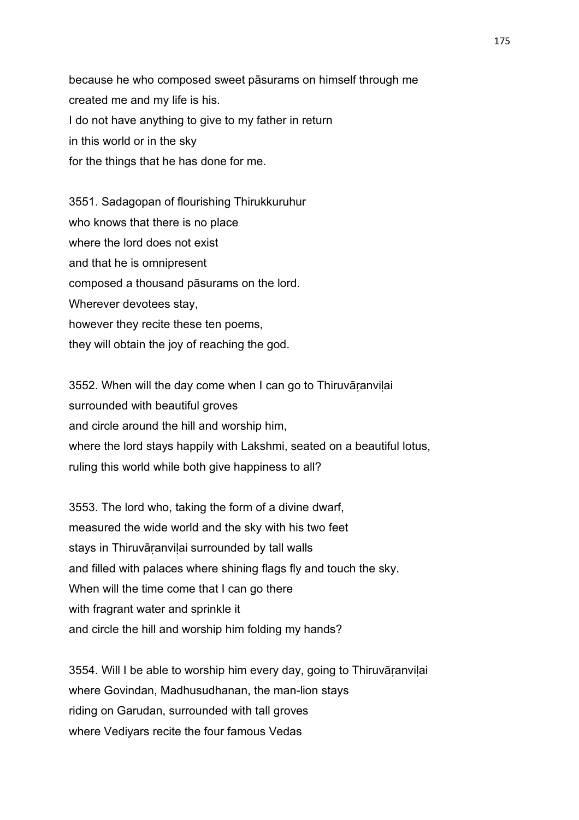because he who composed sweet pāsurams on himself through me created me and my life is his. I do not have anything to give to my father in return in this world or in the sky for the things that he has done for me.

3551. Sadagopan of flourishing Thirukkuruhur who knows that there is no place where the lord does not exist and that he is omnipresent composed a thousand pāsurams on the lord. Wherever devotees stay, however they recite these ten poems, they will obtain the joy of reaching the god.

3552. When will the day come when I can go to Thiruvāṛanviḷai surrounded with beautiful groves and circle around the hill and worship him, where the lord stays happily with Lakshmi, seated on a beautiful lotus, ruling this world while both give happiness to all?

3553. The lord who, taking the form of a divine dwarf, measured the wide world and the sky with his two feet stays in Thiruvāranvilai surrounded by tall walls and filled with palaces where shining flags fly and touch the sky. When will the time come that I can go there with fragrant water and sprinkle it and circle the hill and worship him folding my hands?

3554. Will I be able to worship him every day, going to Thiruvāṛanviḷai where Govindan, Madhusudhanan, the man-lion stays riding on Garudan, surrounded with tall groves where Vediyars recite the four famous Vedas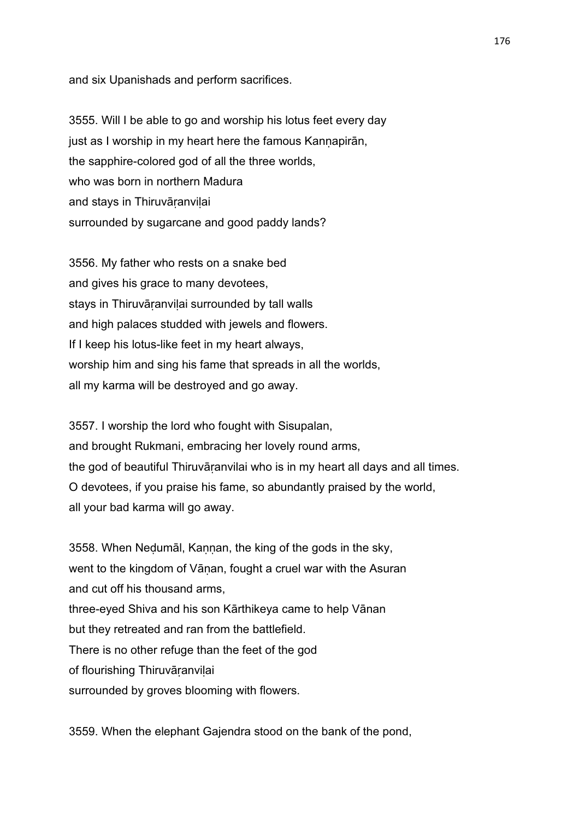and six Upanishads and perform sacrifices.

3555. Will I be able to go and worship his lotus feet every day just as I worship in my heart here the famous Kannapirān, the sapphire-colored god of all the three worlds, who was born in northern Madura and stays in Thiruvāṛanviḷai surrounded by sugarcane and good paddy lands?

3556. My father who rests on a snake bed and gives his grace to many devotees, stays in Thiruvāranvilai surrounded by tall walls and high palaces studded with jewels and flowers. If I keep his lotus-like feet in my heart always, worship him and sing his fame that spreads in all the worlds, all my karma will be destroyed and go away.

3557. I worship the lord who fought with Sisupalan, and brought Rukmani, embracing her lovely round arms, the god of beautiful Thiruvāṛanvilai who is in my heart all days and all times. O devotees, if you praise his fame, so abundantly praised by the world, all your bad karma will go away.

3558. When Neḍumāl, Kaṇṇan, the king of the gods in the sky, went to the kingdom of Vānan, fought a cruel war with the Asuran and cut off his thousand arms, three-eyed Shiva and his son Kārthikeya came to help Vānan but they retreated and ran from the battlefield. There is no other refuge than the feet of the god of flourishing Thiruvāṛanviḷai surrounded by groves blooming with flowers.

3559. When the elephant Gajendra stood on the bank of the pond,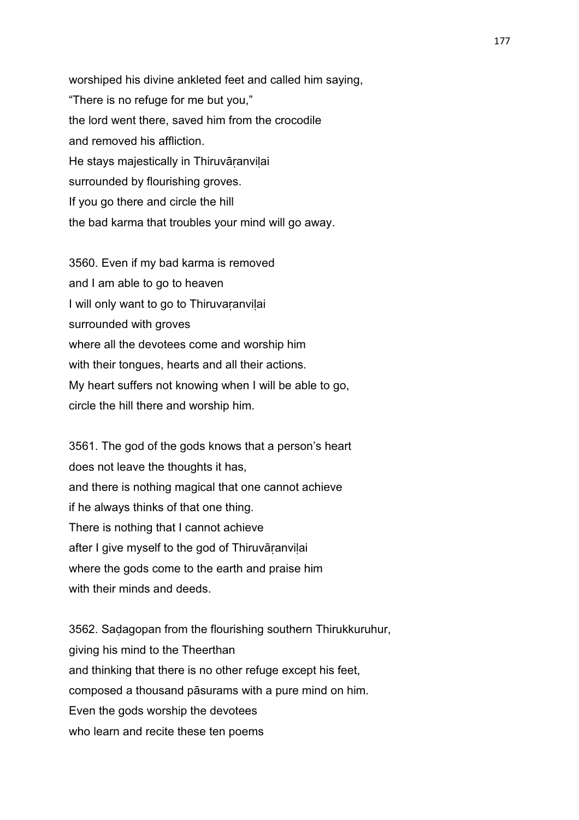worshiped his divine ankleted feet and called him saying, "There is no refuge for me but you," the lord went there, saved him from the crocodile and removed his affliction. He stays majestically in Thiruvāranvilai surrounded by flourishing groves. If you go there and circle the hill the bad karma that troubles your mind will go away.

3560. Even if my bad karma is removed and I am able to go to heaven I will only want to go to Thiruvaṛanviḷai surrounded with groves where all the devotees come and worship him with their tongues, hearts and all their actions. My heart suffers not knowing when I will be able to go, circle the hill there and worship him.

3561. The god of the gods knows that a person's heart does not leave the thoughts it has, and there is nothing magical that one cannot achieve if he always thinks of that one thing. There is nothing that I cannot achieve after I give myself to the god of Thiruvāranvilai where the gods come to the earth and praise him with their minds and deeds.

3562. Saḍagopan from the flourishing southern Thirukkuruhur, giving his mind to the Theerthan and thinking that there is no other refuge except his feet, composed a thousand pāsurams with a pure mind on him. Even the gods worship the devotees who learn and recite these ten poems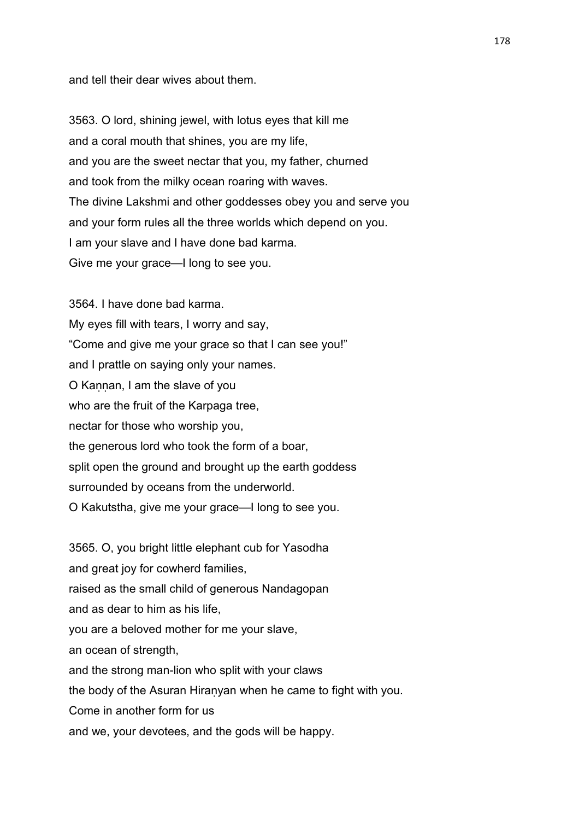and tell their dear wives about them.

3563. O lord, shining jewel, with lotus eyes that kill me and a coral mouth that shines, you are my life, and you are the sweet nectar that you, my father, churned and took from the milky ocean roaring with waves. The divine Lakshmi and other goddesses obey you and serve you and your form rules all the three worlds which depend on you. I am your slave and I have done bad karma. Give me your grace—I long to see you.

3564. I have done bad karma. My eyes fill with tears, I worry and say, "Come and give me your grace so that I can see you!" and I prattle on saying only your names. O Kannan, I am the slave of you who are the fruit of the Karpaga tree, nectar for those who worship you, the generous lord who took the form of a boar, split open the ground and brought up the earth goddess surrounded by oceans from the underworld. O Kakutstha, give me your grace—I long to see you.

3565. O, you bright little elephant cub for Yasodha and great joy for cowherd families, raised as the small child of generous Nandagopan and as dear to him as his life, you are a beloved mother for me your slave, an ocean of strength, and the strong man-lion who split with your claws the body of the Asuran Hiraṇyan when he came to fight with you. Come in another form for us and we, your devotees, and the gods will be happy.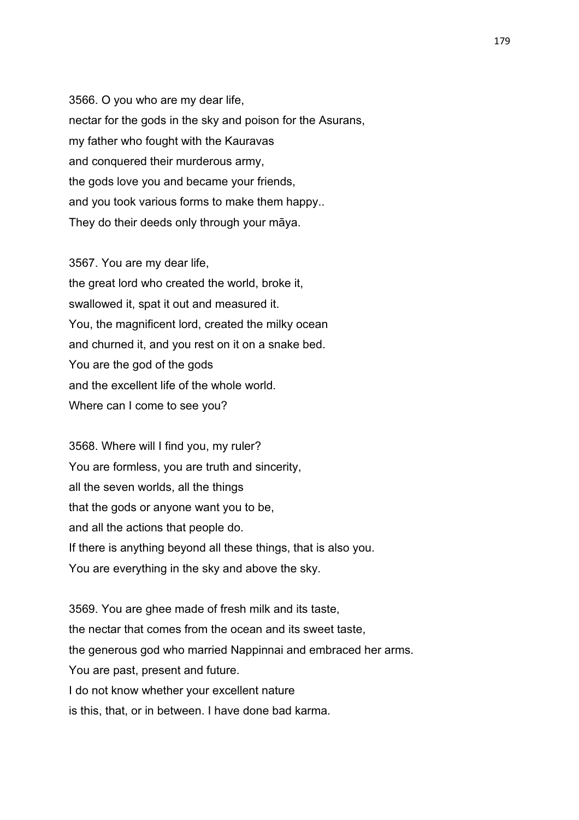3566. O you who are my dear life, nectar for the gods in the sky and poison for the Asurans, my father who fought with the Kauravas and conquered their murderous army, the gods love you and became your friends, and you took various forms to make them happy.. They do their deeds only through your māya.

3567. You are my dear life, the great lord who created the world, broke it, swallowed it, spat it out and measured it. You, the magnificent lord, created the milky ocean and churned it, and you rest on it on a snake bed. You are the god of the gods and the excellent life of the whole world. Where can I come to see you?

3568. Where will I find you, my ruler? You are formless, you are truth and sincerity, all the seven worlds, all the things that the gods or anyone want you to be, and all the actions that people do. If there is anything beyond all these things, that is also you. You are everything in the sky and above the sky.

3569. You are ghee made of fresh milk and its taste, the nectar that comes from the ocean and its sweet taste, the generous god who married Nappinnai and embraced her arms. You are past, present and future. I do not know whether your excellent nature is this, that, or in between. I have done bad karma.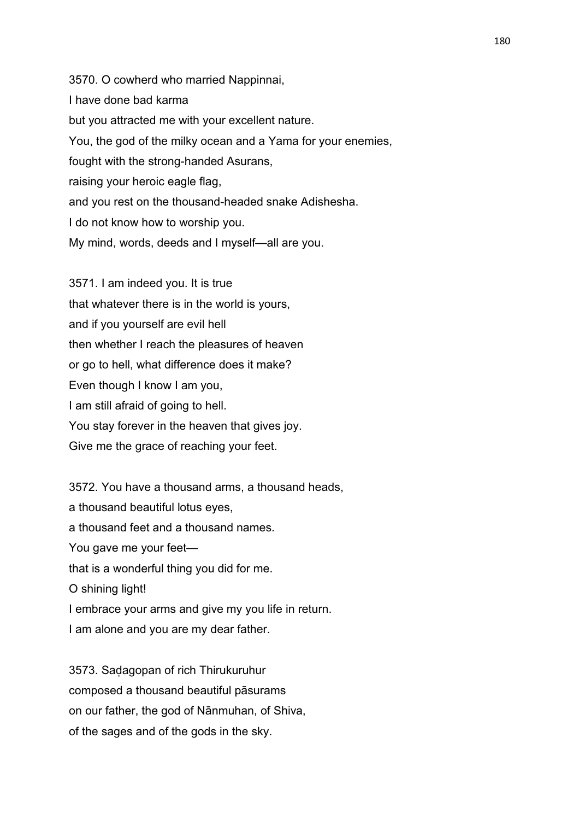3570. O cowherd who married Nappinnai, I have done bad karma but you attracted me with your excellent nature. You, the god of the milky ocean and a Yama for your enemies, fought with the strong-handed Asurans, raising your heroic eagle flag, and you rest on the thousand-headed snake Adishesha. I do not know how to worship you. My mind, words, deeds and I myself—all are you.

3571. I am indeed you. It is true that whatever there is in the world is yours, and if you yourself are evil hell then whether I reach the pleasures of heaven or go to hell, what difference does it make? Even though I know I am you, I am still afraid of going to hell. You stay forever in the heaven that gives joy. Give me the grace of reaching your feet.

3572. You have a thousand arms, a thousand heads, a thousand beautiful lotus eyes, a thousand feet and a thousand names. You gave me your feet that is a wonderful thing you did for me. O shining light! I embrace your arms and give my you life in return. I am alone and you are my dear father.

3573. Saḍagopan of rich Thirukuruhur composed a thousand beautiful pāsurams on our father, the god of Nānmuhan, of Shiva, of the sages and of the gods in the sky.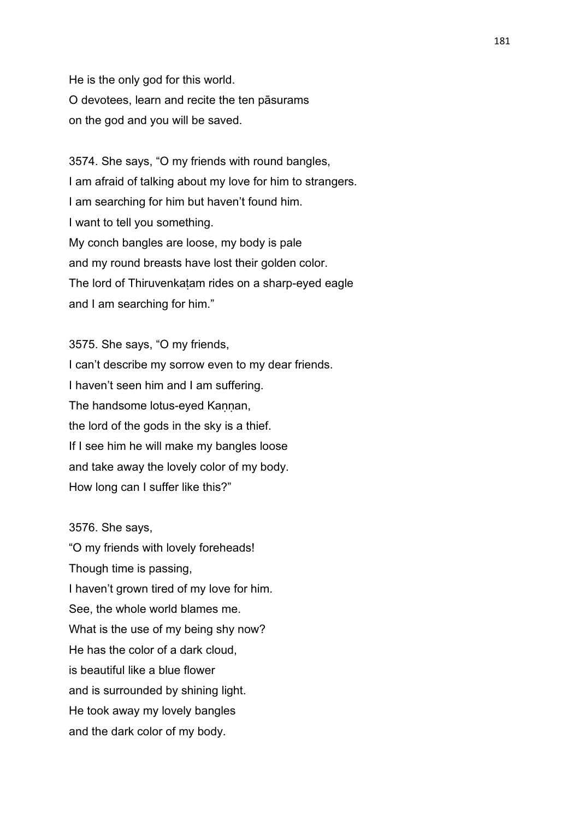He is the only god for this world. O devotees, learn and recite the ten pāsurams on the god and you will be saved.

3574. She says, "O my friends with round bangles, I am afraid of talking about my love for him to strangers. I am searching for him but haven't found him. I want to tell you something. My conch bangles are loose, my body is pale and my round breasts have lost their golden color. The lord of Thiruvenkaṭam rides on a sharp-eyed eagle and I am searching for him."

3575. She says, "O my friends, I can't describe my sorrow even to my dear friends. I haven't seen him and I am suffering. The handsome lotus-eyed Kannan, the lord of the gods in the sky is a thief. If I see him he will make my bangles loose and take away the lovely color of my body. How long can I suffer like this?"

3576. She says,

"O my friends with lovely foreheads! Though time is passing, I haven't grown tired of my love for him. See, the whole world blames me. What is the use of my being shy now? He has the color of a dark cloud, is beautiful like a blue flower and is surrounded by shining light. He took away my lovely bangles and the dark color of my body.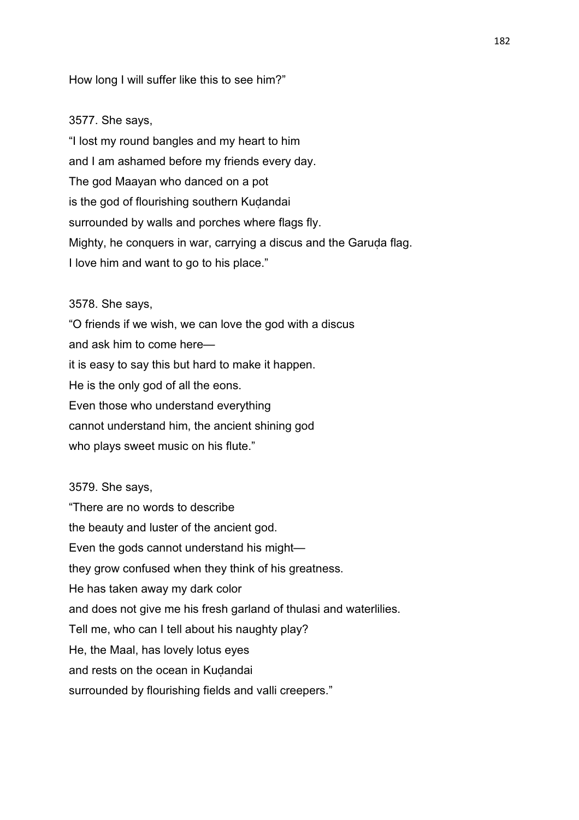# How long I will suffer like this to see him?"

#### 3577. She says,

"I lost my round bangles and my heart to him and I am ashamed before my friends every day. The god Maayan who danced on a pot is the god of flourishing southern Kuḍandai surrounded by walls and porches where flags fly. Mighty, he conquers in war, carrying a discus and the Garuda flag. I love him and want to go to his place."

# 3578. She says,

"O friends if we wish, we can love the god with a discus and ask him to come here it is easy to say this but hard to make it happen. He is the only god of all the eons. Even those who understand everything cannot understand him, the ancient shining god who plays sweet music on his flute."

#### 3579. She says,

"There are no words to describe the beauty and luster of the ancient god. Even the gods cannot understand his might they grow confused when they think of his greatness. He has taken away my dark color and does not give me his fresh garland of thulasi and waterlilies. Tell me, who can I tell about his naughty play? He, the Maal, has lovely lotus eyes and rests on the ocean in Kudandai surrounded by flourishing fields and valli creepers."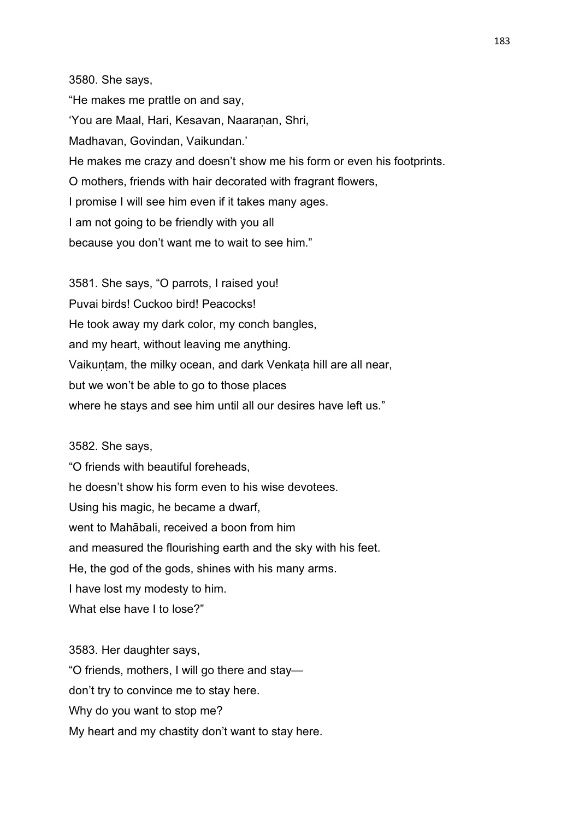3580. She says, "He makes me prattle on and say, 'You are Maal, Hari, Kesavan, Naaraṇan, Shri, Madhavan, Govindan, Vaikundan.' He makes me crazy and doesn't show me his form or even his footprints. O mothers, friends with hair decorated with fragrant flowers, I promise I will see him even if it takes many ages. I am not going to be friendly with you all because you don't want me to wait to see him."

3581. She says, "O parrots, I raised you! Puvai birds! Cuckoo bird! Peacocks! He took away my dark color, my conch bangles, and my heart, without leaving me anything. Vaikuntam, the milky ocean, and dark Venkata hill are all near, but we won't be able to go to those places where he stays and see him until all our desires have left us."

3582. She says,

"O friends with beautiful foreheads, he doesn't show his form even to his wise devotees. Using his magic, he became a dwarf, went to Mahābali, received a boon from him and measured the flourishing earth and the sky with his feet. He, the god of the gods, shines with his many arms. I have lost my modesty to him. What else have I to lose?"

3583. Her daughter says, "O friends, mothers, I will go there and stay don't try to convince me to stay here. Why do you want to stop me? My heart and my chastity don't want to stay here.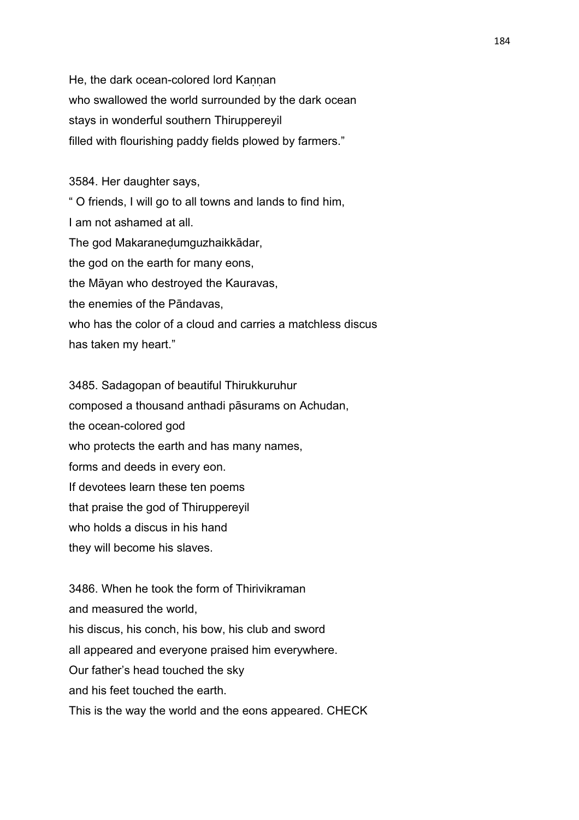He, the dark ocean-colored lord Kannan who swallowed the world surrounded by the dark ocean stays in wonderful southern Thiruppereyil filled with flourishing paddy fields plowed by farmers."

3584. Her daughter says,

" O friends, I will go to all towns and lands to find him, I am not ashamed at all. The god Makaraneḍumguzhaikkādar, the god on the earth for many eons, the Māyan who destroyed the Kauravas, the enemies of the Pāndavas, who has the color of a cloud and carries a matchless discus has taken my heart."

3485. Sadagopan of beautiful Thirukkuruhur composed a thousand anthadi pāsurams on Achudan, the ocean-colored god who protects the earth and has many names, forms and deeds in every eon. If devotees learn these ten poems that praise the god of Thiruppereyil who holds a discus in his hand they will become his slaves.

3486. When he took the form of Thirivikraman and measured the world, his discus, his conch, his bow, his club and sword all appeared and everyone praised him everywhere. Our father's head touched the sky and his feet touched the earth. This is the way the world and the eons appeared. CHECK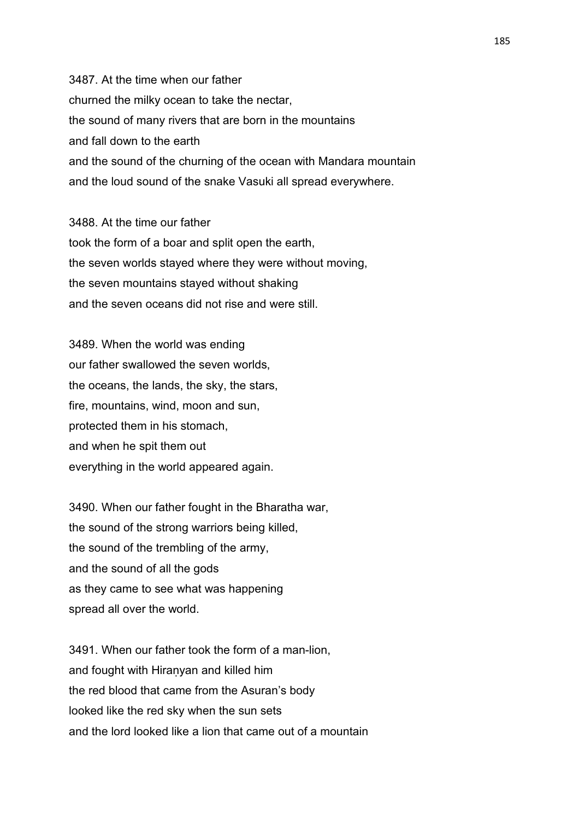3487. At the time when our father churned the milky ocean to take the nectar, the sound of many rivers that are born in the mountains and fall down to the earth and the sound of the churning of the ocean with Mandara mountain and the loud sound of the snake Vasuki all spread everywhere.

3488. At the time our father took the form of a boar and split open the earth, the seven worlds stayed where they were without moving, the seven mountains stayed without shaking and the seven oceans did not rise and were still.

3489. When the world was ending our father swallowed the seven worlds, the oceans, the lands, the sky, the stars, fire, mountains, wind, moon and sun, protected them in his stomach, and when he spit them out everything in the world appeared again.

3490. When our father fought in the Bharatha war, the sound of the strong warriors being killed, the sound of the trembling of the army, and the sound of all the gods as they came to see what was happening spread all over the world.

3491. When our father took the form of a man-lion, and fought with Hiraṇyan and killed him the red blood that came from the Asuran's body looked like the red sky when the sun sets and the lord looked like a lion that came out of a mountain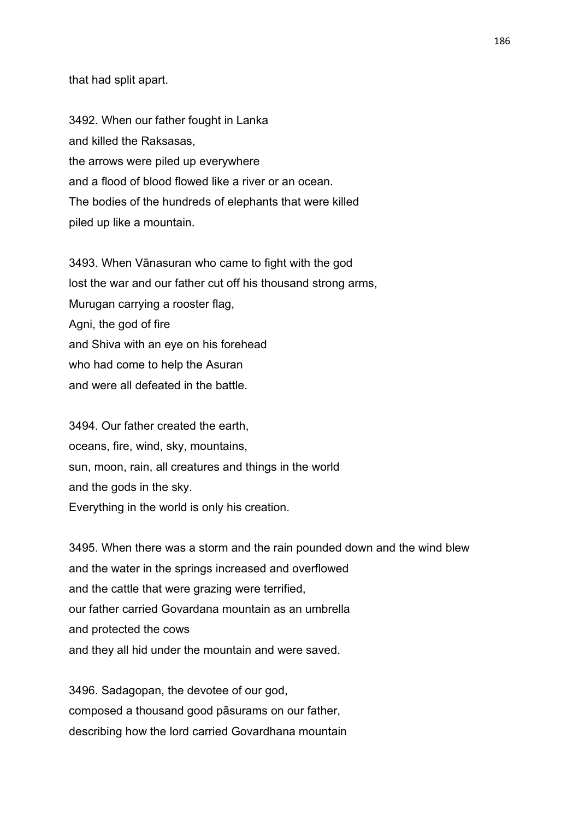that had split apart.

3492. When our father fought in Lanka and killed the Raksasas, the arrows were piled up everywhere and a flood of blood flowed like a river or an ocean. The bodies of the hundreds of elephants that were killed piled up like a mountain.

3493. When Vānasuran who came to fight with the god lost the war and our father cut off his thousand strong arms, Murugan carrying a rooster flag, Agni, the god of fire and Shiva with an eye on his forehead who had come to help the Asuran and were all defeated in the battle.

3494. Our father created the earth, oceans, fire, wind, sky, mountains, sun, moon, rain, all creatures and things in the world and the gods in the sky. Everything in the world is only his creation.

3495. When there was a storm and the rain pounded down and the wind blew and the water in the springs increased and overflowed and the cattle that were grazing were terrified, our father carried Govardana mountain as an umbrella and protected the cows and they all hid under the mountain and were saved.

3496. Sadagopan, the devotee of our god, composed a thousand good pāsurams on our father, describing how the lord carried Govardhana mountain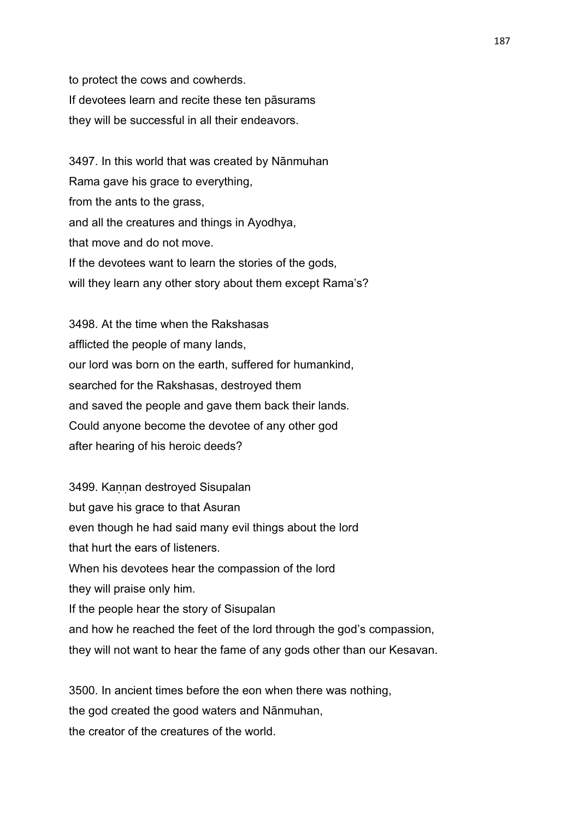to protect the cows and cowherds. If devotees learn and recite these ten pāsurams they will be successful in all their endeavors.

3497. In this world that was created by Nānmuhan Rama gave his grace to everything, from the ants to the grass, and all the creatures and things in Ayodhya, that move and do not move. If the devotees want to learn the stories of the gods, will they learn any other story about them except Rama's?

3498. At the time when the Rakshasas afflicted the people of many lands, our lord was born on the earth, suffered for humankind, searched for the Rakshasas, destroyed them and saved the people and gave them back their lands. Could anyone become the devotee of any other god after hearing of his heroic deeds?

3499. Kannan destroyed Sisupalan but gave his grace to that Asuran even though he had said many evil things about the lord that hurt the ears of listeners. When his devotees hear the compassion of the lord they will praise only him. If the people hear the story of Sisupalan and how he reached the feet of the lord through the god's compassion, they will not want to hear the fame of any gods other than our Kesavan.

3500. In ancient times before the eon when there was nothing, the god created the good waters and Nānmuhan, the creator of the creatures of the world.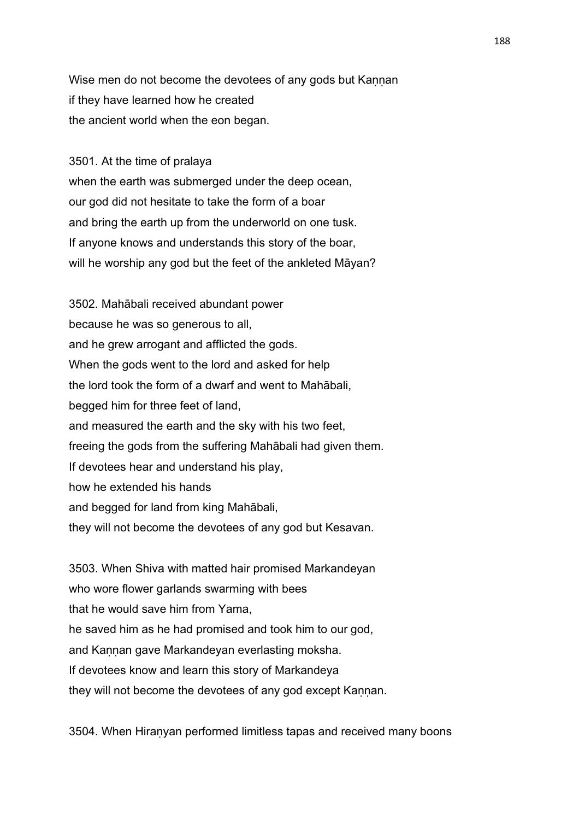Wise men do not become the devotees of any gods but Kannan if they have learned how he created the ancient world when the eon began.

3501. At the time of pralaya

when the earth was submerged under the deep ocean, our god did not hesitate to take the form of a boar and bring the earth up from the underworld on one tusk. If anyone knows and understands this story of the boar, will he worship any god but the feet of the ankleted Māyan?

3502. Mahābali received abundant power because he was so generous to all, and he grew arrogant and afflicted the gods. When the gods went to the lord and asked for help the lord took the form of a dwarf and went to Mahābali, begged him for three feet of land, and measured the earth and the sky with his two feet, freeing the gods from the suffering Mahābali had given them. If devotees hear and understand his play, how he extended his hands and begged for land from king Mahābali, they will not become the devotees of any god but Kesavan.

3503. When Shiva with matted hair promised Markandeyan who wore flower garlands swarming with bees that he would save him from Yama, he saved him as he had promised and took him to our god, and Kannan gave Markandeyan everlasting moksha. If devotees know and learn this story of Markandeya they will not become the devotees of any god except Kannan.

3504. When Hiraṇyan performed limitless tapas and received many boons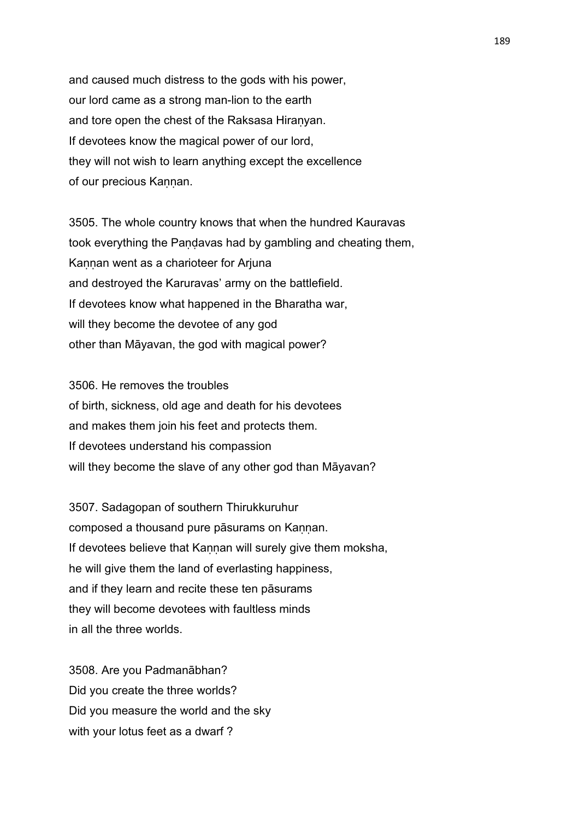and caused much distress to the gods with his power, our lord came as a strong man-lion to the earth and tore open the chest of the Raksasa Hiranyan. If devotees know the magical power of our lord, they will not wish to learn anything except the excellence of our precious Kannan.

3505. The whole country knows that when the hundred Kauravas took everything the Paṇḍavas had by gambling and cheating them, Kannan went as a charioteer for Arjuna and destroyed the Karuravas' army on the battlefield. If devotees know what happened in the Bharatha war, will they become the devotee of any god other than Māyavan, the god with magical power?

3506. He removes the troubles of birth, sickness, old age and death for his devotees and makes them join his feet and protects them. If devotees understand his compassion will they become the slave of any other god than Māyavan?

3507. Sadagopan of southern Thirukkuruhur composed a thousand pure pāsurams on Kannan. If devotees believe that Kannan will surely give them moksha, he will give them the land of everlasting happiness, and if they learn and recite these ten pāsurams they will become devotees with faultless minds in all the three worlds.

3508. Are you Padmanābhan? Did you create the three worlds? Did you measure the world and the sky with your lotus feet as a dwarf?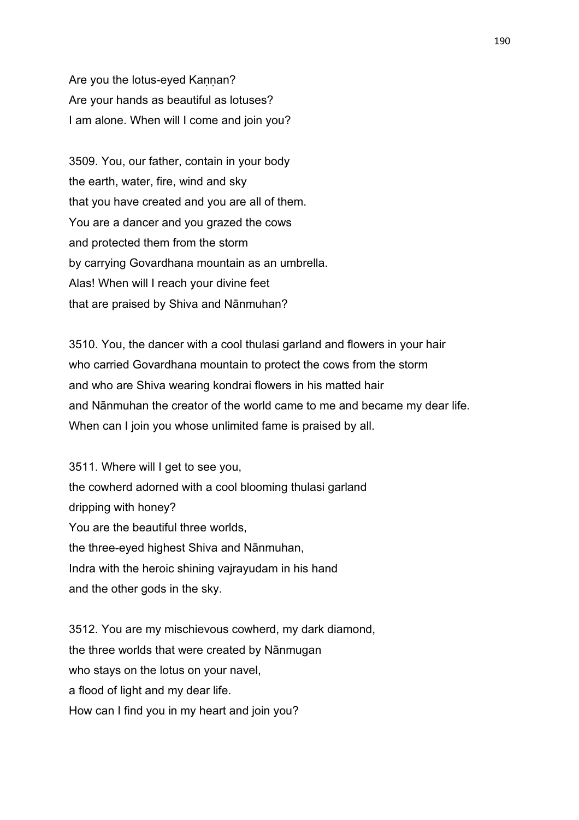Are you the lotus-eyed Kannan? Are your hands as beautiful as lotuses? I am alone. When will I come and join you?

3509. You, our father, contain in your body the earth, water, fire, wind and sky that you have created and you are all of them. You are a dancer and you grazed the cows and protected them from the storm by carrying Govardhana mountain as an umbrella. Alas! When will I reach your divine feet that are praised by Shiva and Nānmuhan?

3510. You, the dancer with a cool thulasi garland and flowers in your hair who carried Govardhana mountain to protect the cows from the storm and who are Shiva wearing kondrai flowers in his matted hair and Nānmuhan the creator of the world came to me and became my dear life. When can I join you whose unlimited fame is praised by all.

3511. Where will I get to see you, the cowherd adorned with a cool blooming thulasi garland dripping with honey? You are the beautiful three worlds, the three-eyed highest Shiva and Nānmuhan, Indra with the heroic shining vajrayudam in his hand and the other gods in the sky.

3512. You are my mischievous cowherd, my dark diamond, the three worlds that were created by Nānmugan who stays on the lotus on your navel, a flood of light and my dear life. How can I find you in my heart and join you?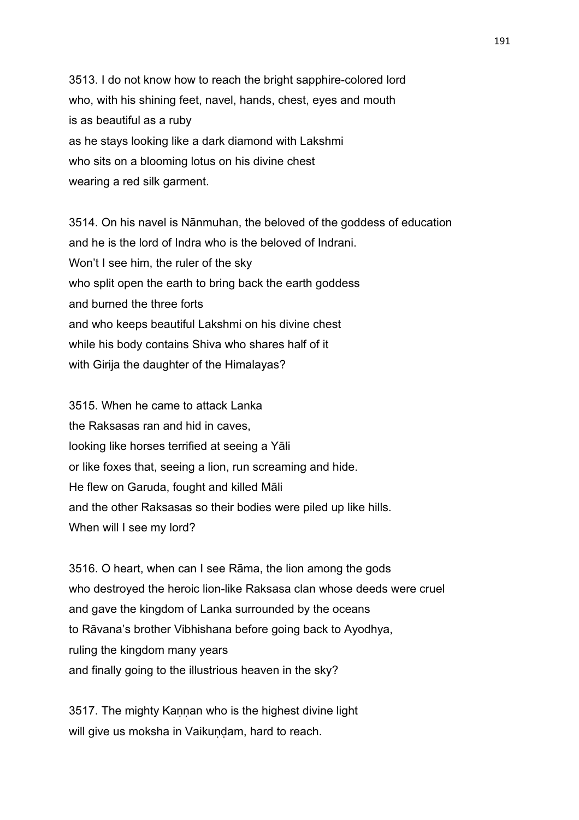3513. I do not know how to reach the bright sapphire-colored lord who, with his shining feet, navel, hands, chest, eyes and mouth is as beautiful as a ruby as he stays looking like a dark diamond with Lakshmi who sits on a blooming lotus on his divine chest wearing a red silk garment.

3514. On his navel is Nānmuhan, the beloved of the goddess of education and he is the lord of Indra who is the beloved of Indrani. Won't I see him, the ruler of the sky who split open the earth to bring back the earth goddess and burned the three forts and who keeps beautiful Lakshmi on his divine chest while his body contains Shiva who shares half of it with Girija the daughter of the Himalayas?

3515. When he came to attack Lanka the Raksasas ran and hid in caves, looking like horses terrified at seeing a Yāli or like foxes that, seeing a lion, run screaming and hide. He flew on Garuda, fought and killed Māli and the other Raksasas so their bodies were piled up like hills. When will I see my lord?

3516. O heart, when can I see Rāma, the lion among the gods who destroyed the heroic lion-like Raksasa clan whose deeds were cruel and gave the kingdom of Lanka surrounded by the oceans to Rāvana's brother Vibhishana before going back to Ayodhya, ruling the kingdom many years and finally going to the illustrious heaven in the sky?

3517. The mighty Kannan who is the highest divine light will give us moksha in Vaikundam, hard to reach.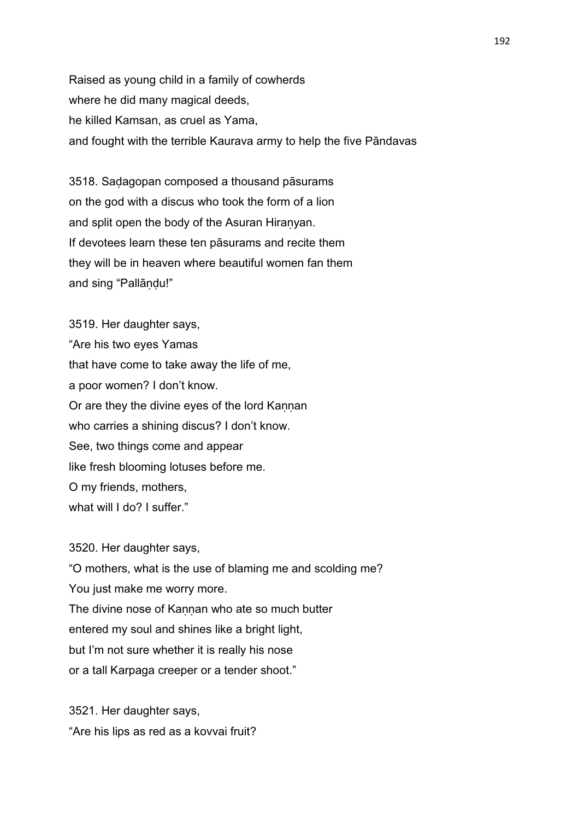Raised as young child in a family of cowherds where he did many magical deeds, he killed Kamsan, as cruel as Yama, and fought with the terrible Kaurava army to help the five Pāndavas

3518. Saḍagopan composed a thousand pāsurams on the god with a discus who took the form of a lion and split open the body of the Asuran Hiraṇyan. If devotees learn these ten pāsurams and recite them they will be in heaven where beautiful women fan them and sing "Pallāṇḍu!"

3519. Her daughter says, "Are his two eyes Yamas that have come to take away the life of me, a poor women? I don't know. Or are they the divine eyes of the lord Kannan who carries a shining discus? I don't know. See, two things come and appear like fresh blooming lotuses before me. O my friends, mothers, what will I do? I suffer."

3520. Her daughter says, "O mothers, what is the use of blaming me and scolding me? You just make me worry more. The divine nose of Kaṇṇan who ate so much butter entered my soul and shines like a bright light, but I'm not sure whether it is really his nose or a tall Karpaga creeper or a tender shoot."

3521. Her daughter says, "Are his lips as red as a kovvai fruit?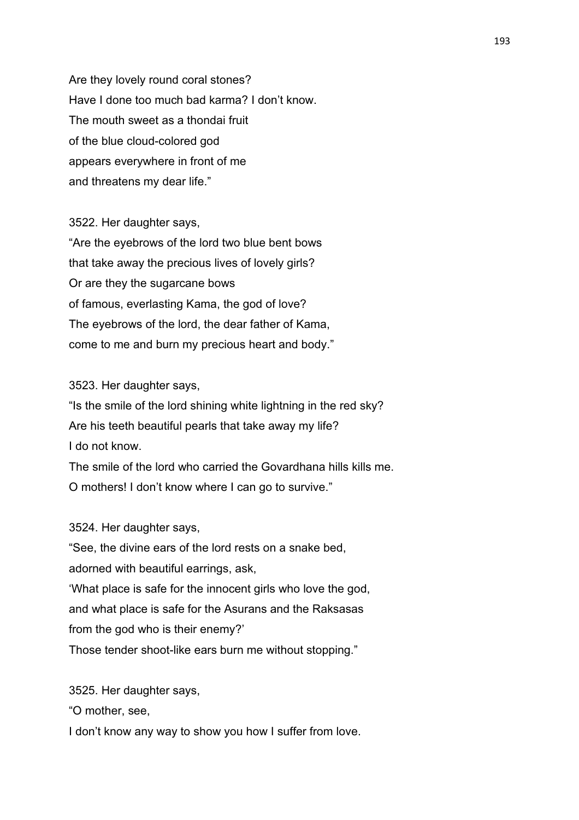Are they lovely round coral stones? Have I done too much bad karma? I don't know. The mouth sweet as a thondai fruit of the blue cloud-colored god appears everywhere in front of me and threatens my dear life."

3522. Her daughter says, "Are the eyebrows of the lord two blue bent bows that take away the precious lives of lovely girls? Or are they the sugarcane bows of famous, everlasting Kama, the god of love? The eyebrows of the lord, the dear father of Kama, come to me and burn my precious heart and body."

3523. Her daughter says,

"Is the smile of the lord shining white lightning in the red sky? Are his teeth beautiful pearls that take away my life? I do not know.

The smile of the lord who carried the Govardhana hills kills me. O mothers! I don't know where I can go to survive."

3524. Her daughter says,

"See, the divine ears of the lord rests on a snake bed, adorned with beautiful earrings, ask, 'What place is safe for the innocent girls who love the god, and what place is safe for the Asurans and the Raksasas from the god who is their enemy?' Those tender shoot-like ears burn me without stopping."

3525. Her daughter says,

"O mother, see,

I don't know any way to show you how I suffer from love.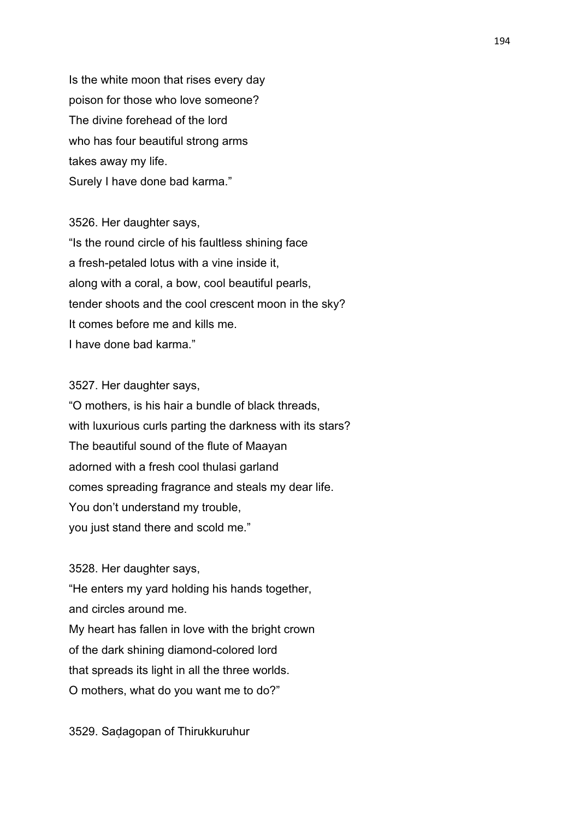Is the white moon that rises every day poison for those who love someone? The divine forehead of the lord who has four beautiful strong arms takes away my life. Surely I have done bad karma."

3526. Her daughter says, "Is the round circle of his faultless shining face a fresh-petaled lotus with a vine inside it, along with a coral, a bow, cool beautiful pearls, tender shoots and the cool crescent moon in the sky? It comes before me and kills me. I have done bad karma."

3527. Her daughter says,

"O mothers, is his hair a bundle of black threads, with luxurious curls parting the darkness with its stars? The beautiful sound of the flute of Maayan adorned with a fresh cool thulasi garland comes spreading fragrance and steals my dear life. You don't understand my trouble, you just stand there and scold me."

3528. Her daughter says,

"He enters my yard holding his hands together, and circles around me. My heart has fallen in love with the bright crown of the dark shining diamond-colored lord that spreads its light in all the three worlds. O mothers, what do you want me to do?"

3529. Saḍagopan of Thirukkuruhur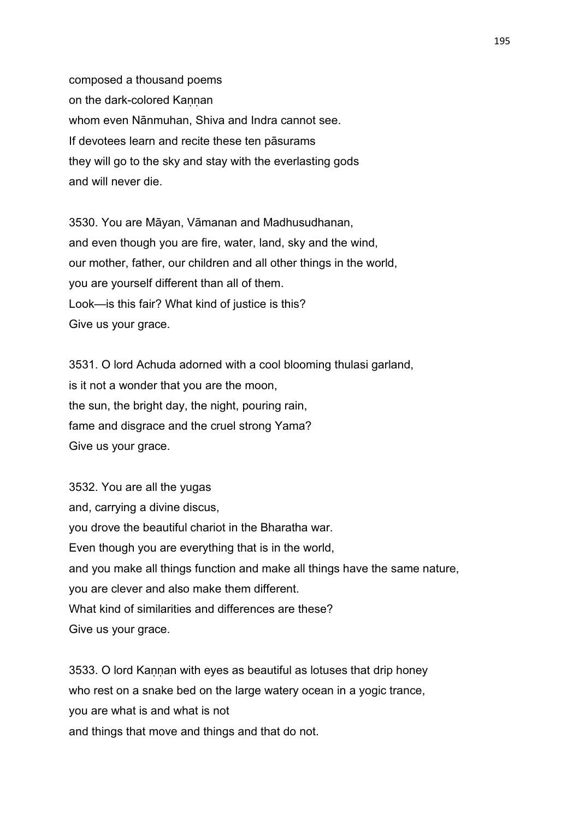composed a thousand poems on the dark-colored Kannan whom even Nānmuhan, Shiva and Indra cannot see. If devotees learn and recite these ten pāsurams they will go to the sky and stay with the everlasting gods and will never die.

3530. You are Māyan, Vāmanan and Madhusudhanan, and even though you are fire, water, land, sky and the wind, our mother, father, our children and all other things in the world, you are yourself different than all of them. Look—is this fair? What kind of justice is this? Give us your grace.

3531. O lord Achuda adorned with a cool blooming thulasi garland, is it not a wonder that you are the moon, the sun, the bright day, the night, pouring rain, fame and disgrace and the cruel strong Yama? Give us your grace.

3532. You are all the yugas and, carrying a divine discus, you drove the beautiful chariot in the Bharatha war. Even though you are everything that is in the world, and you make all things function and make all things have the same nature, you are clever and also make them different. What kind of similarities and differences are these? Give us your grace.

3533. O lord Kannan with eyes as beautiful as lotuses that drip honey who rest on a snake bed on the large watery ocean in a yogic trance, you are what is and what is not and things that move and things and that do not.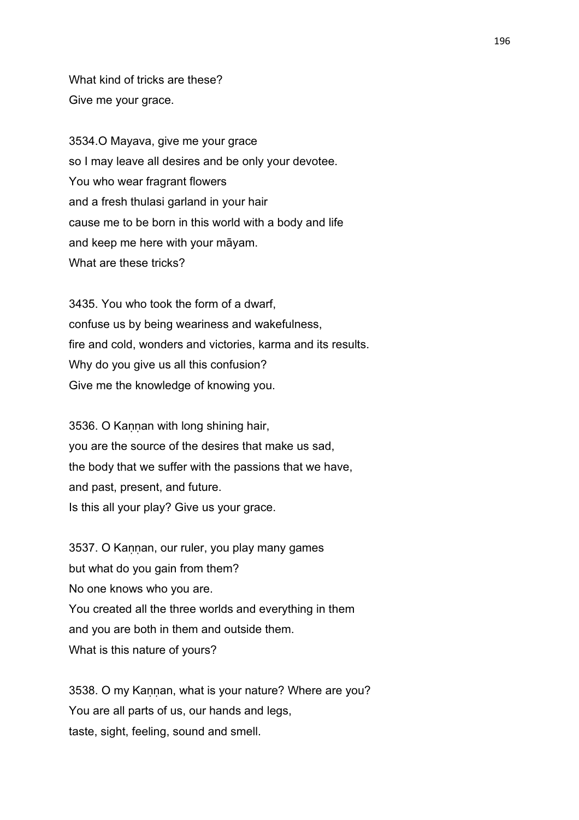What kind of tricks are these? Give me your grace.

3534.O Mayava, give me your grace so I may leave all desires and be only your devotee. You who wear fragrant flowers and a fresh thulasi garland in your hair cause me to be born in this world with a body and life and keep me here with your māyam. What are these tricks?

3435. You who took the form of a dwarf, confuse us by being weariness and wakefulness, fire and cold, wonders and victories, karma and its results. Why do you give us all this confusion? Give me the knowledge of knowing you.

3536. O Kannan with long shining hair, you are the source of the desires that make us sad, the body that we suffer with the passions that we have, and past, present, and future. Is this all your play? Give us your grace.

3537. O Kannan, our ruler, you play many games but what do you gain from them? No one knows who you are. You created all the three worlds and everything in them and you are both in them and outside them. What is this nature of yours?

3538. O my Kannan, what is your nature? Where are you? You are all parts of us, our hands and legs, taste, sight, feeling, sound and smell.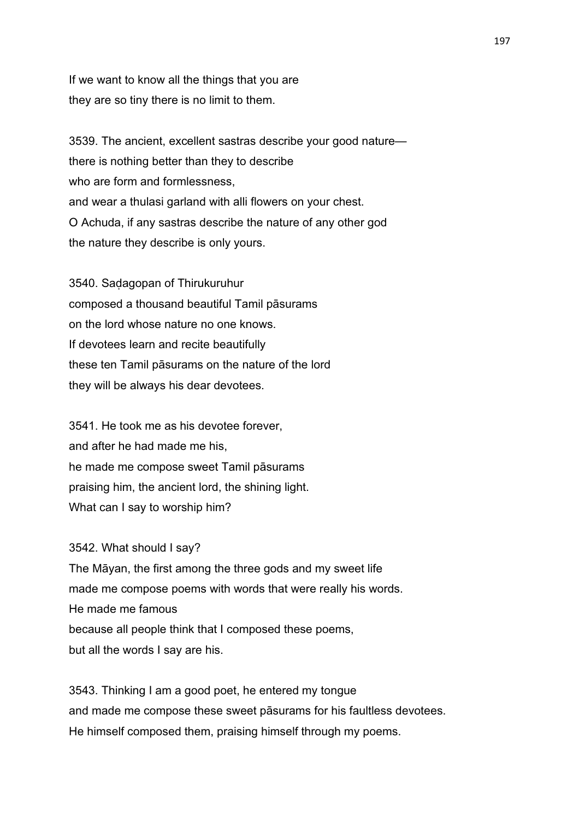If we want to know all the things that you are they are so tiny there is no limit to them.

3539. The ancient, excellent sastras describe your good nature there is nothing better than they to describe who are form and formlessness. and wear a thulasi garland with alli flowers on your chest. O Achuda, if any sastras describe the nature of any other god the nature they describe is only yours.

3540. Saḍagopan of Thirukuruhur composed a thousand beautiful Tamil pāsurams on the lord whose nature no one knows. If devotees learn and recite beautifully these ten Tamil pāsurams on the nature of the lord they will be always his dear devotees.

3541. He took me as his devotee forever, and after he had made me his, he made me compose sweet Tamil pāsurams praising him, the ancient lord, the shining light. What can I say to worship him?

3542. What should I say? The Māyan, the first among the three gods and my sweet life made me compose poems with words that were really his words. He made me famous because all people think that I composed these poems, but all the words I say are his.

3543. Thinking I am a good poet, he entered my tongue and made me compose these sweet pāsurams for his faultless devotees. He himself composed them, praising himself through my poems.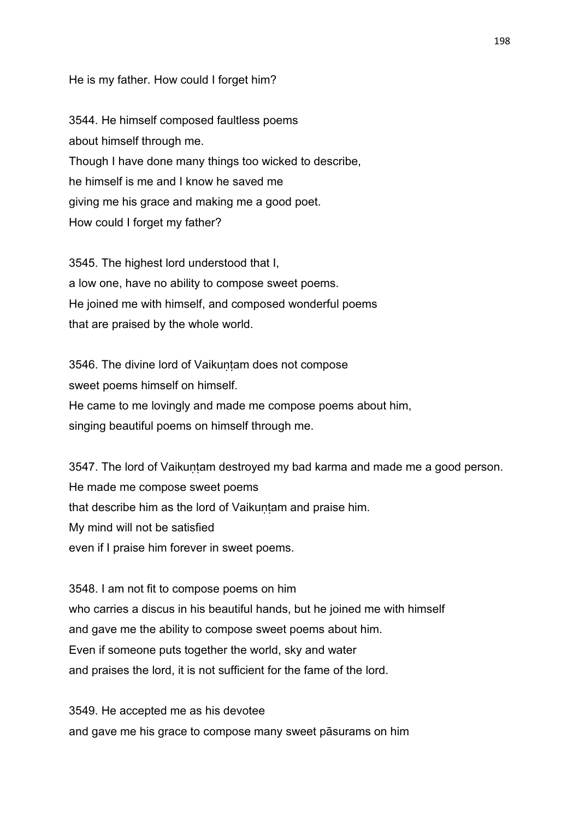#### He is my father. How could I forget him?

3544. He himself composed faultless poems about himself through me. Though I have done many things too wicked to describe, he himself is me and I know he saved me giving me his grace and making me a good poet. How could I forget my father?

3545. The highest lord understood that I, a low one, have no ability to compose sweet poems. He joined me with himself, and composed wonderful poems that are praised by the whole world.

3546. The divine lord of Vaikuntam does not compose sweet poems himself on himself. He came to me lovingly and made me compose poems about him, singing beautiful poems on himself through me.

3547. The lord of Vaikuntam destroyed my bad karma and made me a good person. He made me compose sweet poems that describe him as the lord of Vaikuntam and praise him. My mind will not be satisfied even if I praise him forever in sweet poems.

3548. I am not fit to compose poems on him who carries a discus in his beautiful hands, but he joined me with himself and gave me the ability to compose sweet poems about him. Even if someone puts together the world, sky and water and praises the lord, it is not sufficient for the fame of the lord.

3549. He accepted me as his devotee and gave me his grace to compose many sweet pāsurams on him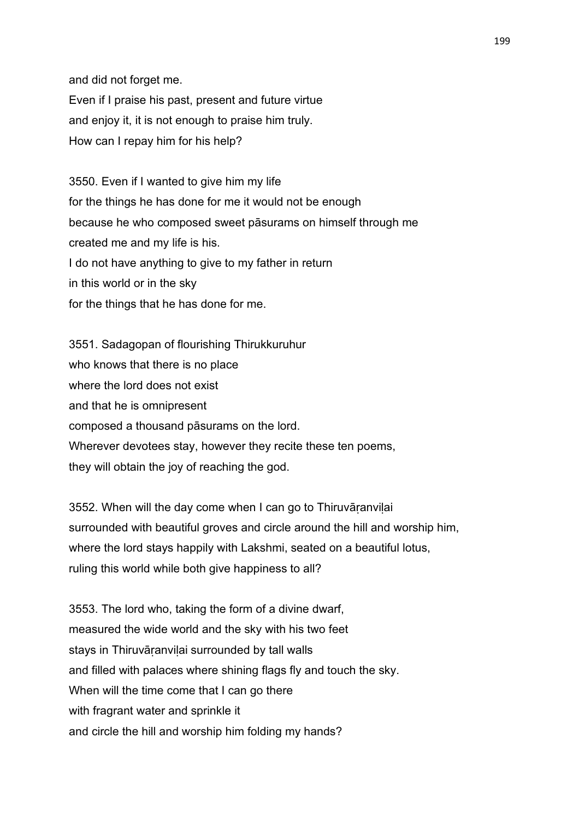and did not forget me. Even if I praise his past, present and future virtue and enjoy it, it is not enough to praise him truly. How can I repay him for his help?

3550. Even if I wanted to give him my life for the things he has done for me it would not be enough because he who composed sweet pāsurams on himself through me created me and my life is his. I do not have anything to give to my father in return in this world or in the sky for the things that he has done for me.

3551. Sadagopan of flourishing Thirukkuruhur who knows that there is no place where the lord does not exist and that he is omnipresent composed a thousand pāsurams on the lord. Wherever devotees stay, however they recite these ten poems, they will obtain the joy of reaching the god.

3552. When will the day come when I can go to Thiruvāṛanviḷai surrounded with beautiful groves and circle around the hill and worship him, where the lord stays happily with Lakshmi, seated on a beautiful lotus, ruling this world while both give happiness to all?

3553. The lord who, taking the form of a divine dwarf, measured the wide world and the sky with his two feet stays in Thiruvāranvilai surrounded by tall walls and filled with palaces where shining flags fly and touch the sky. When will the time come that I can go there with fragrant water and sprinkle it and circle the hill and worship him folding my hands?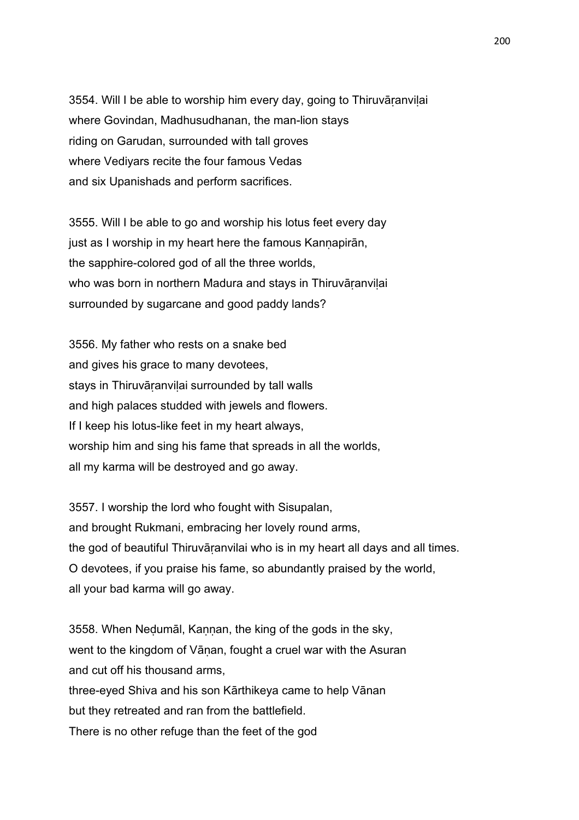3554. Will I be able to worship him every day, going to Thiruvāṛanviḷai where Govindan, Madhusudhanan, the man-lion stays riding on Garudan, surrounded with tall groves where Vediyars recite the four famous Vedas and six Upanishads and perform sacrifices.

3555. Will I be able to go and worship his lotus feet every day just as I worship in my heart here the famous Kannapirān, the sapphire-colored god of all the three worlds, who was born in northern Madura and stays in Thiruvāranvilai surrounded by sugarcane and good paddy lands?

3556. My father who rests on a snake bed and gives his grace to many devotees, stays in Thiruvāranvilai surrounded by tall walls and high palaces studded with jewels and flowers. If I keep his lotus-like feet in my heart always, worship him and sing his fame that spreads in all the worlds, all my karma will be destroyed and go away.

3557. I worship the lord who fought with Sisupalan, and brought Rukmani, embracing her lovely round arms, the god of beautiful Thiruvāṛanvilai who is in my heart all days and all times. O devotees, if you praise his fame, so abundantly praised by the world, all your bad karma will go away.

3558. When Neḍumāl, Kaṇṇan, the king of the gods in the sky, went to the kingdom of Vāṇan, fought a cruel war with the Asuran and cut off his thousand arms, three-eyed Shiva and his son Kārthikeya came to help Vānan but they retreated and ran from the battlefield. There is no other refuge than the feet of the god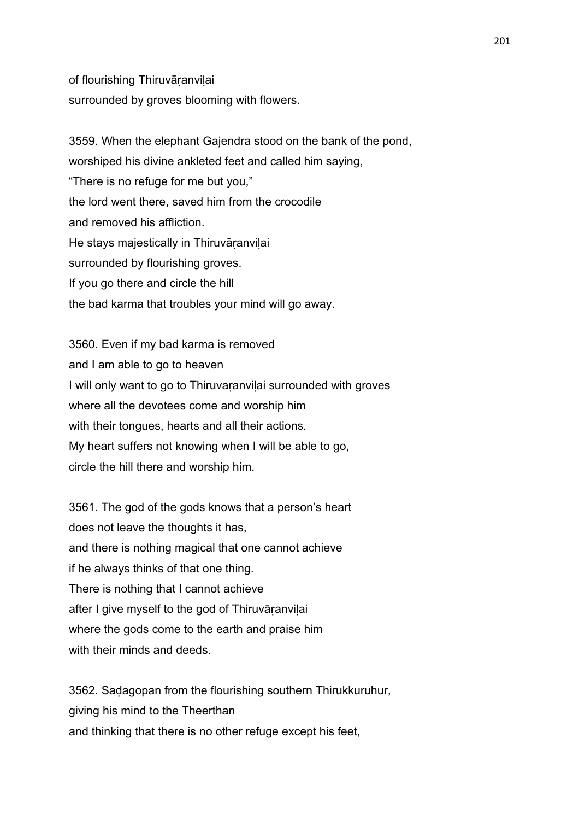of flourishing Thiruvāṛanviḷai surrounded by groves blooming with flowers.

3559. When the elephant Gajendra stood on the bank of the pond, worshiped his divine ankleted feet and called him saying, "There is no refuge for me but you," the lord went there, saved him from the crocodile and removed his affliction. He stays majestically in Thiruvāranvilai surrounded by flourishing groves. If you go there and circle the hill the bad karma that troubles your mind will go away.

3560. Even if my bad karma is removed and I am able to go to heaven I will only want to go to Thiruvaranvilai surrounded with groves where all the devotees come and worship him with their tongues, hearts and all their actions. My heart suffers not knowing when I will be able to go, circle the hill there and worship him.

3561. The god of the gods knows that a person's heart does not leave the thoughts it has, and there is nothing magical that one cannot achieve if he always thinks of that one thing. There is nothing that I cannot achieve after I give myself to the god of Thiruvāranvilai where the gods come to the earth and praise him with their minds and deeds.

3562. Saḍagopan from the flourishing southern Thirukkuruhur, giving his mind to the Theerthan and thinking that there is no other refuge except his feet,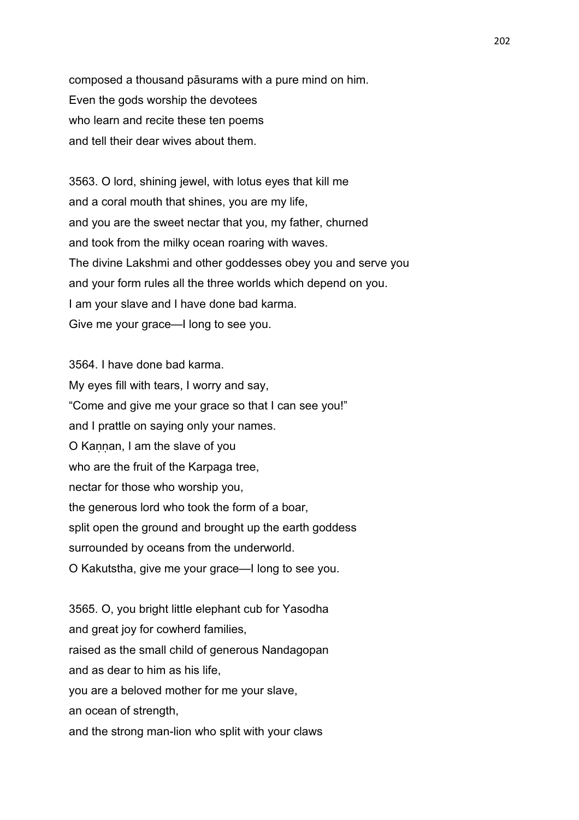composed a thousand pāsurams with a pure mind on him. Even the gods worship the devotees who learn and recite these ten poems and tell their dear wives about them.

3563. O lord, shining jewel, with lotus eyes that kill me and a coral mouth that shines, you are my life, and you are the sweet nectar that you, my father, churned and took from the milky ocean roaring with waves. The divine Lakshmi and other goddesses obey you and serve you and your form rules all the three worlds which depend on you. I am your slave and I have done bad karma. Give me your grace—I long to see you.

3564. I have done bad karma. My eyes fill with tears, I worry and say, "Come and give me your grace so that I can see you!" and I prattle on saying only your names. O Kannan, I am the slave of you who are the fruit of the Karpaga tree, nectar for those who worship you, the generous lord who took the form of a boar, split open the ground and brought up the earth goddess surrounded by oceans from the underworld. O Kakutstha, give me your grace—I long to see you.

3565. O, you bright little elephant cub for Yasodha and great joy for cowherd families, raised as the small child of generous Nandagopan and as dear to him as his life, you are a beloved mother for me your slave, an ocean of strength, and the strong man-lion who split with your claws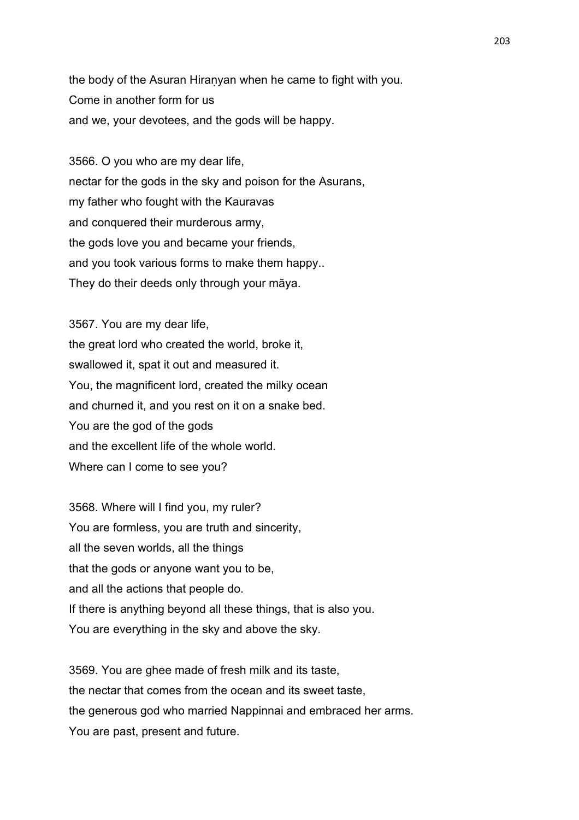the body of the Asuran Hiranyan when he came to fight with you. Come in another form for us and we, your devotees, and the gods will be happy.

3566. O you who are my dear life, nectar for the gods in the sky and poison for the Asurans, my father who fought with the Kauravas and conquered their murderous army, the gods love you and became your friends, and you took various forms to make them happy.. They do their deeds only through your māya.

3567. You are my dear life, the great lord who created the world, broke it, swallowed it, spat it out and measured it. You, the magnificent lord, created the milky ocean and churned it, and you rest on it on a snake bed. You are the god of the gods and the excellent life of the whole world. Where can I come to see you?

3568. Where will I find you, my ruler? You are formless, you are truth and sincerity, all the seven worlds, all the things that the gods or anyone want you to be, and all the actions that people do. If there is anything beyond all these things, that is also you. You are everything in the sky and above the sky.

3569. You are ghee made of fresh milk and its taste, the nectar that comes from the ocean and its sweet taste, the generous god who married Nappinnai and embraced her arms. You are past, present and future.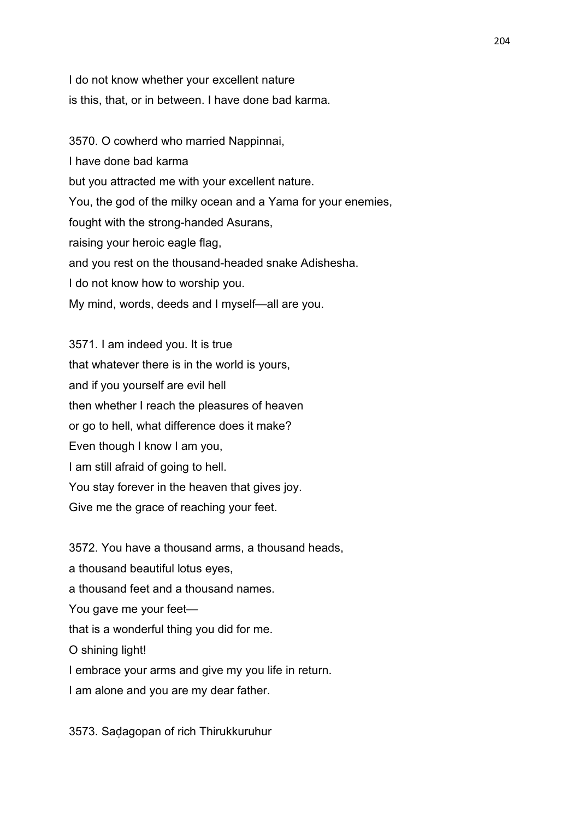I do not know whether your excellent nature is this, that, or in between. I have done bad karma.

3570. O cowherd who married Nappinnai, I have done bad karma but you attracted me with your excellent nature. You, the god of the milky ocean and a Yama for your enemies, fought with the strong-handed Asurans, raising your heroic eagle flag, and you rest on the thousand-headed snake Adishesha. I do not know how to worship you. My mind, words, deeds and I myself—all are you.

3571. I am indeed you. It is true that whatever there is in the world is yours, and if you yourself are evil hell then whether I reach the pleasures of heaven or go to hell, what difference does it make? Even though I know I am you, I am still afraid of going to hell. You stay forever in the heaven that gives joy. Give me the grace of reaching your feet.

3572. You have a thousand arms, a thousand heads, a thousand beautiful lotus eyes, a thousand feet and a thousand names. You gave me your feet that is a wonderful thing you did for me. O shining light! I embrace your arms and give my you life in return. I am alone and you are my dear father.

3573. Saḍagopan of rich Thirukkuruhur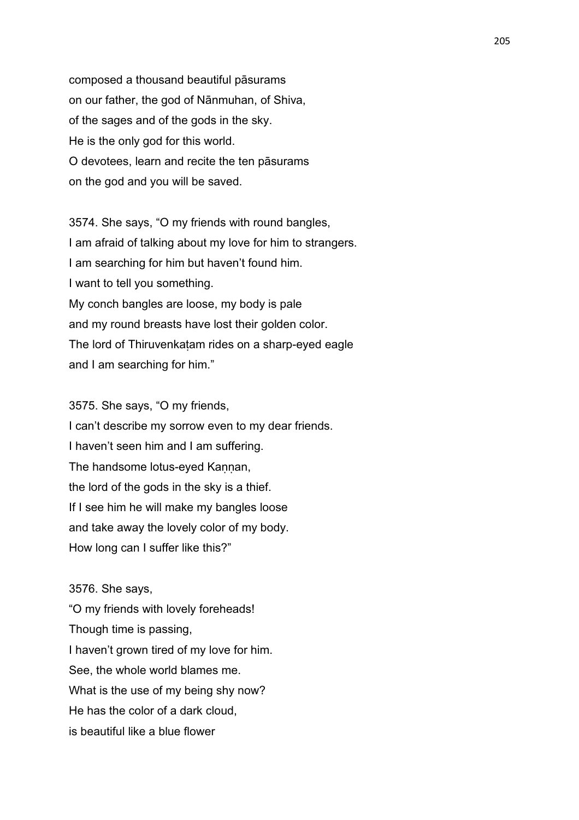composed a thousand beautiful pāsurams on our father, the god of Nānmuhan, of Shiva, of the sages and of the gods in the sky. He is the only god for this world. O devotees, learn and recite the ten pāsurams on the god and you will be saved.

3574. She says, "O my friends with round bangles, I am afraid of talking about my love for him to strangers. I am searching for him but haven't found him. I want to tell you something. My conch bangles are loose, my body is pale and my round breasts have lost their golden color. The lord of Thiruvenkaṭam rides on a sharp-eyed eagle and I am searching for him."

3575. She says, "O my friends, I can't describe my sorrow even to my dear friends. I haven't seen him and I am suffering. The handsome lotus-eyed Kannan, the lord of the gods in the sky is a thief. If I see him he will make my bangles loose and take away the lovely color of my body. How long can I suffer like this?"

3576. She says,

"O my friends with lovely foreheads! Though time is passing, I haven't grown tired of my love for him. See, the whole world blames me. What is the use of my being shy now? He has the color of a dark cloud, is beautiful like a blue flower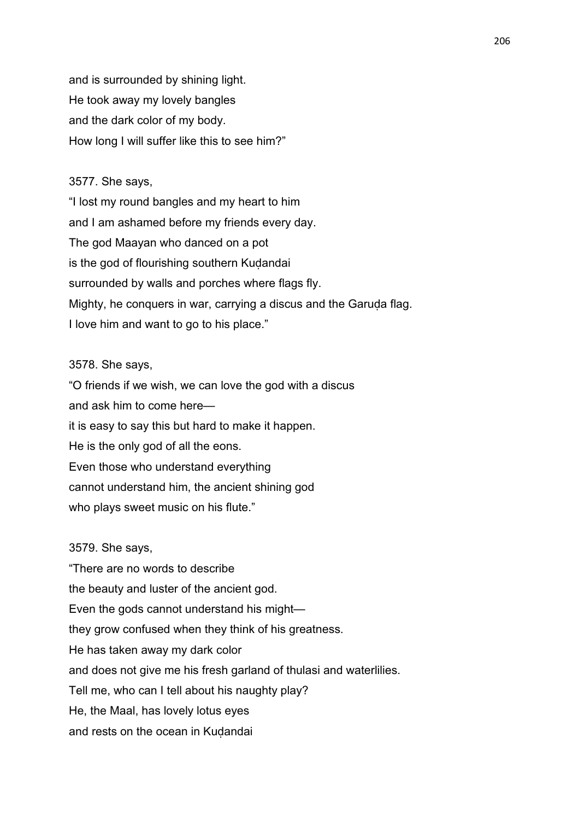and is surrounded by shining light. He took away my lovely bangles and the dark color of my body. How long I will suffer like this to see him?"

## 3577. She says,

"I lost my round bangles and my heart to him and I am ashamed before my friends every day. The god Maayan who danced on a pot is the god of flourishing southern Kuḍandai surrounded by walls and porches where flags fly. Mighty, he conquers in war, carrying a discus and the Garuda flag. I love him and want to go to his place."

## 3578. She says,

"O friends if we wish, we can love the god with a discus and ask him to come here it is easy to say this but hard to make it happen. He is the only god of all the eons. Even those who understand everything cannot understand him, the ancient shining god who plays sweet music on his flute."

# 3579. She says,

"There are no words to describe the beauty and luster of the ancient god. Even the gods cannot understand his might they grow confused when they think of his greatness. He has taken away my dark color and does not give me his fresh garland of thulasi and waterlilies. Tell me, who can I tell about his naughty play? He, the Maal, has lovely lotus eyes and rests on the ocean in Kudandai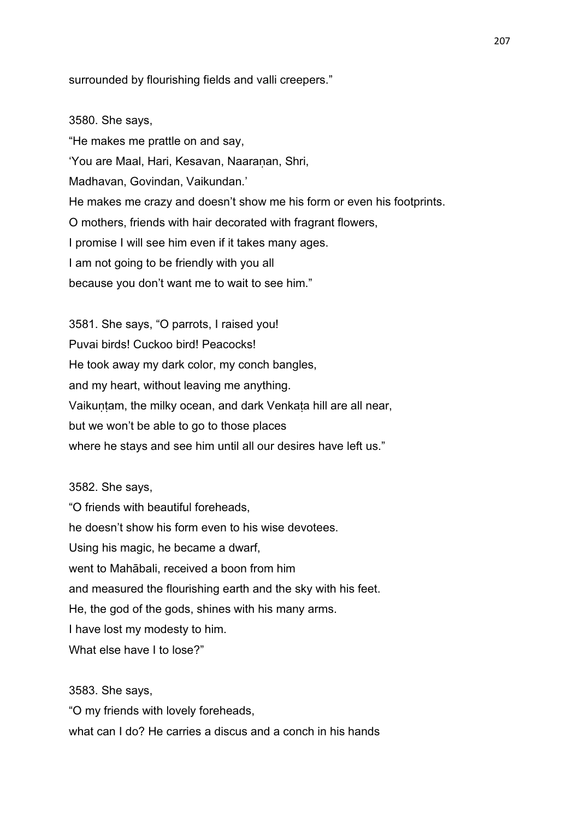surrounded by flourishing fields and valli creepers."

3580. She says, "He makes me prattle on and say, 'You are Maal, Hari, Kesavan, Naaranan, Shri, Madhavan, Govindan, Vaikundan.' He makes me crazy and doesn't show me his form or even his footprints. O mothers, friends with hair decorated with fragrant flowers, I promise I will see him even if it takes many ages. I am not going to be friendly with you all because you don't want me to wait to see him."

3581. She says, "O parrots, I raised you! Puvai birds! Cuckoo bird! Peacocks! He took away my dark color, my conch bangles, and my heart, without leaving me anything. Vaikuntam, the milky ocean, and dark Venkata hill are all near, but we won't be able to go to those places where he stays and see him until all our desires have left us."

3582. She says,

"O friends with beautiful foreheads, he doesn't show his form even to his wise devotees. Using his magic, he became a dwarf, went to Mahābali, received a boon from him and measured the flourishing earth and the sky with his feet. He, the god of the gods, shines with his many arms. I have lost my modesty to him. What else have I to lose?"

3583. She says,

"O my friends with lovely foreheads, what can I do? He carries a discus and a conch in his hands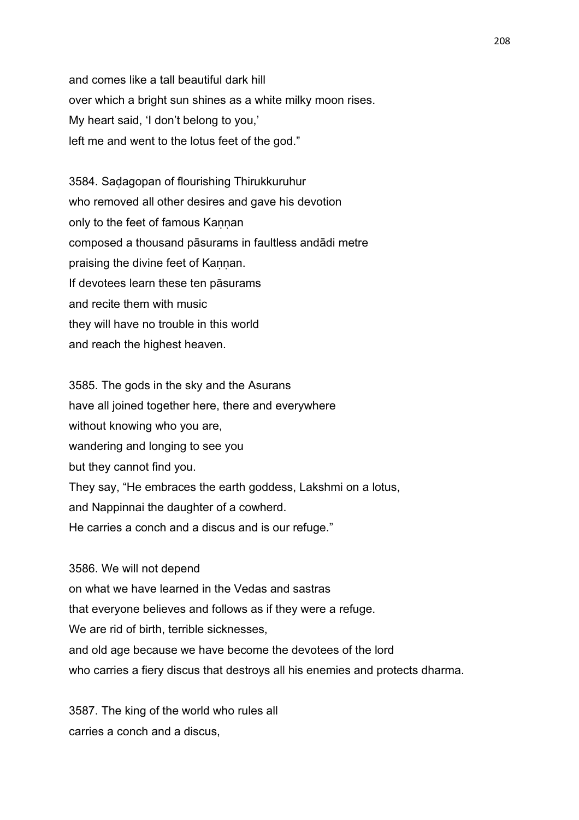and comes like a tall beautiful dark hill over which a bright sun shines as a white milky moon rises. My heart said, 'I don't belong to you,' left me and went to the lotus feet of the god."

3584. Saḍagopan of flourishing Thirukkuruhur who removed all other desires and gave his devotion only to the feet of famous Kaṇṇan composed a thousand pāsurams in faultless andādi metre praising the divine feet of Kaṇṇan. If devotees learn these ten pāsurams and recite them with music they will have no trouble in this world and reach the highest heaven.

3585. The gods in the sky and the Asurans have all joined together here, there and everywhere without knowing who you are, wandering and longing to see you but they cannot find you. They say, "He embraces the earth goddess, Lakshmi on a lotus, and Nappinnai the daughter of a cowherd. He carries a conch and a discus and is our refuge."

3586. We will not depend on what we have learned in the Vedas and sastras that everyone believes and follows as if they were a refuge. We are rid of birth, terrible sicknesses, and old age because we have become the devotees of the lord who carries a fiery discus that destroys all his enemies and protects dharma.

3587. The king of the world who rules all carries a conch and a discus,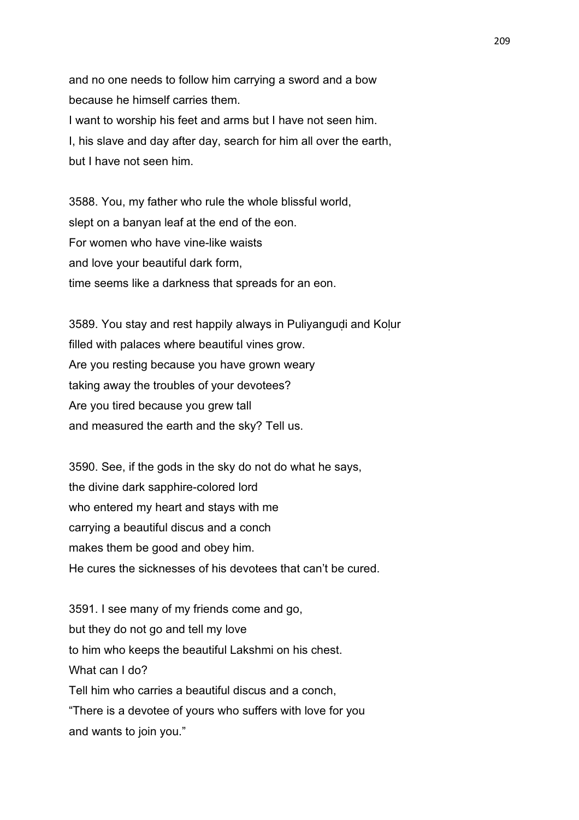and no one needs to follow him carrying a sword and a bow because he himself carries them. I want to worship his feet and arms but I have not seen him. I, his slave and day after day, search for him all over the earth, but I have not seen him.

3588. You, my father who rule the whole blissful world, slept on a banyan leaf at the end of the eon. For women who have vine-like waists and love your beautiful dark form, time seems like a darkness that spreads for an eon.

3589. You stay and rest happily always in Puliyangudi and Kolur filled with palaces where beautiful vines grow. Are you resting because you have grown weary taking away the troubles of your devotees? Are you tired because you grew tall and measured the earth and the sky? Tell us.

3590. See, if the gods in the sky do not do what he says, the divine dark sapphire-colored lord who entered my heart and stays with me carrying a beautiful discus and a conch makes them be good and obey him. He cures the sicknesses of his devotees that can't be cured.

3591. I see many of my friends come and go, but they do not go and tell my love to him who keeps the beautiful Lakshmi on his chest. What can I do? Tell him who carries a beautiful discus and a conch, "There is a devotee of yours who suffers with love for you and wants to join you."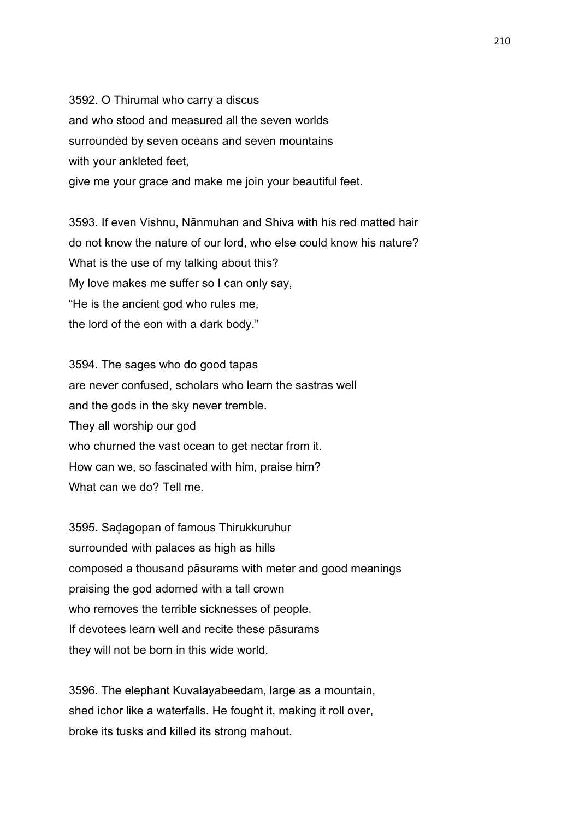3592. O Thirumal who carry a discus and who stood and measured all the seven worlds surrounded by seven oceans and seven mountains with your ankleted feet, give me your grace and make me join your beautiful feet.

3593. If even Vishnu, Nānmuhan and Shiva with his red matted hair do not know the nature of our lord, who else could know his nature? What is the use of my talking about this? My love makes me suffer so I can only say, "He is the ancient god who rules me, the lord of the eon with a dark body."

3594. The sages who do good tapas are never confused, scholars who learn the sastras well and the gods in the sky never tremble. They all worship our god who churned the vast ocean to get nectar from it. How can we, so fascinated with him, praise him? What can we do? Tell me.

3595. Saḍagopan of famous Thirukkuruhur surrounded with palaces as high as hills composed a thousand pāsurams with meter and good meanings praising the god adorned with a tall crown who removes the terrible sicknesses of people. If devotees learn well and recite these pāsurams they will not be born in this wide world.

3596. The elephant Kuvalayabeedam, large as a mountain, shed ichor like a waterfalls. He fought it, making it roll over, broke its tusks and killed its strong mahout.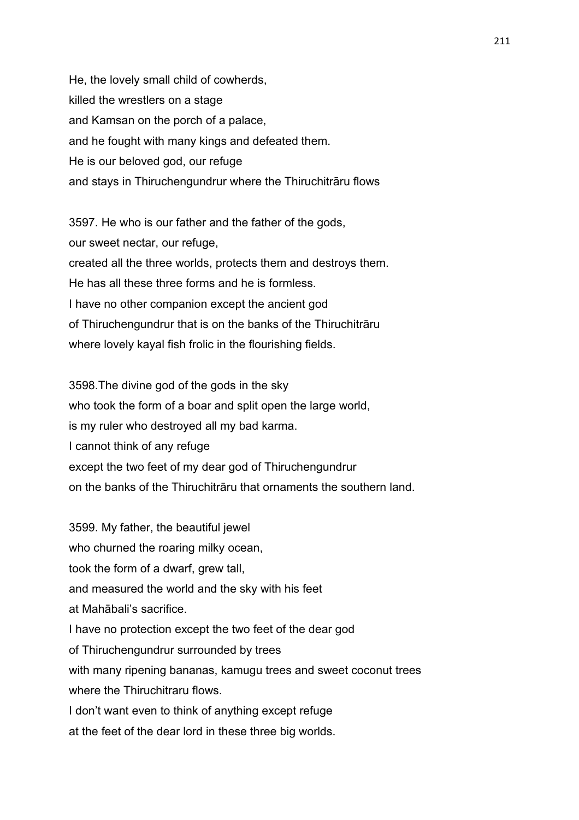He, the lovely small child of cowherds, killed the wrestlers on a stage and Kamsan on the porch of a palace, and he fought with many kings and defeated them. He is our beloved god, our refuge and stays in Thiruchengundrur where the Thiruchitrāru flows

3597. He who is our father and the father of the gods, our sweet nectar, our refuge, created all the three worlds, protects them and destroys them. He has all these three forms and he is formless. I have no other companion except the ancient god of Thiruchengundrur that is on the banks of the Thiruchitrāru where lovely kayal fish frolic in the flourishing fields.

3598.The divine god of the gods in the sky who took the form of a boar and split open the large world, is my ruler who destroyed all my bad karma. I cannot think of any refuge except the two feet of my dear god of Thiruchengundrur on the banks of the Thiruchitrāru that ornaments the southern land.

3599. My father, the beautiful jewel who churned the roaring milky ocean, took the form of a dwarf, grew tall, and measured the world and the sky with his feet at Mahābali's sacrifice. I have no protection except the two feet of the dear god of Thiruchengundrur surrounded by trees with many ripening bananas, kamugu trees and sweet coconut trees where the Thiruchitraru flows. I don't want even to think of anything except refuge at the feet of the dear lord in these three big worlds.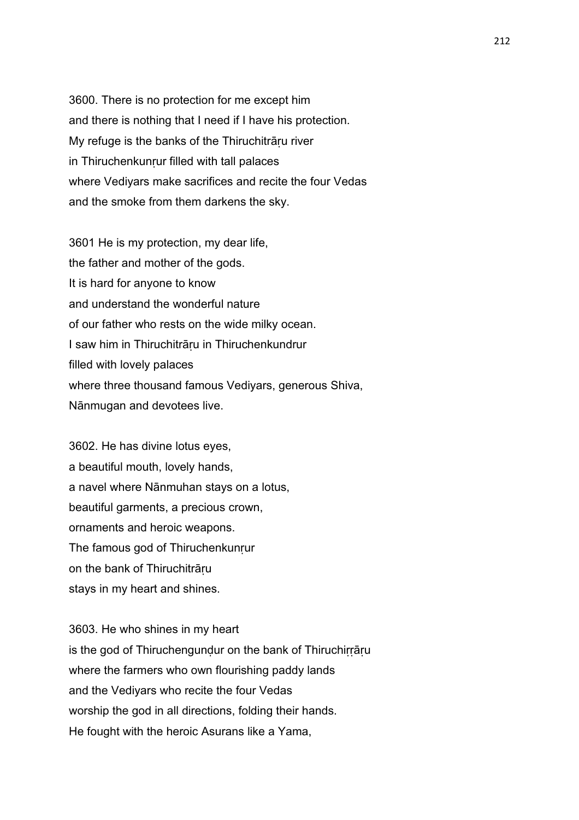3600. There is no protection for me except him and there is nothing that I need if I have his protection. My refuge is the banks of the Thiruchitrāru river in Thiruchenkunrur filled with tall palaces where Vediyars make sacrifices and recite the four Vedas and the smoke from them darkens the sky.

3601 He is my protection, my dear life, the father and mother of the gods. It is hard for anyone to know and understand the wonderful nature of our father who rests on the wide milky ocean. I saw him in Thiruchitrāṛu in Thiruchenkundrur filled with lovely palaces where three thousand famous Vediyars, generous Shiva, Nānmugan and devotees live.

3602. He has divine lotus eyes, a beautiful mouth, lovely hands, a navel where Nānmuhan stays on a lotus, beautiful garments, a precious crown, ornaments and heroic weapons. The famous god of Thiruchenkunrur on the bank of Thiruchitrāṛu stays in my heart and shines.

3603. He who shines in my heart is the god of Thiruchengunḍur on the bank of Thiruchiṛṛāṛu where the farmers who own flourishing paddy lands and the Vediyars who recite the four Vedas worship the god in all directions, folding their hands. He fought with the heroic Asurans like a Yama,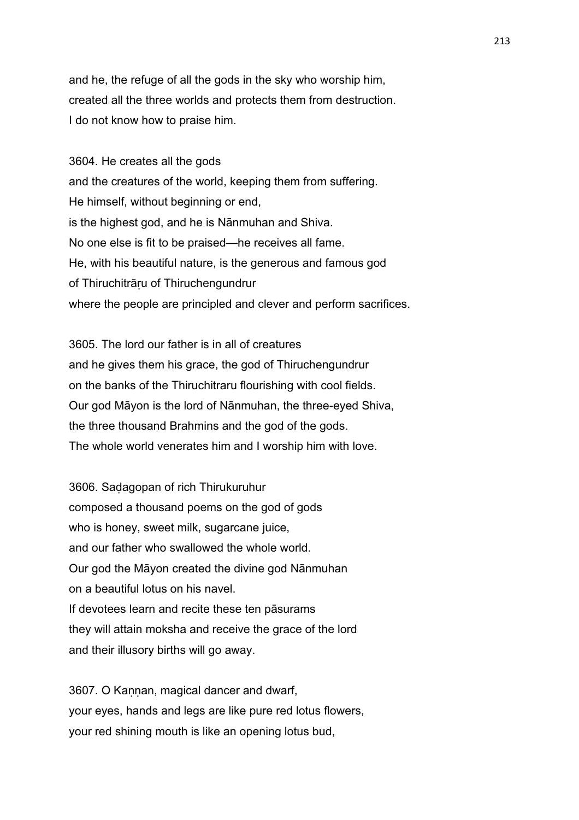and he, the refuge of all the gods in the sky who worship him, created all the three worlds and protects them from destruction. I do not know how to praise him.

3604. He creates all the gods and the creatures of the world, keeping them from suffering. He himself, without beginning or end, is the highest god, and he is Nānmuhan and Shiva. No one else is fit to be praised—he receives all fame. He, with his beautiful nature, is the generous and famous god of Thiruchitrāṛu of Thiruchengundrur where the people are principled and clever and perform sacrifices.

3605. The lord our father is in all of creatures and he gives them his grace, the god of Thiruchengundrur on the banks of the Thiruchitraru flourishing with cool fields. Our god Māyon is the lord of Nānmuhan, the three-eyed Shiva, the three thousand Brahmins and the god of the gods. The whole world venerates him and I worship him with love.

3606. Saḍagopan of rich Thirukuruhur composed a thousand poems on the god of gods who is honey, sweet milk, sugarcane juice, and our father who swallowed the whole world. Our god the Māyon created the divine god Nānmuhan on a beautiful lotus on his navel. If devotees learn and recite these ten pāsurams they will attain moksha and receive the grace of the lord and their illusory births will go away.

3607. O Kannan, magical dancer and dwarf, your eyes, hands and legs are like pure red lotus flowers, your red shining mouth is like an opening lotus bud,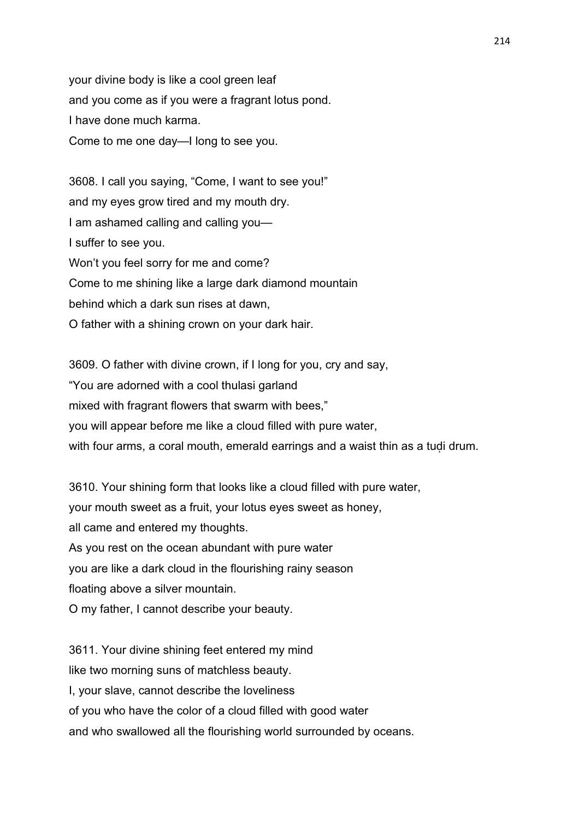your divine body is like a cool green leaf and you come as if you were a fragrant lotus pond. I have done much karma. Come to me one day—I long to see you.

3608. I call you saying, "Come, I want to see you!" and my eyes grow tired and my mouth dry. I am ashamed calling and calling you— I suffer to see you. Won't you feel sorry for me and come? Come to me shining like a large dark diamond mountain behind which a dark sun rises at dawn, O father with a shining crown on your dark hair.

3609. O father with divine crown, if I long for you, cry and say, "You are adorned with a cool thulasi garland mixed with fragrant flowers that swarm with bees," you will appear before me like a cloud filled with pure water, with four arms, a coral mouth, emerald earrings and a waist thin as a tudi drum.

3610. Your shining form that looks like a cloud filled with pure water, your mouth sweet as a fruit, your lotus eyes sweet as honey, all came and entered my thoughts. As you rest on the ocean abundant with pure water you are like a dark cloud in the flourishing rainy season floating above a silver mountain. O my father, I cannot describe your beauty.

3611. Your divine shining feet entered my mind like two morning suns of matchless beauty. I, your slave, cannot describe the loveliness of you who have the color of a cloud filled with good water and who swallowed all the flourishing world surrounded by oceans.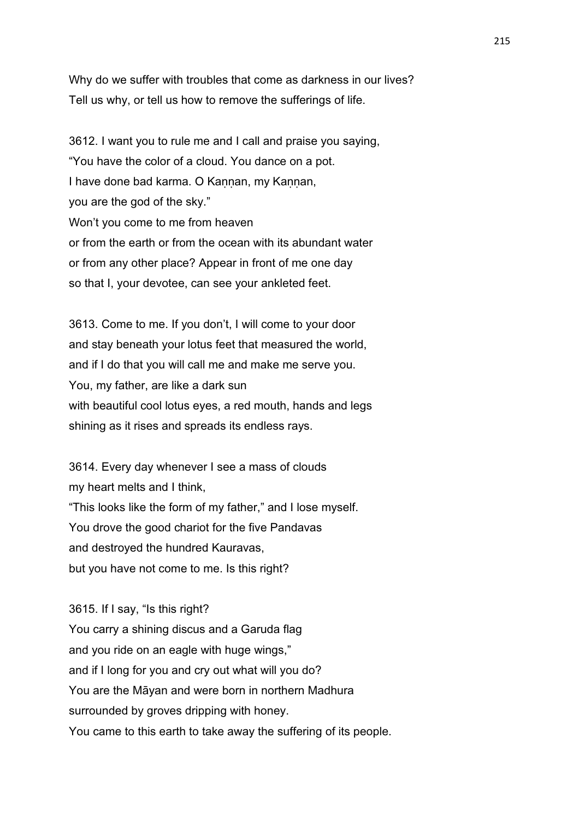Why do we suffer with troubles that come as darkness in our lives? Tell us why, or tell us how to remove the sufferings of life.

3612. I want you to rule me and I call and praise you saying, "You have the color of a cloud. You dance on a pot. I have done bad karma. O Kannan, my Kannan, you are the god of the sky." Won't you come to me from heaven or from the earth or from the ocean with its abundant water or from any other place? Appear in front of me one day so that I, your devotee, can see your ankleted feet.

3613. Come to me. If you don't, I will come to your door and stay beneath your lotus feet that measured the world, and if I do that you will call me and make me serve you. You, my father, are like a dark sun with beautiful cool lotus eyes, a red mouth, hands and legs shining as it rises and spreads its endless rays.

3614. Every day whenever I see a mass of clouds my heart melts and I think, "This looks like the form of my father," and I lose myself. You drove the good chariot for the five Pandavas and destroyed the hundred Kauravas, but you have not come to me. Is this right?

3615. If I say, "Is this right? You carry a shining discus and a Garuda flag and you ride on an eagle with huge wings," and if I long for you and cry out what will you do? You are the Māyan and were born in northern Madhura surrounded by groves dripping with honey. You came to this earth to take away the suffering of its people.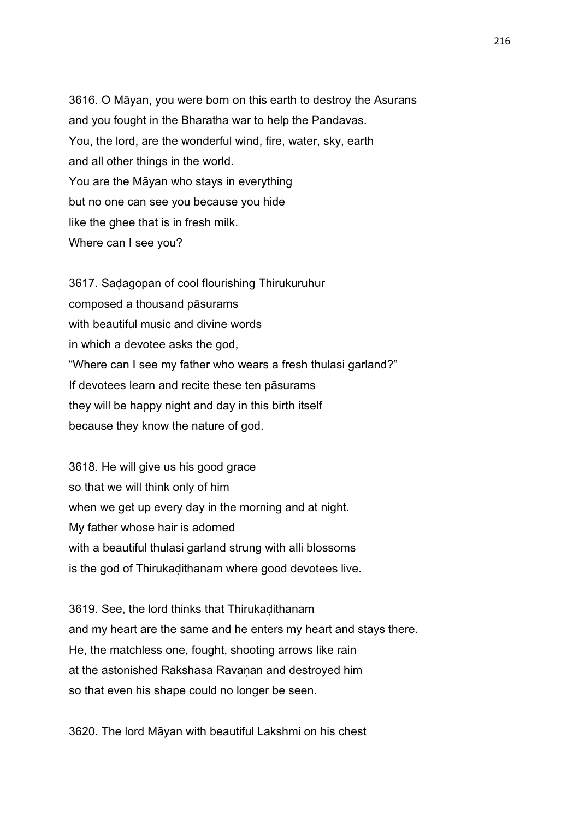3616. O Māyan, you were born on this earth to destroy the Asurans and you fought in the Bharatha war to help the Pandavas. You, the lord, are the wonderful wind, fire, water, sky, earth and all other things in the world. You are the Māyan who stays in everything but no one can see you because you hide like the ghee that is in fresh milk. Where can I see you?

3617. Saḍagopan of cool flourishing Thirukuruhur composed a thousand pāsurams with beautiful music and divine words in which a devotee asks the god, "Where can I see my father who wears a fresh thulasi garland?" If devotees learn and recite these ten pāsurams they will be happy night and day in this birth itself because they know the nature of god.

3618. He will give us his good grace so that we will think only of him when we get up every day in the morning and at night. My father whose hair is adorned with a beautiful thulasi garland strung with alli blossoms is the god of Thirukaḍithanam where good devotees live.

3619. See, the lord thinks that Thirukaḍithanam and my heart are the same and he enters my heart and stays there. He, the matchless one, fought, shooting arrows like rain at the astonished Rakshasa Ravanan and destroyed him so that even his shape could no longer be seen.

3620. The lord Māyan with beautiful Lakshmi on his chest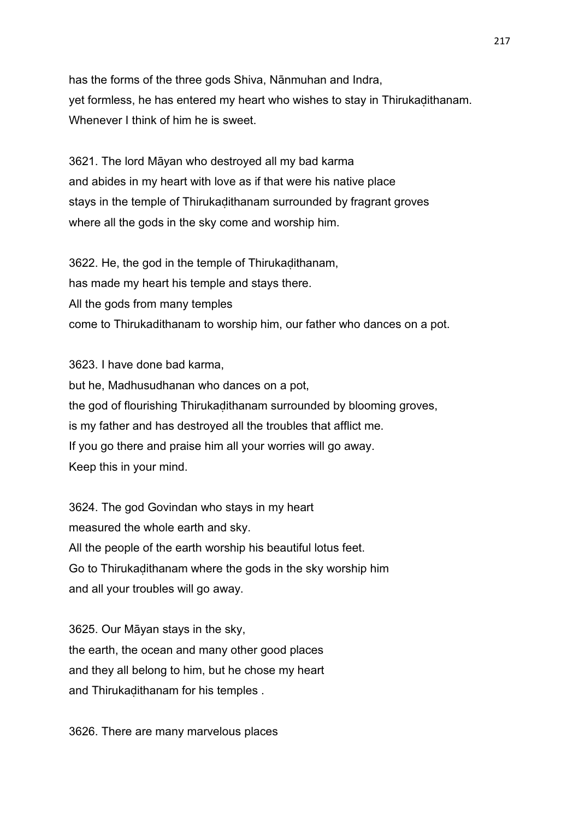has the forms of the three gods Shiva, Nānmuhan and Indra, yet formless, he has entered my heart who wishes to stay in Thirukaḍithanam. Whenever I think of him he is sweet.

3621. The lord Māyan who destroyed all my bad karma and abides in my heart with love as if that were his native place stays in the temple of Thirukaḍithanam surrounded by fragrant groves where all the gods in the sky come and worship him.

3622. He, the god in the temple of Thirukaḍithanam, has made my heart his temple and stays there. All the gods from many temples come to Thirukadithanam to worship him, our father who dances on a pot.

3623. I have done bad karma, but he, Madhusudhanan who dances on a pot, the god of flourishing Thirukaḍithanam surrounded by blooming groves, is my father and has destroyed all the troubles that afflict me. If you go there and praise him all your worries will go away. Keep this in your mind.

3624. The god Govindan who stays in my heart measured the whole earth and sky. All the people of the earth worship his beautiful lotus feet. Go to Thirukaḍithanam where the gods in the sky worship him and all your troubles will go away.

3625. Our Māyan stays in the sky, the earth, the ocean and many other good places and they all belong to him, but he chose my heart and Thirukaḍithanam for his temples .

3626. There are many marvelous places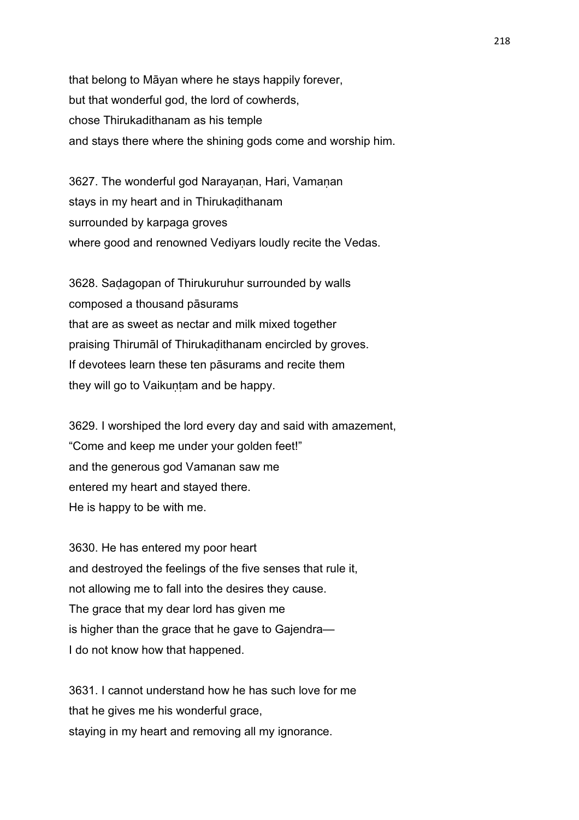that belong to Māyan where he stays happily forever, but that wonderful god, the lord of cowherds, chose Thirukadithanam as his temple and stays there where the shining gods come and worship him.

3627. The wonderful god Narayanan, Hari, Vamanan stays in my heart and in Thirukaḍithanam surrounded by karpaga groves where good and renowned Vediyars loudly recite the Vedas.

3628. Saḍagopan of Thirukuruhur surrounded by walls composed a thousand pāsurams that are as sweet as nectar and milk mixed together praising Thirumāl of Thirukaḍithanam encircled by groves. If devotees learn these ten pāsurams and recite them they will go to Vaikuntam and be happy.

3629. I worshiped the lord every day and said with amazement, "Come and keep me under your golden feet!" and the generous god Vamanan saw me entered my heart and stayed there. He is happy to be with me.

3630. He has entered my poor heart and destroyed the feelings of the five senses that rule it, not allowing me to fall into the desires they cause. The grace that my dear lord has given me is higher than the grace that he gave to Gajendra— I do not know how that happened.

3631. I cannot understand how he has such love for me that he gives me his wonderful grace, staying in my heart and removing all my ignorance.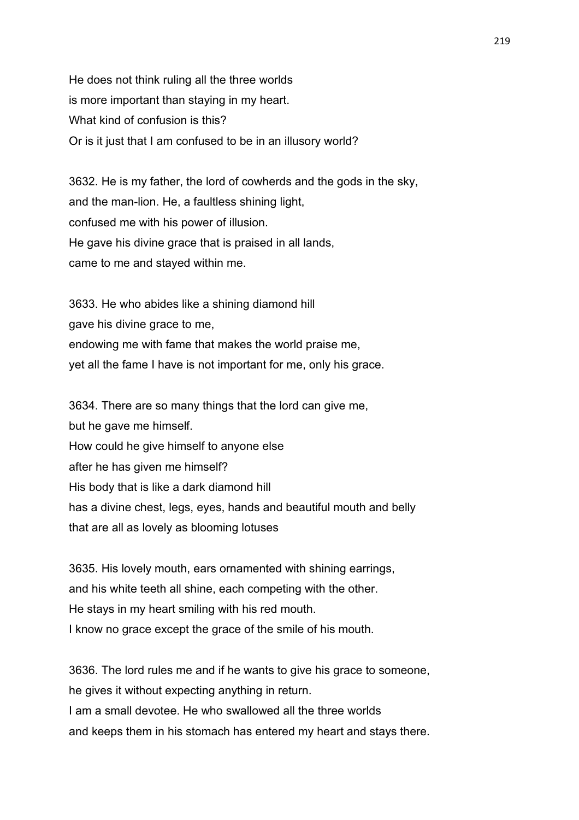He does not think ruling all the three worlds is more important than staying in my heart. What kind of confusion is this? Or is it just that I am confused to be in an illusory world?

3632. He is my father, the lord of cowherds and the gods in the sky, and the man-lion. He, a faultless shining light, confused me with his power of illusion. He gave his divine grace that is praised in all lands, came to me and stayed within me.

3633. He who abides like a shining diamond hill gave his divine grace to me, endowing me with fame that makes the world praise me, yet all the fame I have is not important for me, only his grace.

3634. There are so many things that the lord can give me, but he gave me himself. How could he give himself to anyone else after he has given me himself? His body that is like a dark diamond hill has a divine chest, legs, eyes, hands and beautiful mouth and belly that are all as lovely as blooming lotuses

3635. His lovely mouth, ears ornamented with shining earrings, and his white teeth all shine, each competing with the other. He stays in my heart smiling with his red mouth. I know no grace except the grace of the smile of his mouth.

3636. The lord rules me and if he wants to give his grace to someone, he gives it without expecting anything in return. I am a small devotee. He who swallowed all the three worlds and keeps them in his stomach has entered my heart and stays there.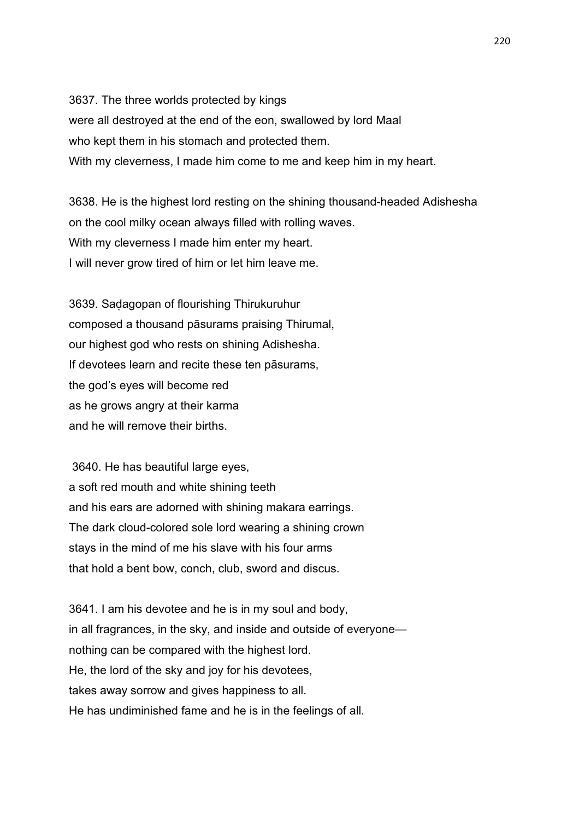3637. The three worlds protected by kings were all destroyed at the end of the eon, swallowed by lord Maal who kept them in his stomach and protected them. With my cleverness, I made him come to me and keep him in my heart.

3638. He is the highest lord resting on the shining thousand-headed Adishesha on the cool milky ocean always filled with rolling waves. With my cleverness I made him enter my heart. I will never grow tired of him or let him leave me.

3639. Saḍagopan of flourishing Thirukuruhur composed a thousand pāsurams praising Thirumal, our highest god who rests on shining Adishesha. If devotees learn and recite these ten pāsurams, the god's eyes will become red as he grows angry at their karma and he will remove their births.

 3640. He has beautiful large eyes, a soft red mouth and white shining teeth and his ears are adorned with shining makara earrings. The dark cloud-colored sole lord wearing a shining crown stays in the mind of me his slave with his four arms that hold a bent bow, conch, club, sword and discus.

3641. I am his devotee and he is in my soul and body, in all fragrances, in the sky, and inside and outside of everyone nothing can be compared with the highest lord. He, the lord of the sky and joy for his devotees, takes away sorrow and gives happiness to all. He has undiminished fame and he is in the feelings of all.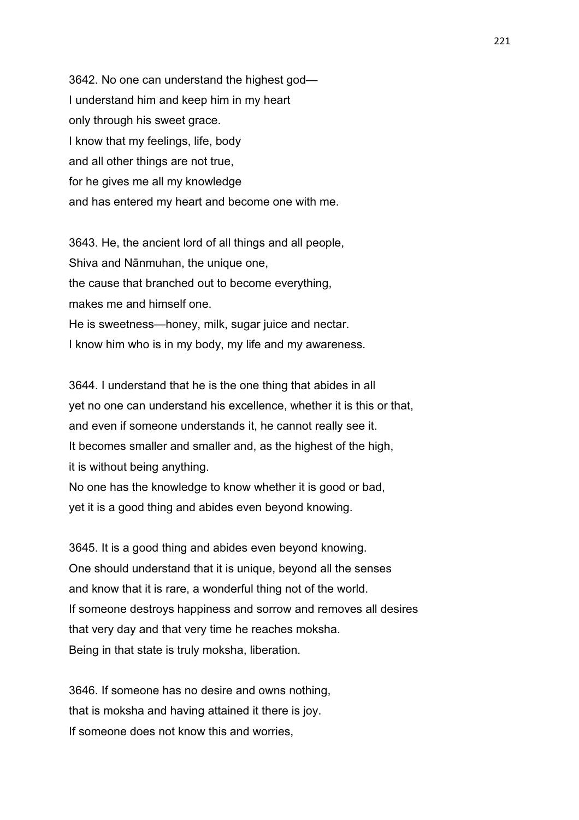3642. No one can understand the highest god— I understand him and keep him in my heart only through his sweet grace. I know that my feelings, life, body and all other things are not true, for he gives me all my knowledge and has entered my heart and become one with me.

3643. He, the ancient lord of all things and all people, Shiva and Nānmuhan, the unique one, the cause that branched out to become everything, makes me and himself one. He is sweetness—honey, milk, sugar juice and nectar. I know him who is in my body, my life and my awareness.

3644. I understand that he is the one thing that abides in all yet no one can understand his excellence, whether it is this or that, and even if someone understands it, he cannot really see it. It becomes smaller and smaller and, as the highest of the high, it is without being anything.

No one has the knowledge to know whether it is good or bad, yet it is a good thing and abides even beyond knowing.

3645. It is a good thing and abides even beyond knowing. One should understand that it is unique, beyond all the senses and know that it is rare, a wonderful thing not of the world. If someone destroys happiness and sorrow and removes all desires that very day and that very time he reaches moksha. Being in that state is truly moksha, liberation.

3646. If someone has no desire and owns nothing, that is moksha and having attained it there is joy. If someone does not know this and worries,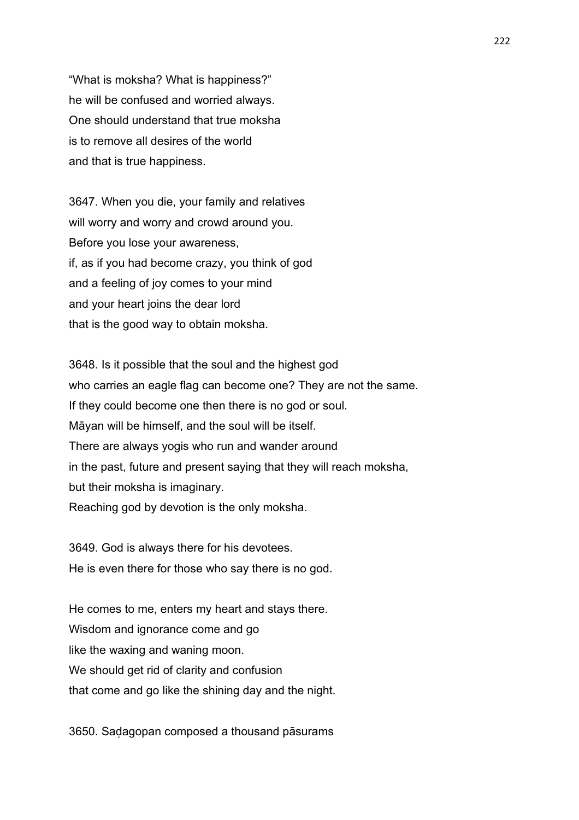"What is moksha? What is happiness?" he will be confused and worried always. One should understand that true moksha is to remove all desires of the world and that is true happiness.

3647. When you die, your family and relatives will worry and worry and crowd around you. Before you lose your awareness, if, as if you had become crazy, you think of god and a feeling of joy comes to your mind and your heart joins the dear lord that is the good way to obtain moksha.

3648. Is it possible that the soul and the highest god who carries an eagle flag can become one? They are not the same. If they could become one then there is no god or soul. Māyan will be himself, and the soul will be itself. There are always yogis who run and wander around in the past, future and present saying that they will reach moksha, but their moksha is imaginary. Reaching god by devotion is the only moksha.

3649. God is always there for his devotees. He is even there for those who say there is no god.

He comes to me, enters my heart and stays there. Wisdom and ignorance come and go like the waxing and waning moon. We should get rid of clarity and confusion that come and go like the shining day and the night.

3650. Saḍagopan composed a thousand pāsurams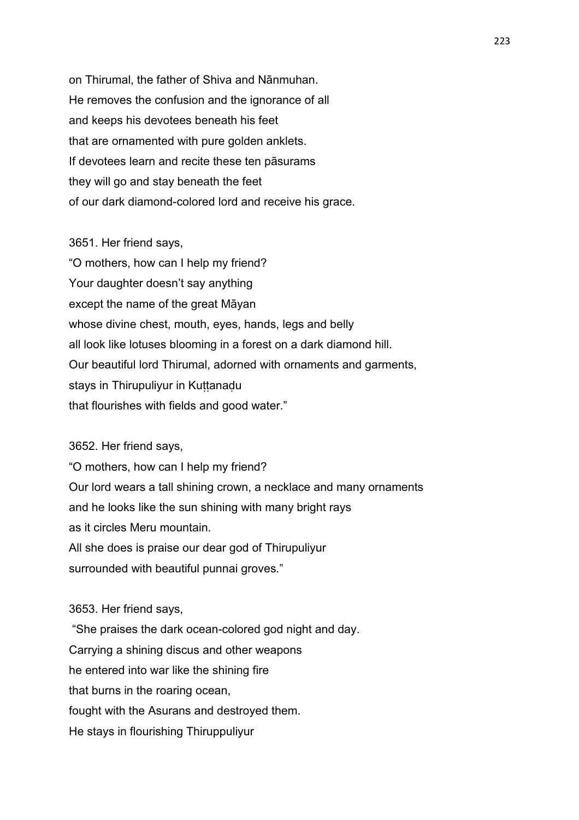on Thirumal, the father of Shiva and Nānmuhan. He removes the confusion and the ignorance of all and keeps his devotees beneath his feet that are ornamented with pure golden anklets. If devotees learn and recite these ten pāsurams they will go and stay beneath the feet of our dark diamond-colored lord and receive his grace.

3651. Her friend says,

"O mothers, how can I help my friend? Your daughter doesn't say anything except the name of the great Māyan whose divine chest, mouth, eyes, hands, legs and belly all look like lotuses blooming in a forest on a dark diamond hill. Our beautiful lord Thirumal, adorned with ornaments and garments, stays in Thirupuliyur in Kuttanadu that flourishes with fields and good water."

3652. Her friend says,

"O mothers, how can I help my friend? Our lord wears a tall shining crown, a necklace and many ornaments and he looks like the sun shining with many bright rays as it circles Meru mountain. All she does is praise our dear god of Thirupuliyur surrounded with beautiful punnai groves."

3653. Her friend says,

 "She praises the dark ocean-colored god night and day. Carrying a shining discus and other weapons he entered into war like the shining fire that burns in the roaring ocean, fought with the Asurans and destroyed them. He stays in flourishing Thiruppuliyur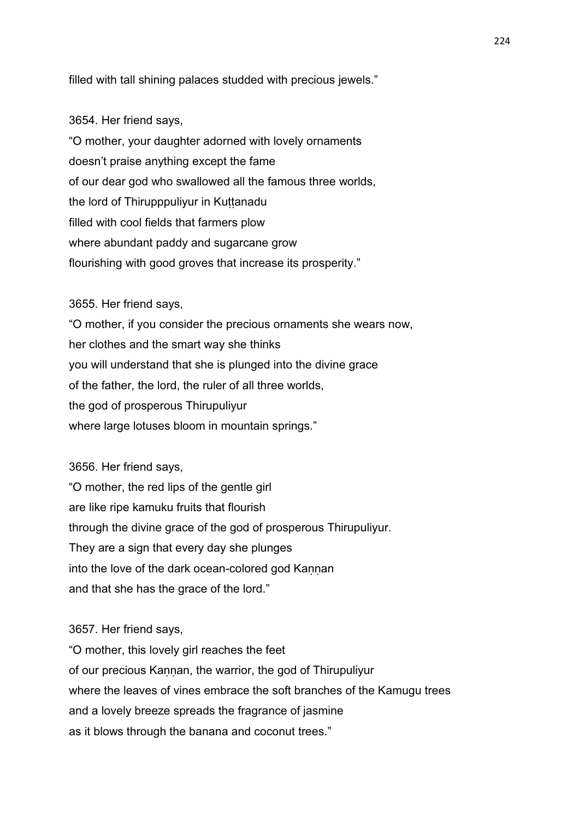filled with tall shining palaces studded with precious jewels."

## 3654. Her friend says,

"O mother, your daughter adorned with lovely ornaments doesn't praise anything except the fame of our dear god who swallowed all the famous three worlds, the lord of Thirupppuliyur in Kuṭṭanadu filled with cool fields that farmers plow where abundant paddy and sugarcane grow flourishing with good groves that increase its prosperity."

# 3655. Her friend says,

"O mother, if you consider the precious ornaments she wears now, her clothes and the smart way she thinks you will understand that she is plunged into the divine grace of the father, the lord, the ruler of all three worlds, the god of prosperous Thirupuliyur where large lotuses bloom in mountain springs."

3656. Her friend says,

"O mother, the red lips of the gentle girl are like ripe kamuku fruits that flourish through the divine grace of the god of prosperous Thirupuliyur. They are a sign that every day she plunges into the love of the dark ocean-colored god Kannan and that she has the grace of the lord."

## 3657. Her friend says,

"O mother, this lovely girl reaches the feet of our precious Kannan, the warrior, the god of Thirupuliyur where the leaves of vines embrace the soft branches of the Kamugu trees and a lovely breeze spreads the fragrance of jasmine as it blows through the banana and coconut trees."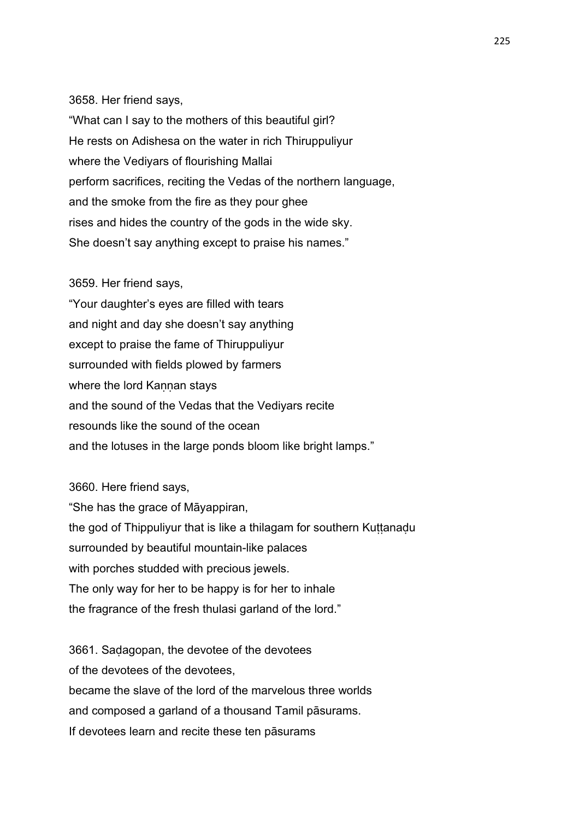### 3658. Her friend says,

"What can I say to the mothers of this beautiful girl? He rests on Adishesa on the water in rich Thiruppuliyur where the Vediyars of flourishing Mallai perform sacrifices, reciting the Vedas of the northern language, and the smoke from the fire as they pour ghee rises and hides the country of the gods in the wide sky. She doesn't say anything except to praise his names."

### 3659. Her friend says,

"Your daughter's eyes are filled with tears and night and day she doesn't say anything except to praise the fame of Thiruppuliyur surrounded with fields plowed by farmers where the lord Kannan stays and the sound of the Vedas that the Vediyars recite resounds like the sound of the ocean and the lotuses in the large ponds bloom like bright lamps."

3660. Here friend says, "She has the grace of Māyappiran, the god of Thippuliyur that is like a thilagam for southern Kuttanadu surrounded by beautiful mountain-like palaces with porches studded with precious jewels. The only way for her to be happy is for her to inhale the fragrance of the fresh thulasi garland of the lord."

3661. Saḍagopan, the devotee of the devotees of the devotees of the devotees, became the slave of the lord of the marvelous three worlds and composed a garland of a thousand Tamil pāsurams. If devotees learn and recite these ten pāsurams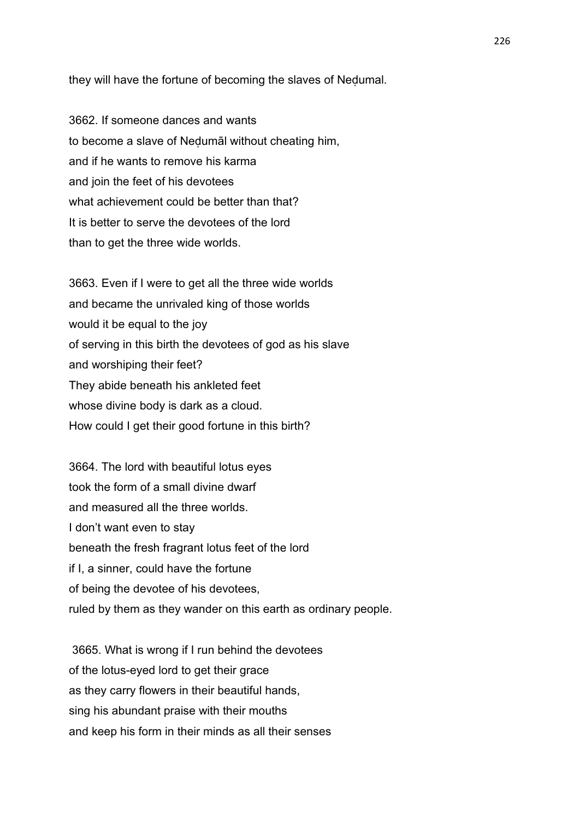they will have the fortune of becoming the slaves of Neḍumal.

3662. If someone dances and wants to become a slave of Neḍumāl without cheating him, and if he wants to remove his karma and join the feet of his devotees what achievement could be better than that? It is better to serve the devotees of the lord than to get the three wide worlds.

3663. Even if I were to get all the three wide worlds and became the unrivaled king of those worlds would it be equal to the joy of serving in this birth the devotees of god as his slave and worshiping their feet? They abide beneath his ankleted feet whose divine body is dark as a cloud. How could I get their good fortune in this birth?

3664. The lord with beautiful lotus eyes took the form of a small divine dwarf and measured all the three worlds. I don't want even to stay beneath the fresh fragrant lotus feet of the lord if I, a sinner, could have the fortune of being the devotee of his devotees, ruled by them as they wander on this earth as ordinary people.

 3665. What is wrong if I run behind the devotees of the lotus-eyed lord to get their grace as they carry flowers in their beautiful hands, sing his abundant praise with their mouths and keep his form in their minds as all their senses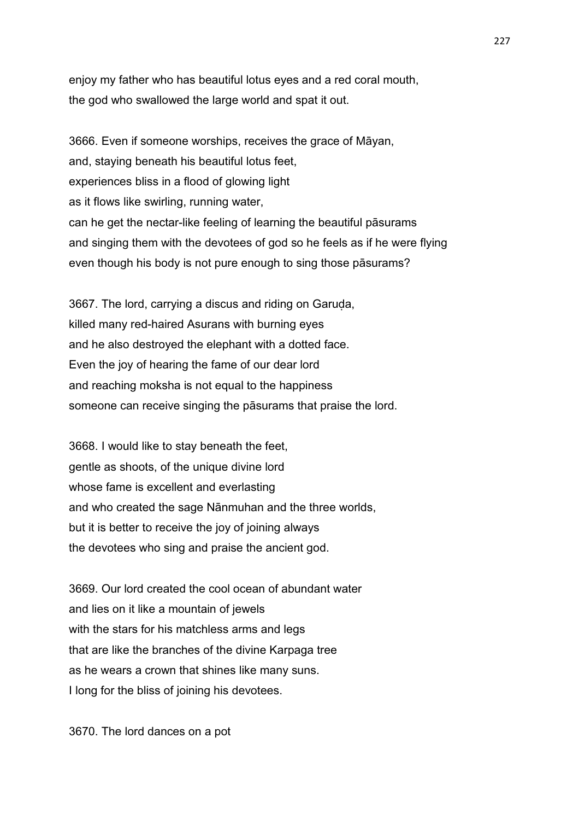enjoy my father who has beautiful lotus eyes and a red coral mouth, the god who swallowed the large world and spat it out.

3666. Even if someone worships, receives the grace of Māyan, and, staying beneath his beautiful lotus feet, experiences bliss in a flood of glowing light as it flows like swirling, running water, can he get the nectar-like feeling of learning the beautiful pāsurams and singing them with the devotees of god so he feels as if he were flying even though his body is not pure enough to sing those pāsurams?

3667. The lord, carrying a discus and riding on Garuda, killed many red-haired Asurans with burning eyes and he also destroyed the elephant with a dotted face. Even the joy of hearing the fame of our dear lord and reaching moksha is not equal to the happiness someone can receive singing the pāsurams that praise the lord.

3668. I would like to stay beneath the feet, gentle as shoots, of the unique divine lord whose fame is excellent and everlasting and who created the sage Nānmuhan and the three worlds, but it is better to receive the joy of joining always the devotees who sing and praise the ancient god.

3669. Our lord created the cool ocean of abundant water and lies on it like a mountain of jewels with the stars for his matchless arms and legs that are like the branches of the divine Karpaga tree as he wears a crown that shines like many suns. I long for the bliss of joining his devotees.

3670. The lord dances on a pot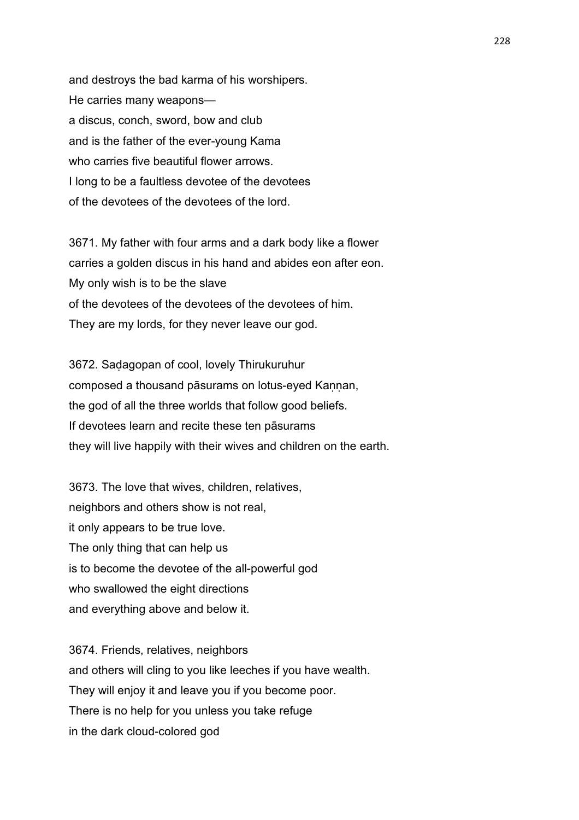and destroys the bad karma of his worshipers. He carries many weapons a discus, conch, sword, bow and club and is the father of the ever-young Kama who carries five beautiful flower arrows. I long to be a faultless devotee of the devotees of the devotees of the devotees of the lord.

3671. My father with four arms and a dark body like a flower carries a golden discus in his hand and abides eon after eon. My only wish is to be the slave of the devotees of the devotees of the devotees of him. They are my lords, for they never leave our god.

3672. Saḍagopan of cool, lovely Thirukuruhur composed a thousand pāsurams on lotus-eyed Kannan, the god of all the three worlds that follow good beliefs. If devotees learn and recite these ten pāsurams they will live happily with their wives and children on the earth.

3673. The love that wives, children, relatives, neighbors and others show is not real, it only appears to be true love. The only thing that can help us is to become the devotee of the all-powerful god who swallowed the eight directions and everything above and below it.

3674. Friends, relatives, neighbors and others will cling to you like leeches if you have wealth. They will enjoy it and leave you if you become poor. There is no help for you unless you take refuge in the dark cloud-colored god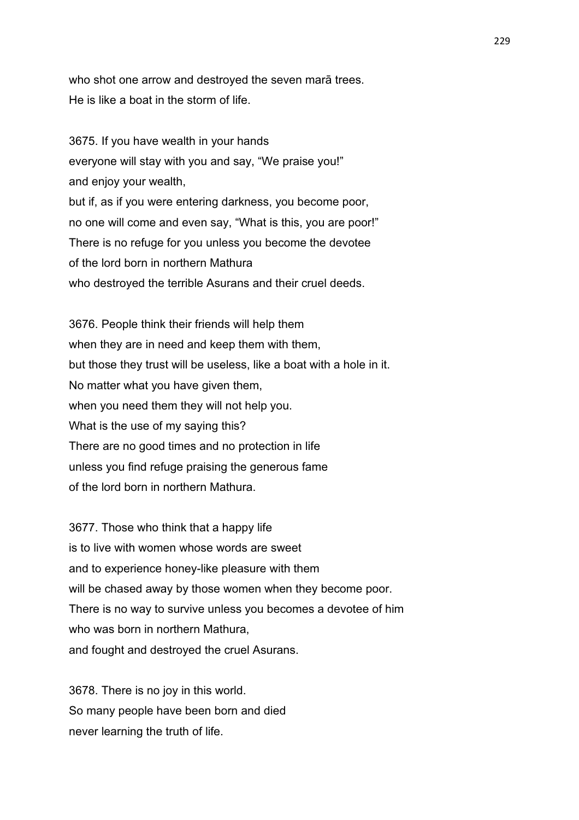who shot one arrow and destroyed the seven marā trees. He is like a boat in the storm of life.

3675. If you have wealth in your hands everyone will stay with you and say, "We praise you!" and enjoy your wealth, but if, as if you were entering darkness, you become poor, no one will come and even say, "What is this, you are poor!" There is no refuge for you unless you become the devotee of the lord born in northern Mathura who destroyed the terrible Asurans and their cruel deeds.

3676. People think their friends will help them when they are in need and keep them with them, but those they trust will be useless, like a boat with a hole in it. No matter what you have given them, when you need them they will not help you. What is the use of my saying this? There are no good times and no protection in life unless you find refuge praising the generous fame of the lord born in northern Mathura.

3677. Those who think that a happy life is to live with women whose words are sweet and to experience honey-like pleasure with them will be chased away by those women when they become poor. There is no way to survive unless you becomes a devotee of him who was born in northern Mathura, and fought and destroyed the cruel Asurans.

3678. There is no joy in this world. So many people have been born and died never learning the truth of life.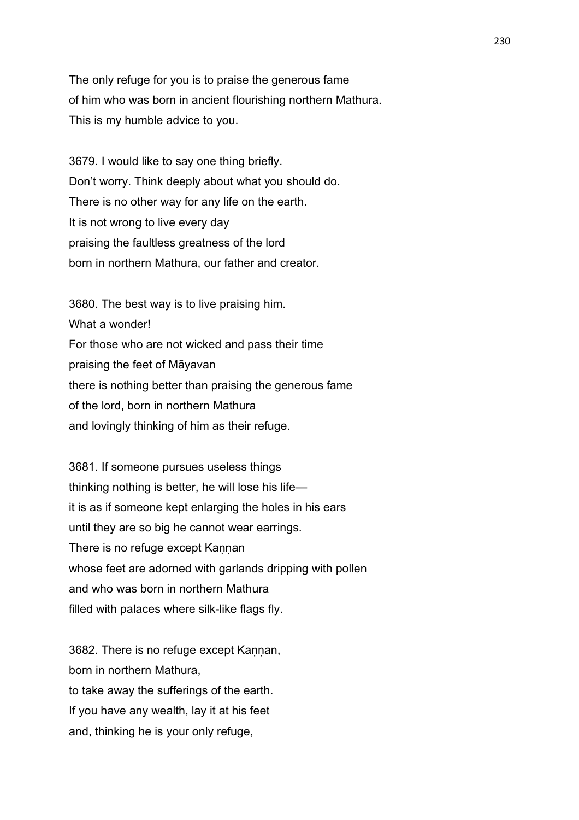The only refuge for you is to praise the generous fame of him who was born in ancient flourishing northern Mathura. This is my humble advice to you.

3679. I would like to say one thing briefly. Don't worry. Think deeply about what you should do. There is no other way for any life on the earth. It is not wrong to live every day praising the faultless greatness of the lord born in northern Mathura, our father and creator.

3680. The best way is to live praising him. What a wonder! For those who are not wicked and pass their time praising the feet of Māyavan there is nothing better than praising the generous fame of the lord, born in northern Mathura and lovingly thinking of him as their refuge.

3681. If someone pursues useless things thinking nothing is better, he will lose his life it is as if someone kept enlarging the holes in his ears until they are so big he cannot wear earrings. There is no refuge except Kannan whose feet are adorned with garlands dripping with pollen and who was born in northern Mathura filled with palaces where silk-like flags fly.

3682. There is no refuge except Kaṇṇan, born in northern Mathura, to take away the sufferings of the earth. If you have any wealth, lay it at his feet and, thinking he is your only refuge,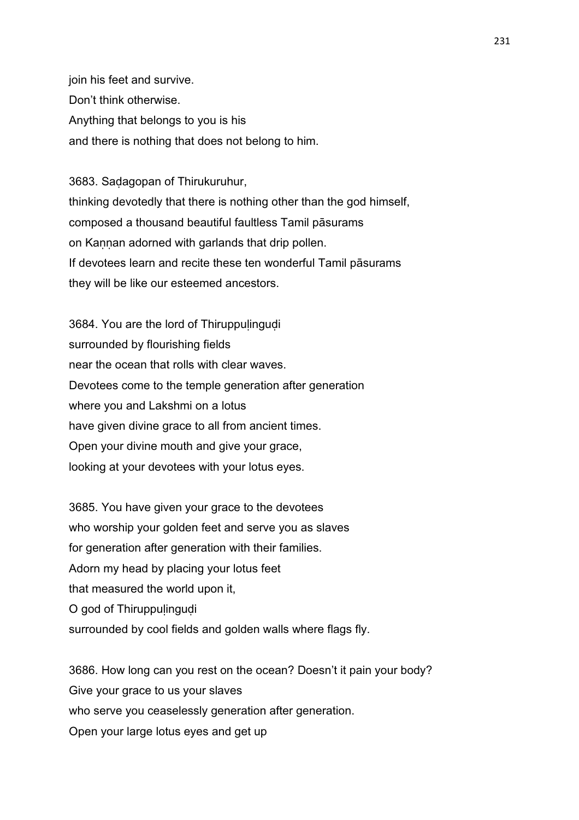join his feet and survive. Don't think otherwise. Anything that belongs to you is his and there is nothing that does not belong to him.

3683. Saḍagopan of Thirukuruhur, thinking devotedly that there is nothing other than the god himself, composed a thousand beautiful faultless Tamil pāsurams on Kannan adorned with garlands that drip pollen. If devotees learn and recite these ten wonderful Tamil pāsurams they will be like our esteemed ancestors.

3684. You are the lord of Thiruppulingudi surrounded by flourishing fields near the ocean that rolls with clear waves. Devotees come to the temple generation after generation where you and Lakshmi on a lotus have given divine grace to all from ancient times. Open your divine mouth and give your grace, looking at your devotees with your lotus eyes.

3685. You have given your grace to the devotees who worship your golden feet and serve you as slaves for generation after generation with their families. Adorn my head by placing your lotus feet that measured the world upon it, O god of Thiruppulingudi surrounded by cool fields and golden walls where flags fly.

3686. How long can you rest on the ocean? Doesn't it pain your body? Give your grace to us your slaves who serve you ceaselessly generation after generation. Open your large lotus eyes and get up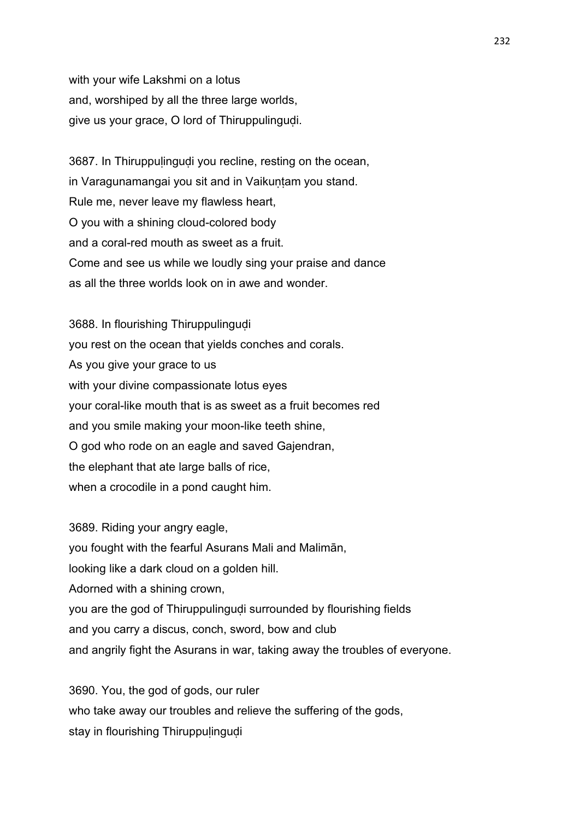with your wife Lakshmi on a lotus and, worshiped by all the three large worlds, give us your grace, O lord of Thiruppulinguḍi.

3687. In Thiruppulingudi you recline, resting on the ocean, in Varagunamangai you sit and in Vaikuntam you stand. Rule me, never leave my flawless heart, O you with a shining cloud-colored body and a coral-red mouth as sweet as a fruit. Come and see us while we loudly sing your praise and dance as all the three worlds look on in awe and wonder.

3688. In flourishing Thiruppulingudi you rest on the ocean that yields conches and corals. As you give your grace to us with your divine compassionate lotus eyes your coral-like mouth that is as sweet as a fruit becomes red and you smile making your moon-like teeth shine, O god who rode on an eagle and saved Gajendran, the elephant that ate large balls of rice, when a crocodile in a pond caught him.

3689. Riding your angry eagle, you fought with the fearful Asurans Mali and Malimān, looking like a dark cloud on a golden hill. Adorned with a shining crown, you are the god of Thiruppulingudi surrounded by flourishing fields and you carry a discus, conch, sword, bow and club and angrily fight the Asurans in war, taking away the troubles of everyone.

3690. You, the god of gods, our ruler who take away our troubles and relieve the suffering of the gods, stay in flourishing Thiruppulingudi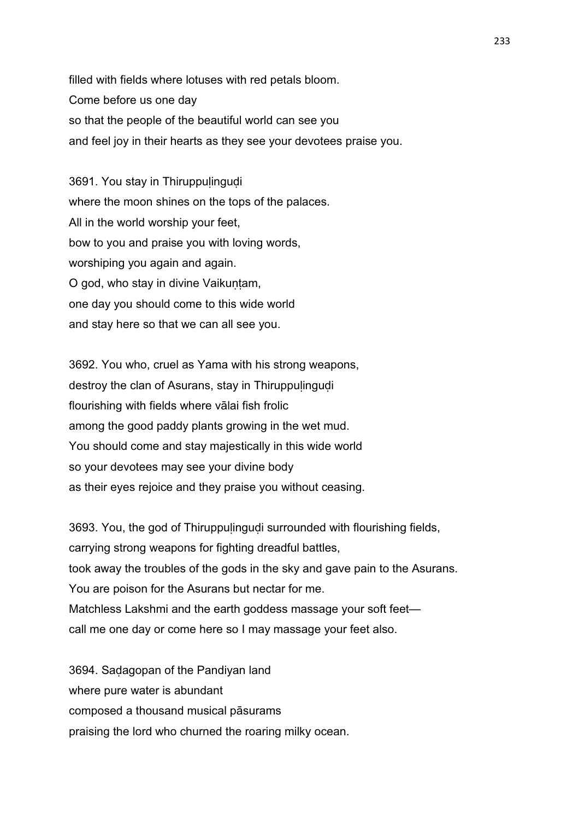filled with fields where lotuses with red petals bloom. Come before us one day so that the people of the beautiful world can see you and feel joy in their hearts as they see your devotees praise you.

3691. You stay in Thiruppulingudi where the moon shines on the tops of the palaces. All in the world worship your feet, bow to you and praise you with loving words, worshiping you again and again. O god, who stay in divine Vaikuntam, one day you should come to this wide world and stay here so that we can all see you.

3692. You who, cruel as Yama with his strong weapons, destroy the clan of Asurans, stay in Thiruppulingudi flourishing with fields where vālai fish frolic among the good paddy plants growing in the wet mud. You should come and stay majestically in this wide world so your devotees may see your divine body as their eyes rejoice and they praise you without ceasing.

3693. You, the god of Thiruppuḷinguḍi surrounded with flourishing fields, carrying strong weapons for fighting dreadful battles, took away the troubles of the gods in the sky and gave pain to the Asurans. You are poison for the Asurans but nectar for me. Matchless Lakshmi and the earth goddess massage your soft feet call me one day or come here so I may massage your feet also.

3694. Saḍagopan of the Pandiyan land where pure water is abundant composed a thousand musical pāsurams praising the lord who churned the roaring milky ocean.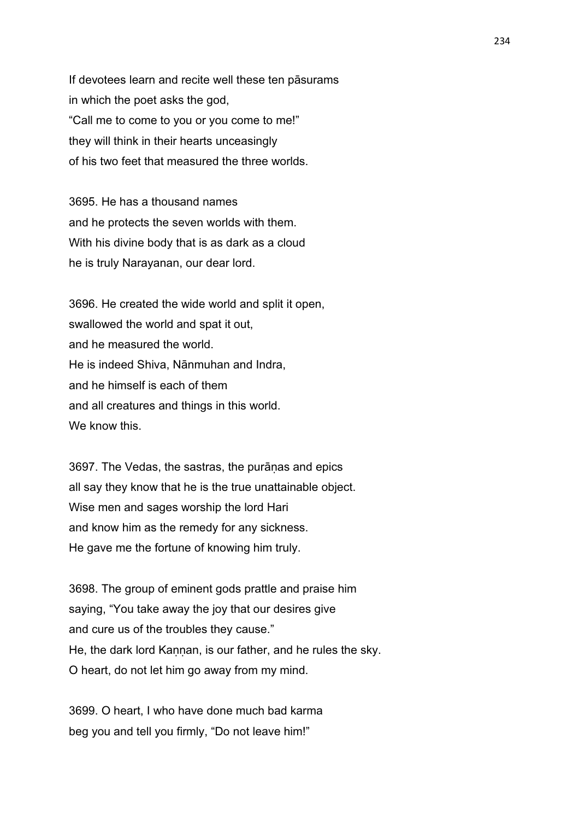If devotees learn and recite well these ten pāsurams in which the poet asks the god, "Call me to come to you or you come to me!" they will think in their hearts unceasingly of his two feet that measured the three worlds.

3695. He has a thousand names and he protects the seven worlds with them. With his divine body that is as dark as a cloud he is truly Narayanan, our dear lord.

3696. He created the wide world and split it open, swallowed the world and spat it out, and he measured the world. He is indeed Shiva, Nānmuhan and Indra, and he himself is each of them and all creatures and things in this world. We know this.

3697. The Vedas, the sastras, the purāṇas and epics all say they know that he is the true unattainable object. Wise men and sages worship the lord Hari and know him as the remedy for any sickness. He gave me the fortune of knowing him truly.

3698. The group of eminent gods prattle and praise him saying, "You take away the joy that our desires give and cure us of the troubles they cause." He, the dark lord Kannan, is our father, and he rules the sky. O heart, do not let him go away from my mind.

3699. O heart, I who have done much bad karma beg you and tell you firmly, "Do not leave him!"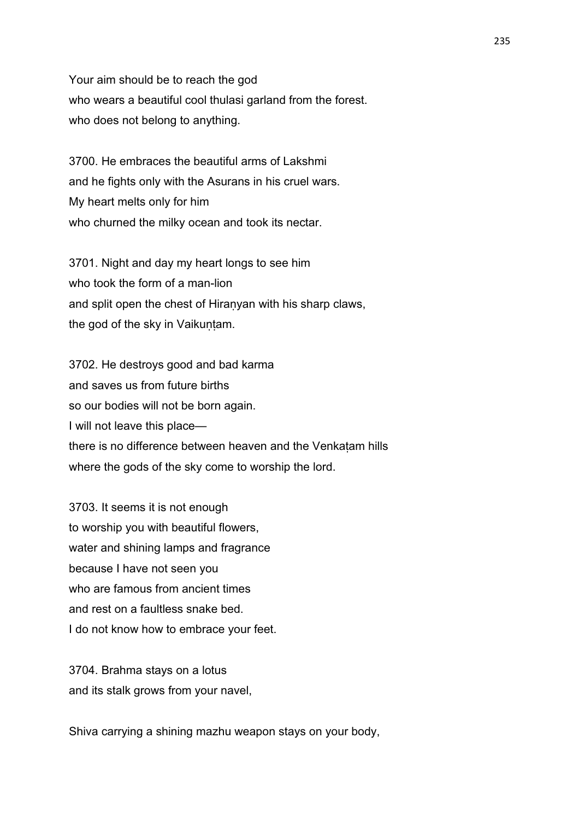Your aim should be to reach the god who wears a beautiful cool thulasi garland from the forest. who does not belong to anything.

3700. He embraces the beautiful arms of Lakshmi and he fights only with the Asurans in his cruel wars. My heart melts only for him who churned the milky ocean and took its nectar.

3701. Night and day my heart longs to see him who took the form of a man-lion and split open the chest of Hiraṇyan with his sharp claws, the god of the sky in Vaikuntam.

3702. He destroys good and bad karma and saves us from future births so our bodies will not be born again. I will not leave this place there is no difference between heaven and the Venkaṭam hills where the gods of the sky come to worship the lord.

3703. It seems it is not enough to worship you with beautiful flowers, water and shining lamps and fragrance because I have not seen you who are famous from ancient times and rest on a faultless snake bed. I do not know how to embrace your feet.

3704. Brahma stays on a lotus and its stalk grows from your navel,

Shiva carrying a shining mazhu weapon stays on your body,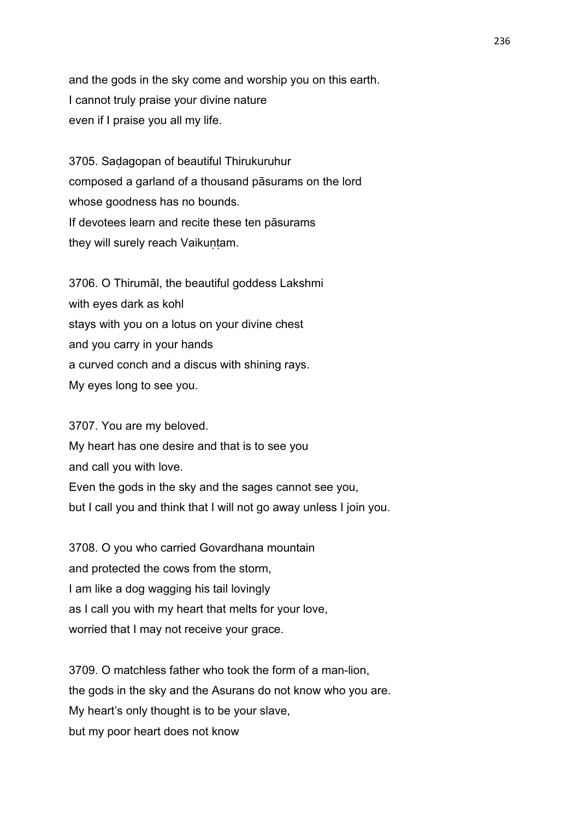and the gods in the sky come and worship you on this earth. I cannot truly praise your divine nature even if I praise you all my life.

3705. Saḍagopan of beautiful Thirukuruhur composed a garland of a thousand pāsurams on the lord whose goodness has no bounds. If devotees learn and recite these ten pāsurams they will surely reach Vaikuntam.

3706. O Thirumāl, the beautiful goddess Lakshmi with eyes dark as kohl stays with you on a lotus on your divine chest and you carry in your hands a curved conch and a discus with shining rays. My eyes long to see you.

3707. You are my beloved. My heart has one desire and that is to see you and call you with love. Even the gods in the sky and the sages cannot see you, but I call you and think that I will not go away unless I join you.

3708. O you who carried Govardhana mountain and protected the cows from the storm, I am like a dog wagging his tail lovingly as I call you with my heart that melts for your love, worried that I may not receive your grace.

3709. O matchless father who took the form of a man-lion, the gods in the sky and the Asurans do not know who you are. My heart's only thought is to be your slave, but my poor heart does not know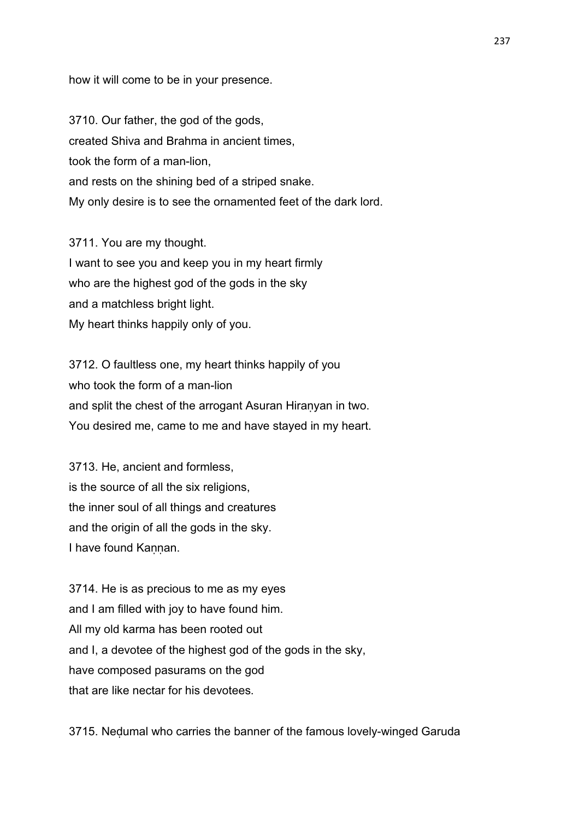how it will come to be in your presence.

3710. Our father, the god of the gods, created Shiva and Brahma in ancient times, took the form of a man-lion, and rests on the shining bed of a striped snake. My only desire is to see the ornamented feet of the dark lord.

3711. You are my thought. I want to see you and keep you in my heart firmly who are the highest god of the gods in the sky and a matchless bright light. My heart thinks happily only of you.

3712. O faultless one, my heart thinks happily of you who took the form of a man-lion and split the chest of the arrogant Asuran Hiranyan in two. You desired me, came to me and have stayed in my heart.

3713. He, ancient and formless, is the source of all the six religions, the inner soul of all things and creatures and the origin of all the gods in the sky. I have found Kannan.

3714. He is as precious to me as my eyes and I am filled with joy to have found him. All my old karma has been rooted out and I, a devotee of the highest god of the gods in the sky, have composed pasurams on the god that are like nectar for his devotees.

3715. Neḍumal who carries the banner of the famous lovely-winged Garuda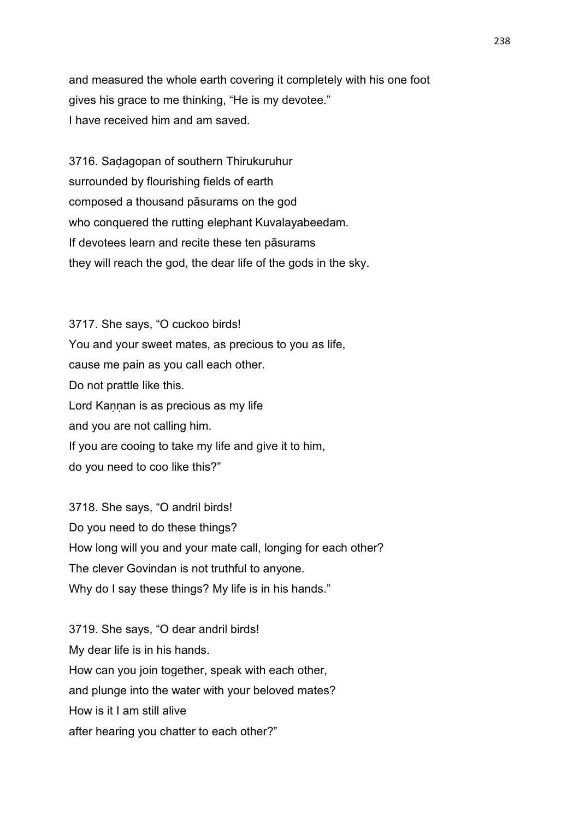and measured the whole earth covering it completely with his one foot gives his grace to me thinking, "He is my devotee." I have received him and am saved.

3716. Saḍagopan of southern Thirukuruhur surrounded by flourishing fields of earth composed a thousand pāsurams on the god who conquered the rutting elephant Kuvalayabeedam. If devotees learn and recite these ten pāsurams they will reach the god, the dear life of the gods in the sky.

3717. She says, "O cuckoo birds! You and your sweet mates, as precious to you as life, cause me pain as you call each other. Do not prattle like this. Lord Kannan is as precious as my life and you are not calling him. If you are cooing to take my life and give it to him, do you need to coo like this?"

3718. She says, "O andril birds! Do you need to do these things? How long will you and your mate call, longing for each other? The clever Govindan is not truthful to anyone. Why do I say these things? My life is in his hands."

3719. She says, "O dear andril birds! My dear life is in his hands. How can you join together, speak with each other, and plunge into the water with your beloved mates? How is it I am still alive after hearing you chatter to each other?"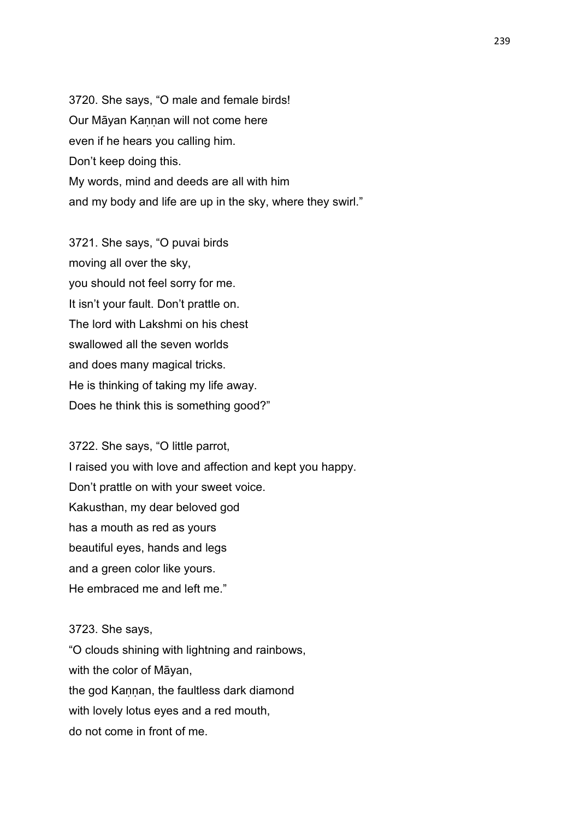3720. She says, "O male and female birds! Our Māyan Kaṇṇan will not come here even if he hears you calling him. Don't keep doing this. My words, mind and deeds are all with him and my body and life are up in the sky, where they swirl."

3721. She says, "O puvai birds moving all over the sky, you should not feel sorry for me. It isn't your fault. Don't prattle on. The lord with Lakshmi on his chest swallowed all the seven worlds and does many magical tricks. He is thinking of taking my life away. Does he think this is something good?"

3722. She says, "O little parrot, I raised you with love and affection and kept you happy. Don't prattle on with your sweet voice. Kakusthan, my dear beloved god has a mouth as red as yours beautiful eyes, hands and legs and a green color like yours. He embraced me and left me."

### 3723. She says,

"O clouds shining with lightning and rainbows, with the color of Māyan, the god Kannan, the faultless dark diamond with lovely lotus eyes and a red mouth, do not come in front of me.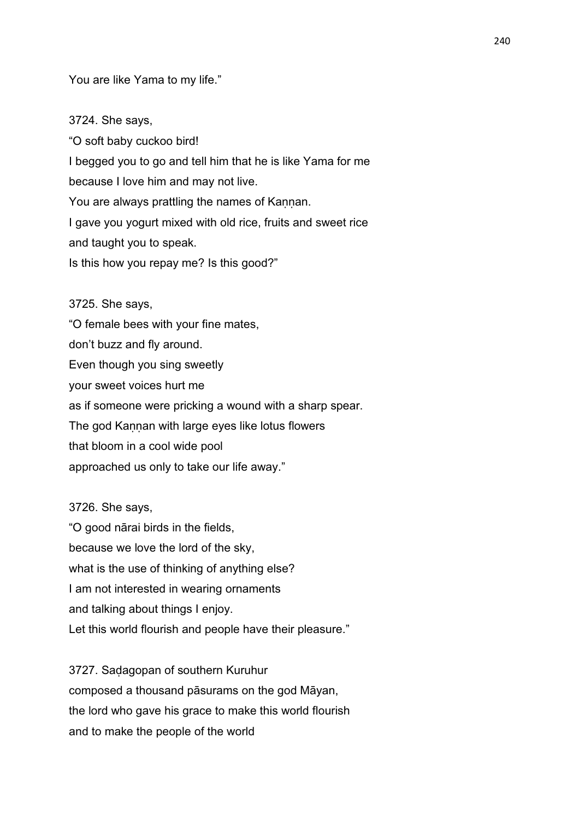You are like Yama to my life."

3724. She says,

"O soft baby cuckoo bird! I begged you to go and tell him that he is like Yama for me because I love him and may not live. You are always prattling the names of Kannan. I gave you yogurt mixed with old rice, fruits and sweet rice and taught you to speak. Is this how you repay me? Is this good?"

3725. She says, "O female bees with your fine mates, don't buzz and fly around. Even though you sing sweetly your sweet voices hurt me as if someone were pricking a wound with a sharp spear. The god Kannan with large eyes like lotus flowers that bloom in a cool wide pool approached us only to take our life away."

3726. She says, "O good nārai birds in the fields, because we love the lord of the sky, what is the use of thinking of anything else? I am not interested in wearing ornaments and talking about things I enjoy. Let this world flourish and people have their pleasure."

3727. Saḍagopan of southern Kuruhur composed a thousand pāsurams on the god Māyan, the lord who gave his grace to make this world flourish and to make the people of the world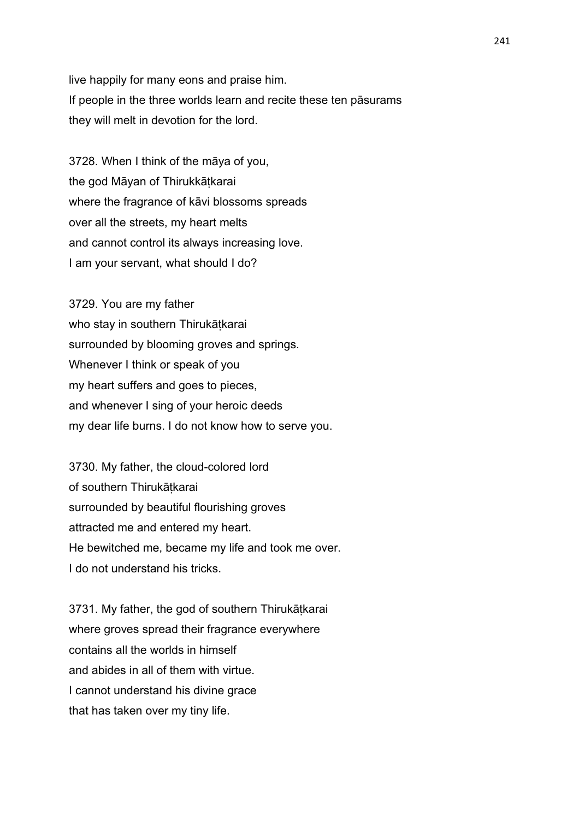live happily for many eons and praise him. If people in the three worlds learn and recite these ten pāsurams they will melt in devotion for the lord.

3728. When I think of the māya of you, the god Māyan of Thirukkātkarai where the fragrance of kāvi blossoms spreads over all the streets, my heart melts and cannot control its always increasing love. I am your servant, what should I do?

3729. You are my father who stay in southern Thirukātkarai surrounded by blooming groves and springs. Whenever I think or speak of you my heart suffers and goes to pieces, and whenever I sing of your heroic deeds my dear life burns. I do not know how to serve you.

3730. My father, the cloud-colored lord of southern Thirukātkarai surrounded by beautiful flourishing groves attracted me and entered my heart. He bewitched me, became my life and took me over. I do not understand his tricks.

3731. My father, the god of southern Thirukāṭkarai where groves spread their fragrance everywhere contains all the worlds in himself and abides in all of them with virtue. I cannot understand his divine grace that has taken over my tiny life.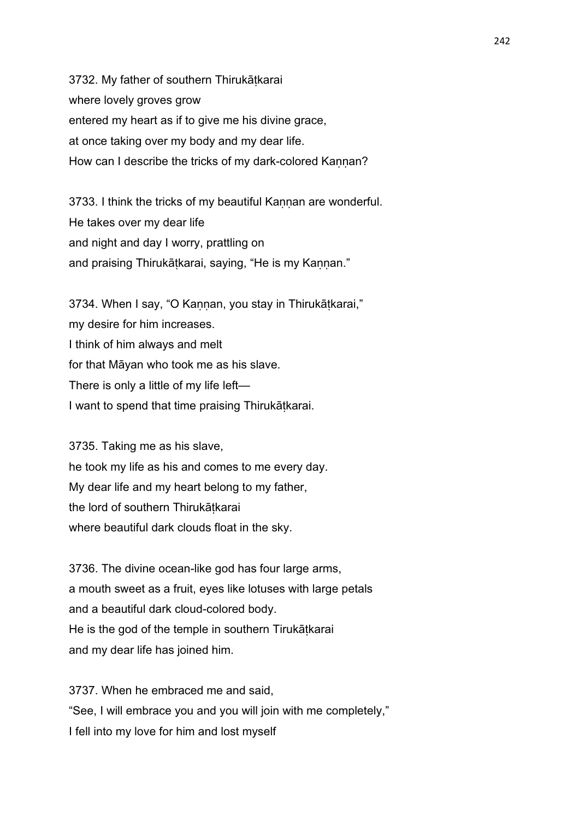3732. My father of southern Thirukāṭkarai where lovely groves grow entered my heart as if to give me his divine grace, at once taking over my body and my dear life. How can I describe the tricks of my dark-colored Kannan?

3733. I think the tricks of my beautiful Kaṇṇan are wonderful. He takes over my dear life and night and day I worry, prattling on and praising Thirukāṭkarai, saying, "He is my Kaṇṇan."

3734. When I say, "O Kannan, you stay in Thirukātkarai," my desire for him increases. I think of him always and melt for that Māyan who took me as his slave. There is only a little of my life left— I want to spend that time praising Thirukāṭkarai.

3735. Taking me as his slave, he took my life as his and comes to me every day. My dear life and my heart belong to my father, the lord of southern Thirukātkarai where beautiful dark clouds float in the sky.

3736. The divine ocean-like god has four large arms, a mouth sweet as a fruit, eyes like lotuses with large petals and a beautiful dark cloud-colored body. He is the god of the temple in southern Tirukāṭkarai and my dear life has joined him.

3737. When he embraced me and said, "See, I will embrace you and you will join with me completely," I fell into my love for him and lost myself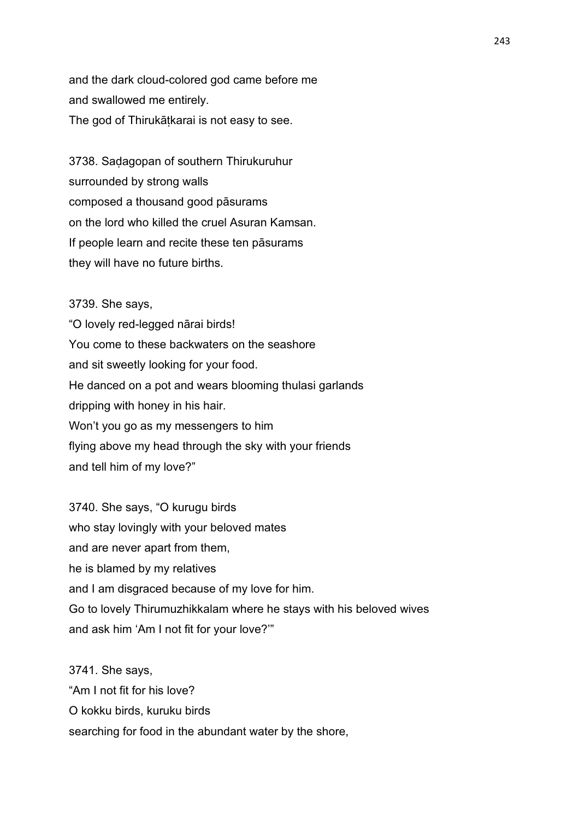and the dark cloud-colored god came before me and swallowed me entirely. The god of Thirukāṭkarai is not easy to see.

3738. Saḍagopan of southern Thirukuruhur surrounded by strong walls composed a thousand good pāsurams on the lord who killed the cruel Asuran Kamsan. If people learn and recite these ten pāsurams they will have no future births.

3739. She says, "O lovely red-legged nārai birds! You come to these backwaters on the seashore and sit sweetly looking for your food. He danced on a pot and wears blooming thulasi garlands dripping with honey in his hair. Won't you go as my messengers to him flying above my head through the sky with your friends and tell him of my love?"

3740. She says, "O kurugu birds who stay lovingly with your beloved mates and are never apart from them, he is blamed by my relatives and I am disgraced because of my love for him. Go to lovely Thirumuzhikkalam where he stays with his beloved wives and ask him 'Am I not fit for your love?'"

3741. She says, "Am I not fit for his love? O kokku birds, kuruku birds searching for food in the abundant water by the shore,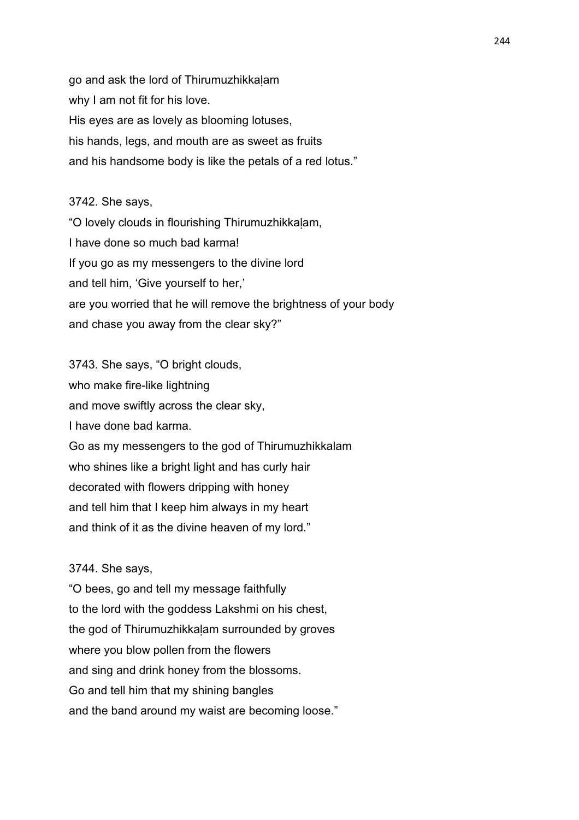go and ask the lord of Thirumuzhikkaḷam why I am not fit for his love. His eyes are as lovely as blooming lotuses, his hands, legs, and mouth are as sweet as fruits and his handsome body is like the petals of a red lotus."

#### 3742. She says,

"O lovely clouds in flourishing Thirumuzhikkaḷam, I have done so much bad karma! If you go as my messengers to the divine lord and tell him, 'Give yourself to her,' are you worried that he will remove the brightness of your body and chase you away from the clear sky?"

3743. She says, "O bright clouds, who make fire-like lightning and move swiftly across the clear sky, I have done bad karma. Go as my messengers to the god of Thirumuzhikkalam who shines like a bright light and has curly hair decorated with flowers dripping with honey and tell him that I keep him always in my heart and think of it as the divine heaven of my lord."

### 3744. She says,

"O bees, go and tell my message faithfully to the lord with the goddess Lakshmi on his chest, the god of Thirumuzhikkaḷam surrounded by groves where you blow pollen from the flowers and sing and drink honey from the blossoms. Go and tell him that my shining bangles and the band around my waist are becoming loose."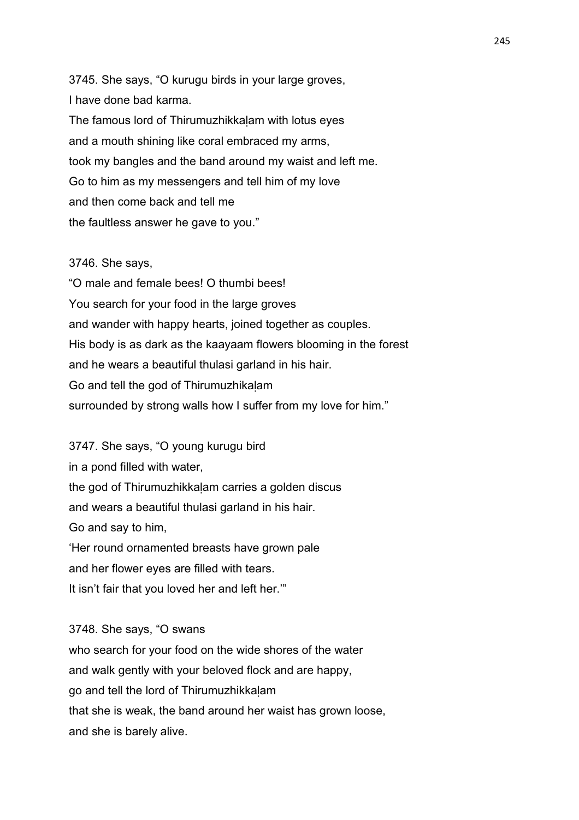3745. She says, "O kurugu birds in your large groves, I have done bad karma. The famous lord of Thirumuzhikkaḷam with lotus eyes and a mouth shining like coral embraced my arms, took my bangles and the band around my waist and left me. Go to him as my messengers and tell him of my love and then come back and tell me the faultless answer he gave to you."

## 3746. She says,

"O male and female bees! O thumbi bees! You search for your food in the large groves and wander with happy hearts, joined together as couples. His body is as dark as the kaayaam flowers blooming in the forest and he wears a beautiful thulasi garland in his hair. Go and tell the god of Thirumuzhikaḷam surrounded by strong walls how I suffer from my love for him."

3747. She says, "O young kurugu bird in a pond filled with water, the god of Thirumuzhikkaḷam carries a golden discus and wears a beautiful thulasi garland in his hair. Go and say to him, 'Her round ornamented breasts have grown pale and her flower eyes are filled with tears. It isn't fair that you loved her and left her.'"

3748. She says, "O swans who search for your food on the wide shores of the water and walk gently with your beloved flock and are happy, go and tell the lord of Thirumuzhikkaḷam

that she is weak, the band around her waist has grown loose, and she is barely alive.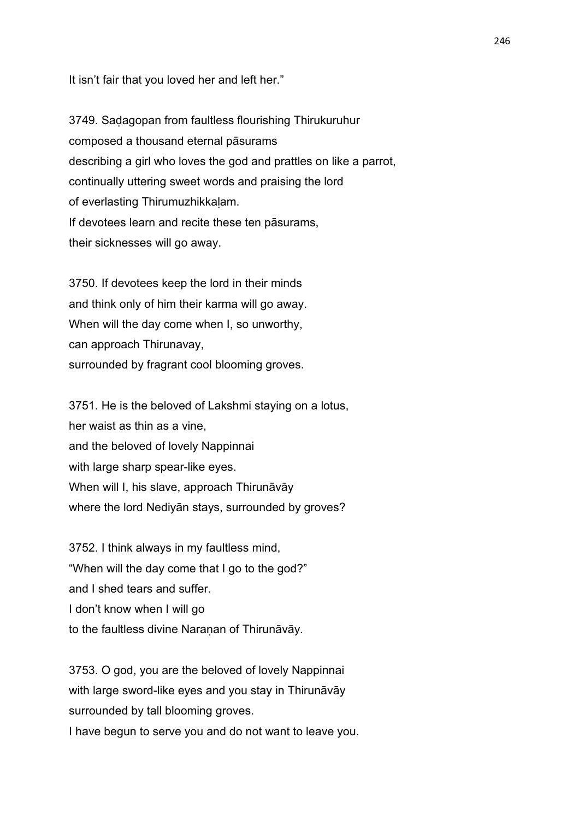It isn't fair that you loved her and left her."

3749. Saḍagopan from faultless flourishing Thirukuruhur composed a thousand eternal pāsurams describing a girl who loves the god and prattles on like a parrot, continually uttering sweet words and praising the lord of everlasting Thirumuzhikkaḷam. If devotees learn and recite these ten pāsurams, their sicknesses will go away.

3750. If devotees keep the lord in their minds and think only of him their karma will go away. When will the day come when I, so unworthy, can approach Thirunavay, surrounded by fragrant cool blooming groves.

3751. He is the beloved of Lakshmi staying on a lotus, her waist as thin as a vine, and the beloved of lovely Nappinnai with large sharp spear-like eyes. When will I, his slave, approach Thirunāvāy where the lord Nediyān stays, surrounded by groves?

3752. I think always in my faultless mind, "When will the day come that I go to the god?" and I shed tears and suffer. I don't know when I will go to the faultless divine Naraṇan of Thirunāvāy.

3753. O god, you are the beloved of lovely Nappinnai with large sword-like eyes and you stay in Thirunāvāy surrounded by tall blooming groves. I have begun to serve you and do not want to leave you.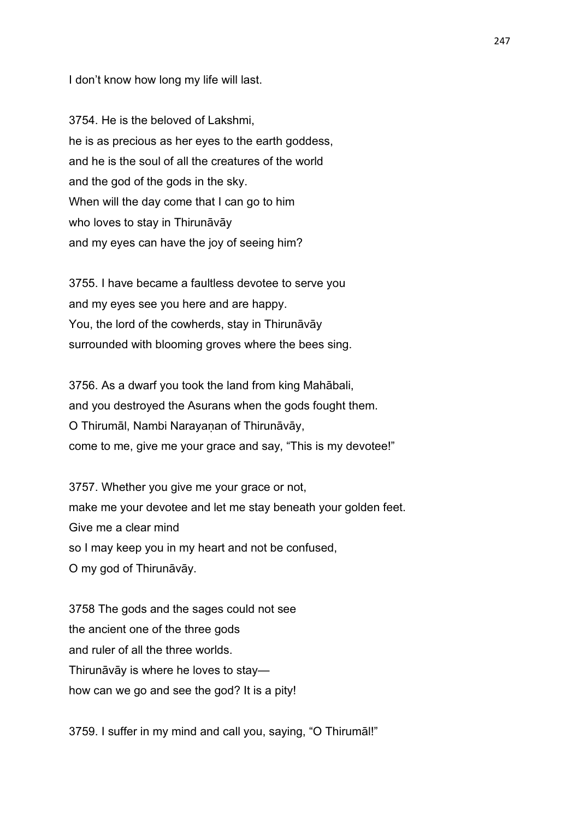I don't know how long my life will last.

3754. He is the beloved of Lakshmi, he is as precious as her eyes to the earth goddess, and he is the soul of all the creatures of the world and the god of the gods in the sky. When will the day come that I can go to him who loves to stay in Thirunāvāy and my eyes can have the joy of seeing him?

3755. I have became a faultless devotee to serve you and my eyes see you here and are happy. You, the lord of the cowherds, stay in Thirunāvāy surrounded with blooming groves where the bees sing.

3756. As a dwarf you took the land from king Mahābali, and you destroyed the Asurans when the gods fought them. O Thirumāl, Nambi Narayaṇan of Thirunāvāy, come to me, give me your grace and say, "This is my devotee!"

3757. Whether you give me your grace or not, make me your devotee and let me stay beneath your golden feet. Give me a clear mind so I may keep you in my heart and not be confused, O my god of Thirunāvāy.

3758 The gods and the sages could not see the ancient one of the three gods and ruler of all the three worlds. Thirunāvāy is where he loves to stay how can we go and see the god? It is a pity!

3759. I suffer in my mind and call you, saying, "O Thirumāl!"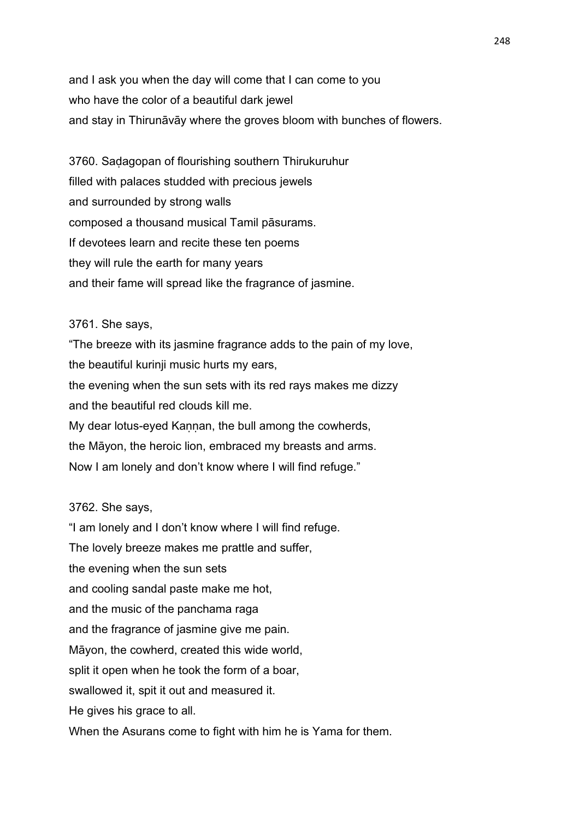and I ask you when the day will come that I can come to you who have the color of a beautiful dark jewel and stay in Thirunāvāy where the groves bloom with bunches of flowers.

3760. Saḍagopan of flourishing southern Thirukuruhur filled with palaces studded with precious jewels and surrounded by strong walls composed a thousand musical Tamil pāsurams. If devotees learn and recite these ten poems they will rule the earth for many years and their fame will spread like the fragrance of jasmine.

### 3761. She says,

"The breeze with its jasmine fragrance adds to the pain of my love, the beautiful kurinji music hurts my ears, the evening when the sun sets with its red rays makes me dizzy and the beautiful red clouds kill me. My dear lotus-eyed Kannan, the bull among the cowherds, the Māyon, the heroic lion, embraced my breasts and arms. Now I am lonely and don't know where I will find refuge."

### 3762. She says,

"I am lonely and I don't know where I will find refuge. The lovely breeze makes me prattle and suffer, the evening when the sun sets and cooling sandal paste make me hot, and the music of the panchama raga and the fragrance of jasmine give me pain. Māyon, the cowherd, created this wide world, split it open when he took the form of a boar, swallowed it, spit it out and measured it. He gives his grace to all. When the Asurans come to fight with him he is Yama for them.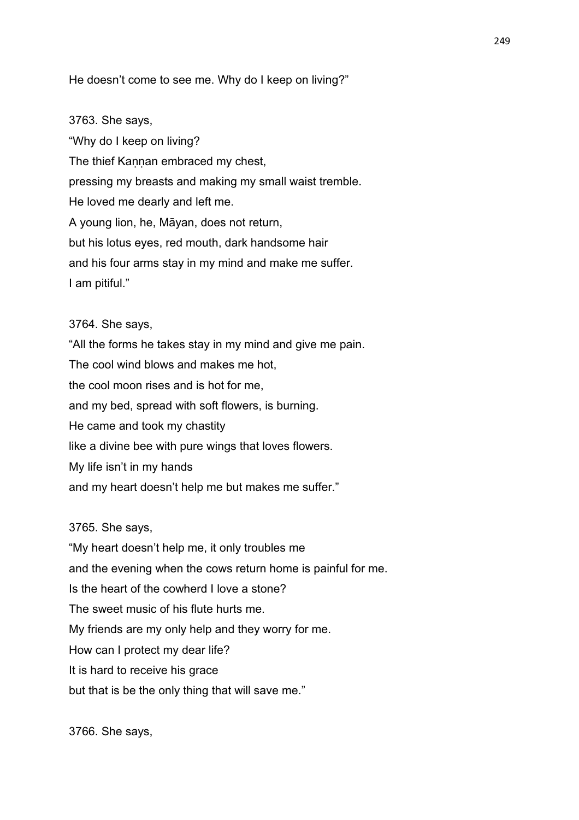He doesn't come to see me. Why do I keep on living?"

3763. She says, "Why do I keep on living? The thief Kannan embraced my chest, pressing my breasts and making my small waist tremble. He loved me dearly and left me. A young lion, he, Māyan, does not return, but his lotus eyes, red mouth, dark handsome hair and his four arms stay in my mind and make me suffer. I am pitiful."

## 3764. She says,

"All the forms he takes stay in my mind and give me pain. The cool wind blows and makes me hot, the cool moon rises and is hot for me, and my bed, spread with soft flowers, is burning. He came and took my chastity like a divine bee with pure wings that loves flowers. My life isn't in my hands and my heart doesn't help me but makes me suffer."

3765. She says,

"My heart doesn't help me, it only troubles me and the evening when the cows return home is painful for me. Is the heart of the cowherd I love a stone? The sweet music of his flute hurts me. My friends are my only help and they worry for me. How can I protect my dear life? It is hard to receive his grace but that is be the only thing that will save me."

3766. She says,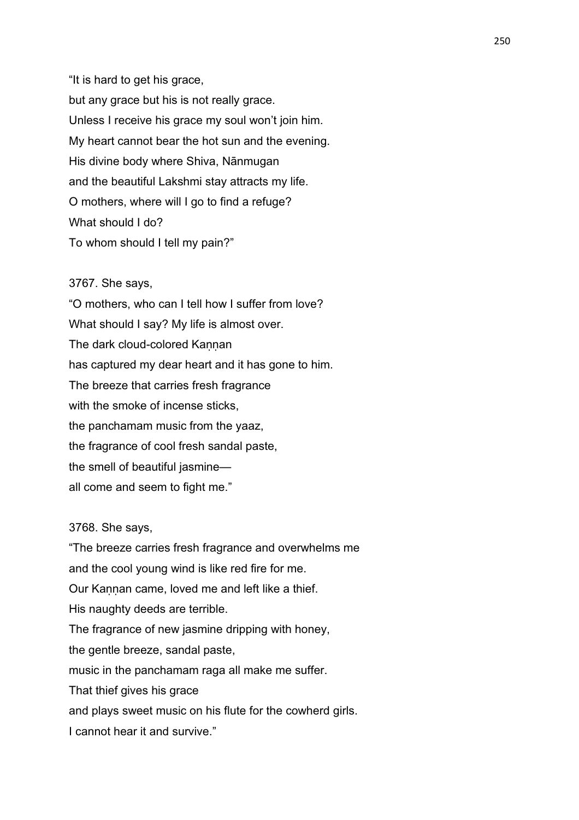"It is hard to get his grace, but any grace but his is not really grace. Unless I receive his grace my soul won't join him. My heart cannot bear the hot sun and the evening. His divine body where Shiva, Nānmugan and the beautiful Lakshmi stay attracts my life. O mothers, where will I go to find a refuge? What should I do? To whom should I tell my pain?"

## 3767. She says,

"O mothers, who can I tell how I suffer from love? What should I say? My life is almost over. The dark cloud-colored Kannan has captured my dear heart and it has gone to him. The breeze that carries fresh fragrance with the smoke of incense sticks, the panchamam music from the yaaz, the fragrance of cool fresh sandal paste, the smell of beautiful jasmine all come and seem to fight me."

## 3768. She says,

"The breeze carries fresh fragrance and overwhelms me and the cool young wind is like red fire for me. Our Kannan came, loved me and left like a thief. His naughty deeds are terrible. The fragrance of new jasmine dripping with honey, the gentle breeze, sandal paste, music in the panchamam raga all make me suffer. That thief gives his grace and plays sweet music on his flute for the cowherd girls. I cannot hear it and survive."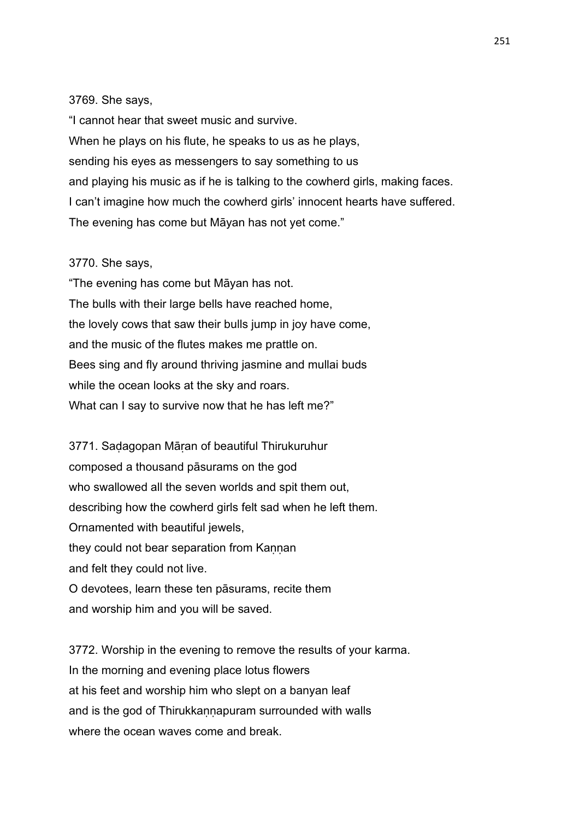### 3769. She says,

"I cannot hear that sweet music and survive. When he plays on his flute, he speaks to us as he plays, sending his eyes as messengers to say something to us and playing his music as if he is talking to the cowherd girls, making faces. I can't imagine how much the cowherd girls' innocent hearts have suffered. The evening has come but Māyan has not yet come."

## 3770. She says,

"The evening has come but Māyan has not. The bulls with their large bells have reached home, the lovely cows that saw their bulls jump in joy have come, and the music of the flutes makes me prattle on. Bees sing and fly around thriving jasmine and mullai buds while the ocean looks at the sky and roars. What can I say to survive now that he has left me?"

3771. Saḍagopan Māṛan of beautiful Thirukuruhur composed a thousand pāsurams on the god who swallowed all the seven worlds and spit them out, describing how the cowherd girls felt sad when he left them. Ornamented with beautiful jewels, they could not bear separation from Kannan and felt they could not live. O devotees, learn these ten pāsurams, recite them and worship him and you will be saved.

3772. Worship in the evening to remove the results of your karma. In the morning and evening place lotus flowers at his feet and worship him who slept on a banyan leaf and is the god of Thirukkannapuram surrounded with walls where the ocean waves come and break.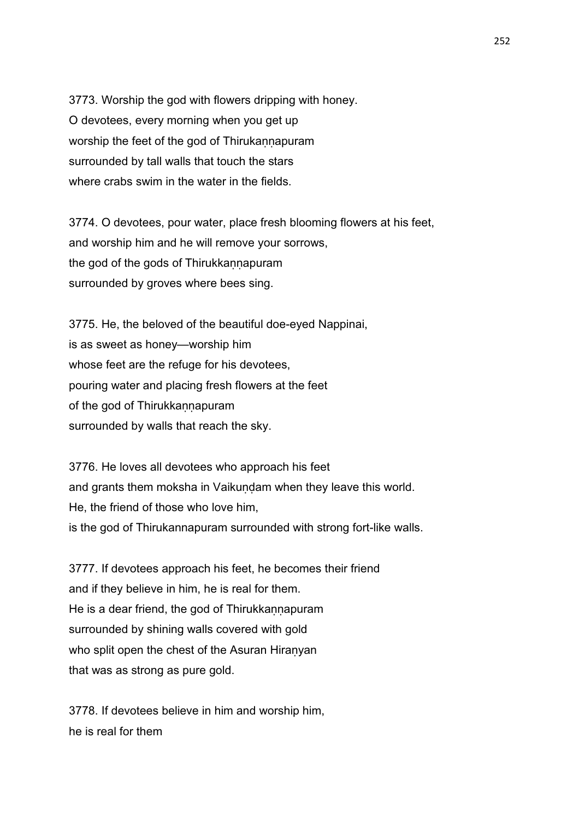3773. Worship the god with flowers dripping with honey. O devotees, every morning when you get up worship the feet of the god of Thirukannapuram surrounded by tall walls that touch the stars where crabs swim in the water in the fields.

3774. O devotees, pour water, place fresh blooming flowers at his feet, and worship him and he will remove your sorrows, the god of the gods of Thirukkaṇṇapuram surrounded by groves where bees sing.

3775. He, the beloved of the beautiful doe-eyed Nappinai, is as sweet as honey—worship him whose feet are the refuge for his devotees, pouring water and placing fresh flowers at the feet of the god of Thirukkannapuram surrounded by walls that reach the sky.

3776. He loves all devotees who approach his feet and grants them moksha in Vaikuṇḍam when they leave this world. He, the friend of those who love him, is the god of Thirukannapuram surrounded with strong fort-like walls.

3777. If devotees approach his feet, he becomes their friend and if they believe in him, he is real for them. He is a dear friend, the god of Thirukkannapuram surrounded by shining walls covered with gold who split open the chest of the Asuran Hiranyan that was as strong as pure gold.

3778. If devotees believe in him and worship him, he is real for them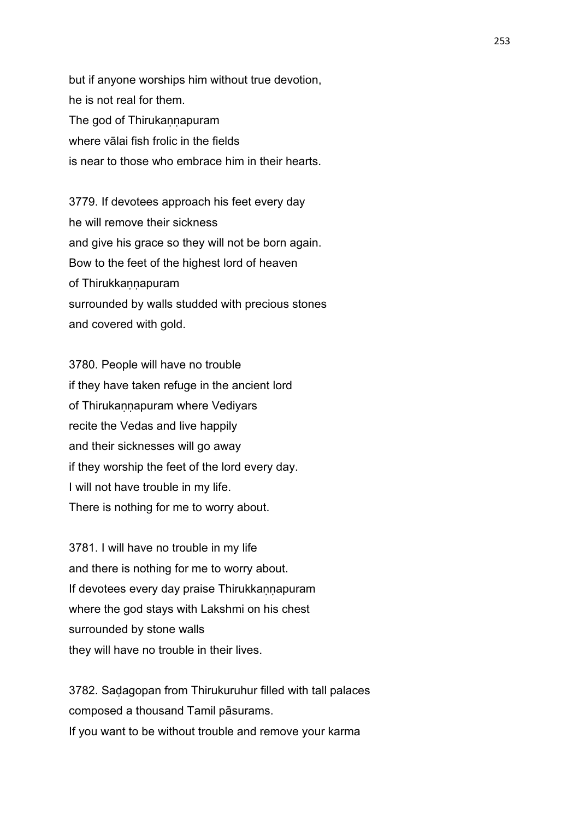but if anyone worships him without true devotion, he is not real for them. The god of Thirukannapuram where vālai fish frolic in the fields is near to those who embrace him in their hearts.

3779. If devotees approach his feet every day he will remove their sickness and give his grace so they will not be born again. Bow to the feet of the highest lord of heaven of Thirukkannapuram surrounded by walls studded with precious stones and covered with gold.

3780. People will have no trouble if they have taken refuge in the ancient lord of Thirukannapuram where Vediyars recite the Vedas and live happily and their sicknesses will go away if they worship the feet of the lord every day. I will not have trouble in my life. There is nothing for me to worry about.

3781. I will have no trouble in my life and there is nothing for me to worry about. If devotees every day praise Thirukkannapuram where the god stays with Lakshmi on his chest surrounded by stone walls they will have no trouble in their lives.

3782. Saḍagopan from Thirukuruhur filled with tall palaces composed a thousand Tamil pāsurams. If you want to be without trouble and remove your karma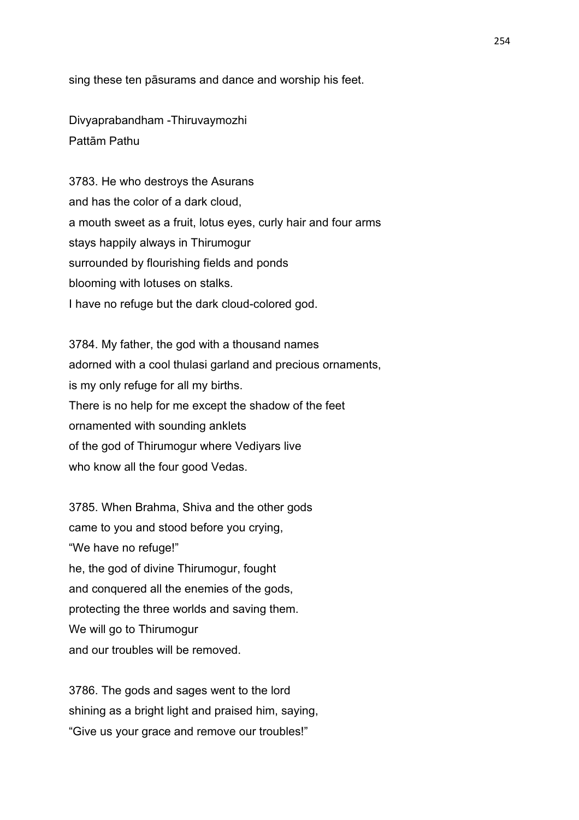sing these ten pāsurams and dance and worship his feet.

Divyaprabandham -Thiruvaymozhi Pattām Pathu

3783. He who destroys the Asurans and has the color of a dark cloud, a mouth sweet as a fruit, lotus eyes, curly hair and four arms stays happily always in Thirumogur surrounded by flourishing fields and ponds blooming with lotuses on stalks. I have no refuge but the dark cloud-colored god.

3784. My father, the god with a thousand names adorned with a cool thulasi garland and precious ornaments, is my only refuge for all my births. There is no help for me except the shadow of the feet ornamented with sounding anklets of the god of Thirumogur where Vediyars live who know all the four good Vedas.

3785. When Brahma, Shiva and the other gods came to you and stood before you crying, "We have no refuge!" he, the god of divine Thirumogur, fought and conquered all the enemies of the gods, protecting the three worlds and saving them. We will go to Thirumogur and our troubles will be removed.

3786. The gods and sages went to the lord shining as a bright light and praised him, saying, "Give us your grace and remove our troubles!"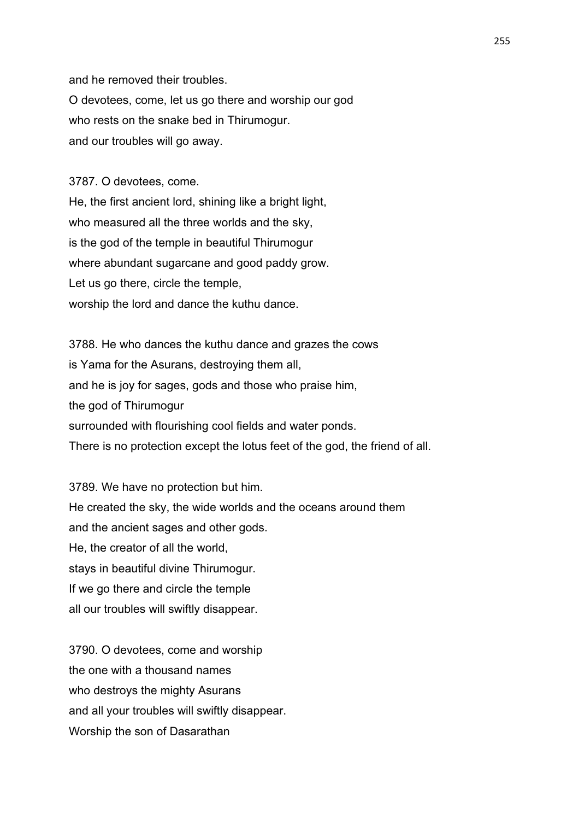and he removed their troubles.

O devotees, come, let us go there and worship our god who rests on the snake bed in Thirumogur. and our troubles will go away.

3787. O devotees, come.

He, the first ancient lord, shining like a bright light, who measured all the three worlds and the sky, is the god of the temple in beautiful Thirumogur where abundant sugarcane and good paddy grow. Let us go there, circle the temple, worship the lord and dance the kuthu dance.

3788. He who dances the kuthu dance and grazes the cows is Yama for the Asurans, destroying them all, and he is joy for sages, gods and those who praise him, the god of Thirumogur surrounded with flourishing cool fields and water ponds. There is no protection except the lotus feet of the god, the friend of all.

3789. We have no protection but him. He created the sky, the wide worlds and the oceans around them and the ancient sages and other gods. He, the creator of all the world, stays in beautiful divine Thirumogur. If we go there and circle the temple all our troubles will swiftly disappear.

3790. O devotees, come and worship the one with a thousand names who destroys the mighty Asurans and all your troubles will swiftly disappear. Worship the son of Dasarathan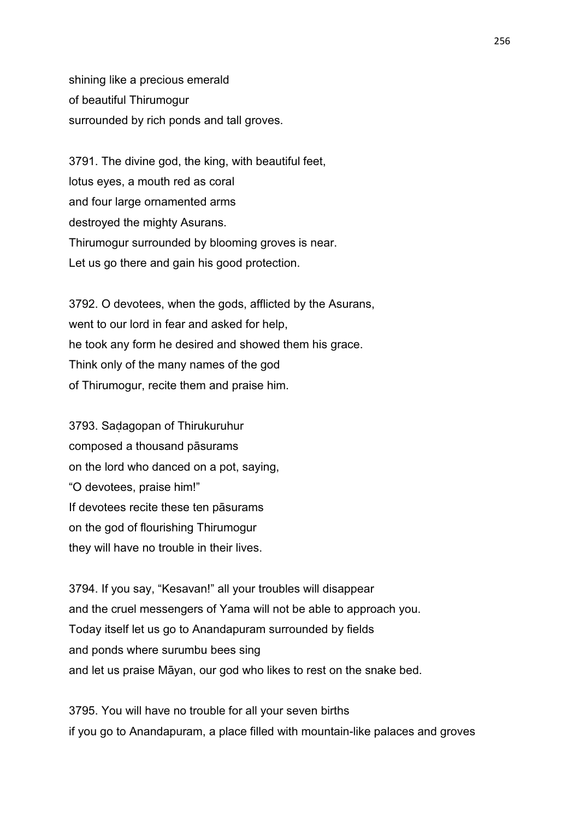shining like a precious emerald of beautiful Thirumogur surrounded by rich ponds and tall groves.

3791. The divine god, the king, with beautiful feet, lotus eyes, a mouth red as coral and four large ornamented arms destroyed the mighty Asurans. Thirumogur surrounded by blooming groves is near. Let us go there and gain his good protection.

3792. O devotees, when the gods, afflicted by the Asurans, went to our lord in fear and asked for help, he took any form he desired and showed them his grace. Think only of the many names of the god of Thirumogur, recite them and praise him.

3793. Saḍagopan of Thirukuruhur composed a thousand pāsurams on the lord who danced on a pot, saying, "O devotees, praise him!" If devotees recite these ten pāsurams on the god of flourishing Thirumogur they will have no trouble in their lives.

3794. If you say, "Kesavan!" all your troubles will disappear and the cruel messengers of Yama will not be able to approach you. Today itself let us go to Anandapuram surrounded by fields and ponds where surumbu bees sing and let us praise Māyan, our god who likes to rest on the snake bed.

3795. You will have no trouble for all your seven births if you go to Anandapuram, a place filled with mountain-like palaces and groves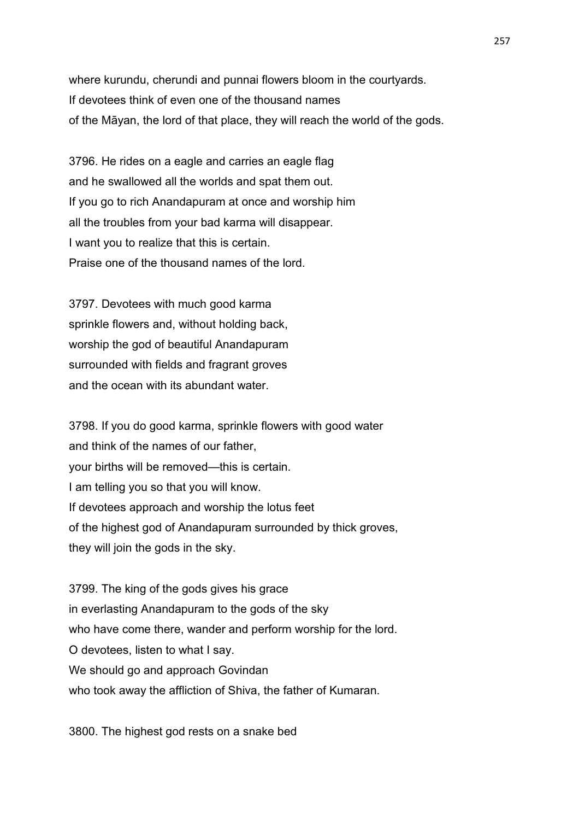where kurundu, cherundi and punnai flowers bloom in the courtyards. If devotees think of even one of the thousand names of the Māyan, the lord of that place, they will reach the world of the gods.

3796. He rides on a eagle and carries an eagle flag and he swallowed all the worlds and spat them out. If you go to rich Anandapuram at once and worship him all the troubles from your bad karma will disappear. I want you to realize that this is certain. Praise one of the thousand names of the lord.

3797. Devotees with much good karma sprinkle flowers and, without holding back, worship the god of beautiful Anandapuram surrounded with fields and fragrant groves and the ocean with its abundant water.

3798. If you do good karma, sprinkle flowers with good water and think of the names of our father, your births will be removed—this is certain. I am telling you so that you will know. If devotees approach and worship the lotus feet of the highest god of Anandapuram surrounded by thick groves, they will join the gods in the sky.

3799. The king of the gods gives his grace in everlasting Anandapuram to the gods of the sky who have come there, wander and perform worship for the lord. O devotees, listen to what I say. We should go and approach Govindan who took away the affliction of Shiva, the father of Kumaran.

3800. The highest god rests on a snake bed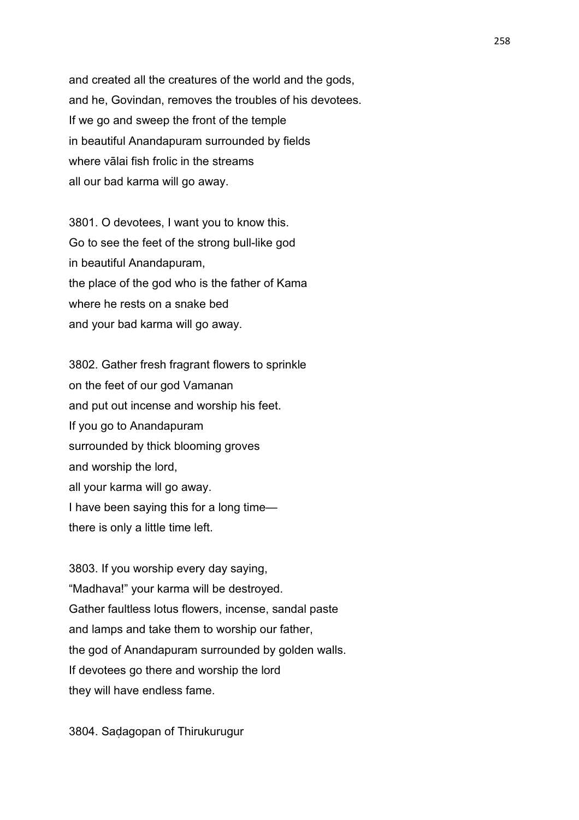and created all the creatures of the world and the gods, and he, Govindan, removes the troubles of his devotees. If we go and sweep the front of the temple in beautiful Anandapuram surrounded by fields where vālai fish frolic in the streams all our bad karma will go away.

3801. O devotees, I want you to know this. Go to see the feet of the strong bull-like god in beautiful Anandapuram, the place of the god who is the father of Kama where he rests on a snake bed and your bad karma will go away.

3802. Gather fresh fragrant flowers to sprinkle on the feet of our god Vamanan and put out incense and worship his feet. If you go to Anandapuram surrounded by thick blooming groves and worship the lord, all your karma will go away. I have been saying this for a long time there is only a little time left.

3803. If you worship every day saying, "Madhava!" your karma will be destroyed. Gather faultless lotus flowers, incense, sandal paste and lamps and take them to worship our father, the god of Anandapuram surrounded by golden walls. If devotees go there and worship the lord they will have endless fame.

3804. Saḍagopan of Thirukurugur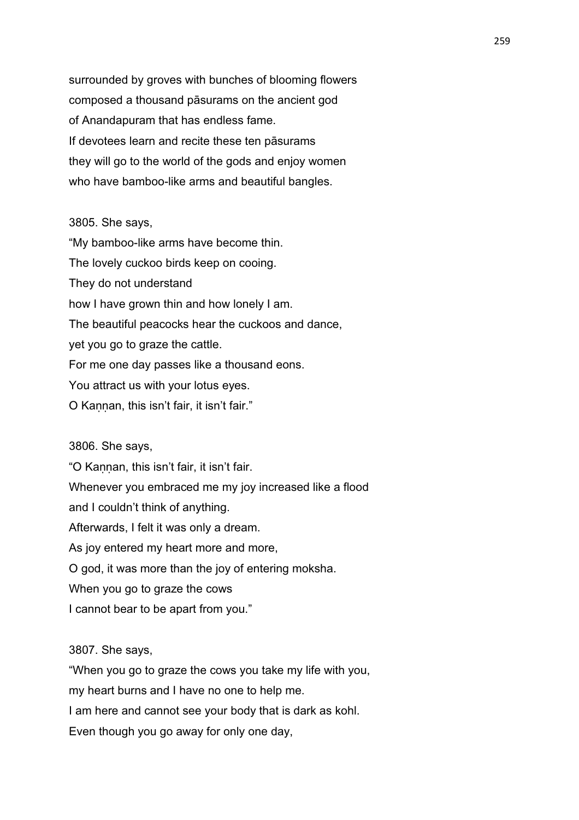surrounded by groves with bunches of blooming flowers composed a thousand pāsurams on the ancient god of Anandapuram that has endless fame. If devotees learn and recite these ten pāsurams they will go to the world of the gods and enjoy women who have bamboo-like arms and beautiful bangles.

## 3805. She says,

"My bamboo-like arms have become thin. The lovely cuckoo birds keep on cooing. They do not understand how I have grown thin and how lonely I am. The beautiful peacocks hear the cuckoos and dance, yet you go to graze the cattle. For me one day passes like a thousand eons. You attract us with your lotus eyes. O Kannan, this isn't fair, it isn't fair."

3806. She says,

"O Kannan, this isn't fair, it isn't fair. Whenever you embraced me my joy increased like a flood and I couldn't think of anything. Afterwards, I felt it was only a dream. As joy entered my heart more and more, O god, it was more than the joy of entering moksha. When you go to graze the cows

I cannot bear to be apart from you."

3807. She says,

"When you go to graze the cows you take my life with you, my heart burns and I have no one to help me. I am here and cannot see your body that is dark as kohl. Even though you go away for only one day,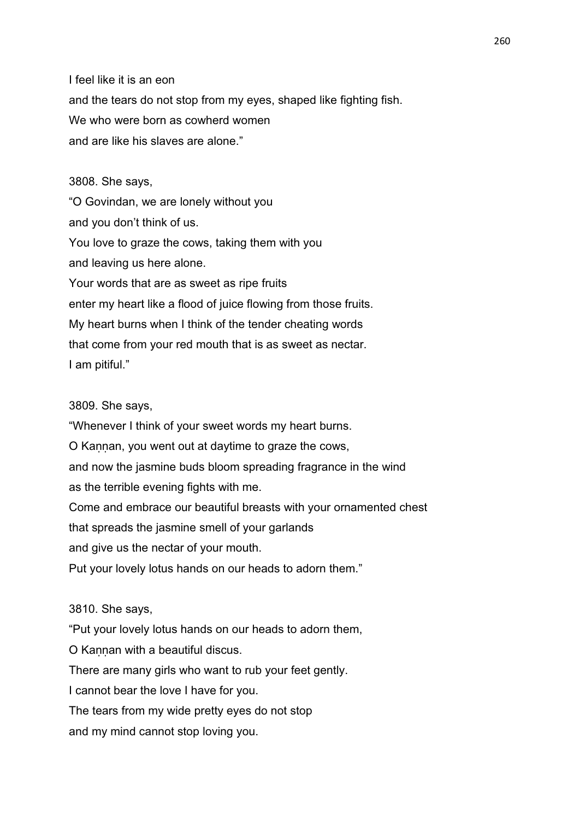I feel like it is an eon and the tears do not stop from my eyes, shaped like fighting fish. We who were born as cowherd women and are like his slaves are alone."

3808. She says,

"O Govindan, we are lonely without you and you don't think of us. You love to graze the cows, taking them with you and leaving us here alone. Your words that are as sweet as ripe fruits enter my heart like a flood of juice flowing from those fruits. My heart burns when I think of the tender cheating words that come from your red mouth that is as sweet as nectar. I am pitiful."

## 3809. She says,

"Whenever I think of your sweet words my heart burns. O Kaṇṇan, you went out at daytime to graze the cows, and now the jasmine buds bloom spreading fragrance in the wind as the terrible evening fights with me. Come and embrace our beautiful breasts with your ornamented chest that spreads the jasmine smell of your garlands and give us the nectar of your mouth.

Put your lovely lotus hands on our heads to adorn them."

3810. She says,

"Put your lovely lotus hands on our heads to adorn them,

O Kannan with a beautiful discus.

There are many girls who want to rub your feet gently.

I cannot bear the love I have for you.

The tears from my wide pretty eyes do not stop

and my mind cannot stop loving you.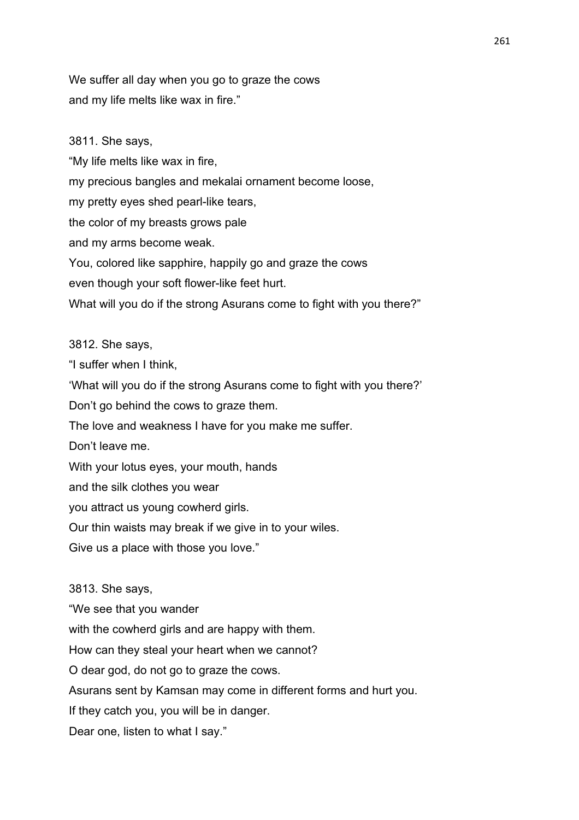We suffer all day when you go to graze the cows and my life melts like wax in fire."

3811. She says, "My life melts like wax in fire, my precious bangles and mekalai ornament become loose, my pretty eyes shed pearl-like tears, the color of my breasts grows pale and my arms become weak. You, colored like sapphire, happily go and graze the cows even though your soft flower-like feet hurt. What will you do if the strong Asurans come to fight with you there?"

3812. She says,

"I suffer when I think, 'What will you do if the strong Asurans come to fight with you there?' Don't go behind the cows to graze them. The love and weakness I have for you make me suffer. Don't leave me. With your lotus eyes, your mouth, hands and the silk clothes you wear you attract us young cowherd girls. Our thin waists may break if we give in to your wiles. Give us a place with those you love."

3813. She says,

"We see that you wander

with the cowherd girls and are happy with them.

How can they steal your heart when we cannot?

O dear god, do not go to graze the cows.

Asurans sent by Kamsan may come in different forms and hurt you.

If they catch you, you will be in danger.

Dear one, listen to what I say."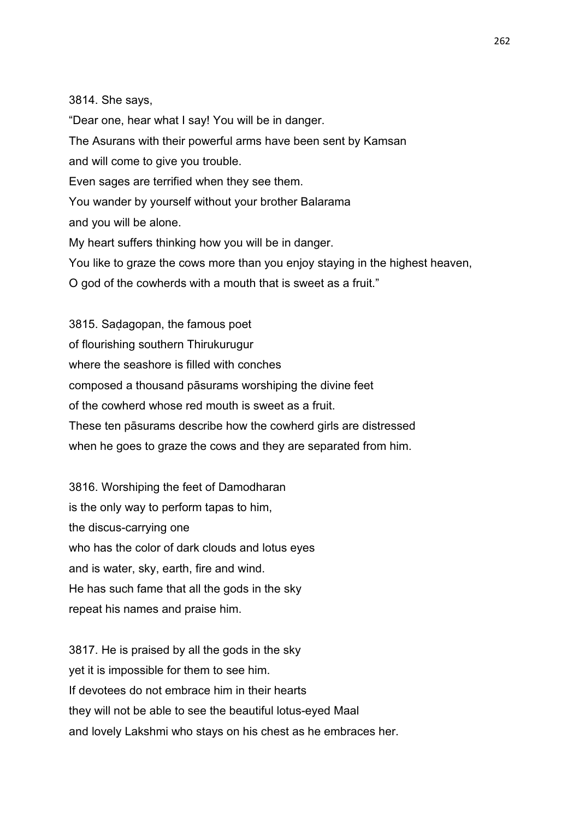3814. She says,

"Dear one, hear what I say! You will be in danger. The Asurans with their powerful arms have been sent by Kamsan and will come to give you trouble. Even sages are terrified when they see them. You wander by yourself without your brother Balarama and you will be alone. My heart suffers thinking how you will be in danger. You like to graze the cows more than you enjoy staying in the highest heaven, O god of the cowherds with a mouth that is sweet as a fruit."

3815. Saḍagopan, the famous poet of flourishing southern Thirukurugur where the seashore is filled with conches composed a thousand pāsurams worshiping the divine feet of the cowherd whose red mouth is sweet as a fruit. These ten pāsurams describe how the cowherd girls are distressed when he goes to graze the cows and they are separated from him.

3816. Worshiping the feet of Damodharan is the only way to perform tapas to him, the discus-carrying one who has the color of dark clouds and lotus eyes and is water, sky, earth, fire and wind. He has such fame that all the gods in the sky repeat his names and praise him.

3817. He is praised by all the gods in the sky yet it is impossible for them to see him. If devotees do not embrace him in their hearts they will not be able to see the beautiful lotus-eyed Maal and lovely Lakshmi who stays on his chest as he embraces her.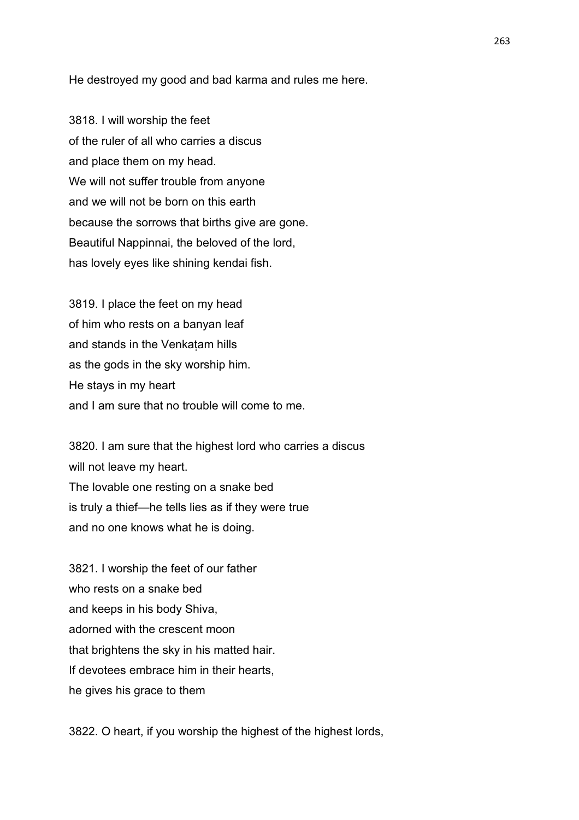He destroyed my good and bad karma and rules me here.

3818. I will worship the feet of the ruler of all who carries a discus and place them on my head. We will not suffer trouble from anyone and we will not be born on this earth because the sorrows that births give are gone. Beautiful Nappinnai, the beloved of the lord, has lovely eyes like shining kendai fish.

3819. I place the feet on my head of him who rests on a banyan leaf and stands in the Venkaṭam hills as the gods in the sky worship him. He stays in my heart and I am sure that no trouble will come to me.

3820. I am sure that the highest lord who carries a discus will not leave my heart. The lovable one resting on a snake bed is truly a thief—he tells lies as if they were true and no one knows what he is doing.

3821. I worship the feet of our father who rests on a snake bed and keeps in his body Shiva, adorned with the crescent moon that brightens the sky in his matted hair. If devotees embrace him in their hearts, he gives his grace to them

3822. O heart, if you worship the highest of the highest lords,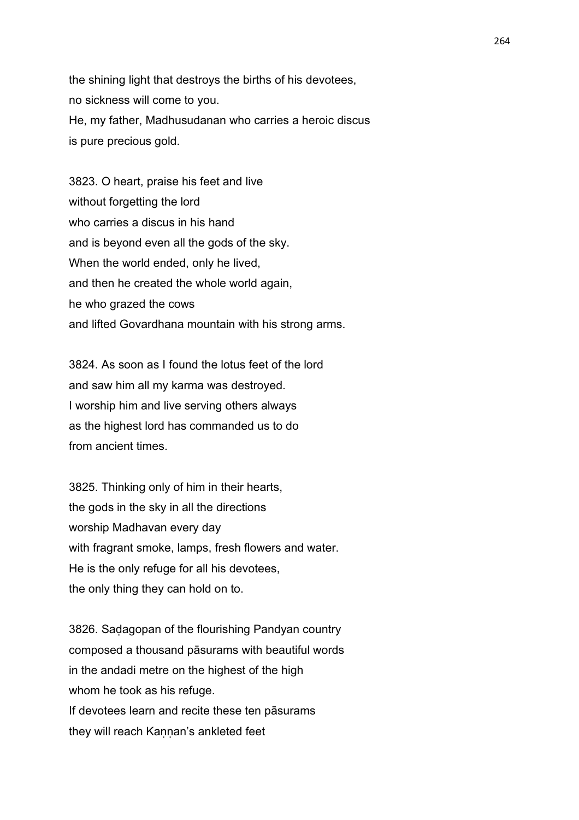the shining light that destroys the births of his devotees, no sickness will come to you. He, my father, Madhusudanan who carries a heroic discus is pure precious gold.

3823. O heart, praise his feet and live without forgetting the lord who carries a discus in his hand and is beyond even all the gods of the sky. When the world ended, only he lived, and then he created the whole world again, he who grazed the cows and lifted Govardhana mountain with his strong arms.

3824. As soon as I found the lotus feet of the lord and saw him all my karma was destroyed. I worship him and live serving others always as the highest lord has commanded us to do from ancient times.

3825. Thinking only of him in their hearts, the gods in the sky in all the directions worship Madhavan every day with fragrant smoke, lamps, fresh flowers and water. He is the only refuge for all his devotees, the only thing they can hold on to.

3826. Saḍagopan of the flourishing Pandyan country composed a thousand pāsurams with beautiful words in the andadi metre on the highest of the high whom he took as his refuge. If devotees learn and recite these ten pāsurams they will reach Kannan's ankleted feet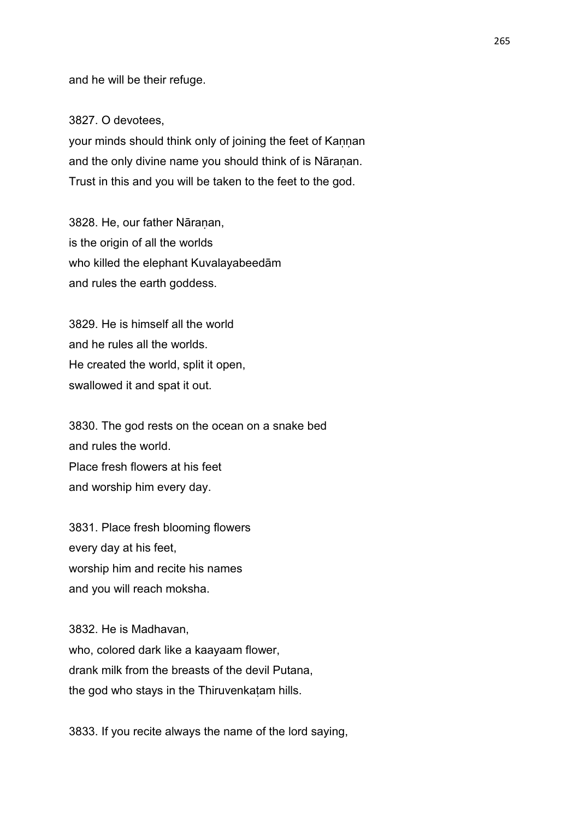and he will be their refuge.

3827. O devotees,

your minds should think only of joining the feet of Kaṇṇan and the only divine name you should think of is Nāranan. Trust in this and you will be taken to the feet to the god.

3828. He, our father Nāraṇan, is the origin of all the worlds who killed the elephant Kuvalayabeedām and rules the earth goddess.

3829. He is himself all the world and he rules all the worlds. He created the world, split it open, swallowed it and spat it out.

3830. The god rests on the ocean on a snake bed and rules the world. Place fresh flowers at his feet and worship him every day.

3831. Place fresh blooming flowers every day at his feet, worship him and recite his names and you will reach moksha.

3832. He is Madhavan, who, colored dark like a kaayaam flower, drank milk from the breasts of the devil Putana, the god who stays in the Thiruvenkaṭam hills.

3833. If you recite always the name of the lord saying,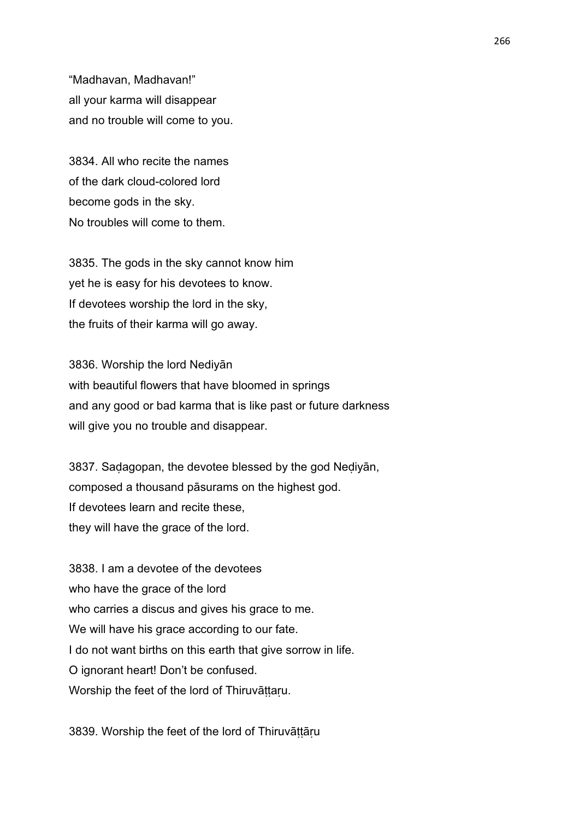"Madhavan, Madhavan!" all your karma will disappear and no trouble will come to you.

3834. All who recite the names of the dark cloud-colored lord become gods in the sky. No troubles will come to them.

3835. The gods in the sky cannot know him yet he is easy for his devotees to know. If devotees worship the lord in the sky, the fruits of their karma will go away.

3836. Worship the lord Nediyān with beautiful flowers that have bloomed in springs and any good or bad karma that is like past or future darkness will give you no trouble and disappear.

3837. Saḍagopan, the devotee blessed by the god Neḍiyān, composed a thousand pāsurams on the highest god. If devotees learn and recite these, they will have the grace of the lord.

3838. I am a devotee of the devotees who have the grace of the lord who carries a discus and gives his grace to me. We will have his grace according to our fate. I do not want births on this earth that give sorrow in life. O ignorant heart! Don't be confused. Worship the feet of the lord of Thiruvāttaru.

3839. Worship the feet of the lord of Thiruvāttāru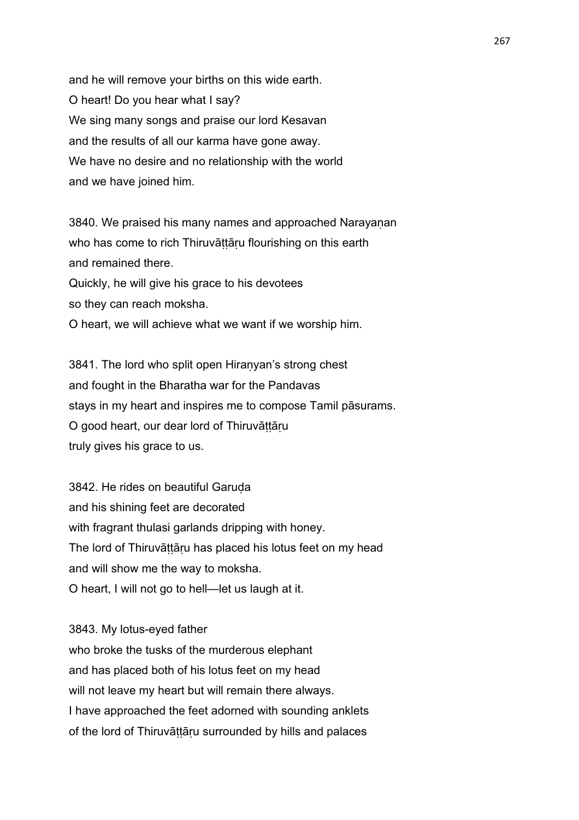and he will remove your births on this wide earth. O heart! Do you hear what I say? We sing many songs and praise our lord Kesavan and the results of all our karma have gone away. We have no desire and no relationship with the world and we have joined him.

3840. We praised his many names and approached Narayaṇan who has come to rich Thiruvāttāru flourishing on this earth and remained there. Quickly, he will give his grace to his devotees so they can reach moksha. O heart, we will achieve what we want if we worship him.

3841. The lord who split open Hiranyan's strong chest and fought in the Bharatha war for the Pandavas stays in my heart and inspires me to compose Tamil pāsurams. O good heart, our dear lord of Thiruvāṭṭāṛu truly gives his grace to us.

3842. He rides on beautiful Garuda and his shining feet are decorated with fragrant thulasi garlands dripping with honey. The lord of Thiruvāttāru has placed his lotus feet on my head and will show me the way to moksha. O heart, I will not go to hell—let us laugh at it.

3843. My lotus-eyed father who broke the tusks of the murderous elephant and has placed both of his lotus feet on my head will not leave my heart but will remain there always. I have approached the feet adorned with sounding anklets of the lord of Thiruvāttāru surrounded by hills and palaces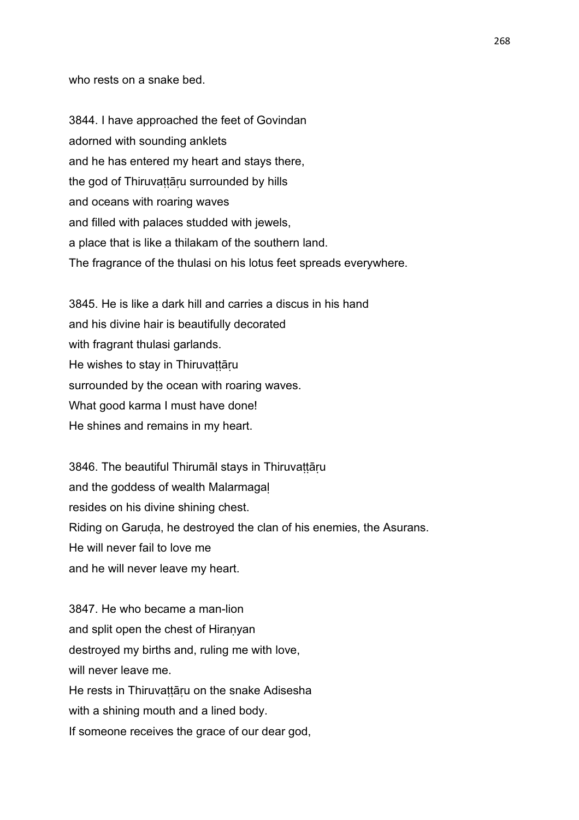who rests on a snake bed.

3844. I have approached the feet of Govindan adorned with sounding anklets and he has entered my heart and stays there, the god of Thiruvattāru surrounded by hills and oceans with roaring waves and filled with palaces studded with jewels, a place that is like a thilakam of the southern land. The fragrance of the thulasi on his lotus feet spreads everywhere.

3845. He is like a dark hill and carries a discus in his hand and his divine hair is beautifully decorated with fragrant thulasi garlands. He wishes to stay in Thiruvattāru surrounded by the ocean with roaring waves. What good karma I must have done! He shines and remains in my heart.

3846. The beautiful Thirumāl stays in Thiruvaṭṭāṛu and the goddess of wealth Malarmagaḷ resides on his divine shining chest. Riding on Garuda, he destroyed the clan of his enemies, the Asurans. He will never fail to love me and he will never leave my heart.

3847. He who became a man-lion and split open the chest of Hiraṇyan destroyed my births and, ruling me with love, will never leave me. He rests in Thiruvattāru on the snake Adisesha with a shining mouth and a lined body. If someone receives the grace of our dear god,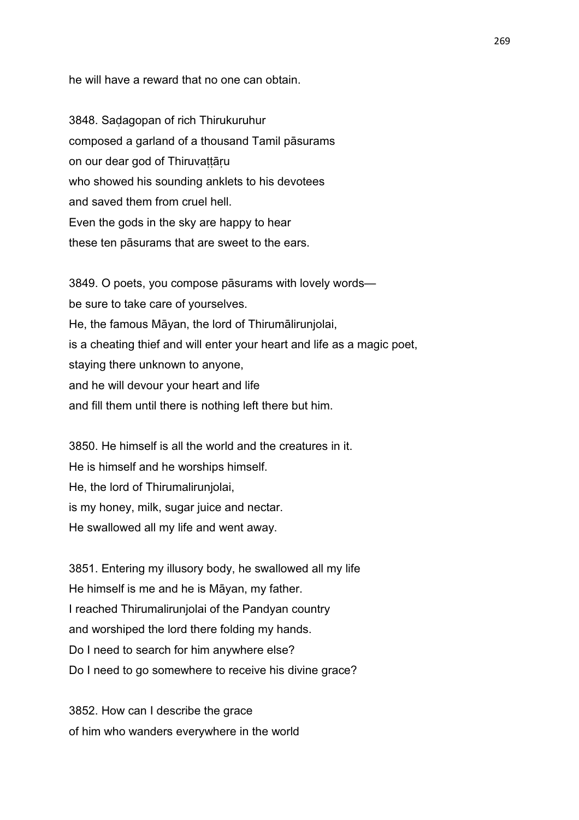he will have a reward that no one can obtain.

3848. Saḍagopan of rich Thirukuruhur composed a garland of a thousand Tamil pāsurams on our dear god of Thiruvattāru who showed his sounding anklets to his devotees and saved them from cruel hell. Even the gods in the sky are happy to hear these ten pāsurams that are sweet to the ears.

3849. O poets, you compose pāsurams with lovely words be sure to take care of yourselves. He, the famous Māyan, the lord of Thirumālirunjolai, is a cheating thief and will enter your heart and life as a magic poet, staying there unknown to anyone, and he will devour your heart and life and fill them until there is nothing left there but him.

3850. He himself is all the world and the creatures in it. He is himself and he worships himself. He, the lord of Thirumalirunjolai, is my honey, milk, sugar juice and nectar. He swallowed all my life and went away.

3851. Entering my illusory body, he swallowed all my life He himself is me and he is Māyan, my father. I reached Thirumalirunjolai of the Pandyan country and worshiped the lord there folding my hands. Do I need to search for him anywhere else? Do I need to go somewhere to receive his divine grace?

3852. How can I describe the grace of him who wanders everywhere in the world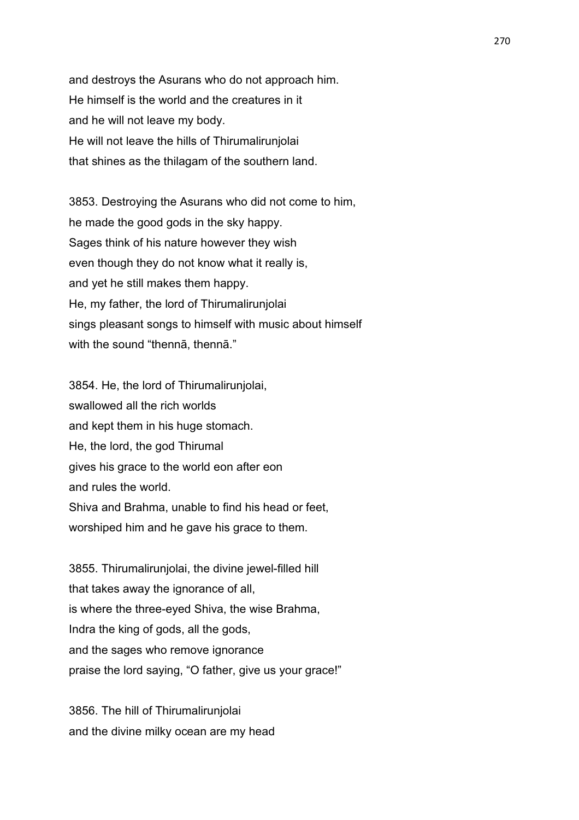and destroys the Asurans who do not approach him. He himself is the world and the creatures in it and he will not leave my body. He will not leave the hills of Thirumalirunjolai that shines as the thilagam of the southern land.

3853. Destroying the Asurans who did not come to him, he made the good gods in the sky happy. Sages think of his nature however they wish even though they do not know what it really is, and yet he still makes them happy. He, my father, the lord of Thirumalirunjolai sings pleasant songs to himself with music about himself with the sound "thennā, thennā."

3854. He, the lord of Thirumalirunjolai, swallowed all the rich worlds and kept them in his huge stomach. He, the lord, the god Thirumal gives his grace to the world eon after eon and rules the world. Shiva and Brahma, unable to find his head or feet, worshiped him and he gave his grace to them.

3855. Thirumalirunjolai, the divine jewel-filled hill that takes away the ignorance of all, is where the three-eyed Shiva, the wise Brahma, Indra the king of gods, all the gods, and the sages who remove ignorance praise the lord saying, "O father, give us your grace!"

3856. The hill of Thirumalirunjolai and the divine milky ocean are my head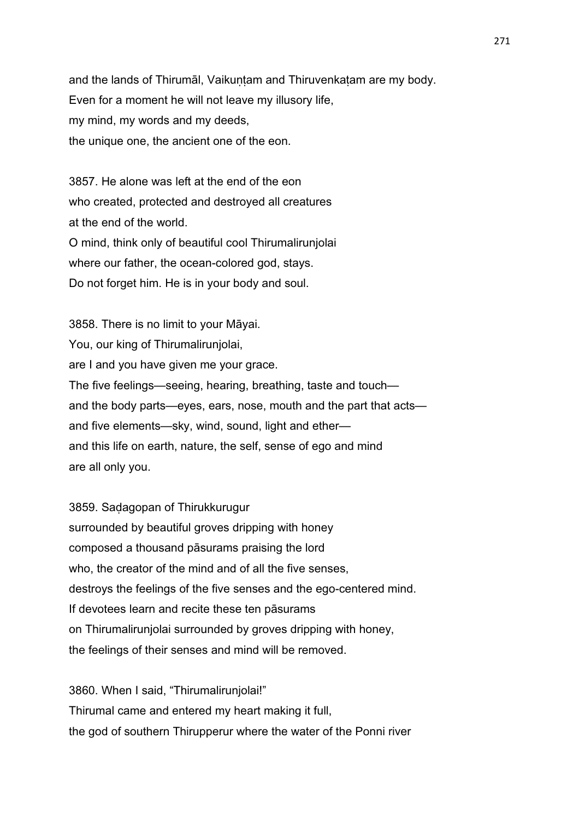and the lands of Thirumāl, Vaikuntam and Thiruvenkatam are my body. Even for a moment he will not leave my illusory life, my mind, my words and my deeds, the unique one, the ancient one of the eon.

3857. He alone was left at the end of the eon who created, protected and destroyed all creatures at the end of the world. O mind, think only of beautiful cool Thirumalirunjolai where our father, the ocean-colored god, stays. Do not forget him. He is in your body and soul.

3858. There is no limit to your Māyai. You, our king of Thirumalirunjolai, are I and you have given me your grace. The five feelings—seeing, hearing, breathing, taste and touch and the body parts—eyes, ears, nose, mouth and the part that acts and five elements—sky, wind, sound, light and ether and this life on earth, nature, the self, sense of ego and mind are all only you.

3859. Saḍagopan of Thirukkurugur surrounded by beautiful groves dripping with honey composed a thousand pāsurams praising the lord who, the creator of the mind and of all the five senses, destroys the feelings of the five senses and the ego-centered mind. If devotees learn and recite these ten pāsurams on Thirumalirunjolai surrounded by groves dripping with honey, the feelings of their senses and mind will be removed.

3860. When I said, "Thirumalirunjolai!" Thirumal came and entered my heart making it full, the god of southern Thirupperur where the water of the Ponni river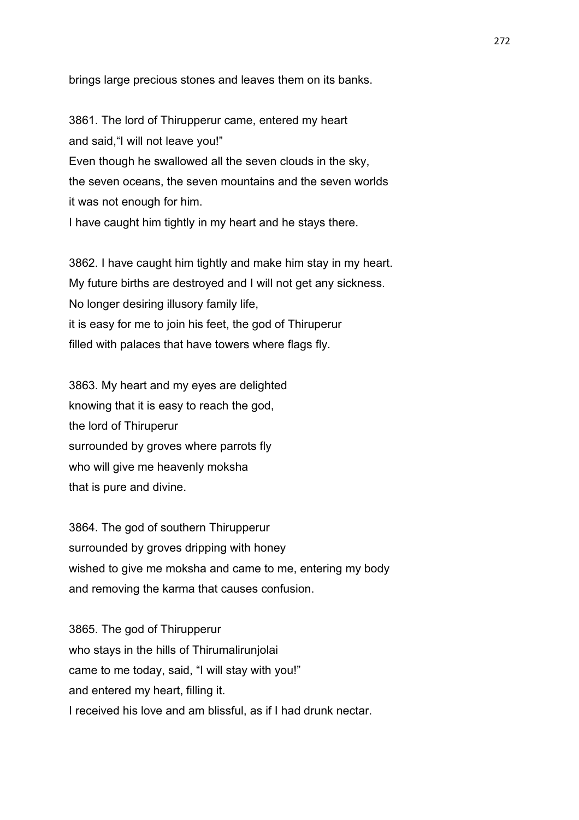brings large precious stones and leaves them on its banks.

3861. The lord of Thirupperur came, entered my heart and said,"I will not leave you!" Even though he swallowed all the seven clouds in the sky, the seven oceans, the seven mountains and the seven worlds it was not enough for him. I have caught him tightly in my heart and he stays there.

3862. I have caught him tightly and make him stay in my heart. My future births are destroyed and I will not get any sickness. No longer desiring illusory family life, it is easy for me to join his feet, the god of Thiruperur filled with palaces that have towers where flags fly.

3863. My heart and my eyes are delighted knowing that it is easy to reach the god, the lord of Thiruperur surrounded by groves where parrots fly who will give me heavenly moksha that is pure and divine.

3864. The god of southern Thirupperur surrounded by groves dripping with honey wished to give me moksha and came to me, entering my body and removing the karma that causes confusion.

3865. The god of Thirupperur who stays in the hills of Thirumalirunjolai came to me today, said, "I will stay with you!" and entered my heart, filling it. I received his love and am blissful, as if I had drunk nectar.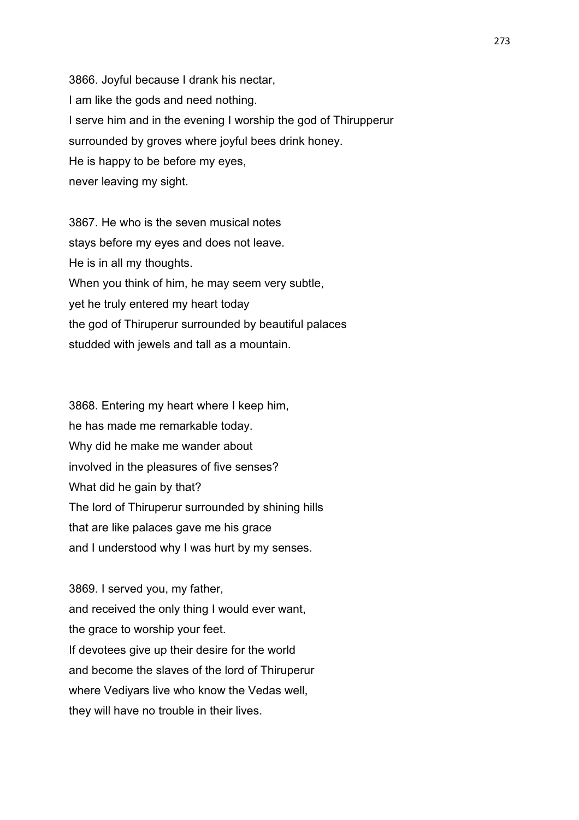3866. Joyful because I drank his nectar, I am like the gods and need nothing. I serve him and in the evening I worship the god of Thirupperur surrounded by groves where joyful bees drink honey. He is happy to be before my eyes, never leaving my sight.

3867. He who is the seven musical notes stays before my eyes and does not leave. He is in all my thoughts. When you think of him, he may seem very subtle, yet he truly entered my heart today the god of Thiruperur surrounded by beautiful palaces studded with jewels and tall as a mountain.

3868. Entering my heart where I keep him, he has made me remarkable today. Why did he make me wander about involved in the pleasures of five senses? What did he gain by that? The lord of Thiruperur surrounded by shining hills that are like palaces gave me his grace and I understood why I was hurt by my senses.

3869. I served you, my father, and received the only thing I would ever want, the grace to worship your feet. If devotees give up their desire for the world and become the slaves of the lord of Thiruperur where Vediyars live who know the Vedas well, they will have no trouble in their lives.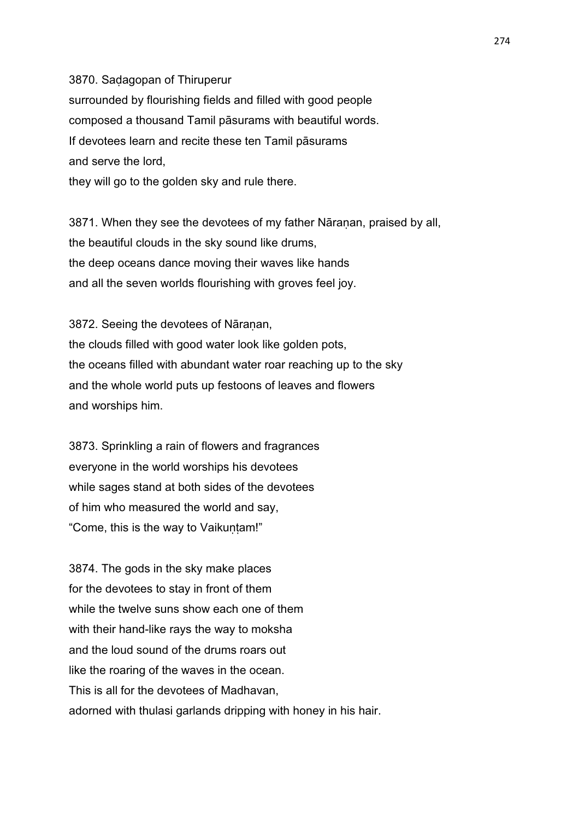3870. Saḍagopan of Thiruperur surrounded by flourishing fields and filled with good people composed a thousand Tamil pāsurams with beautiful words. If devotees learn and recite these ten Tamil pāsurams and serve the lord,

they will go to the golden sky and rule there.

3871. When they see the devotees of my father Nāraṇan, praised by all, the beautiful clouds in the sky sound like drums, the deep oceans dance moving their waves like hands and all the seven worlds flourishing with groves feel joy.

3872. Seeing the devotees of Nāranan, the clouds filled with good water look like golden pots, the oceans filled with abundant water roar reaching up to the sky and the whole world puts up festoons of leaves and flowers and worships him.

3873. Sprinkling a rain of flowers and fragrances everyone in the world worships his devotees while sages stand at both sides of the devotees of him who measured the world and say, "Come, this is the way to Vaikuṇṭam!"

3874. The gods in the sky make places for the devotees to stay in front of them while the twelve suns show each one of them with their hand-like rays the way to moksha and the loud sound of the drums roars out like the roaring of the waves in the ocean. This is all for the devotees of Madhavan, adorned with thulasi garlands dripping with honey in his hair.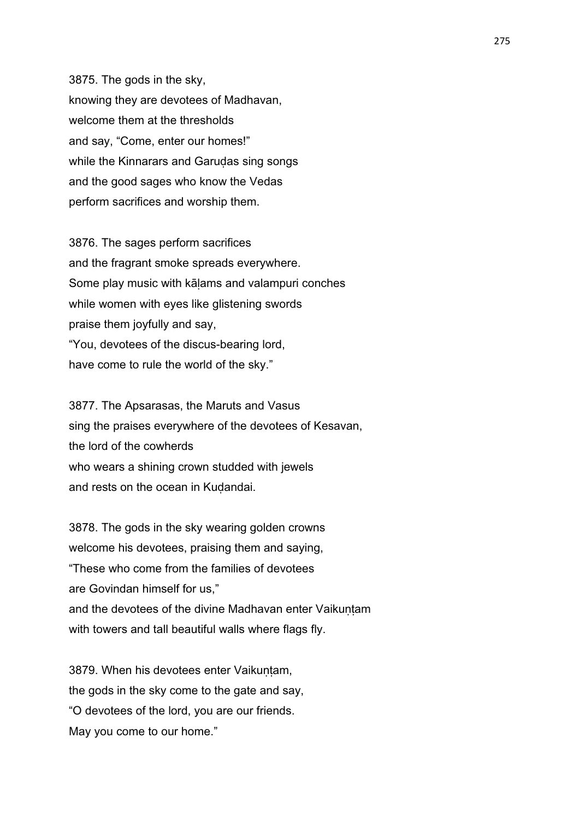3875. The gods in the sky, knowing they are devotees of Madhavan, welcome them at the thresholds and say, "Come, enter our homes!" while the Kinnarars and Garudas sing songs and the good sages who know the Vedas perform sacrifices and worship them.

3876. The sages perform sacrifices and the fragrant smoke spreads everywhere. Some play music with kāḷams and valampuri conches while women with eyes like glistening swords praise them joyfully and say, "You, devotees of the discus-bearing lord, have come to rule the world of the sky."

3877. The Apsarasas, the Maruts and Vasus sing the praises everywhere of the devotees of Kesavan, the lord of the cowherds who wears a shining crown studded with jewels and rests on the ocean in Kudandai.

3878. The gods in the sky wearing golden crowns welcome his devotees, praising them and saying, "These who come from the families of devotees are Govindan himself for us," and the devotees of the divine Madhavan enter Vaikuntam with towers and tall beautiful walls where flags fly.

3879. When his devotees enter Vaikuntam, the gods in the sky come to the gate and say, "O devotees of the lord, you are our friends. May you come to our home."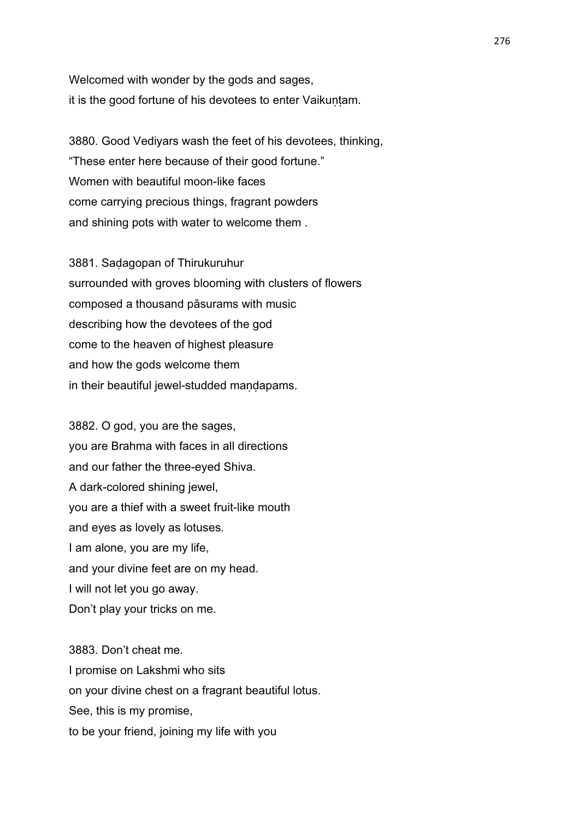Welcomed with wonder by the gods and sages, it is the good fortune of his devotees to enter Vaikuṇṭam.

3880. Good Vediyars wash the feet of his devotees, thinking, "These enter here because of their good fortune." Women with beautiful moon-like faces come carrying precious things, fragrant powders and shining pots with water to welcome them .

3881. Saḍagopan of Thirukuruhur surrounded with groves blooming with clusters of flowers composed a thousand pāsurams with music describing how the devotees of the god come to the heaven of highest pleasure and how the gods welcome them in their beautiful jewel-studded mandapams.

3882. O god, you are the sages, you are Brahma with faces in all directions and our father the three-eyed Shiva. A dark-colored shining jewel, you are a thief with a sweet fruit-like mouth and eyes as lovely as lotuses. I am alone, you are my life, and your divine feet are on my head. I will not let you go away. Don't play your tricks on me.

3883. Don't cheat me. I promise on Lakshmi who sits on your divine chest on a fragrant beautiful lotus. See, this is my promise, to be your friend, joining my life with you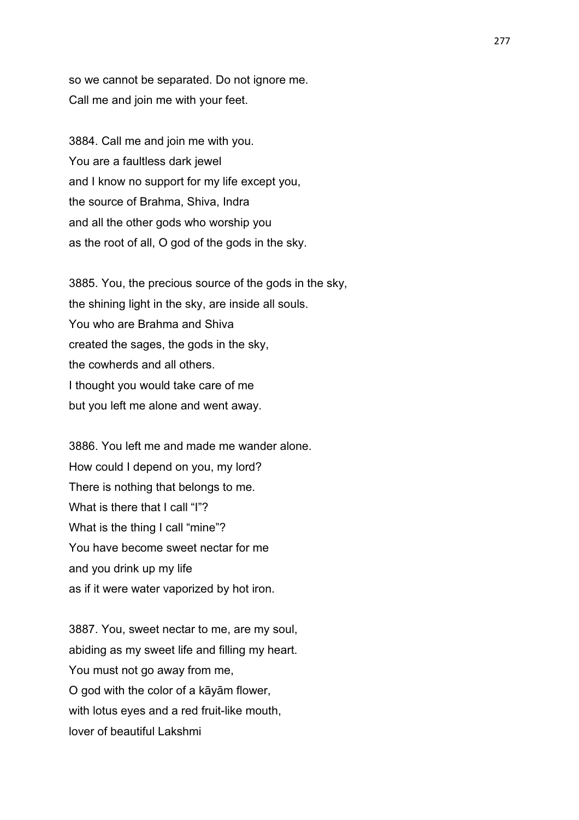so we cannot be separated. Do not ignore me. Call me and join me with your feet.

3884. Call me and join me with you. You are a faultless dark jewel and I know no support for my life except you, the source of Brahma, Shiva, Indra and all the other gods who worship you as the root of all, O god of the gods in the sky.

3885. You, the precious source of the gods in the sky, the shining light in the sky, are inside all souls. You who are Brahma and Shiva created the sages, the gods in the sky, the cowherds and all others. I thought you would take care of me but you left me alone and went away.

3886. You left me and made me wander alone. How could I depend on you, my lord? There is nothing that belongs to me. What is there that I call "I"? What is the thing I call "mine"? You have become sweet nectar for me and you drink up my life as if it were water vaporized by hot iron.

3887. You, sweet nectar to me, are my soul, abiding as my sweet life and filling my heart. You must not go away from me, O god with the color of a kāyām flower, with lotus eyes and a red fruit-like mouth, lover of beautiful Lakshmi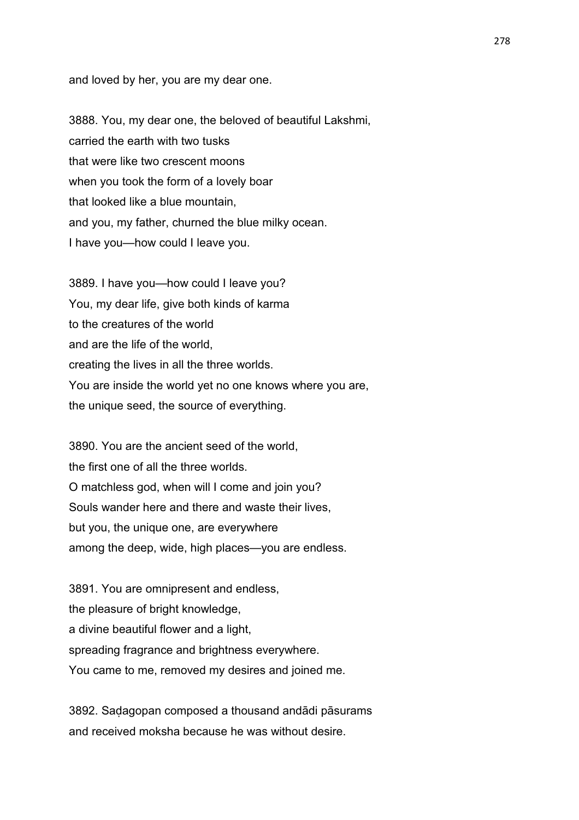and loved by her, you are my dear one.

3888. You, my dear one, the beloved of beautiful Lakshmi, carried the earth with two tusks that were like two crescent moons when you took the form of a lovely boar that looked like a blue mountain, and you, my father, churned the blue milky ocean. I have you—how could I leave you.

3889. I have you—how could I leave you? You, my dear life, give both kinds of karma to the creatures of the world and are the life of the world, creating the lives in all the three worlds. You are inside the world yet no one knows where you are, the unique seed, the source of everything.

3890. You are the ancient seed of the world, the first one of all the three worlds. O matchless god, when will I come and join you? Souls wander here and there and waste their lives, but you, the unique one, are everywhere among the deep, wide, high places—you are endless.

3891. You are omnipresent and endless, the pleasure of bright knowledge, a divine beautiful flower and a light, spreading fragrance and brightness everywhere. You came to me, removed my desires and joined me.

3892. Saḍagopan composed a thousand andādi pāsurams and received moksha because he was without desire.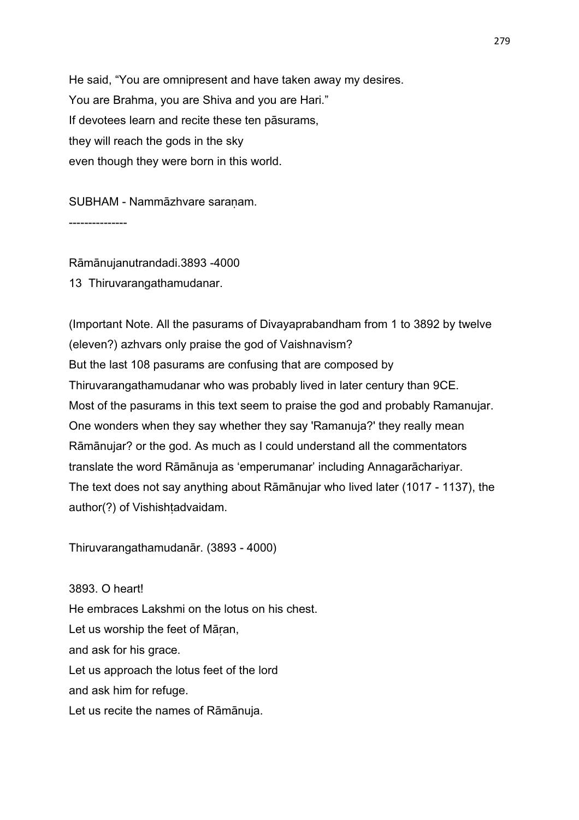He said, "You are omnipresent and have taken away my desires. You are Brahma, you are Shiva and you are Hari." If devotees learn and recite these ten pāsurams, they will reach the gods in the sky even though they were born in this world.

SUBHAM - Nammāzhvare saraṇam.

---------------

Rāmānujanutrandadi.3893 -4000 13 Thiruvarangathamudanar.

(Important Note. All the pasurams of Divayaprabandham from 1 to 3892 by twelve (eleven?) azhvars only praise the god of Vaishnavism? But the last 108 pasurams are confusing that are composed by Thiruvarangathamudanar who was probably lived in later century than 9CE. Most of the pasurams in this text seem to praise the god and probably Ramanujar. One wonders when they say whether they say 'Ramanuja?' they really mean Rāmānujar? or the god. As much as I could understand all the commentators translate the word Rāmānuja as 'emperumanar' including Annagarāchariyar. The text does not say anything about Rāmānujar who lived later (1017 - 1137), the author(?) of Vishishtadvaidam.

Thiruvarangathamudanār. (3893 - 4000)

3893. O heart! He embraces Lakshmi on the lotus on his chest. Let us worship the feet of Māṛan, and ask for his grace. Let us approach the lotus feet of the lord and ask him for refuge. Let us recite the names of Rāmānuja.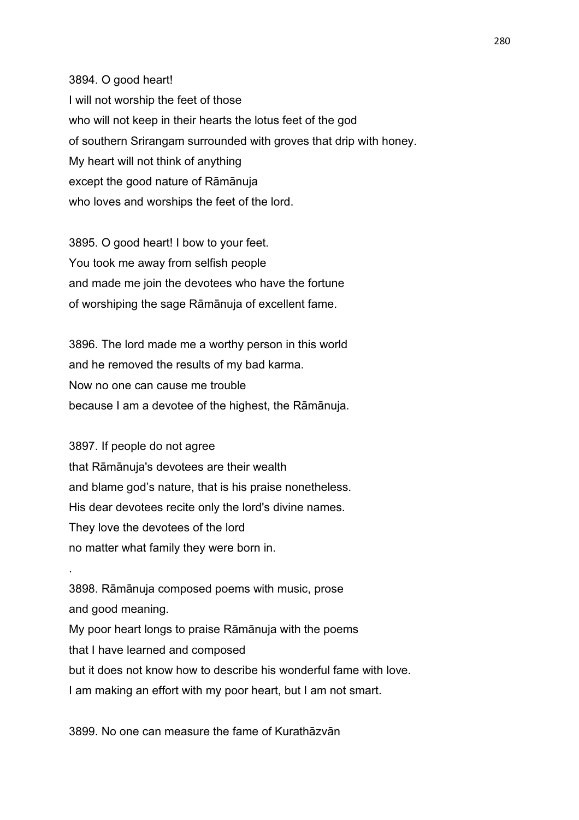3894. O good heart! I will not worship the feet of those who will not keep in their hearts the lotus feet of the god of southern Srirangam surrounded with groves that drip with honey. My heart will not think of anything except the good nature of Rāmānuja who loves and worships the feet of the lord.

3895. O good heart! I bow to your feet. You took me away from selfish people and made me join the devotees who have the fortune of worshiping the sage Rāmānuja of excellent fame.

3896. The lord made me a worthy person in this world and he removed the results of my bad karma. Now no one can cause me trouble because I am a devotee of the highest, the Rāmānuja.

3897. If people do not agree that Rāmānuja's devotees are their wealth and blame god's nature, that is his praise nonetheless. His dear devotees recite only the lord's divine names. They love the devotees of the lord no matter what family they were born in.

.

3898. Rāmānuja composed poems with music, prose and good meaning. My poor heart longs to praise Rāmānuja with the poems that I have learned and composed but it does not know how to describe his wonderful fame with love. I am making an effort with my poor heart, but I am not smart.

3899. No one can measure the fame of Kurathāzvān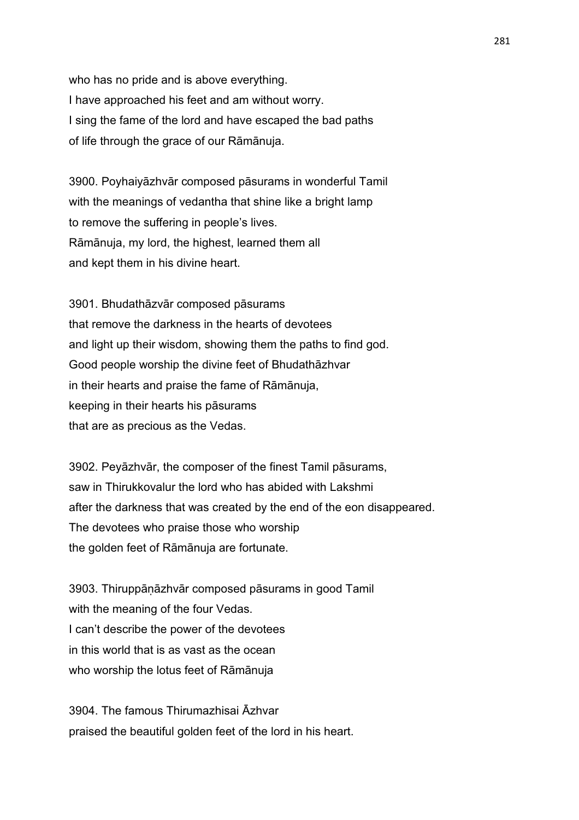who has no pride and is above everything. I have approached his feet and am without worry. I sing the fame of the lord and have escaped the bad paths of life through the grace of our Rāmānuja.

3900. Poyhaiyāzhvār composed pāsurams in wonderful Tamil with the meanings of vedantha that shine like a bright lamp to remove the suffering in people's lives. Rāmānuja, my lord, the highest, learned them all and kept them in his divine heart.

3901. Bhudathāzvār composed pāsurams that remove the darkness in the hearts of devotees and light up their wisdom, showing them the paths to find god. Good people worship the divine feet of Bhudathāzhvar in their hearts and praise the fame of Rāmānuja, keeping in their hearts his pāsurams that are as precious as the Vedas.

3902. Peyāzhvār, the composer of the finest Tamil pāsurams, saw in Thirukkovalur the lord who has abided with Lakshmi after the darkness that was created by the end of the eon disappeared. The devotees who praise those who worship the golden feet of Rāmānuja are fortunate.

3903. Thiruppāṇāzhvār composed pāsurams in good Tamil with the meaning of the four Vedas. I can't describe the power of the devotees in this world that is as vast as the ocean who worship the lotus feet of Rāmānuja

3904. The famous Thirumazhisai Āzhvar praised the beautiful golden feet of the lord in his heart.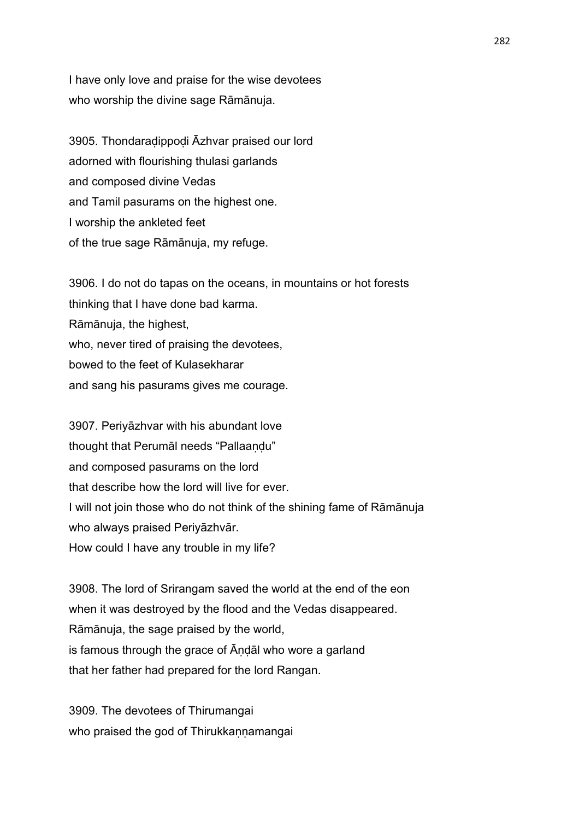I have only love and praise for the wise devotees who worship the divine sage Rāmānuja.

3905. Thondaraḍippoḍi Āzhvar praised our lord adorned with flourishing thulasi garlands and composed divine Vedas and Tamil pasurams on the highest one. I worship the ankleted feet of the true sage Rāmānuja, my refuge.

3906. I do not do tapas on the oceans, in mountains or hot forests thinking that I have done bad karma. Rāmānuja, the highest, who, never tired of praising the devotees, bowed to the feet of Kulasekharar and sang his pasurams gives me courage.

3907. Periyāzhvar with his abundant love thought that Perumāl needs "Pallaaṇḍu" and composed pasurams on the lord that describe how the lord will live for ever. I will not join those who do not think of the shining fame of Rāmānuja who always praised Periyāzhvār. How could I have any trouble in my life?

3908. The lord of Srirangam saved the world at the end of the eon when it was destroyed by the flood and the Vedas disappeared. Rāmānuja, the sage praised by the world, is famous through the grace of Āṇḍāl who wore a garland that her father had prepared for the lord Rangan.

3909. The devotees of Thirumangai who praised the god of Thirukkannamangai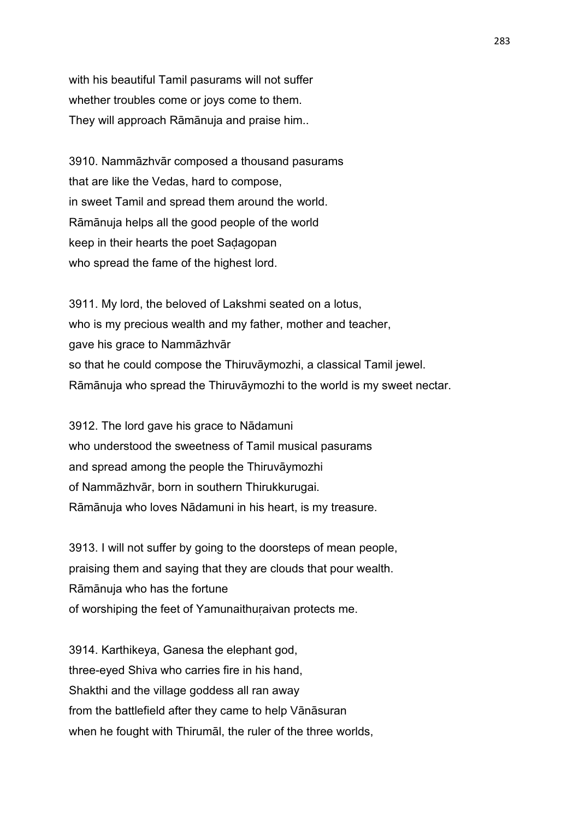with his beautiful Tamil pasurams will not suffer whether troubles come or joys come to them. They will approach Rāmānuja and praise him..

3910. Nammāzhvār composed a thousand pasurams that are like the Vedas, hard to compose, in sweet Tamil and spread them around the world. Rāmānuja helps all the good people of the world keep in their hearts the poet Saḍagopan who spread the fame of the highest lord.

3911. My lord, the beloved of Lakshmi seated on a lotus, who is my precious wealth and my father, mother and teacher, gave his grace to Nammāzhvār so that he could compose the Thiruvāymozhi, a classical Tamil jewel. Rāmānuja who spread the Thiruvāymozhi to the world is my sweet nectar.

3912. The lord gave his grace to Nādamuni who understood the sweetness of Tamil musical pasurams and spread among the people the Thiruvāymozhi of Nammāzhvār, born in southern Thirukkurugai. Rāmānuja who loves Nādamuni in his heart, is my treasure.

3913. I will not suffer by going to the doorsteps of mean people, praising them and saying that they are clouds that pour wealth. Rāmānuja who has the fortune of worshiping the feet of Yamunaithuṛaivan protects me.

3914. Karthikeya, Ganesa the elephant god, three-eyed Shiva who carries fire in his hand, Shakthi and the village goddess all ran away from the battlefield after they came to help Vānāsuran when he fought with Thirumāl, the ruler of the three worlds,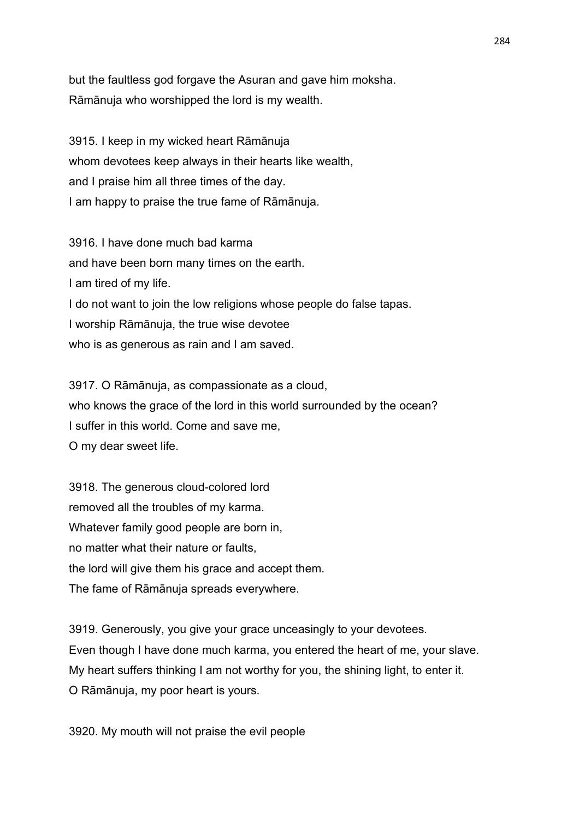but the faultless god forgave the Asuran and gave him moksha. Rāmānuja who worshipped the lord is my wealth.

3915. I keep in my wicked heart Rāmānuja whom devotees keep always in their hearts like wealth, and I praise him all three times of the day. I am happy to praise the true fame of Rāmānuja.

3916. I have done much bad karma and have been born many times on the earth. I am tired of my life. I do not want to join the low religions whose people do false tapas. I worship Rāmānuja, the true wise devotee who is as generous as rain and I am saved.

3917. O Rāmānuja, as compassionate as a cloud, who knows the grace of the lord in this world surrounded by the ocean? I suffer in this world. Come and save me, O my dear sweet life.

3918. The generous cloud-colored lord removed all the troubles of my karma. Whatever family good people are born in, no matter what their nature or faults, the lord will give them his grace and accept them. The fame of Rāmānuja spreads everywhere.

3919. Generously, you give your grace unceasingly to your devotees. Even though I have done much karma, you entered the heart of me, your slave. My heart suffers thinking I am not worthy for you, the shining light, to enter it. O Rāmānuja, my poor heart is yours.

3920. My mouth will not praise the evil people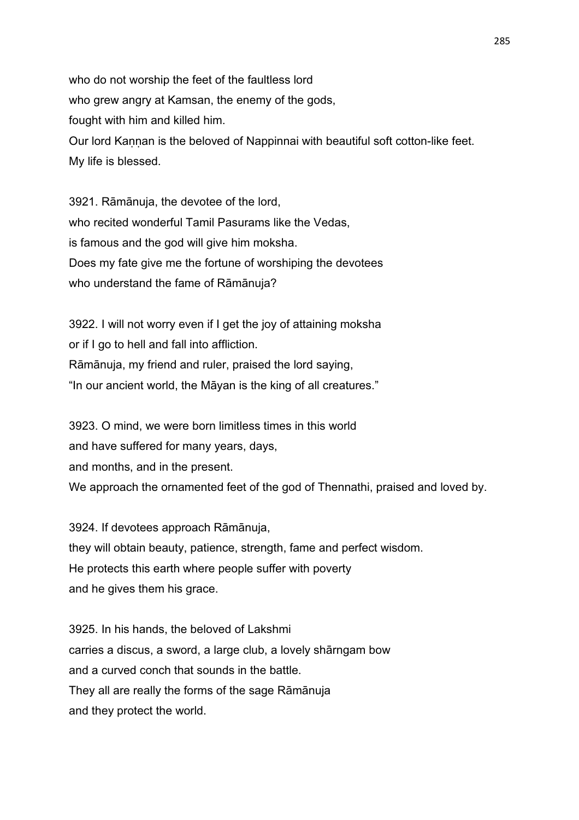who do not worship the feet of the faultless lord who grew angry at Kamsan, the enemy of the gods, fought with him and killed him. Our lord Kannan is the beloved of Nappinnai with beautiful soft cotton-like feet. My life is blessed.

3921. Rāmānuja, the devotee of the lord, who recited wonderful Tamil Pasurams like the Vedas, is famous and the god will give him moksha. Does my fate give me the fortune of worshiping the devotees who understand the fame of Rāmānuja?

3922. I will not worry even if I get the joy of attaining moksha or if I go to hell and fall into affliction. Rāmānuja, my friend and ruler, praised the lord saying, "In our ancient world, the Māyan is the king of all creatures."

3923. O mind, we were born limitless times in this world and have suffered for many years, days, and months, and in the present. We approach the ornamented feet of the god of Thennathi, praised and loved by.

3924. If devotees approach Rāmānuja, they will obtain beauty, patience, strength, fame and perfect wisdom. He protects this earth where people suffer with poverty and he gives them his grace.

3925. In his hands, the beloved of Lakshmi carries a discus, a sword, a large club, a lovely shārngam bow and a curved conch that sounds in the battle. They all are really the forms of the sage Rāmānuja and they protect the world.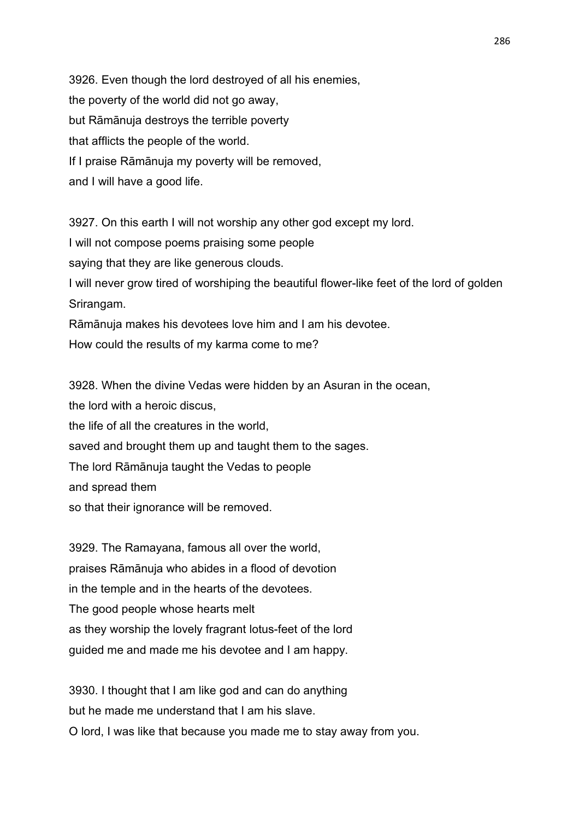3926. Even though the lord destroyed of all his enemies, the poverty of the world did not go away, but Rāmānuja destroys the terrible poverty that afflicts the people of the world. If I praise Rāmānuja my poverty will be removed, and I will have a good life.

3927. On this earth I will not worship any other god except my lord. I will not compose poems praising some people saying that they are like generous clouds. I will never grow tired of worshiping the beautiful flower-like feet of the lord of golden Srirangam. Rāmānuja makes his devotees love him and I am his devotee. How could the results of my karma come to me?

3928. When the divine Vedas were hidden by an Asuran in the ocean, the lord with a heroic discus, the life of all the creatures in the world, saved and brought them up and taught them to the sages. The lord Rāmānuja taught the Vedas to people and spread them so that their ignorance will be removed.

3929. The Ramayana, famous all over the world, praises Rāmānuja who abides in a flood of devotion in the temple and in the hearts of the devotees. The good people whose hearts melt as they worship the lovely fragrant lotus-feet of the lord guided me and made me his devotee and I am happy.

3930. I thought that I am like god and can do anything but he made me understand that I am his slave. O lord, I was like that because you made me to stay away from you.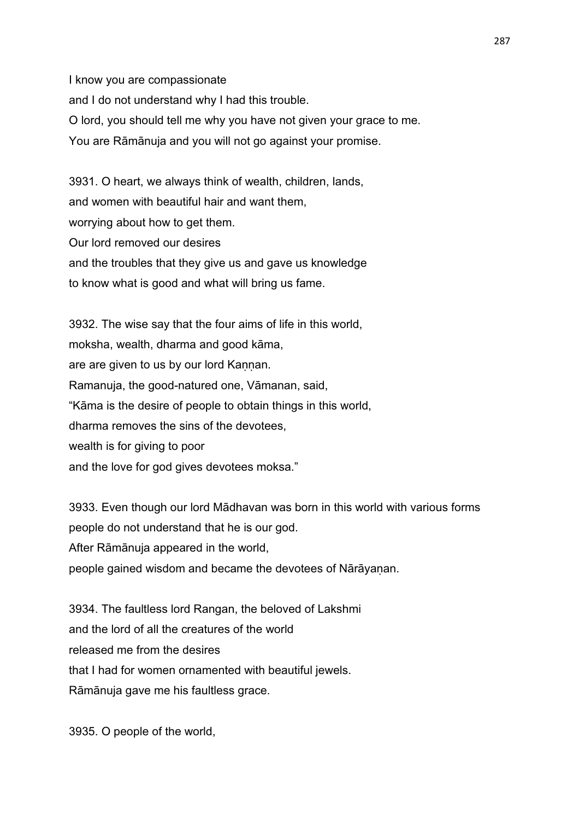I know you are compassionate and I do not understand why I had this trouble. O lord, you should tell me why you have not given your grace to me. You are Rāmānuja and you will not go against your promise.

3931. O heart, we always think of wealth, children, lands, and women with beautiful hair and want them, worrying about how to get them. Our lord removed our desires and the troubles that they give us and gave us knowledge to know what is good and what will bring us fame.

3932. The wise say that the four aims of life in this world, moksha, wealth, dharma and good kāma, are are given to us by our lord Kannan. Ramanuja, the good-natured one, Vāmanan, said, "Kāma is the desire of people to obtain things in this world, dharma removes the sins of the devotees, wealth is for giving to poor and the love for god gives devotees moksa."

3933. Even though our lord Mādhavan was born in this world with various forms people do not understand that he is our god. After Rāmānuja appeared in the world, people gained wisdom and became the devotees of Nārāyanan.

3934. The faultless lord Rangan, the beloved of Lakshmi and the lord of all the creatures of the world released me from the desires that I had for women ornamented with beautiful jewels. Rāmānuja gave me his faultless grace.

3935. O people of the world,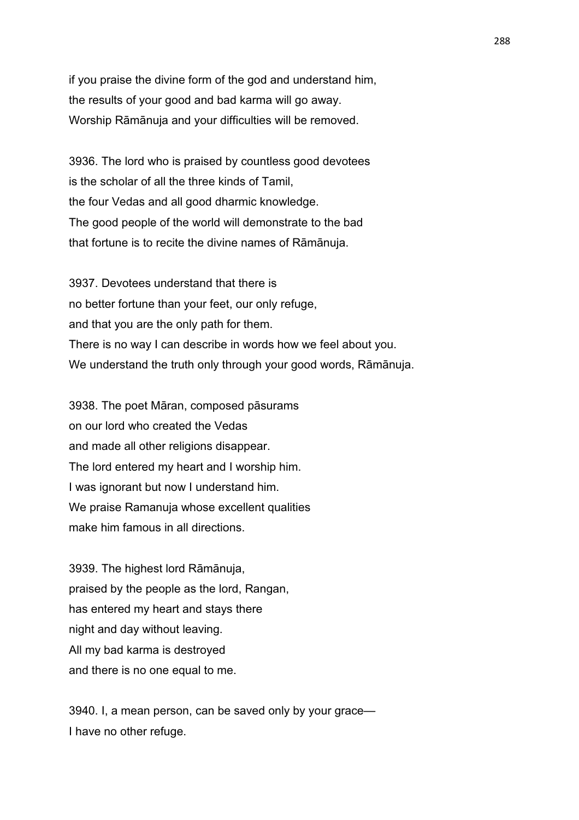if you praise the divine form of the god and understand him, the results of your good and bad karma will go away. Worship Rāmānuja and your difficulties will be removed.

3936. The lord who is praised by countless good devotees is the scholar of all the three kinds of Tamil, the four Vedas and all good dharmic knowledge. The good people of the world will demonstrate to the bad that fortune is to recite the divine names of Rāmānuja.

3937. Devotees understand that there is no better fortune than your feet, our only refuge, and that you are the only path for them. There is no way I can describe in words how we feel about you. We understand the truth only through your good words, Rāmānuja.

3938. The poet Māran, composed pāsurams on our lord who created the Vedas and made all other religions disappear. The lord entered my heart and I worship him. I was ignorant but now I understand him. We praise Ramanuja whose excellent qualities make him famous in all directions.

3939. The highest lord Rāmānuja, praised by the people as the lord, Rangan, has entered my heart and stays there night and day without leaving. All my bad karma is destroyed and there is no one equal to me.

3940. I, a mean person, can be saved only by your grace— I have no other refuge.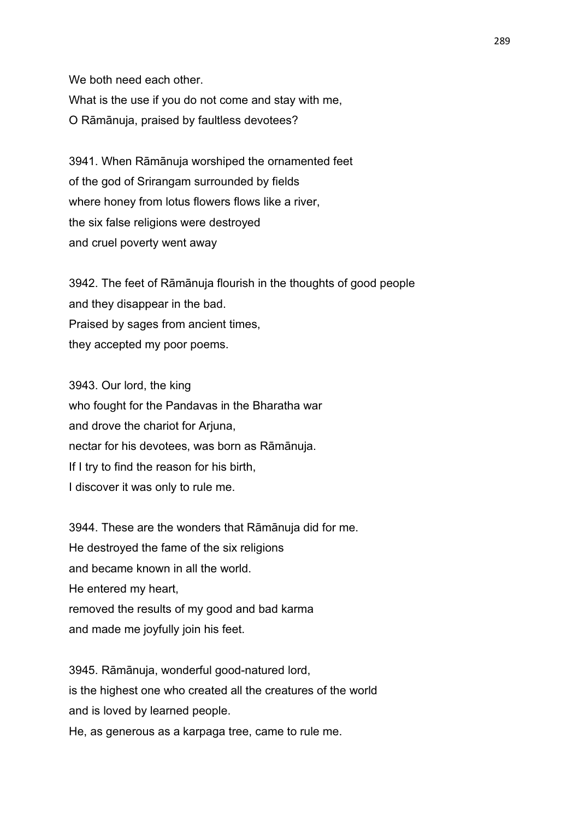We both need each other. What is the use if you do not come and stay with me, O Rāmānuja, praised by faultless devotees?

3941. When Rāmānuja worshiped the ornamented feet of the god of Srirangam surrounded by fields where honey from lotus flowers flows like a river, the six false religions were destroyed and cruel poverty went away

3942. The feet of Rāmānuja flourish in the thoughts of good people and they disappear in the bad. Praised by sages from ancient times, they accepted my poor poems.

3943. Our lord, the king who fought for the Pandavas in the Bharatha war and drove the chariot for Arjuna, nectar for his devotees, was born as Rāmānuja. If I try to find the reason for his birth, I discover it was only to rule me.

3944. These are the wonders that Rāmānuja did for me. He destroyed the fame of the six religions and became known in all the world. He entered my heart, removed the results of my good and bad karma and made me joyfully join his feet.

3945. Rāmānuja, wonderful good-natured lord, is the highest one who created all the creatures of the world and is loved by learned people. He, as generous as a karpaga tree, came to rule me.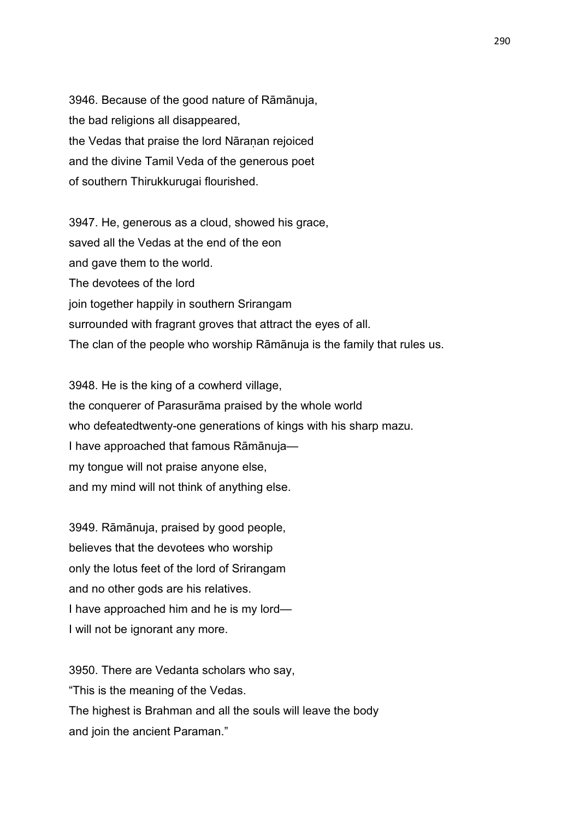3946. Because of the good nature of Rāmānuja, the bad religions all disappeared, the Vedas that praise the lord Nāranan rejoiced and the divine Tamil Veda of the generous poet of southern Thirukkurugai flourished.

3947. He, generous as a cloud, showed his grace, saved all the Vedas at the end of the eon and gave them to the world. The devotees of the lord join together happily in southern Srirangam surrounded with fragrant groves that attract the eyes of all. The clan of the people who worship Rāmānuja is the family that rules us.

3948. He is the king of a cowherd village, the conquerer of Parasurāma praised by the whole world who defeatedtwenty-one generations of kings with his sharp mazu. I have approached that famous Rāmānuja my tongue will not praise anyone else, and my mind will not think of anything else.

3949. Rāmānuja, praised by good people, believes that the devotees who worship only the lotus feet of the lord of Srirangam and no other gods are his relatives. I have approached him and he is my lord— I will not be ignorant any more.

3950. There are Vedanta scholars who say, "This is the meaning of the Vedas. The highest is Brahman and all the souls will leave the body and join the ancient Paraman."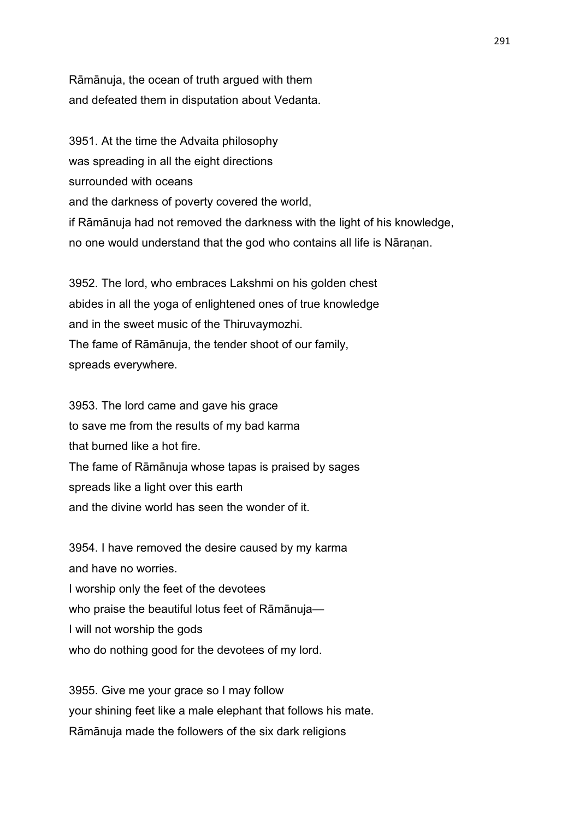Rāmānuja, the ocean of truth argued with them and defeated them in disputation about Vedanta.

3951. At the time the Advaita philosophy was spreading in all the eight directions surrounded with oceans and the darkness of poverty covered the world, if Rāmānuja had not removed the darkness with the light of his knowledge, no one would understand that the god who contains all life is Nāraṇan.

3952. The lord, who embraces Lakshmi on his golden chest abides in all the yoga of enlightened ones of true knowledge and in the sweet music of the Thiruvaymozhi. The fame of Rāmānuja, the tender shoot of our family, spreads everywhere.

3953. The lord came and gave his grace to save me from the results of my bad karma that burned like a hot fire. The fame of Rāmānuja whose tapas is praised by sages spreads like a light over this earth and the divine world has seen the wonder of it.

3954. I have removed the desire caused by my karma and have no worries. I worship only the feet of the devotees who praise the beautiful lotus feet of Rāmānuja— I will not worship the gods who do nothing good for the devotees of my lord.

3955. Give me your grace so I may follow your shining feet like a male elephant that follows his mate. Rāmānuja made the followers of the six dark religions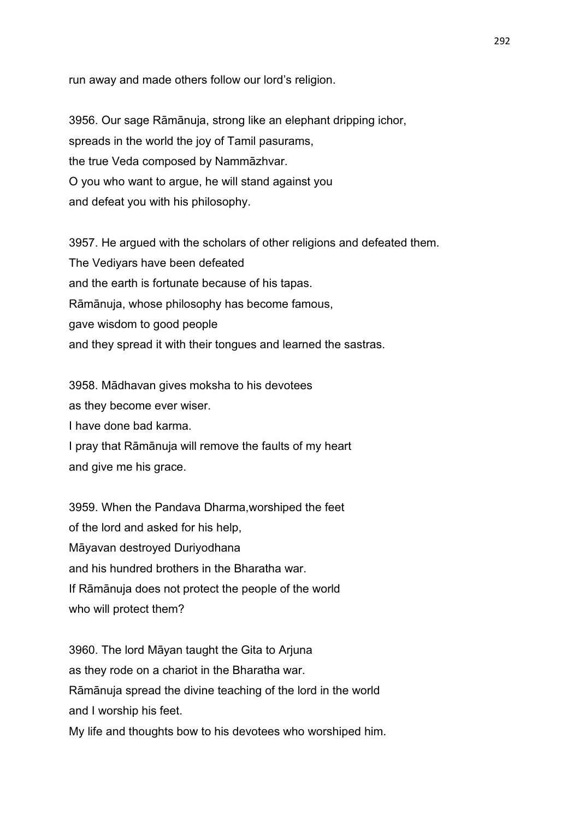run away and made others follow our lord's religion.

3956. Our sage Rāmānuja, strong like an elephant dripping ichor, spreads in the world the joy of Tamil pasurams, the true Veda composed by Nammāzhvar. O you who want to argue, he will stand against you and defeat you with his philosophy.

3957. He argued with the scholars of other religions and defeated them. The Vediyars have been defeated and the earth is fortunate because of his tapas. Rāmānuja, whose philosophy has become famous, gave wisdom to good people and they spread it with their tongues and learned the sastras.

3958. Mādhavan gives moksha to his devotees as they become ever wiser. I have done bad karma. I pray that Rāmānuja will remove the faults of my heart and give me his grace.

3959. When the Pandava Dharma,worshiped the feet of the lord and asked for his help, Māyavan destroyed Duriyodhana and his hundred brothers in the Bharatha war. If Rāmānuja does not protect the people of the world who will protect them?

3960. The lord Māyan taught the Gita to Arjuna as they rode on a chariot in the Bharatha war. Rāmānuja spread the divine teaching of the lord in the world and I worship his feet.

My life and thoughts bow to his devotees who worshiped him.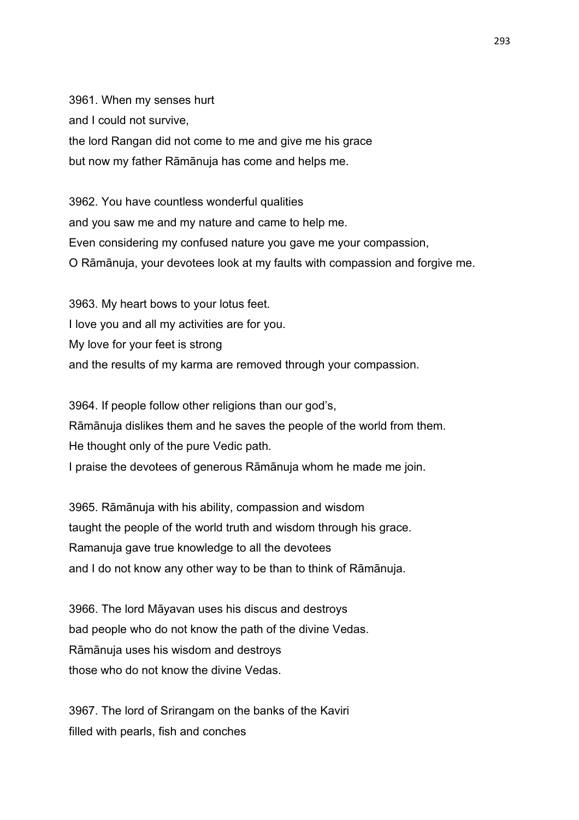3961. When my senses hurt and I could not survive, the lord Rangan did not come to me and give me his grace but now my father Rāmānuja has come and helps me.

3962. You have countless wonderful qualities and you saw me and my nature and came to help me. Even considering my confused nature you gave me your compassion, O Rāmānuja, your devotees look at my faults with compassion and forgive me.

3963. My heart bows to your lotus feet. I love you and all my activities are for you. My love for your feet is strong and the results of my karma are removed through your compassion.

3964. If people follow other religions than our god's, Rāmānuja dislikes them and he saves the people of the world from them. He thought only of the pure Vedic path. I praise the devotees of generous Rāmānuja whom he made me join.

3965. Rāmānuja with his ability, compassion and wisdom taught the people of the world truth and wisdom through his grace. Ramanuja gave true knowledge to all the devotees and I do not know any other way to be than to think of Rāmānuja.

3966. The lord Māyavan uses his discus and destroys bad people who do not know the path of the divine Vedas. Rāmānuja uses his wisdom and destroys those who do not know the divine Vedas.

3967. The lord of Srirangam on the banks of the Kaviri filled with pearls, fish and conches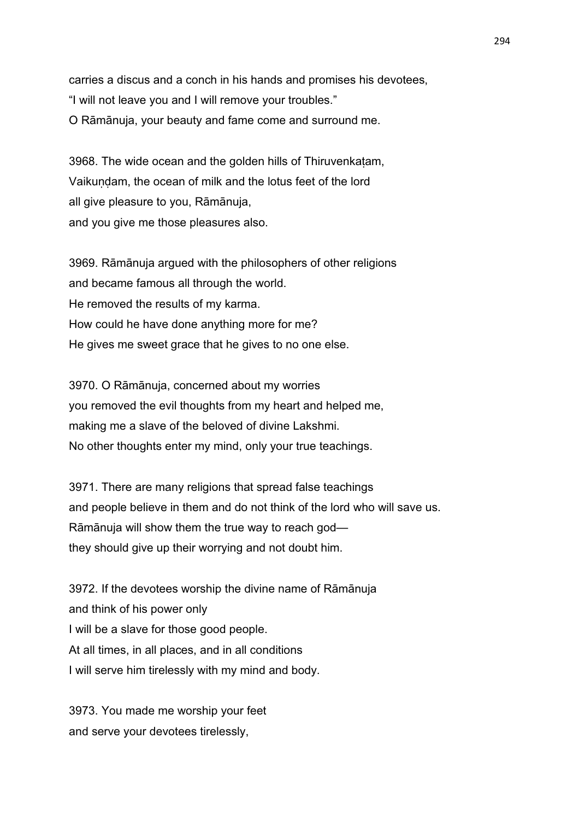carries a discus and a conch in his hands and promises his devotees, "I will not leave you and I will remove your troubles." O Rāmānuja, your beauty and fame come and surround me.

3968. The wide ocean and the golden hills of Thiruvenkaṭam, Vaikundam, the ocean of milk and the lotus feet of the lord all give pleasure to you, Rāmānuja, and you give me those pleasures also.

3969. Rāmānuja argued with the philosophers of other religions and became famous all through the world. He removed the results of my karma. How could he have done anything more for me? He gives me sweet grace that he gives to no one else.

3970. O Rāmānuja, concerned about my worries you removed the evil thoughts from my heart and helped me, making me a slave of the beloved of divine Lakshmi. No other thoughts enter my mind, only your true teachings.

3971. There are many religions that spread false teachings and people believe in them and do not think of the lord who will save us. Rāmānuja will show them the true way to reach god they should give up their worrying and not doubt him.

3972. If the devotees worship the divine name of Rāmānuja and think of his power only I will be a slave for those good people. At all times, in all places, and in all conditions I will serve him tirelessly with my mind and body.

3973. You made me worship your feet and serve your devotees tirelessly,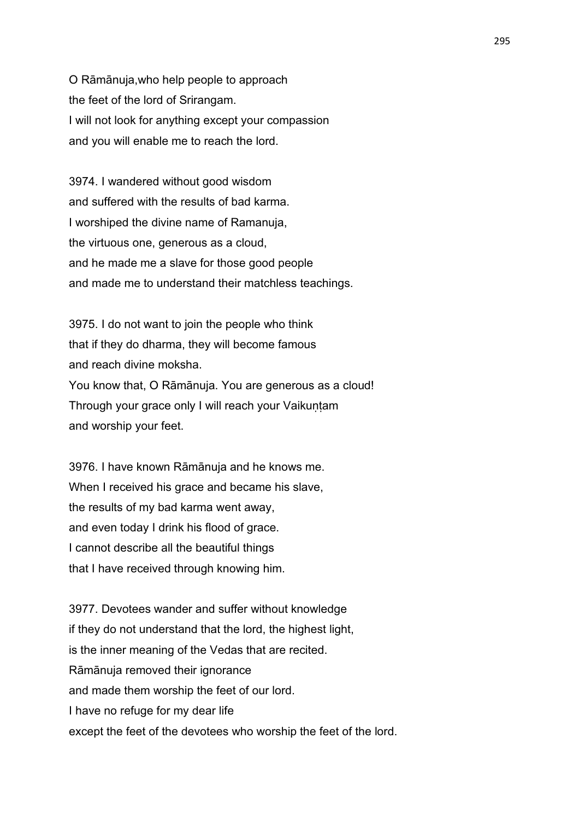O Rāmānuja,who help people to approach the feet of the lord of Srirangam. I will not look for anything except your compassion and you will enable me to reach the lord.

3974. I wandered without good wisdom and suffered with the results of bad karma. I worshiped the divine name of Ramanuja, the virtuous one, generous as a cloud, and he made me a slave for those good people and made me to understand their matchless teachings.

3975. I do not want to join the people who think that if they do dharma, they will become famous and reach divine moksha. You know that, O Rāmānuja. You are generous as a cloud! Through your grace only I will reach your Vaikuntam and worship your feet.

3976. I have known Rāmānuja and he knows me. When I received his grace and became his slave, the results of my bad karma went away, and even today I drink his flood of grace. I cannot describe all the beautiful things that I have received through knowing him.

3977. Devotees wander and suffer without knowledge if they do not understand that the lord, the highest light, is the inner meaning of the Vedas that are recited. Rāmānuja removed their ignorance and made them worship the feet of our lord. I have no refuge for my dear life except the feet of the devotees who worship the feet of the lord.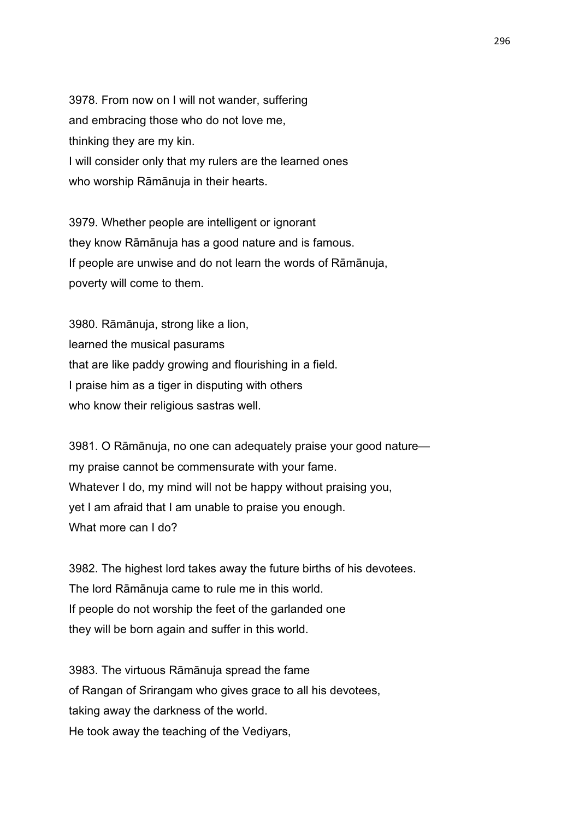3978. From now on I will not wander, suffering and embracing those who do not love me, thinking they are my kin. I will consider only that my rulers are the learned ones who worship Rāmānuja in their hearts.

3979. Whether people are intelligent or ignorant they know Rāmānuja has a good nature and is famous. If people are unwise and do not learn the words of Rāmānuja, poverty will come to them.

3980. Rāmānuja, strong like a lion, learned the musical pasurams that are like paddy growing and flourishing in a field. I praise him as a tiger in disputing with others who know their religious sastras well.

3981. O Rāmānuja, no one can adequately praise your good nature my praise cannot be commensurate with your fame. Whatever I do, my mind will not be happy without praising you, yet I am afraid that I am unable to praise you enough. What more can I do?

3982. The highest lord takes away the future births of his devotees. The lord Rāmānuja came to rule me in this world. If people do not worship the feet of the garlanded one they will be born again and suffer in this world.

3983. The virtuous Rāmānuja spread the fame of Rangan of Srirangam who gives grace to all his devotees, taking away the darkness of the world. He took away the teaching of the Vediyars,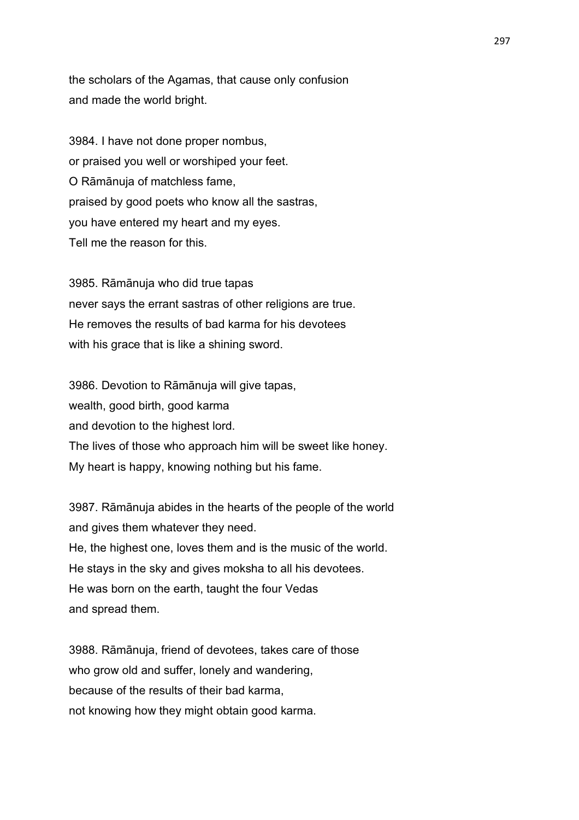the scholars of the Agamas, that cause only confusion and made the world bright.

3984. I have not done proper nombus, or praised you well or worshiped your feet. O Rāmānuja of matchless fame, praised by good poets who know all the sastras, you have entered my heart and my eyes. Tell me the reason for this.

3985. Rāmānuja who did true tapas never says the errant sastras of other religions are true. He removes the results of bad karma for his devotees with his grace that is like a shining sword.

3986. Devotion to Rāmānuja will give tapas, wealth, good birth, good karma and devotion to the highest lord. The lives of those who approach him will be sweet like honey. My heart is happy, knowing nothing but his fame.

3987. Rāmānuja abides in the hearts of the people of the world and gives them whatever they need. He, the highest one, loves them and is the music of the world. He stays in the sky and gives moksha to all his devotees. He was born on the earth, taught the four Vedas and spread them.

3988. Rāmānuja, friend of devotees, takes care of those who grow old and suffer, lonely and wandering, because of the results of their bad karma, not knowing how they might obtain good karma.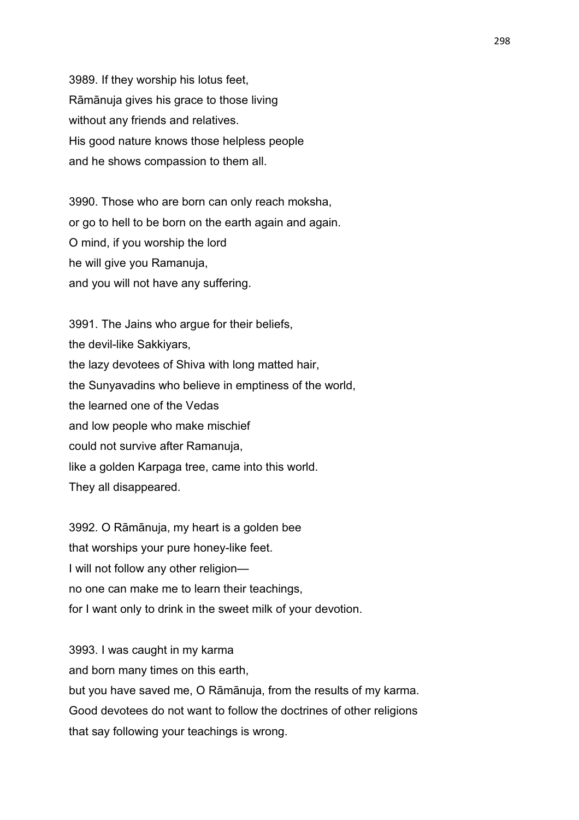3989. If they worship his lotus feet, Rāmānuja gives his grace to those living without any friends and relatives. His good nature knows those helpless people and he shows compassion to them all.

3990. Those who are born can only reach moksha, or go to hell to be born on the earth again and again. O mind, if you worship the lord he will give you Ramanuja, and you will not have any suffering.

3991. The Jains who argue for their beliefs, the devil-like Sakkiyars, the lazy devotees of Shiva with long matted hair, the Sunyavadins who believe in emptiness of the world, the learned one of the Vedas and low people who make mischief could not survive after Ramanuja, like a golden Karpaga tree, came into this world. They all disappeared.

3992. O Rāmānuja, my heart is a golden bee that worships your pure honey-like feet. I will not follow any other religion no one can make me to learn their teachings, for I want only to drink in the sweet milk of your devotion.

3993. I was caught in my karma and born many times on this earth, but you have saved me, O Rāmānuja, from the results of my karma. Good devotees do not want to follow the doctrines of other religions that say following your teachings is wrong.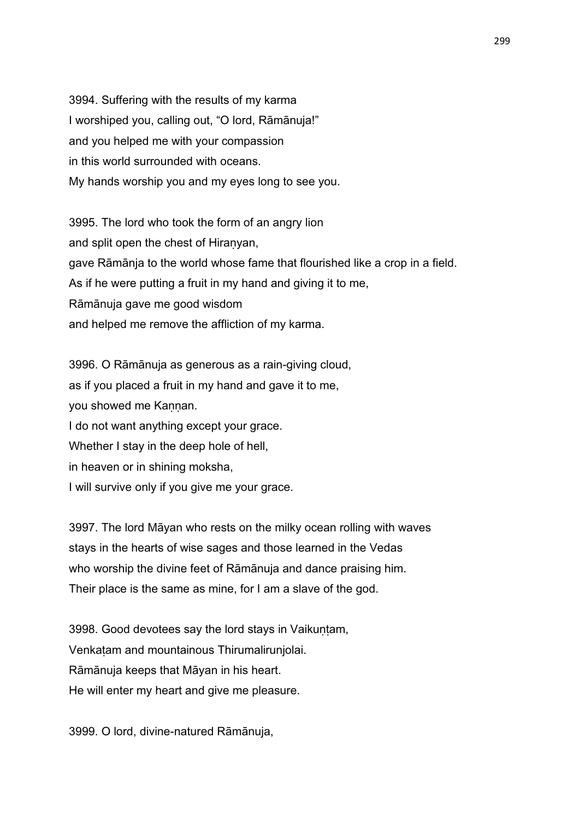3994. Suffering with the results of my karma I worshiped you, calling out, "O lord, Rāmānuja!" and you helped me with your compassion in this world surrounded with oceans. My hands worship you and my eyes long to see you.

3995. The lord who took the form of an angry lion and split open the chest of Hiranyan, gave Rāmānja to the world whose fame that flourished like a crop in a field. As if he were putting a fruit in my hand and giving it to me, Rāmānuja gave me good wisdom and helped me remove the affliction of my karma.

3996. O Rāmānuja as generous as a rain-giving cloud, as if you placed a fruit in my hand and gave it to me, you showed me Kannan. I do not want anything except your grace. Whether I stay in the deep hole of hell, in heaven or in shining moksha, I will survive only if you give me your grace.

3997. The lord Māyan who rests on the milky ocean rolling with waves stays in the hearts of wise sages and those learned in the Vedas who worship the divine feet of Rāmānuja and dance praising him. Their place is the same as mine, for I am a slave of the god.

3998. Good devotees say the lord stays in Vaikuntam, Venkaṭam and mountainous Thirumalirunjolai. Rāmānuja keeps that Māyan in his heart. He will enter my heart and give me pleasure.

3999. O lord, divine-natured Rāmānuja,